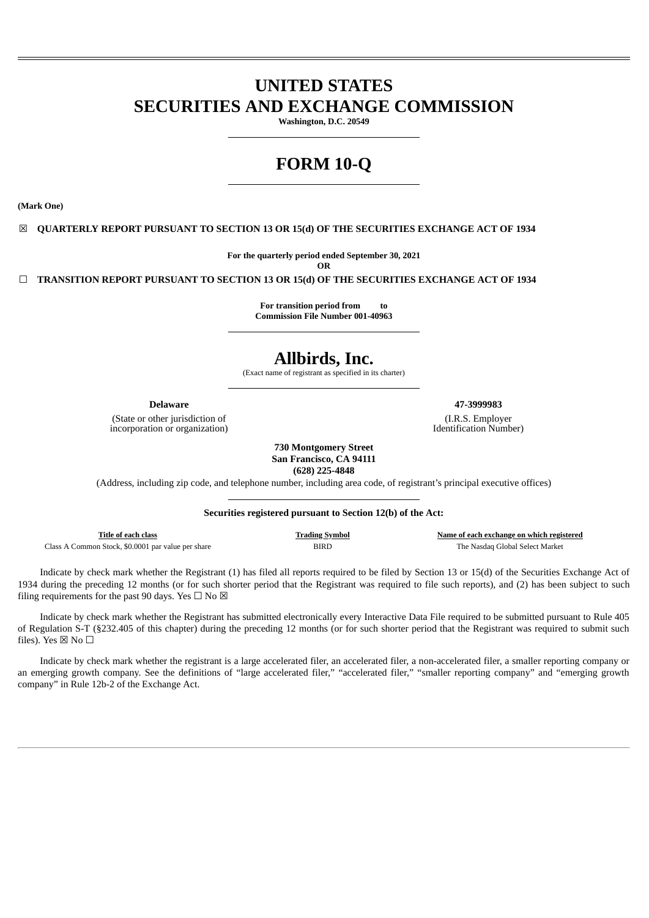# **UNITED STATES SECURITIES AND EXCHANGE COMMISSION**

**Washington, D.C. 20549**

# **FORM 10-Q**

**(Mark One)**

☒ **QUARTERLY REPORT PURSUANT TO SECTION 13 OR 15(d) OF THE SECURITIES EXCHANGE ACT OF 1934**

**For the quarterly period ended September 30, 2021**

**OR**

☐ **TRANSITION REPORT PURSUANT TO SECTION 13 OR 15(d) OF THE SECURITIES EXCHANGE ACT OF 1934**

**For transition period from to Commission File Number 001-40963**

# **Allbirds, Inc.**

(Exact name of registrant as specified in its charter)

(State or other jurisdiction of incorporation or organization)

**Delaware 47-3999983**

(I.R.S. Employer Identification Number)

**730 Montgomery Street San Francisco, CA 94111**

**(628) 225-4848**

(Address, including zip code, and telephone number, including area code, of registrant's principal executive offices)

#### **Securities registered pursuant to Section 12(b) of the Act:**

Class A Common Stock, \$0.0001 par value per share BIRD BIRD The Nasdaq Global Select Market

**Title of each class Trading Symbol Name of each exchange on which registered**

Indicate by check mark whether the Registrant (1) has filed all reports required to be filed by Section 13 or 15(d) of the Securities Exchange Act of 1934 during the preceding 12 months (or for such shorter period that the Registrant was required to file such reports), and (2) has been subject to such filing requirements for the past 90 days. Yes  $\Box$  No  $\boxtimes$ 

Indicate by check mark whether the Registrant has submitted electronically every Interactive Data File required to be submitted pursuant to Rule 405 of Regulation S-T (§232.405 of this chapter) during the preceding 12 months (or for such shorter period that the Registrant was required to submit such files). Yes  $\boxtimes$  No  $\square$ 

Indicate by check mark whether the registrant is a large accelerated filer, an accelerated filer, a non-accelerated filer, a smaller reporting company or an emerging growth company. See the definitions of "large accelerated filer," "accelerated filer," "smaller reporting company" and "emerging growth company" in Rule 12b-2 of the Exchange Act.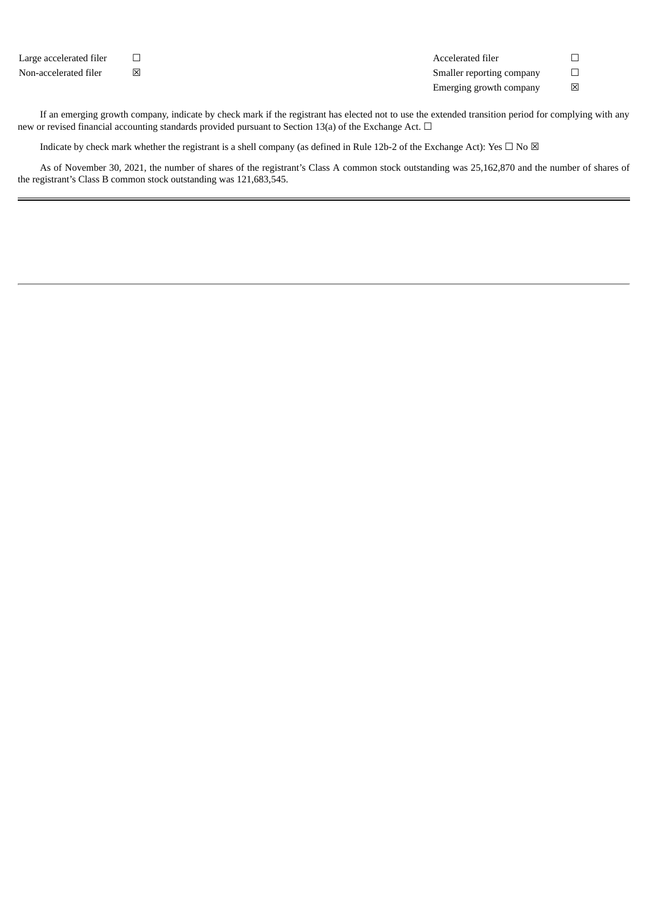| Large accelerated filer |   | Accelerated filer         |   |
|-------------------------|---|---------------------------|---|
| Non-accelerated filer   | ⊠ | Smaller reporting company |   |
|                         |   | Emerging growth company   | 図 |

If an emerging growth company, indicate by check mark if the registrant has elected not to use the extended transition period for complying with any new or revised financial accounting standards provided pursuant to Section 13(a) of the Exchange Act. □

Indicate by check mark whether the registrant is a shell company (as defined in Rule 12b-2 of the Exchange Act): Yes  $\Box$  No  $\boxtimes$ 

<span id="page-1-0"></span>As of November 30, 2021, the number of shares of the registrant's Class A common stock outstanding was 25,162,870 and the number of shares of the registrant's Class B common stock outstanding was 121,683,545.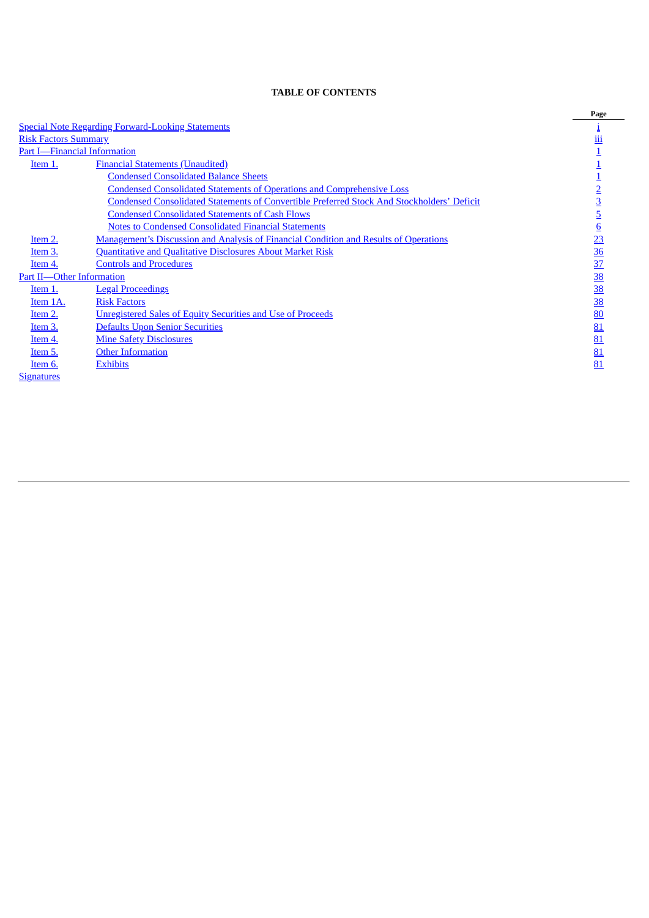# **TABLE OF CONTENTS**

<span id="page-2-0"></span>

|                              |                                                                                                   | Page            |
|------------------------------|---------------------------------------------------------------------------------------------------|-----------------|
|                              | <b>Special Note Regarding Forward-Looking Statements</b>                                          |                 |
| <b>Risk Factors Summary</b>  |                                                                                                   | ш               |
| Part I-Financial Information |                                                                                                   |                 |
| Item 1.                      | <b>Financial Statements (Unaudited)</b>                                                           |                 |
|                              | <b>Condensed Consolidated Balance Sheets</b>                                                      |                 |
|                              | <b>Condensed Consolidated Statements of Operations and Comprehensive Loss</b>                     |                 |
|                              | <b>Condensed Consolidated Statements of Convertible Preferred Stock And Stockholders' Deficit</b> |                 |
|                              | <b>Condensed Consolidated Statements of Cash Flows</b>                                            | <u>5</u>        |
|                              | <b>Notes to Condensed Consolidated Financial Statements</b>                                       | $6\overline{6}$ |
| Item 2.                      | <b>Management's Discussion and Analysis of Financial Condition and Results of Operations</b>      | <u>23</u>       |
| Item 3.                      | <b>Quantitative and Qualitative Disclosures About Market Risk</b>                                 | 36              |
| Item 4.                      | <b>Controls and Procedures</b>                                                                    | 37              |
| Part II-Other Information    |                                                                                                   | 38              |
| Item 1.                      | <b>Legal Proceedings</b>                                                                          | 38              |
| Item 1A.                     | <b>Risk Factors</b>                                                                               | <u>38</u>       |
| Item 2.                      | <b>Unregistered Sales of Equity Securities and Use of Proceeds</b>                                | 80              |
| Item 3.                      | <b>Defaults Upon Senior Securities</b>                                                            | 81              |
| Item 4.                      | <b>Mine Safety Disclosures</b>                                                                    | 81              |
| Item 5.                      | <b>Other Information</b>                                                                          | 81              |
| Item 6.                      | <b>Exhibits</b>                                                                                   | 81              |
| <b>Signatures</b>            |                                                                                                   |                 |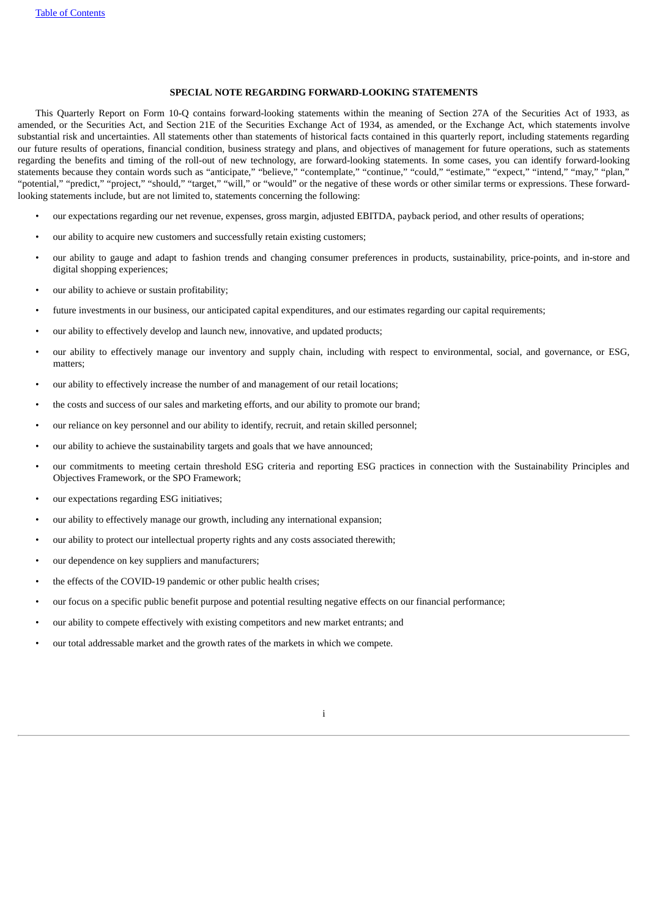# **SPECIAL NOTE REGARDING FORWARD-LOOKING STATEMENTS**

This Quarterly Report on Form 10-Q contains forward-looking statements within the meaning of Section 27A of the Securities Act of 1933, as amended, or the Securities Act, and Section 21E of the Securities Exchange Act of 1934, as amended, or the Exchange Act, which statements involve substantial risk and uncertainties. All statements other than statements of historical facts contained in this quarterly report, including statements regarding our future results of operations, financial condition, business strategy and plans, and objectives of management for future operations, such as statements regarding the benefits and timing of the roll-out of new technology, are forward-looking statements. In some cases, you can identify forward-looking statements because they contain words such as "anticipate," "believe," "contemplate," "continue," "could," "estimate," "expect," "intend," "may," "plan," "potential," "predict," "project," "should," "target," "will," or "would" or the negative of these words or other similar terms or expressions. These forwardlooking statements include, but are not limited to, statements concerning the following:

- our expectations regarding our net revenue, expenses, gross margin, adjusted EBITDA, payback period, and other results of operations;
- our ability to acquire new customers and successfully retain existing customers;
- our ability to gauge and adapt to fashion trends and changing consumer preferences in products, sustainability, price-points, and in-store and digital shopping experiences;
- our ability to achieve or sustain profitability;
- future investments in our business, our anticipated capital expenditures, and our estimates regarding our capital requirements;
- our ability to effectively develop and launch new, innovative, and updated products;
- our ability to effectively manage our inventory and supply chain, including with respect to environmental, social, and governance, or ESG, matters;
- our ability to effectively increase the number of and management of our retail locations;
- the costs and success of our sales and marketing efforts, and our ability to promote our brand;
- our reliance on key personnel and our ability to identify, recruit, and retain skilled personnel;
- our ability to achieve the sustainability targets and goals that we have announced;
- our commitments to meeting certain threshold ESG criteria and reporting ESG practices in connection with the Sustainability Principles and Objectives Framework, or the SPO Framework;
- our expectations regarding ESG initiatives;
- our ability to effectively manage our growth, including any international expansion;
- our ability to protect our intellectual property rights and any costs associated therewith;
- our dependence on key suppliers and manufacturers;
- the effects of the COVID-19 pandemic or other public health crises;
- our focus on a specific public benefit purpose and potential resulting negative effects on our financial performance;
- our ability to compete effectively with existing competitors and new market entrants; and
- our total addressable market and the growth rates of the markets in which we compete.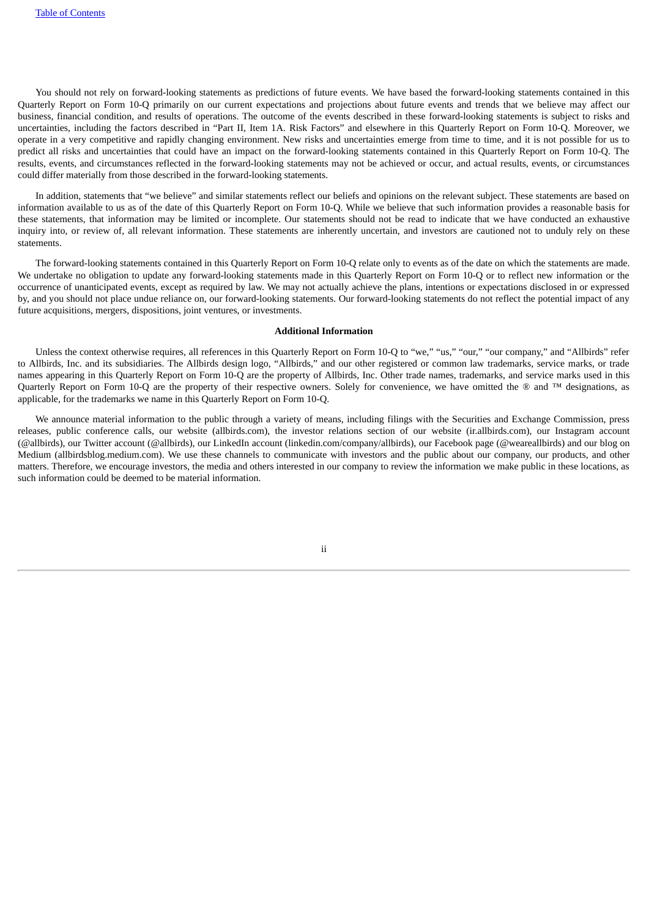You should not rely on forward-looking statements as predictions of future events. We have based the forward-looking statements contained in this Quarterly Report on Form 10-Q primarily on our current expectations and projections about future events and trends that we believe may affect our business, financial condition, and results of operations. The outcome of the events described in these forward-looking statements is subject to risks and uncertainties, including the factors described in "Part II, Item 1A. Risk Factors" and elsewhere in this Quarterly Report on Form 10-Q. Moreover, we operate in a very competitive and rapidly changing environment. New risks and uncertainties emerge from time to time, and it is not possible for us to predict all risks and uncertainties that could have an impact on the forward-looking statements contained in this Quarterly Report on Form 10-Q. The results, events, and circumstances reflected in the forward-looking statements may not be achieved or occur, and actual results, events, or circumstances could differ materially from those described in the forward-looking statements.

In addition, statements that "we believe" and similar statements reflect our beliefs and opinions on the relevant subject. These statements are based on information available to us as of the date of this Quarterly Report on Form 10-Q. While we believe that such information provides a reasonable basis for these statements, that information may be limited or incomplete. Our statements should not be read to indicate that we have conducted an exhaustive inquiry into, or review of, all relevant information. These statements are inherently uncertain, and investors are cautioned not to unduly rely on these statements.

The forward-looking statements contained in this Quarterly Report on Form 10-Q relate only to events as of the date on which the statements are made. We undertake no obligation to update any forward-looking statements made in this Quarterly Report on Form 10-Q or to reflect new information or the occurrence of unanticipated events, except as required by law. We may not actually achieve the plans, intentions or expectations disclosed in or expressed by, and you should not place undue reliance on, our forward-looking statements. Our forward-looking statements do not reflect the potential impact of any future acquisitions, mergers, dispositions, joint ventures, or investments.

#### **Additional Information**

Unless the context otherwise requires, all references in this Quarterly Report on Form 10-Q to "we," "us," "our," "our company," and "Allbirds" refer to Allbirds, Inc. and its subsidiaries. The Allbirds design logo, "Allbirds," and our other registered or common law trademarks, service marks, or trade names appearing in this Quarterly Report on Form 10-Q are the property of Allbirds, Inc. Other trade names, trademarks, and service marks used in this Quarterly Report on Form 10-Q are the property of their respective owners. Solely for convenience, we have omitted the ® and ™ designations, as applicable, for the trademarks we name in this Quarterly Report on Form 10-Q.

<span id="page-4-0"></span>We announce material information to the public through a variety of means, including filings with the Securities and Exchange Commission, press releases, public conference calls, our website (allbirds.com), the investor relations section of our website (ir.allbirds.com), our Instagram account (@allbirds), our Twitter account (@allbirds), our LinkedIn account (linkedin.com/company/allbirds), our Facebook page (@weareallbirds) and our blog on Medium (allbirdsblog.medium.com). We use these channels to communicate with investors and the public about our company, our products, and other matters. Therefore, we encourage investors, the media and others interested in our company to review the information we make public in these locations, as such information could be deemed to be material information.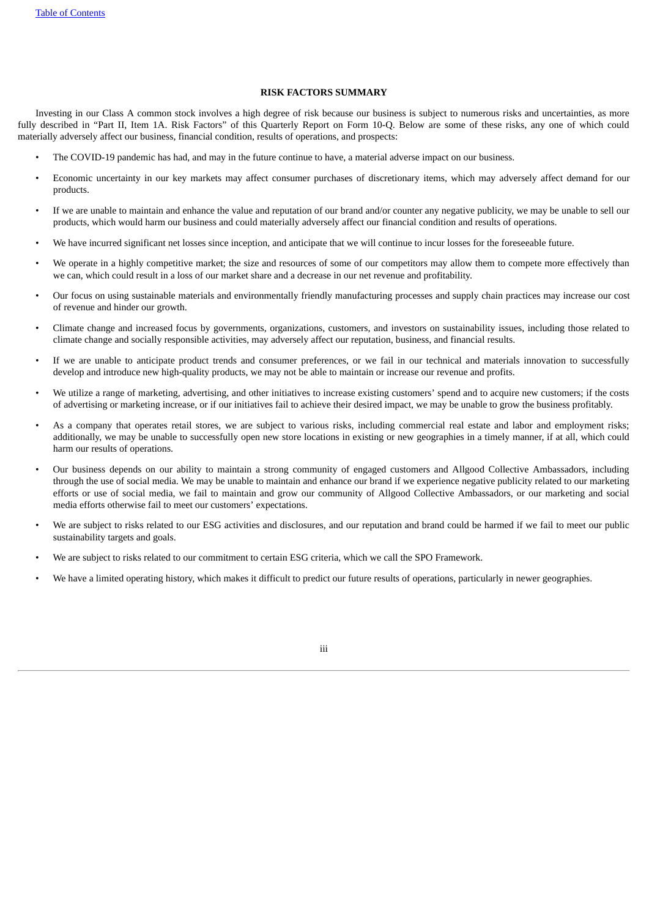#### **RISK FACTORS SUMMARY**

Investing in our Class A common stock involves a high degree of risk because our business is subject to numerous risks and uncertainties, as more fully described in "Part II, Item 1A. Risk Factors" of this Quarterly Report on Form 10-Q. Below are some of these risks, any one of which could materially adversely affect our business, financial condition, results of operations, and prospects:

- The COVID-19 pandemic has had, and may in the future continue to have, a material adverse impact on our business.
- Economic uncertainty in our key markets may affect consumer purchases of discretionary items, which may adversely affect demand for our products.
- If we are unable to maintain and enhance the value and reputation of our brand and/or counter any negative publicity, we may be unable to sell our products, which would harm our business and could materially adversely affect our financial condition and results of operations.
- We have incurred significant net losses since inception, and anticipate that we will continue to incur losses for the foreseeable future.
- We operate in a highly competitive market; the size and resources of some of our competitors may allow them to compete more effectively than we can, which could result in a loss of our market share and a decrease in our net revenue and profitability.
- Our focus on using sustainable materials and environmentally friendly manufacturing processes and supply chain practices may increase our cost of revenue and hinder our growth.
- Climate change and increased focus by governments, organizations, customers, and investors on sustainability issues, including those related to climate change and socially responsible activities, may adversely affect our reputation, business, and financial results.
- If we are unable to anticipate product trends and consumer preferences, or we fail in our technical and materials innovation to successfully develop and introduce new high-quality products, we may not be able to maintain or increase our revenue and profits.
- We utilize a range of marketing, advertising, and other initiatives to increase existing customers' spend and to acquire new customers; if the costs of advertising or marketing increase, or if our initiatives fail to achieve their desired impact, we may be unable to grow the business profitably.
- As a company that operates retail stores, we are subject to various risks, including commercial real estate and labor and employment risks; additionally, we may be unable to successfully open new store locations in existing or new geographies in a timely manner, if at all, which could harm our results of operations.
- Our business depends on our ability to maintain a strong community of engaged customers and Allgood Collective Ambassadors, including through the use of social media. We may be unable to maintain and enhance our brand if we experience negative publicity related to our marketing efforts or use of social media, we fail to maintain and grow our community of Allgood Collective Ambassadors, or our marketing and social media efforts otherwise fail to meet our customers' expectations.
- We are subject to risks related to our ESG activities and disclosures, and our reputation and brand could be harmed if we fail to meet our public sustainability targets and goals.
- We are subject to risks related to our commitment to certain ESG criteria, which we call the SPO Framework.
- We have a limited operating history, which makes it difficult to predict our future results of operations, particularly in newer geographies.

iii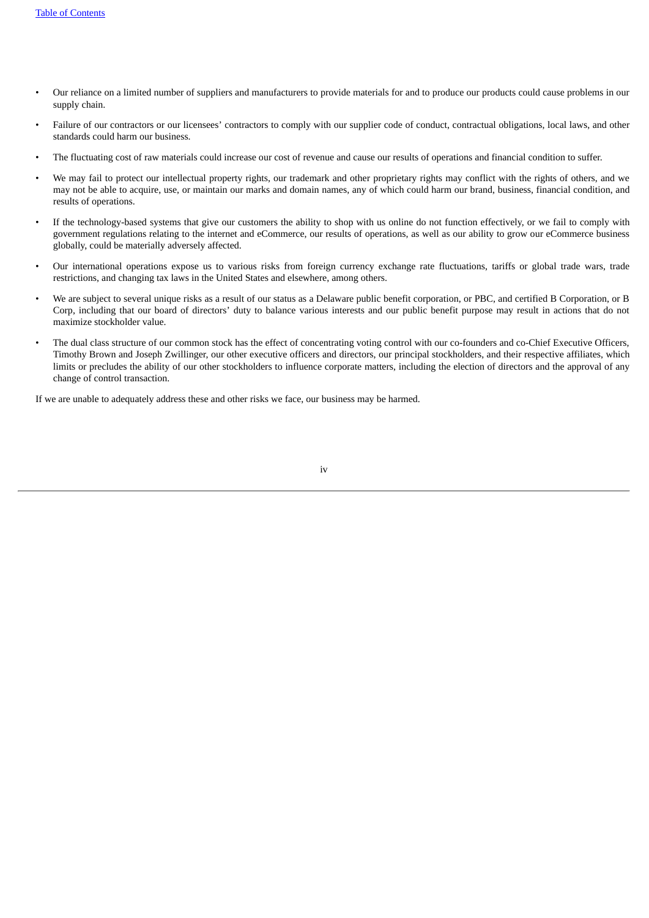- Our reliance on a limited number of suppliers and manufacturers to provide materials for and to produce our products could cause problems in our supply chain.
- Failure of our contractors or our licensees' contractors to comply with our supplier code of conduct, contractual obligations, local laws, and other standards could harm our business.
- The fluctuating cost of raw materials could increase our cost of revenue and cause our results of operations and financial condition to suffer.
- We may fail to protect our intellectual property rights, our trademark and other proprietary rights may conflict with the rights of others, and we may not be able to acquire, use, or maintain our marks and domain names, any of which could harm our brand, business, financial condition, and results of operations.
- If the technology-based systems that give our customers the ability to shop with us online do not function effectively, or we fail to comply with government regulations relating to the internet and eCommerce, our results of operations, as well as our ability to grow our eCommerce business globally, could be materially adversely affected.
- Our international operations expose us to various risks from foreign currency exchange rate fluctuations, tariffs or global trade wars, trade restrictions, and changing tax laws in the United States and elsewhere, among others.
- We are subject to several unique risks as a result of our status as a Delaware public benefit corporation, or PBC, and certified B Corporation, or B Corp, including that our board of directors' duty to balance various interests and our public benefit purpose may result in actions that do not maximize stockholder value.
- The dual class structure of our common stock has the effect of concentrating voting control with our co-founders and co-Chief Executive Officers, Timothy Brown and Joseph Zwillinger, our other executive officers and directors, our principal stockholders, and their respective affiliates, which limits or precludes the ability of our other stockholders to influence corporate matters, including the election of directors and the approval of any change of control transaction.

<span id="page-6-0"></span>If we are unable to adequately address these and other risks we face, our business may be harmed.

iv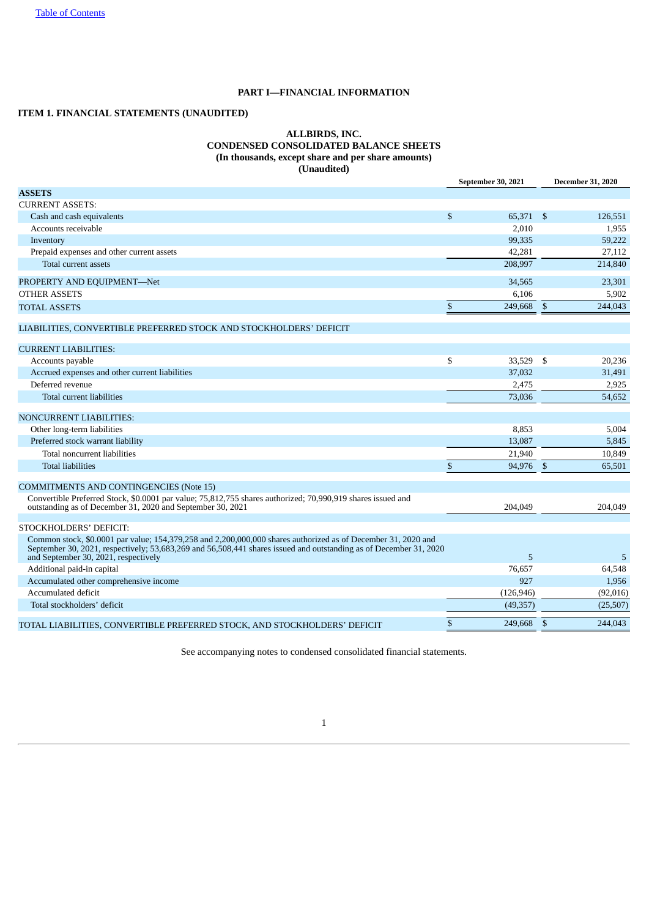# **PART I—FINANCIAL INFORMATION**

# <span id="page-7-1"></span><span id="page-7-0"></span>**ITEM 1. FINANCIAL STATEMENTS (UNAUDITED)**

# **ALLBIRDS, INC. CONDENSED CONSOLIDATED BALANCE SHEETS (In thousands, except share and per share amounts) (Unaudited)**

|                                                                                                                                                                                                                                                                            |                | September 30, 2021 |                    | <b>December 31, 2020</b> |  |  |
|----------------------------------------------------------------------------------------------------------------------------------------------------------------------------------------------------------------------------------------------------------------------------|----------------|--------------------|--------------------|--------------------------|--|--|
| <b>ASSETS</b>                                                                                                                                                                                                                                                              |                |                    |                    |                          |  |  |
| CURRENT ASSETS:                                                                                                                                                                                                                                                            |                |                    |                    |                          |  |  |
| Cash and cash equivalents                                                                                                                                                                                                                                                  | $\mathbf{s}$   | 65,371             | $\mathfrak{s}$     | 126,551                  |  |  |
| Accounts receivable                                                                                                                                                                                                                                                        |                | 2,010              |                    | 1,955                    |  |  |
| Inventory                                                                                                                                                                                                                                                                  |                | 99,335             |                    | 59,222                   |  |  |
| Prepaid expenses and other current assets                                                                                                                                                                                                                                  |                | 42.281             |                    | 27.112                   |  |  |
| Total current assets                                                                                                                                                                                                                                                       |                | 208.997            |                    | 214,840                  |  |  |
| PROPERTY AND EQUIPMENT-Net                                                                                                                                                                                                                                                 |                | 34,565             |                    | 23,301                   |  |  |
| <b>OTHER ASSETS</b>                                                                                                                                                                                                                                                        |                | 6.106              |                    | 5,902                    |  |  |
| <b>TOTAL ASSETS</b>                                                                                                                                                                                                                                                        | $\mathfrak{s}$ | 249,668            | $\mathfrak{s}$     | 244,043                  |  |  |
| LIABILITIES, CONVERTIBLE PREFERRED STOCK AND STOCKHOLDERS' DEFICIT                                                                                                                                                                                                         |                |                    |                    |                          |  |  |
| <b>CURRENT LIABILITIES:</b>                                                                                                                                                                                                                                                |                |                    |                    |                          |  |  |
| Accounts payable                                                                                                                                                                                                                                                           | \$             | 33,529             | -\$                | 20,236                   |  |  |
| Accrued expenses and other current liabilities                                                                                                                                                                                                                             |                | 37,032             |                    | 31,491                   |  |  |
| Deferred revenue                                                                                                                                                                                                                                                           |                | 2,475              |                    | 2,925                    |  |  |
| Total current liabilities                                                                                                                                                                                                                                                  |                | 73,036             |                    | 54,652                   |  |  |
| <b>NONCURRENT LIABILITIES:</b>                                                                                                                                                                                                                                             |                |                    |                    |                          |  |  |
| Other long-term liabilities                                                                                                                                                                                                                                                |                | 8,853              |                    | 5,004                    |  |  |
| Preferred stock warrant liability                                                                                                                                                                                                                                          |                | 13,087             |                    | 5,845                    |  |  |
| Total noncurrent liabilities                                                                                                                                                                                                                                               |                | 21,940             |                    | 10,849                   |  |  |
| <b>Total liabilities</b>                                                                                                                                                                                                                                                   | $\mathfrak{s}$ | 94,976             | $\mathfrak{S}$     | 65,501                   |  |  |
| <b>COMMITMENTS AND CONTINGENCIES (Note 15)</b>                                                                                                                                                                                                                             |                |                    |                    |                          |  |  |
| Convertible Preferred Stock, \$0.0001 par value; 75,812,755 shares authorized; 70,990,919 shares issued and<br>outstanding as of December 31, 2020 and September 30, 2021                                                                                                  |                | 204,049            |                    | 204,049                  |  |  |
| STOCKHOLDERS' DEFICIT:                                                                                                                                                                                                                                                     |                |                    |                    |                          |  |  |
| Common stock, \$0.0001 par value; 154,379,258 and 2,200,000,000 shares authorized as of December 31, 2020 and<br>September 30, 2021, respectively; 53,683,269 and 56,508,441 shares issued and outstanding as of December 31, 2020<br>and September 30, 2021, respectively |                | 5                  |                    | 5                        |  |  |
| Additional paid-in capital                                                                                                                                                                                                                                                 |                | 76,657             |                    | 64,548                   |  |  |
| Accumulated other comprehensive income                                                                                                                                                                                                                                     |                | 927                |                    | 1,956                    |  |  |
| Accumulated deficit                                                                                                                                                                                                                                                        |                | (126, 946)         |                    | (92,016)                 |  |  |
| Total stockholders' deficit                                                                                                                                                                                                                                                |                | (49, 357)          |                    | (25,507)                 |  |  |
| TOTAL LIABILITIES, CONVERTIBLE PREFERRED STOCK, AND STOCKHOLDERS' DEFICIT                                                                                                                                                                                                  | \$             | 249.668            | $\mathbf{\hat{S}}$ | 244,043                  |  |  |

<span id="page-7-2"></span>See accompanying notes to condensed consolidated financial statements.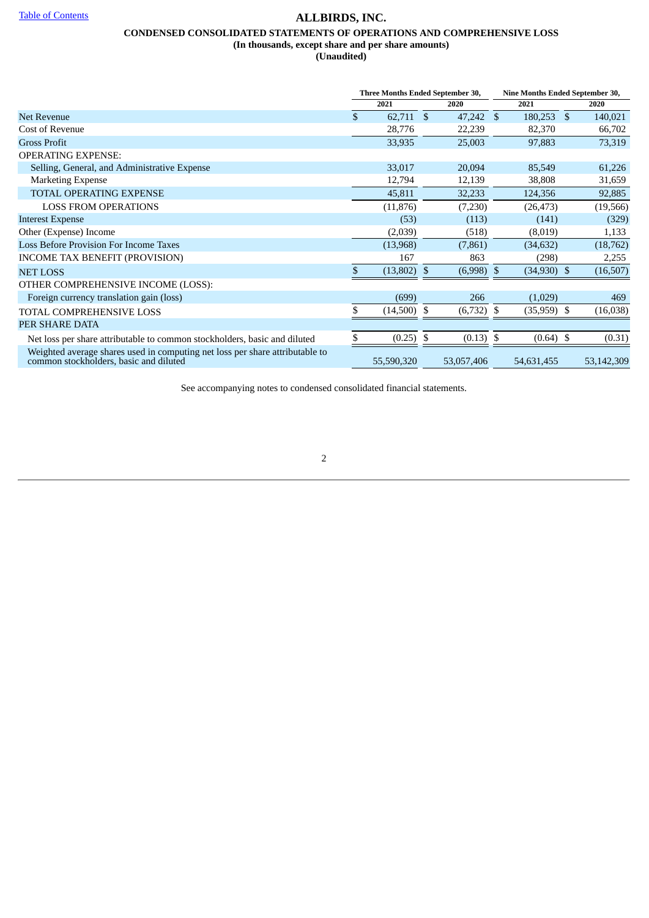# **Table of [Contents](#page-1-0) ALLBIRDS, INC.**

**CONDENSED CONSOLIDATED STATEMENTS OF OPERATIONS AND COMPREHENSIVE LOSS**

**(In thousands, except share and per share amounts)**

**(Unaudited)**

|                                                                                                                        | Three Months Ended September 30, |               |  | Nine Months Ended September 30, |     |               |    |            |
|------------------------------------------------------------------------------------------------------------------------|----------------------------------|---------------|--|---------------------------------|-----|---------------|----|------------|
|                                                                                                                        |                                  | 2021          |  | 2020                            |     | 2021          |    | 2020       |
| <b>Net Revenue</b>                                                                                                     | \$.                              | 62,711 \$     |  | 47,242                          | -\$ | 180,253       | \$ | 140,021    |
| Cost of Revenue                                                                                                        |                                  | 28,776        |  | 22,239                          |     | 82,370        |    | 66,702     |
| <b>Gross Profit</b>                                                                                                    |                                  | 33,935        |  | 25,003                          |     | 97,883        |    | 73,319     |
| <b>OPERATING EXPENSE:</b>                                                                                              |                                  |               |  |                                 |     |               |    |            |
| Selling, General, and Administrative Expense                                                                           |                                  | 33,017        |  | 20,094                          |     | 85,549        |    | 61,226     |
| <b>Marketing Expense</b>                                                                                               |                                  | 12,794        |  | 12,139                          |     | 38,808        |    | 31,659     |
| <b>TOTAL OPERATING EXPENSE</b>                                                                                         |                                  | 45,811        |  | 32,233                          |     | 124,356       |    | 92,885     |
| <b>LOSS FROM OPERATIONS</b>                                                                                            |                                  | (11, 876)     |  | (7,230)                         |     | (26, 473)     |    | (19, 566)  |
| <b>Interest Expense</b>                                                                                                |                                  | (53)          |  | (113)                           |     | (141)         |    | (329)      |
| Other (Expense) Income                                                                                                 |                                  | (2,039)       |  | (518)                           |     | (8,019)       |    | 1,133      |
| <b>Loss Before Provision For Income Taxes</b>                                                                          |                                  | (13,968)      |  | (7,861)                         |     | (34, 632)     |    | (18,762)   |
| INCOME TAX BENEFIT (PROVISION)                                                                                         |                                  | 167           |  | 863                             |     | (298)         |    | 2,255      |
| <b>NET LOSS</b>                                                                                                        |                                  | $(13,802)$ \$ |  | $(6,998)$ \$                    |     | $(34,930)$ \$ |    | (16,507)   |
| OTHER COMPREHENSIVE INCOME (LOSS):                                                                                     |                                  |               |  |                                 |     |               |    |            |
| Foreign currency translation gain (loss)                                                                               |                                  | (699)         |  | 266                             |     | (1,029)       |    | 469        |
| TOTAL COMPREHENSIVE LOSS                                                                                               |                                  | $(14,500)$ \$ |  | (6,732)                         | -S  | $(35,959)$ \$ |    | (16,038)   |
| PER SHARE DATA                                                                                                         |                                  |               |  |                                 |     |               |    |            |
| Net loss per share attributable to common stockholders, basic and diluted                                              |                                  | $(0.25)$ \$   |  | $(0.13)$ \$                     |     | $(0.64)$ \$   |    | (0.31)     |
| Weighted average shares used in computing net loss per share attributable to<br>common stockholders, basic and diluted |                                  | 55,590,320    |  | 53,057,406                      |     | 54,631,455    |    | 53,142,309 |

<span id="page-8-0"></span>See accompanying notes to condensed consolidated financial statements.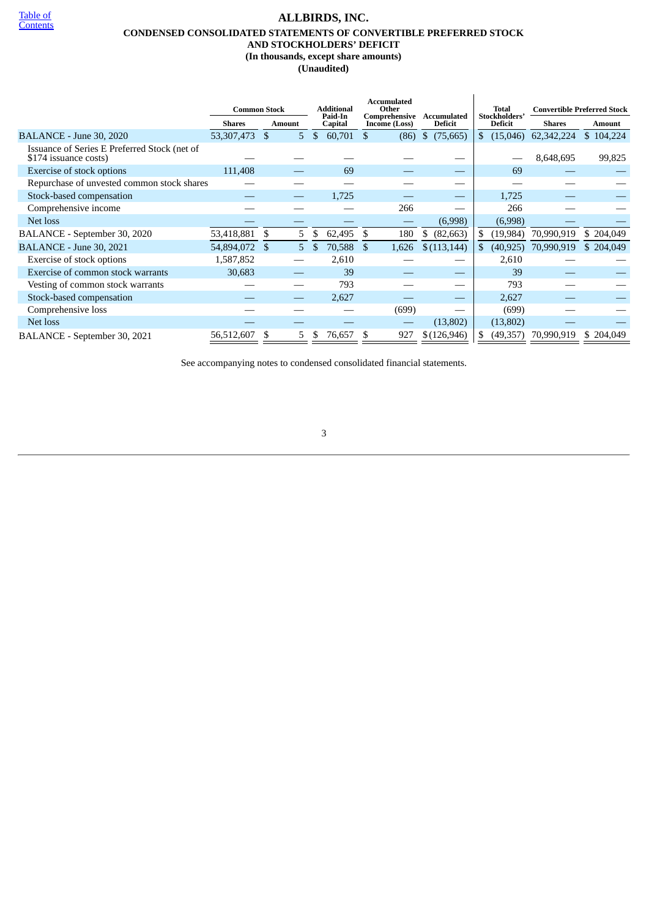# **ALLBIRDS, INC.**

**CONDENSED CONSOLIDATED STATEMENTS OF CONVERTIBLE PREFERRED STOCK**

**AND STOCKHOLDERS' DEFICIT**

**(In thousands, except share amounts) (Unaudited)**

|                                                                       | <b>Common Stock</b> |               |   | <b>Additional</b>  |               | Accumulated<br>Other           |                               |       | <b>Total</b>                    | <b>Convertible Preferred Stock</b> |  |           |  |
|-----------------------------------------------------------------------|---------------------|---------------|---|--------------------|---------------|--------------------------------|-------------------------------|-------|---------------------------------|------------------------------------|--|-----------|--|
|                                                                       | <b>Shares</b>       | <b>Amount</b> |   | Paid-In<br>Capital |               | Comprehensive<br>Income (Loss) | Accumulated<br><b>Deficit</b> |       | Stockholders'<br><b>Deficit</b> | <b>Shares</b>                      |  | Amount    |  |
| <b>BALANCE - June 30, 2020</b>                                        | 53,307,473          | $\mathbb{S}$  | 5 | \$<br>60,701       | <sup>\$</sup> | (86)                           | \$<br>(75, 665)               | \$    | (15,046)                        | 62,342,224                         |  | \$104,224 |  |
| Issuance of Series E Preferred Stock (net of<br>\$174 issuance costs) |                     |               |   |                    |               |                                |                               |       |                                 | 8,648,695                          |  | 99,825    |  |
| Exercise of stock options                                             | 111,408             |               |   | 69                 |               |                                |                               |       | 69                              |                                    |  |           |  |
| Repurchase of unvested common stock shares                            |                     |               |   |                    |               |                                |                               |       |                                 |                                    |  |           |  |
| Stock-based compensation                                              |                     |               |   | 1,725              |               |                                |                               | 1,725 |                                 |                                    |  |           |  |
| Comprehensive income                                                  |                     |               |   |                    |               | 266                            |                               |       | 266                             |                                    |  |           |  |
| Net loss                                                              |                     |               |   |                    |               |                                | (6,998)                       |       | (6,998)                         |                                    |  |           |  |
| BALANCE - September 30, 2020                                          | 53,418,881          | S             | 5 | \$<br>62,495       | S             | 180                            | (82, 663)<br>S.               | S     | (19, 984)                       | 70,990,919                         |  | \$204,049 |  |
| <b>BALANCE - June 30, 2021</b>                                        | 54,894,072          | \$            | 5 | \$<br>70,588       | \$            | 1,626                          | \$(113, 144)                  | \$    | (40, 925)                       | 70,990,919                         |  | \$204,049 |  |
| Exercise of stock options                                             | 1,587,852           |               |   | 2,610              |               |                                |                               |       | 2,610                           |                                    |  |           |  |
| Exercise of common stock warrants                                     | 30,683              |               |   | 39                 |               |                                |                               |       | 39                              |                                    |  |           |  |
| Vesting of common stock warrants                                      |                     |               |   | 793                |               |                                |                               |       | 793                             |                                    |  |           |  |
| Stock-based compensation                                              |                     |               |   | 2,627              |               |                                |                               |       | 2,627                           |                                    |  |           |  |
| Comprehensive loss                                                    |                     |               |   |                    |               | (699)                          |                               |       | (699)                           |                                    |  |           |  |
| Net loss                                                              |                     |               |   |                    |               |                                | (13, 802)                     |       | (13,802)                        |                                    |  |           |  |
| BALANCE - September 30, 2021                                          | 56,512,607          | -S            | 5 | \$<br>76,657       | -S            | 927                            | \$(126, 946)                  | -S    | (49, 357)                       | 70,990,919                         |  | \$204,049 |  |

See accompanying notes to condensed consolidated financial statements.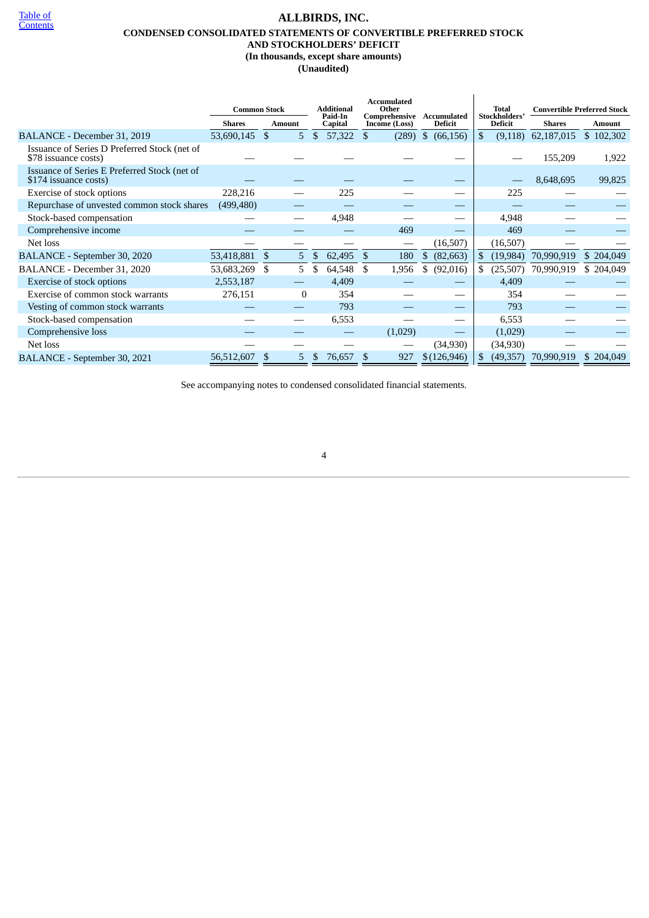

# **ALLBIRDS, INC.**

**CONDENSED CONSOLIDATED STATEMENTS OF CONVERTIBLE PREFERRED STOCK**

**AND STOCKHOLDERS' DEFICIT**

**(In thousands, except share amounts)**

**(Unaudited)**

|                                                                       | <b>Common Stock</b> |                    |          | <b>Additional</b>         |    | <b>Accumulated</b><br>Other |                                      |    | <b>Total</b>                    | <b>Convertible Preferred Stock</b> |           |
|-----------------------------------------------------------------------|---------------------|--------------------|----------|---------------------------|----|-----------------------------|--------------------------------------|----|---------------------------------|------------------------------------|-----------|
|                                                                       | <b>Shares</b>       | <b>Amount</b>      |          | Paid-In<br><b>Capital</b> |    | Income (Loss)               | Comprehensive Accumulated<br>Deficit |    | Stockholders'<br><b>Deficit</b> | <b>Shares</b>                      | Amount    |
| BALANCE - December 31, 2019                                           | 53,690,145          | $\mathbf{\hat{S}}$ | 5        | \$.<br>57,322             | \$ | (289)                       | $\mathbb{S}$<br>(66, 156)            | \$ | (9,118)                         | 62,187,015                         | \$102,302 |
| Issuance of Series D Preferred Stock (net of<br>\$78 issuance costs)  |                     |                    |          |                           |    |                             |                                      |    |                                 | 155,209                            | 1,922     |
| Issuance of Series E Preferred Stock (net of<br>\$174 issuance costs) |                     |                    |          |                           |    |                             |                                      |    |                                 | 8,648,695                          | 99,825    |
| Exercise of stock options                                             | 228,216             |                    |          | 225                       |    |                             |                                      |    | 225                             |                                    |           |
| Repurchase of unvested common stock shares                            | (499, 480)          |                    |          |                           |    |                             |                                      |    |                                 |                                    |           |
| Stock-based compensation                                              |                     |                    |          | 4,948                     |    |                             |                                      |    | 4,948                           |                                    |           |
| Comprehensive income                                                  |                     |                    |          |                           |    | 469                         |                                      |    | 469                             |                                    |           |
| Net loss                                                              |                     |                    |          |                           |    |                             | (16, 507)                            |    | (16,507)                        |                                    |           |
| BALANCE - September 30, 2020                                          | 53,418,881          | -\$                | 5        | \$<br>62,495              | -S | 180                         | \$<br>(82, 663)                      | \$ | (19,984)                        | 70,990,919                         | \$204,049 |
| BALANCE - December 31, 2020                                           | 53,683,269          | S                  | 5        | 64,548<br>S               | S  | 1,956                       | \$<br>(92,016)                       | \$ | (25,507)                        | 70,990,919                         | \$204,049 |
| Exercise of stock options                                             | 2,553,187           |                    |          | 4,409                     |    |                             |                                      |    | 4,409                           |                                    |           |
| Exercise of common stock warrants                                     | 276,151             |                    | $\Omega$ | 354                       |    |                             |                                      |    | 354                             |                                    |           |
| Vesting of common stock warrants                                      |                     |                    |          | 793                       |    |                             |                                      |    | 793                             |                                    |           |
| Stock-based compensation                                              |                     |                    |          | 6,553                     |    |                             |                                      |    | 6,553                           |                                    |           |
| Comprehensive loss                                                    |                     |                    |          |                           |    | (1,029)                     |                                      |    | (1,029)                         |                                    |           |
| Net loss                                                              |                     |                    |          |                           |    |                             | (34, 930)                            |    | (34,930)                        |                                    |           |
| BALANCE - September 30, 2021                                          | 56,512,607          | - \$               | 5        | 76,657                    | S  | 927                         | \$(126,946)                          | -S | (49, 357)                       | 70,990,919                         | \$204,049 |

<span id="page-10-0"></span>See accompanying notes to condensed consolidated financial statements.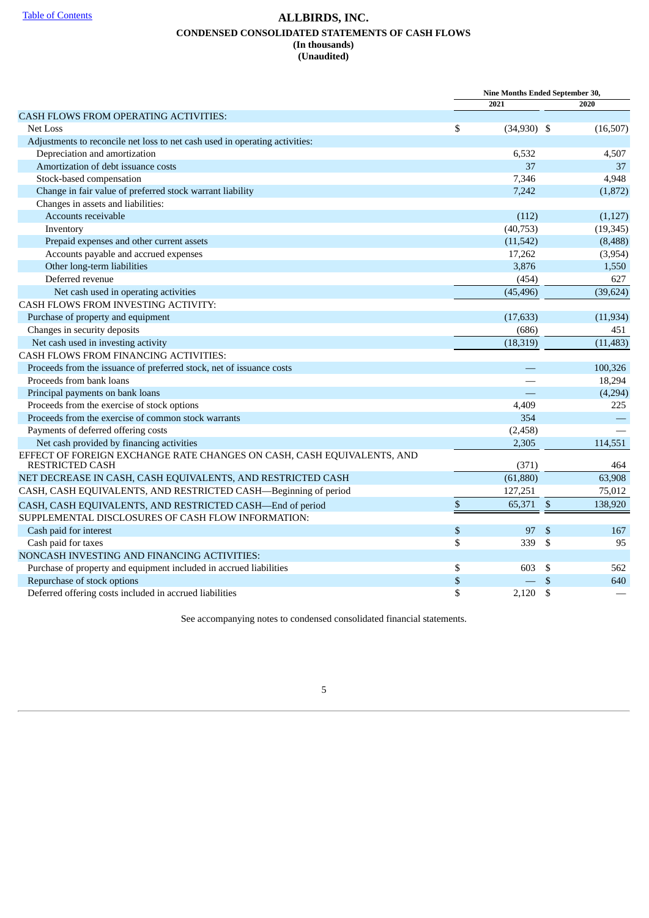# **Table of [Contents](#page-1-0) ALLBIRDS, INC. CONDENSED CONSOLIDATED STATEMENTS OF CASH FLOWS (In thousands) (Unaudited)**

|                                                                             | Nine Months Ended September 30, |               |              |           |
|-----------------------------------------------------------------------------|---------------------------------|---------------|--------------|-----------|
|                                                                             |                                 | 2021          |              | 2020      |
| <b>CASH FLOWS FROM OPERATING ACTIVITIES:</b>                                |                                 |               |              |           |
| Net Loss                                                                    | \$                              | $(34,930)$ \$ |              | (16,507)  |
| Adjustments to reconcile net loss to net cash used in operating activities: |                                 |               |              |           |
| Depreciation and amortization                                               |                                 | 6,532         |              | 4,507     |
| Amortization of debt issuance costs                                         |                                 | 37            |              | 37        |
| Stock-based compensation                                                    |                                 | 7,346         |              | 4,948     |
| Change in fair value of preferred stock warrant liability                   |                                 | 7,242         |              | (1,872)   |
| Changes in assets and liabilities:                                          |                                 |               |              |           |
| Accounts receivable                                                         |                                 | (112)         |              | (1,127)   |
| Inventory                                                                   |                                 | (40, 753)     |              | (19, 345) |
| Prepaid expenses and other current assets                                   |                                 | (11, 542)     |              | (8, 488)  |
| Accounts payable and accrued expenses                                       |                                 | 17,262        |              | (3,954)   |
| Other long-term liabilities                                                 |                                 | 3,876         |              | 1,550     |
| Deferred revenue                                                            |                                 | (454)         |              | 627       |
| Net cash used in operating activities                                       |                                 | (45, 496)     |              | (39, 624) |
| CASH FLOWS FROM INVESTING ACTIVITY:                                         |                                 |               |              |           |
| Purchase of property and equipment                                          |                                 | (17, 633)     |              | (11, 934) |
| Changes in security deposits                                                |                                 | (686)         |              | 451       |
| Net cash used in investing activity                                         |                                 | (18, 319)     |              | (11, 483) |
| CASH FLOWS FROM FINANCING ACTIVITIES:                                       |                                 |               |              |           |
| Proceeds from the issuance of preferred stock, net of issuance costs        |                                 |               |              | 100,326   |
| Proceeds from bank loans                                                    |                                 |               |              | 18,294    |
| Principal payments on bank loans                                            |                                 |               |              | (4,294)   |
| Proceeds from the exercise of stock options                                 |                                 | 4,409         |              | 225       |
| Proceeds from the exercise of common stock warrants                         |                                 | 354           |              |           |
| Payments of deferred offering costs                                         |                                 | (2, 458)      |              |           |
| Net cash provided by financing activities                                   |                                 | 2,305         |              | 114,551   |
| EFFECT OF FOREIGN EXCHANGE RATE CHANGES ON CASH, CASH EQUIVALENTS, AND      |                                 |               |              |           |
| <b>RESTRICTED CASH</b>                                                      |                                 | (371)         |              | 464       |
| NET DECREASE IN CASH, CASH EQUIVALENTS, AND RESTRICTED CASH                 |                                 | (61, 880)     |              | 63,908    |
| CASH, CASH EQUIVALENTS, AND RESTRICTED CASH-Beginning of period             |                                 | 127,251       |              | 75,012    |
| CASH, CASH EQUIVALENTS, AND RESTRICTED CASH-End of period                   | \$                              | 65,371        | \$           | 138,920   |
| SUPPLEMENTAL DISCLOSURES OF CASH FLOW INFORMATION:                          |                                 |               |              |           |
| Cash paid for interest                                                      | \$                              | 97            | $\mathbb{S}$ | 167       |
| Cash paid for taxes                                                         | \$                              | 339           | \$           | 95        |
| NONCASH INVESTING AND FINANCING ACTIVITIES:                                 |                                 |               |              |           |
| Purchase of property and equipment included in accrued liabilities          | \$                              | 603           | \$           | 562       |
| Repurchase of stock options                                                 | $\$$                            |               | \$           | 640       |
| Deferred offering costs included in accrued liabilities                     | \$                              | 2,120         | \$           |           |

<span id="page-11-0"></span>See accompanying notes to condensed consolidated financial statements.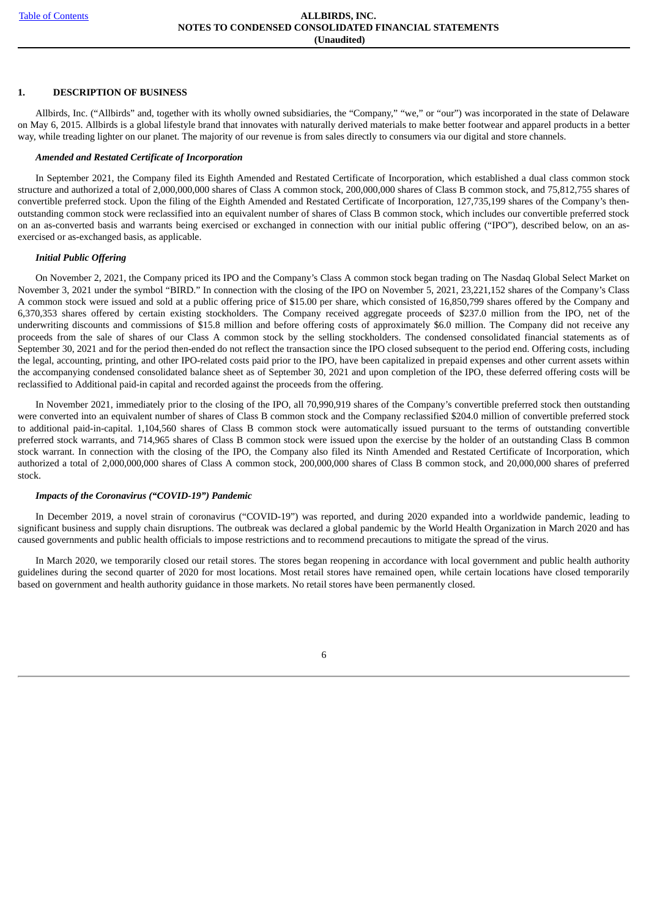#### **1. DESCRIPTION OF BUSINESS**

Allbirds, Inc. ("Allbirds" and, together with its wholly owned subsidiaries, the "Company," "we," or "our") was incorporated in the state of Delaware on May 6, 2015. Allbirds is a global lifestyle brand that innovates with naturally derived materials to make better footwear and apparel products in a better way, while treading lighter on our planet. The majority of our revenue is from sales directly to consumers via our digital and store channels.

#### *Amended and Restated Certificate of Incorporation*

In September 2021, the Company filed its Eighth Amended and Restated Certificate of Incorporation, which established a dual class common stock structure and authorized a total of 2,000,000,000 shares of Class A common stock, 200,000,000 shares of Class B common stock, and 75,812,755 shares of convertible preferred stock. Upon the filing of the Eighth Amended and Restated Certificate of Incorporation, 127,735,199 shares of the Company's thenoutstanding common stock were reclassified into an equivalent number of shares of Class B common stock, which includes our convertible preferred stock on an as-converted basis and warrants being exercised or exchanged in connection with our initial public offering ("IPO"), described below, on an asexercised or as-exchanged basis, as applicable.

## *Initial Public Offering*

On November 2, 2021, the Company priced its IPO and the Company's Class A common stock began trading on The Nasdaq Global Select Market on November 3, 2021 under the symbol "BIRD." In connection with the closing of the IPO on November 5, 2021, 23,221,152 shares of the Company's Class A common stock were issued and sold at a public offering price of \$15.00 per share, which consisted of 16,850,799 shares offered by the Company and 6,370,353 shares offered by certain existing stockholders. The Company received aggregate proceeds of \$237.0 million from the IPO, net of the underwriting discounts and commissions of \$15.8 million and before offering costs of approximately \$6.0 million. The Company did not receive any proceeds from the sale of shares of our Class A common stock by the selling stockholders. The condensed consolidated financial statements as of September 30, 2021 and for the period then-ended do not reflect the transaction since the IPO closed subsequent to the period end. Offering costs, including the legal, accounting, printing, and other IPO-related costs paid prior to the IPO, have been capitalized in prepaid expenses and other current assets within the accompanying condensed consolidated balance sheet as of September 30, 2021 and upon completion of the IPO, these deferred offering costs will be reclassified to Additional paid-in capital and recorded against the proceeds from the offering.

In November 2021, immediately prior to the closing of the IPO, all 70,990,919 shares of the Company's convertible preferred stock then outstanding were converted into an equivalent number of shares of Class B common stock and the Company reclassified \$204.0 million of convertible preferred stock to additional paid-in-capital. 1,104,560 shares of Class B common stock were automatically issued pursuant to the terms of outstanding convertible preferred stock warrants, and 714,965 shares of Class B common stock were issued upon the exercise by the holder of an outstanding Class B common stock warrant. In connection with the closing of the IPO, the Company also filed its Ninth Amended and Restated Certificate of Incorporation, which authorized a total of 2,000,000,000 shares of Class A common stock, 200,000,000 shares of Class B common stock, and 20,000,000 shares of preferred stock.

### *Impacts of the Coronavirus ("COVID-19") Pandemic*

In December 2019, a novel strain of coronavirus ("COVID-19") was reported, and during 2020 expanded into a worldwide pandemic, leading to significant business and supply chain disruptions. The outbreak was declared a global pandemic by the World Health Organization in March 2020 and has caused governments and public health officials to impose restrictions and to recommend precautions to mitigate the spread of the virus.

In March 2020, we temporarily closed our retail stores. The stores began reopening in accordance with local government and public health authority guidelines during the second quarter of 2020 for most locations. Most retail stores have remained open, while certain locations have closed temporarily based on government and health authority guidance in those markets. No retail stores have been permanently closed.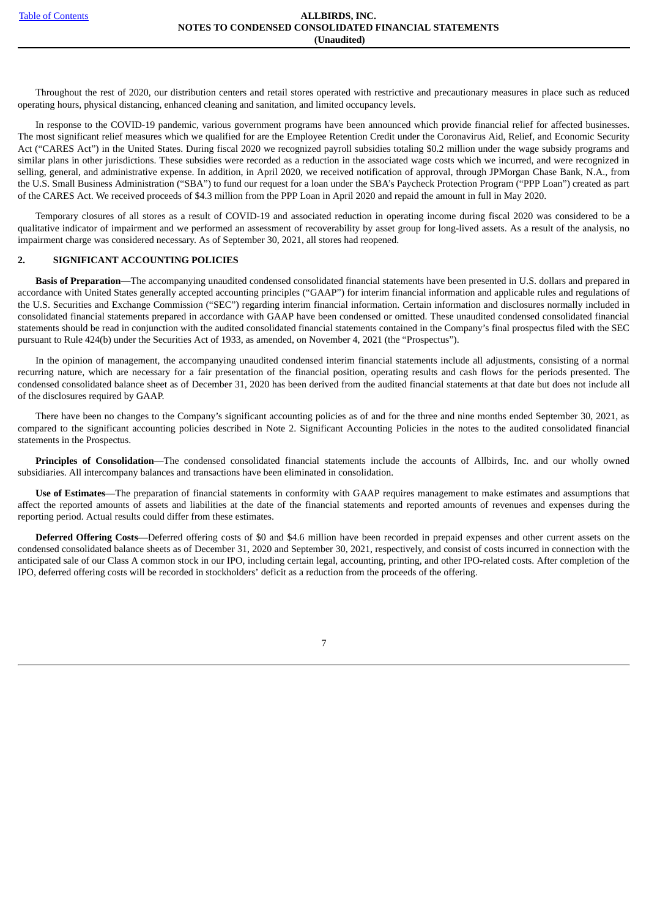Throughout the rest of 2020, our distribution centers and retail stores operated with restrictive and precautionary measures in place such as reduced operating hours, physical distancing, enhanced cleaning and sanitation, and limited occupancy levels.

In response to the COVID-19 pandemic, various government programs have been announced which provide financial relief for affected businesses. The most significant relief measures which we qualified for are the Employee Retention Credit under the Coronavirus Aid, Relief, and Economic Security Act ("CARES Act") in the United States. During fiscal 2020 we recognized payroll subsidies totaling \$0.2 million under the wage subsidy programs and similar plans in other jurisdictions. These subsidies were recorded as a reduction in the associated wage costs which we incurred, and were recognized in selling, general, and administrative expense. In addition, in April 2020, we received notification of approval, through JPMorgan Chase Bank, N.A., from the U.S. Small Business Administration ("SBA") to fund our request for a loan under the SBA's Paycheck Protection Program ("PPP Loan") created as part of the CARES Act. We received proceeds of \$4.3 million from the PPP Loan in April 2020 and repaid the amount in full in May 2020.

Temporary closures of all stores as a result of COVID‐19 and associated reduction in operating income during fiscal 2020 was considered to be a qualitative indicator of impairment and we performed an assessment of recoverability by asset group for long-lived assets. As a result of the analysis, no impairment charge was considered necessary. As of September 30, 2021, all stores had reopened.

# **2. SIGNIFICANT ACCOUNTING POLICIES**

**Basis of Preparation—**The accompanying unaudited condensed consolidated financial statements have been presented in U.S. dollars and prepared in accordance with United States generally accepted accounting principles ("GAAP") for interim financial information and applicable rules and regulations of the U.S. Securities and Exchange Commission ("SEC") regarding interim financial information. Certain information and disclosures normally included in consolidated financial statements prepared in accordance with GAAP have been condensed or omitted. These unaudited condensed consolidated financial statements should be read in conjunction with the audited consolidated financial statements contained in the Company's final prospectus filed with the SEC pursuant to Rule 424(b) under the Securities Act of 1933, as amended, on November 4, 2021 (the "Prospectus").

In the opinion of management, the accompanying unaudited condensed interim financial statements include all adjustments, consisting of a normal recurring nature, which are necessary for a fair presentation of the financial position, operating results and cash flows for the periods presented. The condensed consolidated balance sheet as of December 31, 2020 has been derived from the audited financial statements at that date but does not include all of the disclosures required by GAAP.

There have been no changes to the Company's significant accounting policies as of and for the three and nine months ended September 30, 2021, as compared to the significant accounting policies described in Note 2. Significant Accounting Policies in the notes to the audited consolidated financial statements in the Prospectus.

**Principles of Consolidation**—The condensed consolidated financial statements include the accounts of Allbirds, Inc. and our wholly owned subsidiaries. All intercompany balances and transactions have been eliminated in consolidation.

**Use of Estimates**—The preparation of financial statements in conformity with GAAP requires management to make estimates and assumptions that affect the reported amounts of assets and liabilities at the date of the financial statements and reported amounts of revenues and expenses during the reporting period. Actual results could differ from these estimates.

**Deferred Offering Costs**—Deferred offering costs of \$0 and \$4.6 million have been recorded in prepaid expenses and other current assets on the condensed consolidated balance sheets as of December 31, 2020 and September 30, 2021, respectively, and consist of costs incurred in connection with the anticipated sale of our Class A common stock in our IPO, including certain legal, accounting, printing, and other IPO-related costs. After completion of the IPO, deferred offering costs will be recorded in stockholders' deficit as a reduction from the proceeds of the offering.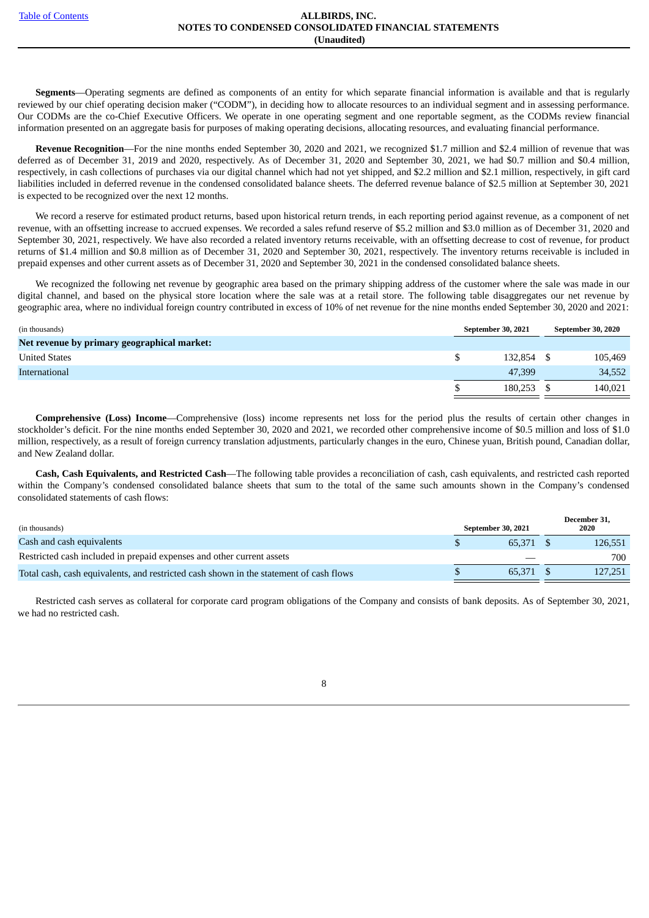**Segments**—Operating segments are defined as components of an entity for which separate financial information is available and that is regularly reviewed by our chief operating decision maker ("CODM"), in deciding how to allocate resources to an individual segment and in assessing performance. Our CODMs are the co-Chief Executive Officers. We operate in one operating segment and one reportable segment, as the CODMs review financial information presented on an aggregate basis for purposes of making operating decisions, allocating resources, and evaluating financial performance.

**Revenue Recognition**—For the nine months ended September 30, 2020 and 2021, we recognized \$1.7 million and \$2.4 million of revenue that was deferred as of December 31, 2019 and 2020, respectively. As of December 31, 2020 and September 30, 2021, we had \$0.7 million and \$0.4 million, respectively, in cash collections of purchases via our digital channel which had not yet shipped, and \$2.2 million and \$2.1 million, respectively, in gift card liabilities included in deferred revenue in the condensed consolidated balance sheets. The deferred revenue balance of \$2.5 million at September 30, 2021 is expected to be recognized over the next 12 months.

We record a reserve for estimated product returns, based upon historical return trends, in each reporting period against revenue, as a component of net revenue, with an offsetting increase to accrued expenses. We recorded a sales refund reserve of \$5.2 million and \$3.0 million as of December 31, 2020 and September 30, 2021, respectively. We have also recorded a related inventory returns receivable, with an offsetting decrease to cost of revenue, for product returns of \$1.4 million and \$0.8 million as of December 31, 2020 and September 30, 2021, respectively. The inventory returns receivable is included in prepaid expenses and other current assets as of December 31, 2020 and September 30, 2021 in the condensed consolidated balance sheets.

We recognized the following net revenue by geographic area based on the primary shipping address of the customer where the sale was made in our digital channel, and based on the physical store location where the sale was at a retail store. The following table disaggregates our net revenue by geographic area, where no individual foreign country contributed in excess of 10% of net revenue for the nine months ended September 30, 2020 and 2021:

| (in thousands)                              | September 30, 2021 |         | September 30, 2020 |  |
|---------------------------------------------|--------------------|---------|--------------------|--|
| Net revenue by primary geographical market: |                    |         |                    |  |
| <b>United States</b>                        |                    | 132.854 | 105,469            |  |
| International                               |                    | 47.399  | 34,552             |  |
|                                             |                    | 180,253 | 140,021            |  |

**Comprehensive (Loss) Income**—Comprehensive (loss) income represents net loss for the period plus the results of certain other changes in stockholder's deficit. For the nine months ended September 30, 2020 and 2021, we recorded other comprehensive income of \$0.5 million and loss of \$1.0 million, respectively, as a result of foreign currency translation adjustments, particularly changes in the euro, Chinese yuan, British pound, Canadian dollar, and New Zealand dollar.

**Cash, Cash Equivalents, and Restricted Cash**—The following table provides a reconciliation of cash, cash equivalents, and restricted cash reported within the Company's condensed consolidated balance sheets that sum to the total of the same such amounts shown in the Company's condensed consolidated statements of cash flows:

| (in thousands)                                                                         | September 30, 2021 | December 31,<br>2020 |
|----------------------------------------------------------------------------------------|--------------------|----------------------|
| Cash and cash equivalents                                                              | 65.371             | 126.551              |
| Restricted cash included in prepaid expenses and other current assets                  |                    | 700                  |
| Total cash, cash equivalents, and restricted cash shown in the statement of cash flows | 65.371             | 127.251              |

Restricted cash serves as collateral for corporate card program obligations of the Company and consists of bank deposits. As of September 30, 2021, we had no restricted cash.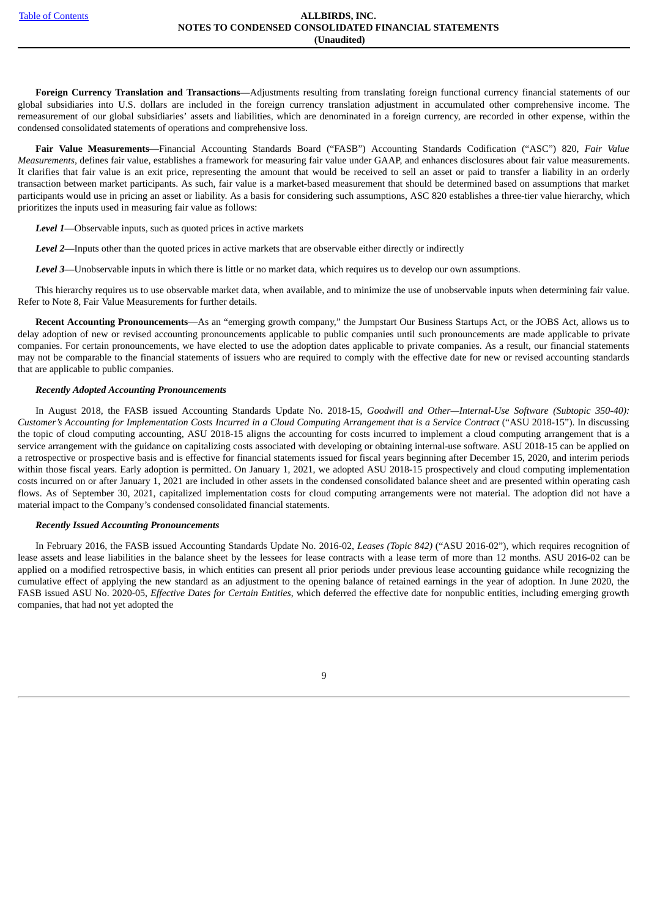**Foreign Currency Translation and Transactions**—Adjustments resulting from translating foreign functional currency financial statements of our global subsidiaries into U.S. dollars are included in the foreign currency translation adjustment in accumulated other comprehensive income. The remeasurement of our global subsidiaries' assets and liabilities, which are denominated in a foreign currency, are recorded in other expense, within the condensed consolidated statements of operations and comprehensive loss.

**Fair Value Measurements**—Financial Accounting Standards Board ("FASB") Accounting Standards Codification ("ASC") 820, *Fair Value Measurements*, defines fair value, establishes a framework for measuring fair value under GAAP, and enhances disclosures about fair value measurements. It clarifies that fair value is an exit price, representing the amount that would be received to sell an asset or paid to transfer a liability in an orderly transaction between market participants. As such, fair value is a market-based measurement that should be determined based on assumptions that market participants would use in pricing an asset or liability. As a basis for considering such assumptions, ASC 820 establishes a three-tier value hierarchy, which prioritizes the inputs used in measuring fair value as follows:

*Level 1*—Observable inputs, such as quoted prices in active markets

*Level 2*—Inputs other than the quoted prices in active markets that are observable either directly or indirectly

*Level 3*—Unobservable inputs in which there is little or no market data, which requires us to develop our own assumptions.

This hierarchy requires us to use observable market data, when available, and to minimize the use of unobservable inputs when determining fair value. Refer to Note 8, Fair Value Measurements for further details.

**Recent Accounting Pronouncements**—As an "emerging growth company," the Jumpstart Our Business Startups Act, or the JOBS Act, allows us to delay adoption of new or revised accounting pronouncements applicable to public companies until such pronouncements are made applicable to private companies. For certain pronouncements, we have elected to use the adoption dates applicable to private companies. As a result, our financial statements may not be comparable to the financial statements of issuers who are required to comply with the effective date for new or revised accounting standards that are applicable to public companies.

#### *Recently Adopted Accounting Pronouncements*

In August 2018, the FASB issued Accounting Standards Update No. 2018-15, *Goodwill and Other—Internal-Use Software (Subtopic 350-40):* Customer's Accounting for Implementation Costs Incurred in a Cloud Computing Arrangement that is a Service Contract ("ASU 2018-15"). In discussing the topic of cloud computing accounting, ASU 2018-15 aligns the accounting for costs incurred to implement a cloud computing arrangement that is a service arrangement with the guidance on capitalizing costs associated with developing or obtaining internal-use software. ASU 2018-15 can be applied on a retrospective or prospective basis and is effective for financial statements issued for fiscal years beginning after December 15, 2020, and interim periods within those fiscal years. Early adoption is permitted. On January 1, 2021, we adopted ASU 2018-15 prospectively and cloud computing implementation costs incurred on or after January 1, 2021 are included in other assets in the condensed consolidated balance sheet and are presented within operating cash flows. As of September 30, 2021, capitalized implementation costs for cloud computing arrangements were not material. The adoption did not have a material impact to the Company's condensed consolidated financial statements.

#### *Recently Issued Accounting Pronouncements*

In February 2016, the FASB issued Accounting Standards Update No. 2016-02, *Leases (Topic 842)* ("ASU 2016-02"), which requires recognition of lease assets and lease liabilities in the balance sheet by the lessees for lease contracts with a lease term of more than 12 months. ASU 2016-02 can be applied on a modified retrospective basis, in which entities can present all prior periods under previous lease accounting guidance while recognizing the cumulative effect of applying the new standard as an adjustment to the opening balance of retained earnings in the year of adoption. In June 2020, the FASB issued ASU No. 2020-05, *Effective Dates for Certain Entities*, which deferred the effective date for nonpublic entities, including emerging growth companies, that had not yet adopted the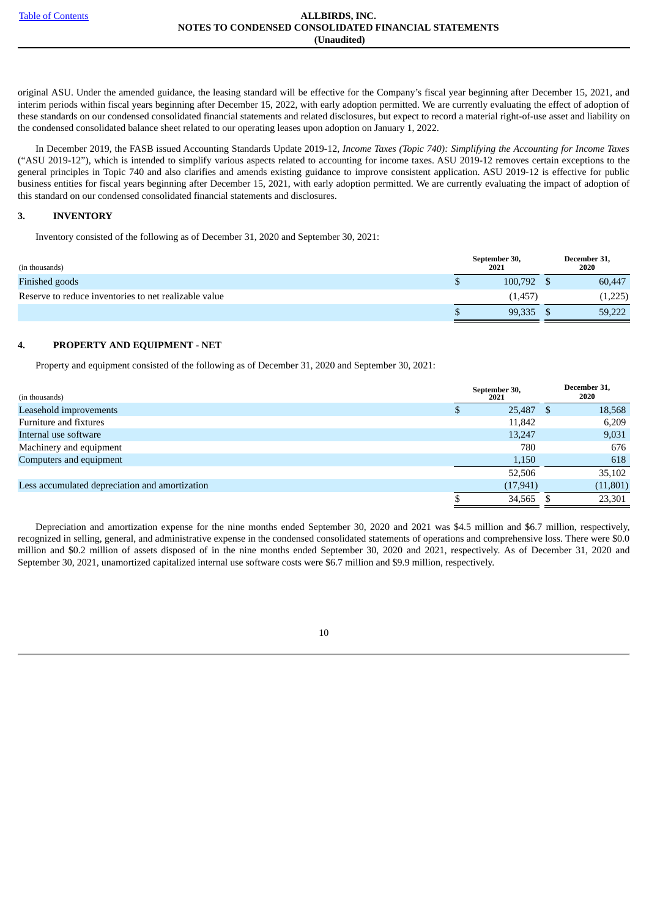original ASU. Under the amended guidance, the leasing standard will be effective for the Company's fiscal year beginning after December 15, 2021, and interim periods within fiscal years beginning after December 15, 2022, with early adoption permitted. We are currently evaluating the effect of adoption of these standards on our condensed consolidated financial statements and related disclosures, but expect to record a material right-of-use asset and liability on the condensed consolidated balance sheet related to our operating leases upon adoption on January 1, 2022.

In December 2019, the FASB issued Accounting Standards Update 2019-12, *Income Taxes (Topic 740): Simplifying the Accounting for Income Taxes* ("ASU 2019-12"), which is intended to simplify various aspects related to accounting for income taxes. ASU 2019-12 removes certain exceptions to the general principles in Topic 740 and also clarifies and amends existing guidance to improve consistent application. ASU 2019-12 is effective for public business entities for fiscal years beginning after December 15, 2021, with early adoption permitted. We are currently evaluating the impact of adoption of this standard on our condensed consolidated financial statements and disclosures.

## **3. INVENTORY**

Inventory consisted of the following as of December 31, 2020 and September 30, 2021:

| (in thousands)                                        | September 30,<br>2021 | December 31,<br>2020 |
|-------------------------------------------------------|-----------------------|----------------------|
| Finished goods                                        | $100,792$ \$          | 60,447               |
| Reserve to reduce inventories to net realizable value | (1, 457)              | (1,225)              |
|                                                       | 99,335                | 59,222               |

## **4. PROPERTY AND EQUIPMENT - NET**

Property and equipment consisted of the following as of December 31, 2020 and September 30, 2021:

| (in thousands)                                 | September 30,<br>2021 | December 31,<br>2020 |
|------------------------------------------------|-----------------------|----------------------|
| Leasehold improvements                         | 25,487 \$             | 18,568               |
| Furniture and fixtures                         | 11,842                | 6,209                |
| Internal use software                          | 13,247                | 9,031                |
| Machinery and equipment                        | 780                   | 676                  |
| Computers and equipment                        | 1,150                 | 618                  |
|                                                | 52,506                | 35,102               |
| Less accumulated depreciation and amortization | (17, 941)             | (11,801)             |
|                                                | 34,565                | 23,301               |

Depreciation and amortization expense for the nine months ended September 30, 2020 and 2021 was \$4.5 million and \$6.7 million, respectively, recognized in selling, general, and administrative expense in the condensed consolidated statements of operations and comprehensive loss. There were \$0.0 million and \$0.2 million of assets disposed of in the nine months ended September 30, 2020 and 2021, respectively. As of December 31, 2020 and September 30, 2021, unamortized capitalized internal use software costs were \$6.7 million and \$9.9 million, respectively.

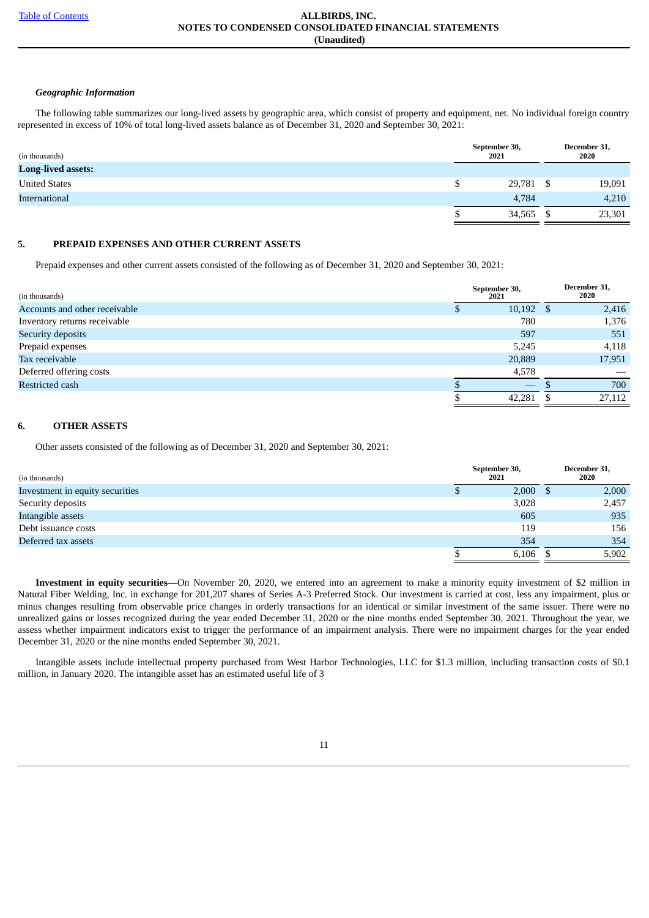## *Geographic Information*

The following table summarizes our long-lived assets by geographic area, which consist of property and equipment, net. No individual foreign country represented in excess of 10% of total long-lived assets balance as of December 31, 2020 and September 30, 2021:

| (in thousands)            | September 30,<br>2021 | December 31,<br>2020 |  |  |
|---------------------------|-----------------------|----------------------|--|--|
| <b>Long-lived assets:</b> |                       |                      |  |  |
| <b>United States</b>      | \$<br>29,781 \$       | 19,091               |  |  |
| International             | 4,784                 | 4,210                |  |  |
|                           | \$<br>34,565          | 23,301               |  |  |

#### **5. PREPAID EXPENSES AND OTHER CURRENT ASSETS**

Prepaid expenses and other current assets consisted of the following as of December 31, 2020 and September 30, 2021:

| (in thousands)                | September 30,<br>2021 | December 31,<br>2020 |
|-------------------------------|-----------------------|----------------------|
| Accounts and other receivable | $10,192$ \$           | 2,416                |
| Inventory returns receivable  | 780                   | 1,376                |
| Security deposits             | 597                   | 551                  |
| Prepaid expenses              | 5,245                 | 4,118                |
| Tax receivable                | 20,889                | 17,951               |
| Deferred offering costs       | 4,578                 |                      |
| Restricted cash               |                       | 700                  |
|                               | 42,281                | 27,112               |

# **6. OTHER ASSETS**

Other assets consisted of the following as of December 31, 2020 and September 30, 2021:

| (in thousands)                  | September 30,<br>2021 | December 31,<br>2020 |
|---------------------------------|-----------------------|----------------------|
| Investment in equity securities | $2,000$ \$            | 2,000                |
| Security deposits               | 3,028                 | 2,457                |
| Intangible assets               | 605                   | 935                  |
| Debt issuance costs             | 119                   | 156                  |
| Deferred tax assets             | 354                   | 354                  |
|                                 | $6,106$ \$            | 5,902                |

**Investment in equity securities**—On November 20, 2020, we entered into an agreement to make a minority equity investment of \$2 million in Natural Fiber Welding, Inc. in exchange for 201,207 shares of Series A-3 Preferred Stock. Our investment is carried at cost, less any impairment, plus or minus changes resulting from observable price changes in orderly transactions for an identical or similar investment of the same issuer. There were no unrealized gains or losses recognized during the year ended December 31, 2020 or the nine months ended September 30, 2021. Throughout the year, we assess whether impairment indicators exist to trigger the performance of an impairment analysis. There were no impairment charges for the year ended December 31, 2020 or the nine months ended September 30, 2021.

Intangible assets include intellectual property purchased from West Harbor Technologies, LLC for \$1.3 million, including transaction costs of \$0.1 million, in January 2020. The intangible asset has an estimated useful life of 3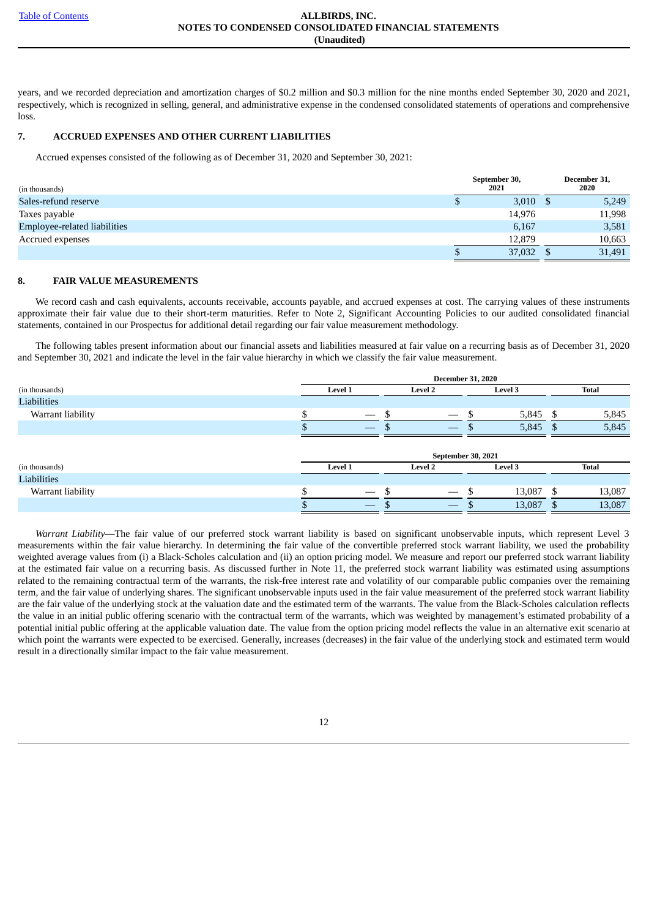years, and we recorded depreciation and amortization charges of \$0.2 million and \$0.3 million for the nine months ended September 30, 2020 and 2021, respectively, which is recognized in selling, general, and administrative expense in the condensed consolidated statements of operations and comprehensive loss.

# **7. ACCRUED EXPENSES AND OTHER CURRENT LIABILITIES**

Accrued expenses consisted of the following as of December 31, 2020 and September 30, 2021:

| (in thousands)               |    | September 30,<br>2021 |  | December 31,<br>2020 |
|------------------------------|----|-----------------------|--|----------------------|
| Sales-refund reserve         | J. | $3,010$ \$            |  | 5,249                |
| Taxes payable                |    | 14,976                |  | 11,998               |
| Employee-related liabilities |    | 6,167                 |  | 3,581                |
| Accrued expenses             |    | 12.879                |  | 10,663               |
|                              |    | 37,032 \$             |  | 31,491               |

## **8. FAIR VALUE MEASUREMENTS**

We record cash and cash equivalents, accounts receivable, accounts payable, and accrued expenses at cost. The carrying values of these instruments approximate their fair value due to their short‐term maturities. Refer to Note 2, Significant Accounting Policies to our audited consolidated financial statements, contained in our Prospectus for additional detail regarding our fair value measurement methodology.

The following tables present information about our financial assets and liabilities measured at fair value on a recurring basis as of December 31, 2020 and September 30, 2021 and indicate the level in the fair value hierarchy in which we classify the fair value measurement.

| <b>December 31, 2020</b> |  |                                 |     |                                 |                |                |              |              |
|--------------------------|--|---------------------------------|-----|---------------------------------|----------------|----------------|--------------|--------------|
| (in thousands)           |  | Level 1                         |     | <b>Level 2</b>                  | <b>Level 3</b> |                | <b>Total</b> |              |
| Liabilities              |  |                                 |     |                                 |                |                |              |              |
| Warrant liability        |  | $\hspace{0.1mm}-\hspace{0.1mm}$ | \$. | $\hspace{0.1mm}-\hspace{0.1mm}$ | -\$            | 5,845          | - \$         | 5,845        |
|                          |  |                                 |     |                                 |                | 5,845          |              | 5,845        |
|                          |  |                                 |     | September 30, 2021              |                |                |              |              |
| (in thousands)           |  | Level 1                         |     | <b>Level 2</b>                  |                | <b>Level 3</b> |              | <b>Total</b> |
| Liabilities              |  |                                 |     |                                 |                |                |              |              |
| Warrant liability        |  | $\hspace{0.1mm}-\hspace{0.1mm}$ |     |                                 |                | 13,087         | \$           | 13,087       |
|                          |  |                                 |     |                                 |                | 13,087         | S            | 13,087       |

*Warrant Liability*—The fair value of our preferred stock warrant liability is based on significant unobservable inputs, which represent Level 3 measurements within the fair value hierarchy. In determining the fair value of the convertible preferred stock warrant liability, we used the probability weighted average values from (i) a Black-Scholes calculation and (ii) an option pricing model. We measure and report our preferred stock warrant liability at the estimated fair value on a recurring basis. As discussed further in Note 11, the preferred stock warrant liability was estimated using assumptions related to the remaining contractual term of the warrants, the risk-free interest rate and volatility of our comparable public companies over the remaining term, and the fair value of underlying shares. The significant unobservable inputs used in the fair value measurement of the preferred stock warrant liability are the fair value of the underlying stock at the valuation date and the estimated term of the warrants. The value from the Black-Scholes calculation reflects the value in an initial public offering scenario with the contractual term of the warrants, which was weighted by management's estimated probability of a potential initial public offering at the applicable valuation date. The value from the option pricing model reflects the value in an alternative exit scenario at which point the warrants were expected to be exercised. Generally, increases (decreases) in the fair value of the underlying stock and estimated term would result in a directionally similar impact to the fair value measurement.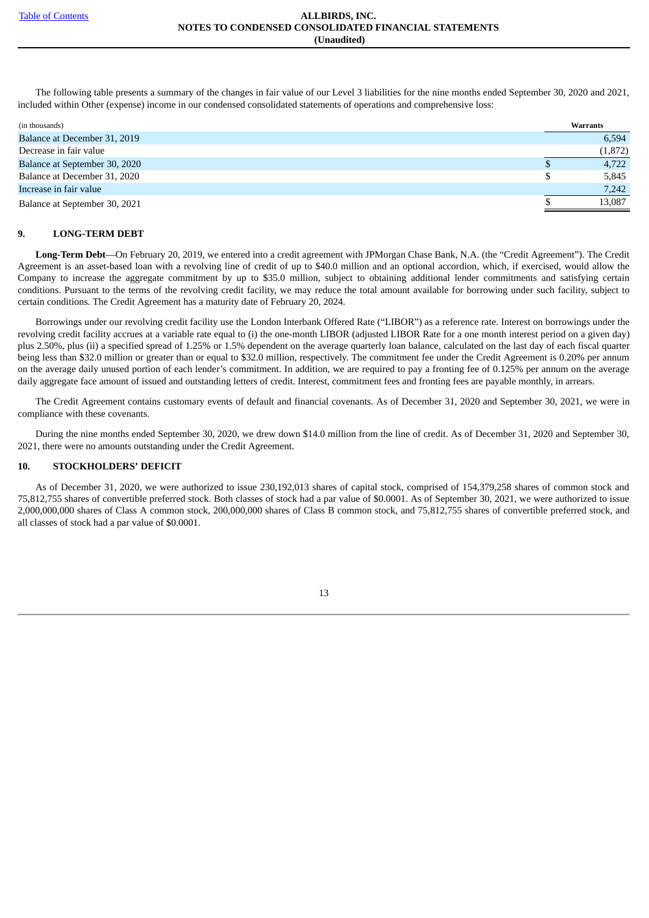The following table presents a summary of the changes in fair value of our Level 3 liabilities for the nine months ended September 30, 2020 and 2021, included within Other (expense) income in our condensed consolidated statements of operations and comprehensive loss:

| (in thousands)                | <b>Warrants</b> |
|-------------------------------|-----------------|
| Balance at December 31, 2019  | 6,594           |
| Decrease in fair value        | (1,872)         |
| Balance at September 30, 2020 | 4,722           |
| Balance at December 31, 2020  | 5,845           |
| Increase in fair value        | 7,242           |
| Balance at September 30, 2021 | 13,087          |

# **9. LONG-TERM DEBT**

**Long-Term Debt**—On February 20, 2019, we entered into a credit agreement with JPMorgan Chase Bank, N.A. (the "Credit Agreement"). The Credit Agreement is an asset-based loan with a revolving line of credit of up to \$40.0 million and an optional accordion, which, if exercised, would allow the Company to increase the aggregate commitment by up to \$35.0 million, subject to obtaining additional lender commitments and satisfying certain conditions. Pursuant to the terms of the revolving credit facility, we may reduce the total amount available for borrowing under such facility, subject to certain conditions. The Credit Agreement has a maturity date of February 20, 2024.

Borrowings under our revolving credit facility use the London Interbank Offered Rate ("LIBOR") as a reference rate. Interest on borrowings under the revolving credit facility accrues at a variable rate equal to (i) the one-month LIBOR (adjusted LIBOR Rate for a one month interest period on a given day) plus 2.50%, plus (ii) a specified spread of 1.25% or 1.5% dependent on the average quarterly loan balance, calculated on the last day of each fiscal quarter being less than \$32.0 million or greater than or equal to \$32.0 million, respectively. The commitment fee under the Credit Agreement is 0.20% per annum on the average daily unused portion of each lender's commitment. In addition, we are required to pay a fronting fee of 0.125% per annum on the average daily aggregate face amount of issued and outstanding letters of credit. Interest, commitment fees and fronting fees are payable monthly, in arrears.

The Credit Agreement contains customary events of default and financial covenants. As of December 31, 2020 and September 30, 2021, we were in compliance with these covenants.

During the nine months ended September 30, 2020, we drew down \$14.0 million from the line of credit. As of December 31, 2020 and September 30, 2021, there were no amounts outstanding under the Credit Agreement.

#### **10. STOCKHOLDERS' DEFICIT**

As of December 31, 2020, we were authorized to issue 230,192,013 shares of capital stock, comprised of 154,379,258 shares of common stock and 75,812,755 shares of convertible preferred stock. Both classes of stock had a par value of \$0.0001. As of September 30, 2021, we were authorized to issue 2,000,000,000 shares of Class A common stock, 200,000,000 shares of Class B common stock, and 75,812,755 shares of convertible preferred stock, and all classes of stock had a par value of \$0.0001.

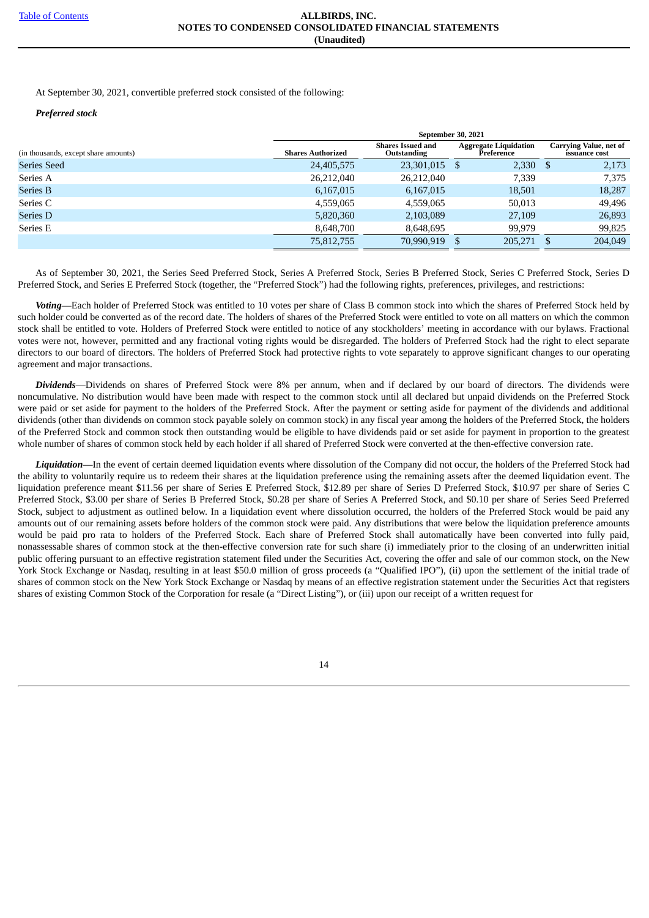At September 30, 2021, convertible preferred stock consisted of the following:

## *Preferred stock*

|                                      | September 30, 2021       |            |                                            |                                                |         |  |  |  |  |
|--------------------------------------|--------------------------|------------|--------------------------------------------|------------------------------------------------|---------|--|--|--|--|
| (in thousands, except share amounts) | <b>Shares Authorized</b> |            | <b>Aggregate Liquidation</b><br>Preference | <b>Carrying Value, net of</b><br>issuance cost |         |  |  |  |  |
| <b>Series Seed</b>                   | 24,405,575               | 23,301,015 | $2,330$ \$<br>- S                          |                                                | 2,173   |  |  |  |  |
| Series A                             | 26,212,040               | 26,212,040 | 7,339                                      |                                                | 7,375   |  |  |  |  |
| Series B                             | 6,167,015                | 6,167,015  | 18,501                                     |                                                | 18,287  |  |  |  |  |
| Series C                             | 4,559,065                | 4,559,065  | 50,013                                     |                                                | 49.496  |  |  |  |  |
| Series D                             | 5,820,360                | 2,103,089  | 27,109                                     |                                                | 26,893  |  |  |  |  |
| Series E                             | 8,648,700                | 8,648,695  | 99,979                                     |                                                | 99,825  |  |  |  |  |
|                                      | 75,812,755               | 70,990,919 | 205,271                                    |                                                | 204,049 |  |  |  |  |

As of September 30, 2021, the Series Seed Preferred Stock, Series A Preferred Stock, Series B Preferred Stock, Series C Preferred Stock, Series D Preferred Stock, and Series E Preferred Stock (together, the "Preferred Stock") had the following rights, preferences, privileges, and restrictions:

*Voting*—Each holder of Preferred Stock was entitled to 10 votes per share of Class B common stock into which the shares of Preferred Stock held by such holder could be converted as of the record date. The holders of shares of the Preferred Stock were entitled to vote on all matters on which the common stock shall be entitled to vote. Holders of Preferred Stock were entitled to notice of any stockholders' meeting in accordance with our bylaws. Fractional votes were not, however, permitted and any fractional voting rights would be disregarded. The holders of Preferred Stock had the right to elect separate directors to our board of directors. The holders of Preferred Stock had protective rights to vote separately to approve significant changes to our operating agreement and major transactions.

*Dividends*—Dividends on shares of Preferred Stock were 8% per annum, when and if declared by our board of directors. The dividends were noncumulative. No distribution would have been made with respect to the common stock until all declared but unpaid dividends on the Preferred Stock were paid or set aside for payment to the holders of the Preferred Stock. After the payment or setting aside for payment of the dividends and additional dividends (other than dividends on common stock payable solely on common stock) in any fiscal year among the holders of the Preferred Stock, the holders of the Preferred Stock and common stock then outstanding would be eligible to have dividends paid or set aside for payment in proportion to the greatest whole number of shares of common stock held by each holder if all shared of Preferred Stock were converted at the then-effective conversion rate.

*Liquidation*—In the event of certain deemed liquidation events where dissolution of the Company did not occur, the holders of the Preferred Stock had the ability to voluntarily require us to redeem their shares at the liquidation preference using the remaining assets after the deemed liquidation event. The liquidation preference meant \$11.56 per share of Series E Preferred Stock, \$12.89 per share of Series D Preferred Stock, \$10.97 per share of Series C Preferred Stock, \$3.00 per share of Series B Preferred Stock, \$0.28 per share of Series A Preferred Stock, and \$0.10 per share of Series Seed Preferred Stock, subject to adjustment as outlined below. In a liquidation event where dissolution occurred, the holders of the Preferred Stock would be paid any amounts out of our remaining assets before holders of the common stock were paid. Any distributions that were below the liquidation preference amounts would be paid pro rata to holders of the Preferred Stock. Each share of Preferred Stock shall automatically have been converted into fully paid, nonassessable shares of common stock at the then-effective conversion rate for such share (i) immediately prior to the closing of an underwritten initial public offering pursuant to an effective registration statement filed under the Securities Act, covering the offer and sale of our common stock, on the New York Stock Exchange or Nasdaq, resulting in at least \$50.0 million of gross proceeds (a "Qualified IPO"), (ii) upon the settlement of the initial trade of shares of common stock on the New York Stock Exchange or Nasdaq by means of an effective registration statement under the Securities Act that registers shares of existing Common Stock of the Corporation for resale (a "Direct Listing"), or (iii) upon our receipt of a written request for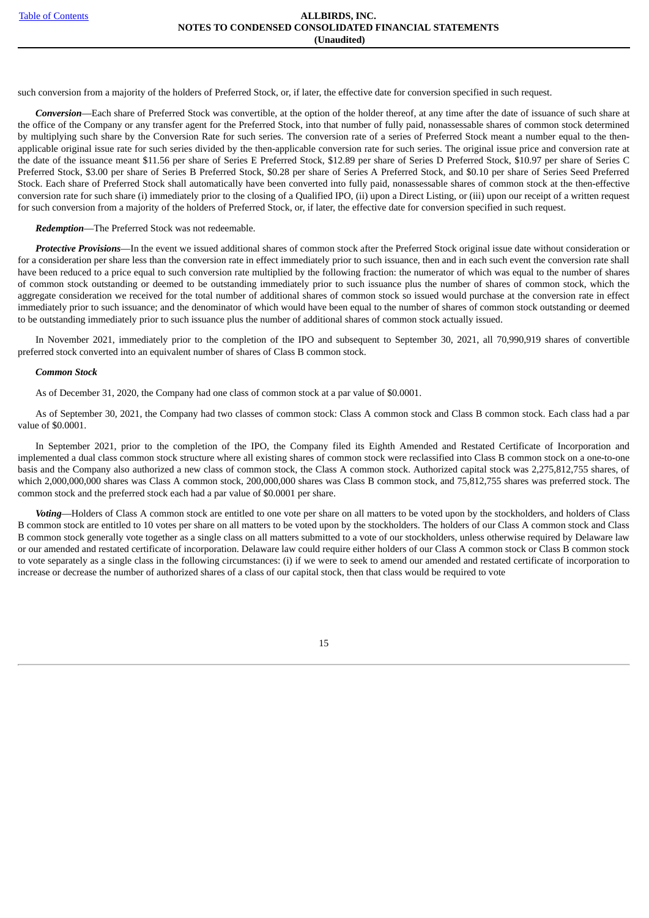such conversion from a majority of the holders of Preferred Stock, or, if later, the effective date for conversion specified in such request.

*Conversion*—Each share of Preferred Stock was convertible, at the option of the holder thereof, at any time after the date of issuance of such share at the office of the Company or any transfer agent for the Preferred Stock, into that number of fully paid, nonassessable shares of common stock determined by multiplying such share by the Conversion Rate for such series. The conversion rate of a series of Preferred Stock meant a number equal to the thenapplicable original issue rate for such series divided by the then-applicable conversion rate for such series. The original issue price and conversion rate at the date of the issuance meant \$11.56 per share of Series E Preferred Stock, \$12.89 per share of Series D Preferred Stock, \$10.97 per share of Series C Preferred Stock, \$3.00 per share of Series B Preferred Stock, \$0.28 per share of Series A Preferred Stock, and \$0.10 per share of Series Seed Preferred Stock. Each share of Preferred Stock shall automatically have been converted into fully paid, nonassessable shares of common stock at the then-effective conversion rate for such share (i) immediately prior to the closing of a Qualified IPO, (ii) upon a Direct Listing, or (iii) upon our receipt of a written request for such conversion from a majority of the holders of Preferred Stock, or, if later, the effective date for conversion specified in such request.

*Redemption*—The Preferred Stock was not redeemable.

*Protective Provisions*—In the event we issued additional shares of common stock after the Preferred Stock original issue date without consideration or for a consideration per share less than the conversion rate in effect immediately prior to such issuance, then and in each such event the conversion rate shall have been reduced to a price equal to such conversion rate multiplied by the following fraction: the numerator of which was equal to the number of shares of common stock outstanding or deemed to be outstanding immediately prior to such issuance plus the number of shares of common stock, which the aggregate consideration we received for the total number of additional shares of common stock so issued would purchase at the conversion rate in effect immediately prior to such issuance; and the denominator of which would have been equal to the number of shares of common stock outstanding or deemed to be outstanding immediately prior to such issuance plus the number of additional shares of common stock actually issued.

In November 2021, immediately prior to the completion of the IPO and subsequent to September 30, 2021, all 70,990,919 shares of convertible preferred stock converted into an equivalent number of shares of Class B common stock.

#### *Common Stock*

As of December 31, 2020, the Company had one class of common stock at a par value of \$0.0001.

As of September 30, 2021, the Company had two classes of common stock: Class A common stock and Class B common stock. Each class had a par value of \$0.0001.

In September 2021, prior to the completion of the IPO, the Company filed its Eighth Amended and Restated Certificate of Incorporation and implemented a dual class common stock structure where all existing shares of common stock were reclassified into Class B common stock on a one-to-one basis and the Company also authorized a new class of common stock, the Class A common stock. Authorized capital stock was 2,275,812,755 shares, of which 2,000,000,000 shares was Class A common stock, 200,000,000 shares was Class B common stock, and 75,812,755 shares was preferred stock. The common stock and the preferred stock each had a par value of \$0.0001 per share.

*Voting*—Holders of Class A common stock are entitled to one vote per share on all matters to be voted upon by the stockholders, and holders of Class B common stock are entitled to 10 votes per share on all matters to be voted upon by the stockholders. The holders of our Class A common stock and Class B common stock generally vote together as a single class on all matters submitted to a vote of our stockholders, unless otherwise required by Delaware law or our amended and restated certificate of incorporation. Delaware law could require either holders of our Class A common stock or Class B common stock to vote separately as a single class in the following circumstances: (i) if we were to seek to amend our amended and restated certificate of incorporation to increase or decrease the number of authorized shares of a class of our capital stock, then that class would be required to vote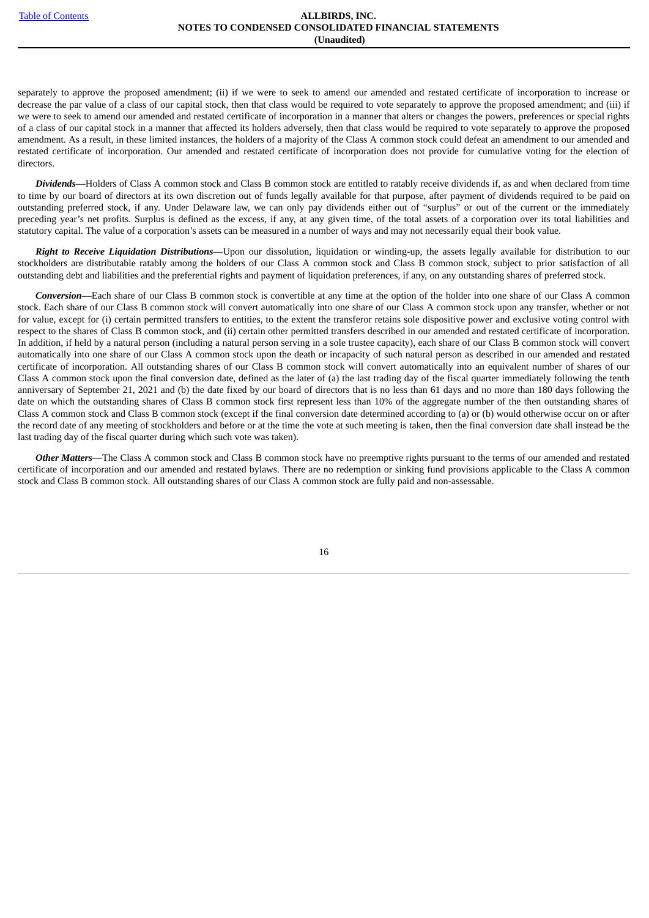separately to approve the proposed amendment; (ii) if we were to seek to amend our amended and restated certificate of incorporation to increase or decrease the par value of a class of our capital stock, then that class would be required to vote separately to approve the proposed amendment; and (iii) if we were to seek to amend our amended and restated certificate of incorporation in a manner that alters or changes the powers, preferences or special rights of a class of our capital stock in a manner that affected its holders adversely, then that class would be required to vote separately to approve the proposed amendment. As a result, in these limited instances, the holders of a majority of the Class A common stock could defeat an amendment to our amended and restated certificate of incorporation. Our amended and restated certificate of incorporation does not provide for cumulative voting for the election of directors.

*Dividends*—Holders of Class A common stock and Class B common stock are entitled to ratably receive dividends if, as and when declared from time to time by our board of directors at its own discretion out of funds legally available for that purpose, after payment of dividends required to be paid on outstanding preferred stock, if any. Under Delaware law, we can only pay dividends either out of "surplus" or out of the current or the immediately preceding year's net profits. Surplus is defined as the excess, if any, at any given time, of the total assets of a corporation over its total liabilities and statutory capital. The value of a corporation's assets can be measured in a number of ways and may not necessarily equal their book value.

*Right to Receive Liquidation Distributions*—Upon our dissolution, liquidation or winding-up, the assets legally available for distribution to our stockholders are distributable ratably among the holders of our Class A common stock and Class B common stock, subject to prior satisfaction of all outstanding debt and liabilities and the preferential rights and payment of liquidation preferences, if any, on any outstanding shares of preferred stock.

*Conversion*—Each share of our Class B common stock is convertible at any time at the option of the holder into one share of our Class A common stock. Each share of our Class B common stock will convert automatically into one share of our Class A common stock upon any transfer, whether or not for value, except for (i) certain permitted transfers to entities, to the extent the transferor retains sole dispositive power and exclusive voting control with respect to the shares of Class B common stock, and (ii) certain other permitted transfers described in our amended and restated certificate of incorporation. In addition, if held by a natural person (including a natural person serving in a sole trustee capacity), each share of our Class B common stock will convert automatically into one share of our Class A common stock upon the death or incapacity of such natural person as described in our amended and restated certificate of incorporation. All outstanding shares of our Class B common stock will convert automatically into an equivalent number of shares of our Class A common stock upon the final conversion date, defined as the later of (a) the last trading day of the fiscal quarter immediately following the tenth anniversary of September 21, 2021 and (b) the date fixed by our board of directors that is no less than 61 days and no more than 180 days following the date on which the outstanding shares of Class B common stock first represent less than 10% of the aggregate number of the then outstanding shares of Class A common stock and Class B common stock (except if the final conversion date determined according to (a) or (b) would otherwise occur on or after the record date of any meeting of stockholders and before or at the time the vote at such meeting is taken, then the final conversion date shall instead be the last trading day of the fiscal quarter during which such vote was taken).

*Other Matters*—The Class A common stock and Class B common stock have no preemptive rights pursuant to the terms of our amended and restated certificate of incorporation and our amended and restated bylaws. There are no redemption or sinking fund provisions applicable to the Class A common stock and Class B common stock. All outstanding shares of our Class A common stock are fully paid and non-assessable.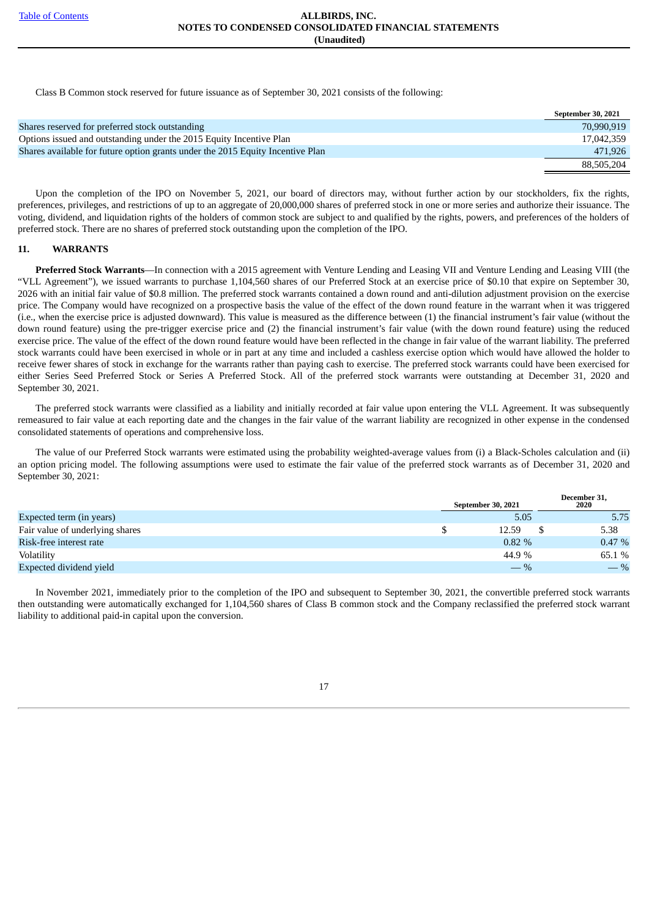Class B Common stock reserved for future issuance as of September 30, 2021 consists of the following:

|                                                                                | September 30, 2021 |
|--------------------------------------------------------------------------------|--------------------|
| Shares reserved for preferred stock outstanding                                | 70.990.919         |
| Options issued and outstanding under the 2015 Equity Incentive Plan            | 17,042,359         |
| Shares available for future option grants under the 2015 Equity Incentive Plan | 471.926            |
|                                                                                | 88,505,204         |

Upon the completion of the IPO on November 5, 2021, our board of directors may, without further action by our stockholders, fix the rights, preferences, privileges, and restrictions of up to an aggregate of 20,000,000 shares of preferred stock in one or more series and authorize their issuance. The voting, dividend, and liquidation rights of the holders of common stock are subject to and qualified by the rights, powers, and preferences of the holders of preferred stock. There are no shares of preferred stock outstanding upon the completion of the IPO.

#### **11. WARRANTS**

**Preferred Stock Warrants**—In connection with a 2015 agreement with Venture Lending and Leasing VII and Venture Lending and Leasing VIII (the "VLL Agreement"), we issued warrants to purchase 1,104,560 shares of our Preferred Stock at an exercise price of \$0.10 that expire on September 30, 2026 with an initial fair value of \$0.8 million. The preferred stock warrants contained a down round and anti-dilution adjustment provision on the exercise price. The Company would have recognized on a prospective basis the value of the effect of the down round feature in the warrant when it was triggered (i.e., when the exercise price is adjusted downward). This value is measured as the difference between (1) the financial instrument's fair value (without the down round feature) using the pre-trigger exercise price and (2) the financial instrument's fair value (with the down round feature) using the reduced exercise price. The value of the effect of the down round feature would have been reflected in the change in fair value of the warrant liability. The preferred stock warrants could have been exercised in whole or in part at any time and included a cashless exercise option which would have allowed the holder to receive fewer shares of stock in exchange for the warrants rather than paying cash to exercise. The preferred stock warrants could have been exercised for either Series Seed Preferred Stock or Series A Preferred Stock. All of the preferred stock warrants were outstanding at December 31, 2020 and September 30, 2021.

The preferred stock warrants were classified as a liability and initially recorded at fair value upon entering the VLL Agreement. It was subsequently remeasured to fair value at each reporting date and the changes in the fair value of the warrant liability are recognized in other expense in the condensed consolidated statements of operations and comprehensive loss.

The value of our Preferred Stock warrants were estimated using the probability weighted-average values from (i) a Black-Scholes calculation and (ii) an option pricing model. The following assumptions were used to estimate the fair value of the preferred stock warrants as of December 31, 2020 and September 30, 2021:

|                                 | <b>September 30, 2021</b> | December 31,<br>2020 |  |  |
|---------------------------------|---------------------------|----------------------|--|--|
| Expected term (in years)        | 5.05                      | 5.75                 |  |  |
| Fair value of underlying shares | 12.59                     | 5.38                 |  |  |
| Risk-free interest rate         | 0.82%                     | 0.47%                |  |  |
| Volatility                      | 44.9 %                    | 65.1 %               |  |  |
| Expected dividend yield         | $-$ %                     | $-$ %                |  |  |

In November 2021, immediately prior to the completion of the IPO and subsequent to September 30, 2021, the convertible preferred stock warrants then outstanding were automatically exchanged for 1,104,560 shares of Class B common stock and the Company reclassified the preferred stock warrant liability to additional paid-in capital upon the conversion.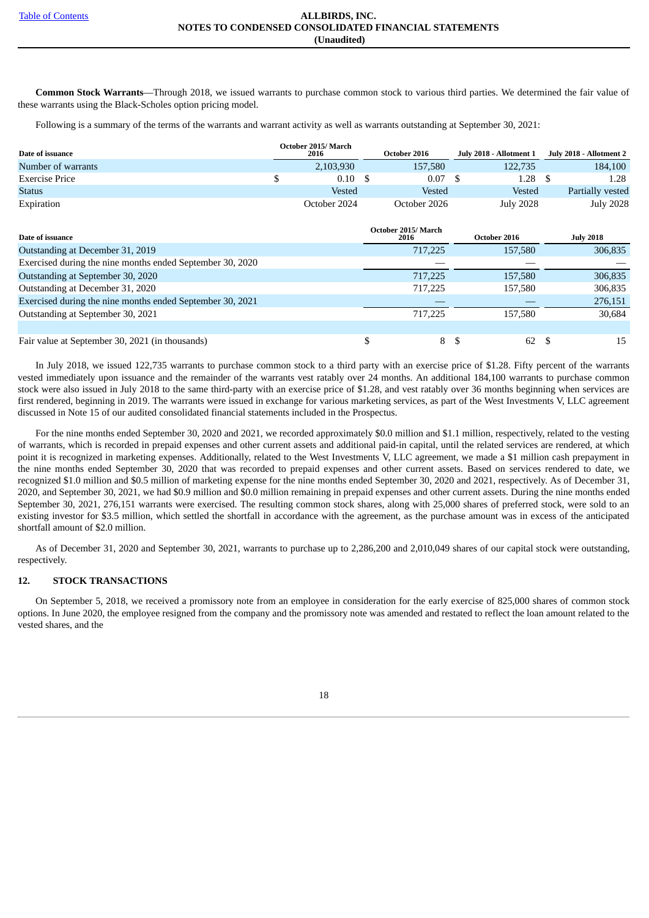**Common Stock Warrants**—Through 2018, we issued warrants to purchase common stock to various third parties. We determined the fair value of these warrants using the Black-Scholes option pricing model.

Following is a summary of the terms of the warrants and warrant activity as well as warrants outstanding at September 30, 2021:

| Date of issuance   | October 2015/March<br>2016 | October 2016 | July 2018 - Allotment 1 |         | July 2018 - Allotment 2 |
|--------------------|----------------------------|--------------|-------------------------|---------|-------------------------|
| Number of warrants | 2,103,930                  | 157.580      |                         | 122.735 | 184,100                 |
| Exercise Price     | 0.10                       | 0.07         |                         | 1.28    | 1.28                    |
| <b>Status</b>      | Vested                     | Vested       |                         | Vested  | Partially vested        |
| Expiration         | October 2024               | October 2026 | <b>July 2028</b>        |         | <b>July 2028</b>        |

|                                                           | October 2015/March |              |                  |
|-----------------------------------------------------------|--------------------|--------------|------------------|
| Date of issuance                                          | 2016               | October 2016 | <b>July 2018</b> |
| Outstanding at December 31, 2019                          | 717.225            | 157,580      | 306,835          |
| Exercised during the nine months ended September 30, 2020 |                    |              |                  |
| Outstanding at September 30, 2020                         | 717.225            | 157,580      | 306,835          |
| Outstanding at December 31, 2020                          | 717.225            | 157.580      | 306,835          |
| Exercised during the nine months ended September 30, 2021 |                    |              | 276,151          |
| Outstanding at September 30, 2021                         | 717.225            | 157,580      | 30,684           |
|                                                           |                    |              |                  |
| Fair value at September 30, 2021 (in thousands)           | 8                  | 62           | 15               |

In July 2018, we issued 122,735 warrants to purchase common stock to a third party with an exercise price of \$1.28. Fifty percent of the warrants vested immediately upon issuance and the remainder of the warrants vest ratably over 24 months. An additional 184,100 warrants to purchase common stock were also issued in July 2018 to the same third-party with an exercise price of \$1.28, and vest ratably over 36 months beginning when services are first rendered, beginning in 2019. The warrants were issued in exchange for various marketing services, as part of the West Investments V, LLC agreement discussed in Note 15 of our audited consolidated financial statements included in the Prospectus.

For the nine months ended September 30, 2020 and 2021, we recorded approximately \$0.0 million and \$1.1 million, respectively, related to the vesting of warrants, which is recorded in prepaid expenses and other current assets and additional paid-in capital, until the related services are rendered, at which point it is recognized in marketing expenses. Additionally, related to the West Investments V, LLC agreement, we made a \$1 million cash prepayment in the nine months ended September 30, 2020 that was recorded to prepaid expenses and other current assets. Based on services rendered to date, we recognized \$1.0 million and \$0.5 million of marketing expense for the nine months ended September 30, 2020 and 2021, respectively. As of December 31, 2020, and September 30, 2021, we had \$0.9 million and \$0.0 million remaining in prepaid expenses and other current assets. During the nine months ended September 30, 2021, 276,151 warrants were exercised. The resulting common stock shares, along with 25,000 shares of preferred stock, were sold to an existing investor for \$3.5 million, which settled the shortfall in accordance with the agreement, as the purchase amount was in excess of the anticipated shortfall amount of \$2.0 million.

As of December 31, 2020 and September 30, 2021, warrants to purchase up to 2,286,200 and 2,010,049 shares of our capital stock were outstanding, respectively.

# **12. STOCK TRANSACTIONS**

On September 5, 2018, we received a promissory note from an employee in consideration for the early exercise of 825,000 shares of common stock options. In June 2020, the employee resigned from the company and the promissory note was amended and restated to reflect the loan amount related to the vested shares, and the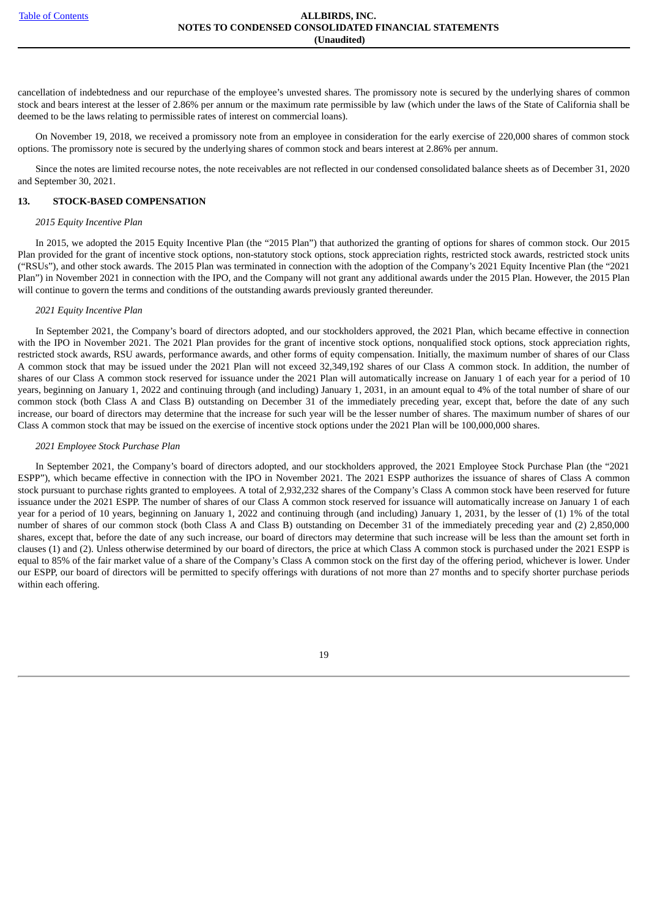cancellation of indebtedness and our repurchase of the employee's unvested shares. The promissory note is secured by the underlying shares of common stock and bears interest at the lesser of 2.86% per annum or the maximum rate permissible by law (which under the laws of the State of California shall be deemed to be the laws relating to permissible rates of interest on commercial loans).

On November 19, 2018, we received a promissory note from an employee in consideration for the early exercise of 220,000 shares of common stock options. The promissory note is secured by the underlying shares of common stock and bears interest at 2.86% per annum.

Since the notes are limited recourse notes, the note receivables are not reflected in our condensed consolidated balance sheets as of December 31, 2020 and September 30, 2021.

## **13. STOCK-BASED COMPENSATION**

#### *2015 Equity Incentive Plan*

In 2015, we adopted the 2015 Equity Incentive Plan (the "2015 Plan") that authorized the granting of options for shares of common stock. Our 2015 Plan provided for the grant of incentive stock options, non-statutory stock options, stock appreciation rights, restricted stock awards, restricted stock units ("RSUs"), and other stock awards. The 2015 Plan was terminated in connection with the adoption of the Company's 2021 Equity Incentive Plan (the "2021 Plan") in November 2021 in connection with the IPO, and the Company will not grant any additional awards under the 2015 Plan. However, the 2015 Plan will continue to govern the terms and conditions of the outstanding awards previously granted thereunder.

#### *2021 Equity Incentive Plan*

In September 2021, the Company's board of directors adopted, and our stockholders approved, the 2021 Plan, which became effective in connection with the IPO in November 2021. The 2021 Plan provides for the grant of incentive stock options, nonqualified stock options, stock appreciation rights, restricted stock awards, RSU awards, performance awards, and other forms of equity compensation. Initially, the maximum number of shares of our Class A common stock that may be issued under the 2021 Plan will not exceed 32,349,192 shares of our Class A common stock. In addition, the number of shares of our Class A common stock reserved for issuance under the 2021 Plan will automatically increase on January 1 of each year for a period of 10 years, beginning on January 1, 2022 and continuing through (and including) January 1, 2031, in an amount equal to 4% of the total number of share of our common stock (both Class A and Class B) outstanding on December 31 of the immediately preceding year, except that, before the date of any such increase, our board of directors may determine that the increase for such year will be the lesser number of shares. The maximum number of shares of our Class A common stock that may be issued on the exercise of incentive stock options under the 2021 Plan will be 100,000,000 shares.

#### *2021 Employee Stock Purchase Plan*

In September 2021, the Company's board of directors adopted, and our stockholders approved, the 2021 Employee Stock Purchase Plan (the "2021 ESPP"), which became effective in connection with the IPO in November 2021. The 2021 ESPP authorizes the issuance of shares of Class A common stock pursuant to purchase rights granted to employees. A total of 2,932,232 shares of the Company's Class A common stock have been reserved for future issuance under the 2021 ESPP. The number of shares of our Class A common stock reserved for issuance will automatically increase on January 1 of each year for a period of 10 years, beginning on January 1, 2022 and continuing through (and including) January 1, 2031, by the lesser of (1) 1% of the total number of shares of our common stock (both Class A and Class B) outstanding on December 31 of the immediately preceding year and (2) 2,850,000 shares, except that, before the date of any such increase, our board of directors may determine that such increase will be less than the amount set forth in clauses (1) and (2). Unless otherwise determined by our board of directors, the price at which Class A common stock is purchased under the 2021 ESPP is equal to 85% of the fair market value of a share of the Company's Class A common stock on the first day of the offering period, whichever is lower. Under our ESPP, our board of directors will be permitted to specify offerings with durations of not more than 27 months and to specify shorter purchase periods within each offering.

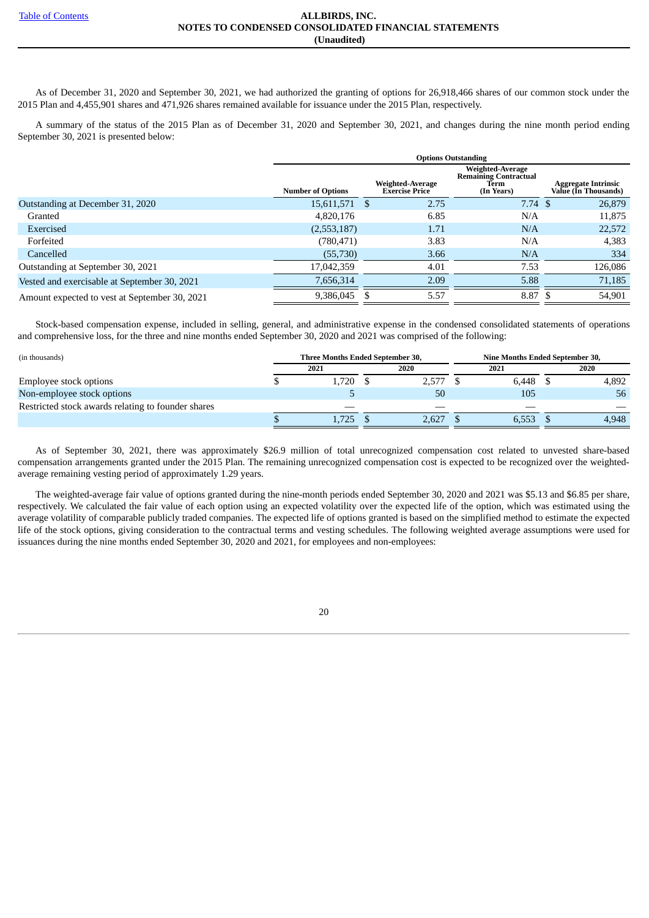As of December 31, 2020 and September 30, 2021, we had authorized the granting of options for 26,918,466 shares of our common stock under the 2015 Plan and 4,455,901 shares and 471,926 shares remained available for issuance under the 2015 Plan, respectively.

A summary of the status of the 2015 Plan as of December 31, 2020 and September 30, 2021, and changes during the nine month period ending September 30, 2021 is presented below:

|                                               |                          | <b>Options Outstanding</b> |                                           |                                                                               |  |                                                    |  |  |  |  |
|-----------------------------------------------|--------------------------|----------------------------|-------------------------------------------|-------------------------------------------------------------------------------|--|----------------------------------------------------|--|--|--|--|
|                                               | <b>Number of Options</b> |                            | Weighted-Average<br><b>Exercise Price</b> | <b>Weighted-Average</b><br><b>Remaining Contractual</b><br>Term<br>(In Years) |  | <b>Aggregate Intrinsic</b><br>Value (In Thousands) |  |  |  |  |
| Outstanding at December 31, 2020              | 15,611,571 \$            |                            | 2.75                                      | $7.74~{\rm s}$                                                                |  | 26,879                                             |  |  |  |  |
| Granted                                       | 4,820,176                |                            | 6.85                                      | N/A                                                                           |  | 11,875                                             |  |  |  |  |
| Exercised                                     | (2,553,187)              |                            | 1.71                                      | N/A                                                                           |  | 22,572                                             |  |  |  |  |
| Forfeited                                     | (780, 471)               |                            | 3.83                                      | N/A                                                                           |  | 4,383                                              |  |  |  |  |
| Cancelled                                     | (55,730)                 |                            | 3.66                                      | N/A                                                                           |  | 334                                                |  |  |  |  |
| Outstanding at September 30, 2021             | 17,042,359               |                            | 4.01                                      | 7.53                                                                          |  | 126,086                                            |  |  |  |  |
| Vested and exercisable at September 30, 2021  | 7,656,314                |                            | 2.09                                      | 5.88                                                                          |  | 71,185                                             |  |  |  |  |
| Amount expected to vest at September 30, 2021 | 9,386,045                |                            | 5.57                                      | 8.87                                                                          |  | 54,901                                             |  |  |  |  |

Stock-based compensation expense, included in selling, general, and administrative expense in the condensed consolidated statements of operations and comprehensive loss, for the three and nine months ended September 30, 2020 and 2021 was comprised of the following:

| (in thousands)                                     | <b>Three Months Ended September 30,</b> |  | Nine Months Ended September 30, |  |       |  |       |
|----------------------------------------------------|-----------------------------------------|--|---------------------------------|--|-------|--|-------|
|                                                    | 2021                                    |  | 2020                            |  | 2021  |  | 2020  |
| Employee stock options                             | 1,720                                   |  | 2.577                           |  | 6.448 |  | 4.892 |
| Non-employee stock options                         |                                         |  | 50                              |  | 105   |  | 56    |
| Restricted stock awards relating to founder shares | __                                      |  |                                 |  | __    |  |       |
|                                                    | 1.725                                   |  | 2.627                           |  | 6.553 |  | 4.948 |

As of September 30, 2021, there was approximately \$26.9 million of total unrecognized compensation cost related to unvested share-based compensation arrangements granted under the 2015 Plan. The remaining unrecognized compensation cost is expected to be recognized over the weightedaverage remaining vesting period of approximately 1.29 years.

The weighted-average fair value of options granted during the nine-month periods ended September 30, 2020 and 2021 was \$5.13 and \$6.85 per share, respectively. We calculated the fair value of each option using an expected volatility over the expected life of the option, which was estimated using the average volatility of comparable publicly traded companies. The expected life of options granted is based on the simplified method to estimate the expected life of the stock options, giving consideration to the contractual terms and vesting schedules. The following weighted average assumptions were used for issuances during the nine months ended September 30, 2020 and 2021, for employees and non-employees: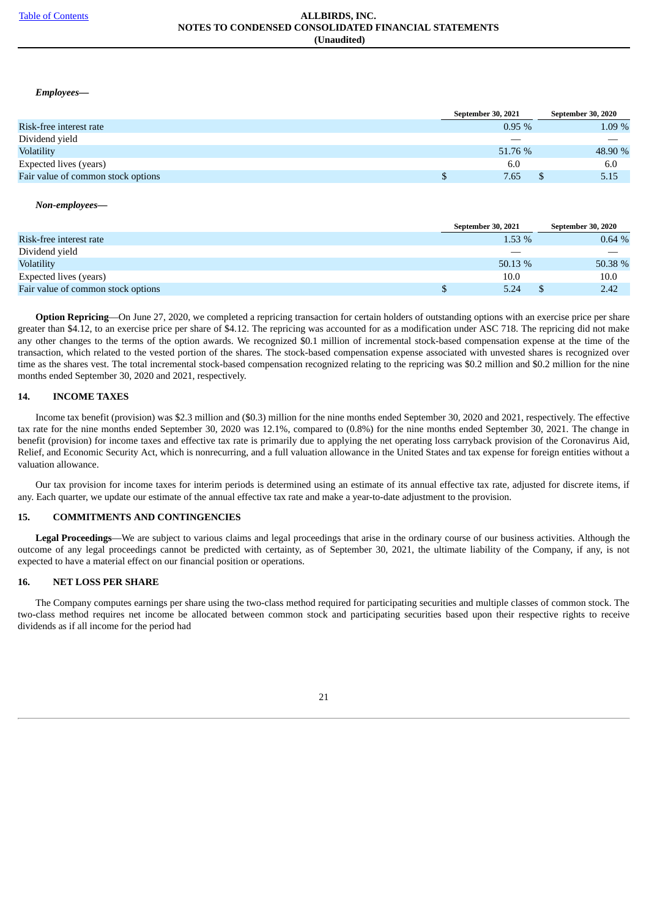# *Employees—*

|                                    | September 30, 2021 | September 30, 2020 |
|------------------------------------|--------------------|--------------------|
| Risk-free interest rate            | 0.95%              | 1.09%              |
| Dividend yield                     |                    |                    |
| <b>Volatility</b>                  | 51.76 %            | 48.90 %            |
| Expected lives (years)             | 6.0                | 6.0                |
| Fair value of common stock options | 7.65               | 5.15               |

#### *Non-employees—*

|                                    | September 30, 2021 | September 30, 2020 |
|------------------------------------|--------------------|--------------------|
| Risk-free interest rate            | 1.53%              | 0.64%              |
| Dividend yield                     |                    |                    |
| <b>Volatility</b>                  | 50.13 %            | 50.38 %            |
| Expected lives (years)             | 10.0               | 10.0               |
| Fair value of common stock options | 5.24               | 2.42               |

**Option Repricing**—On June 27, 2020, we completed a repricing transaction for certain holders of outstanding options with an exercise price per share greater than \$4.12, to an exercise price per share of \$4.12. The repricing was accounted for as a modification under ASC 718. The repricing did not make any other changes to the terms of the option awards. We recognized \$0.1 million of incremental stock-based compensation expense at the time of the transaction, which related to the vested portion of the shares. The stock-based compensation expense associated with unvested shares is recognized over time as the shares vest. The total incremental stock-based compensation recognized relating to the repricing was \$0.2 million and \$0.2 million for the nine months ended September 30, 2020 and 2021, respectively.

## **14. INCOME TAXES**

Income tax benefit (provision) was \$2.3 million and (\$0.3) million for the nine months ended September 30, 2020 and 2021, respectively. The effective tax rate for the nine months ended September 30, 2020 was 12.1%, compared to (0.8%) for the nine months ended September 30, 2021. The change in benefit (provision) for income taxes and effective tax rate is primarily due to applying the net operating loss carryback provision of the Coronavirus Aid, Relief, and Economic Security Act, which is nonrecurring, and a full valuation allowance in the United States and tax expense for foreign entities without a valuation allowance.

Our tax provision for income taxes for interim periods is determined using an estimate of its annual effective tax rate, adjusted for discrete items, if any. Each quarter, we update our estimate of the annual effective tax rate and make a year-to-date adjustment to the provision.

# **15. COMMITMENTS AND CONTINGENCIES**

**Legal Proceedings**—We are subject to various claims and legal proceedings that arise in the ordinary course of our business activities. Although the outcome of any legal proceedings cannot be predicted with certainty, as of September 30, 2021, the ultimate liability of the Company, if any, is not expected to have a material effect on our financial position or operations.

## **16. NET LOSS PER SHARE**

The Company computes earnings per share using the two-class method required for participating securities and multiple classes of common stock. The two-class method requires net income be allocated between common stock and participating securities based upon their respective rights to receive dividends as if all income for the period had

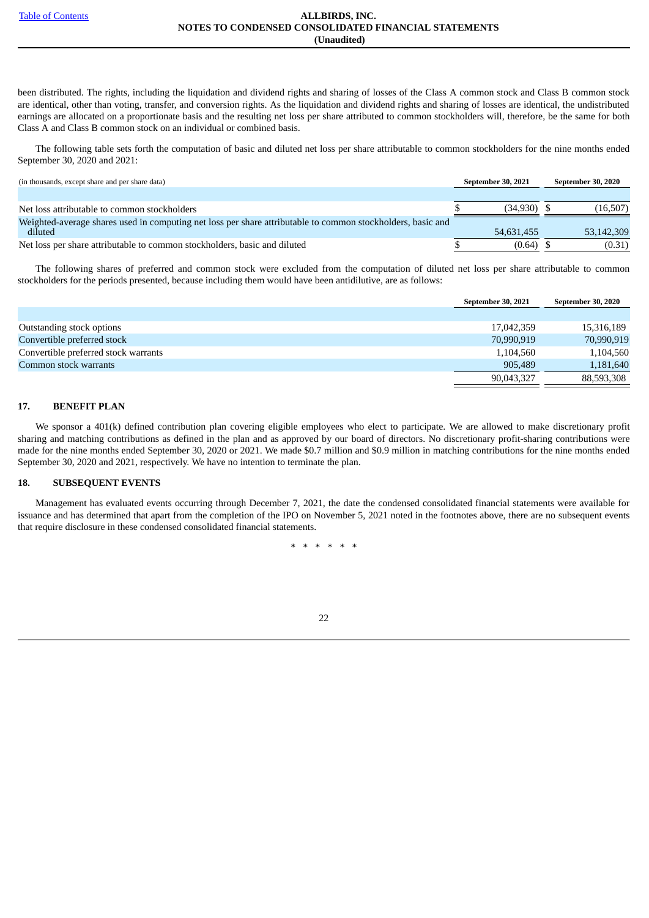been distributed. The rights, including the liquidation and dividend rights and sharing of losses of the Class A common stock and Class B common stock are identical, other than voting, transfer, and conversion rights. As the liquidation and dividend rights and sharing of losses are identical, the undistributed earnings are allocated on a proportionate basis and the resulting net loss per share attributed to common stockholders will, therefore, be the same for both Class A and Class B common stock on an individual or combined basis.

The following table sets forth the computation of basic and diluted net loss per share attributable to common stockholders for the nine months ended September 30, 2020 and 2021:

| (in thousands, except share and per share data)                                                                     | September 30, 2021 |               | <b>September 30, 2020</b> |            |
|---------------------------------------------------------------------------------------------------------------------|--------------------|---------------|---------------------------|------------|
|                                                                                                                     |                    |               |                           |            |
| Net loss attributable to common stockholders                                                                        |                    | $(34,930)$ \$ |                           | (16,507)   |
| Weighted-average shares used in computing net loss per share attributable to common stockholders, basic and diluted |                    | 54,631,455    |                           | 53,142,309 |
| Net loss per share attributable to common stockholders, basic and diluted                                           |                    | (0.64)        |                           | (0.31)     |

The following shares of preferred and common stock were excluded from the computation of diluted net loss per share attributable to common stockholders for the periods presented, because including them would have been antidilutive, are as follows:

|                                      | <b>September 30, 2021</b> | September 30, 2020 |
|--------------------------------------|---------------------------|--------------------|
|                                      |                           |                    |
| Outstanding stock options            | 17,042,359                | 15,316,189         |
| Convertible preferred stock          | 70,990,919                | 70,990,919         |
| Convertible preferred stock warrants | 1,104,560                 | 1,104,560          |
| Common stock warrants                | 905,489                   | 1,181,640          |
|                                      | 90,043,327                | 88,593,308         |

## **17. BENEFIT PLAN**

We sponsor a 401(k) defined contribution plan covering eligible employees who elect to participate. We are allowed to make discretionary profit sharing and matching contributions as defined in the plan and as approved by our board of directors. No discretionary profit-sharing contributions were made for the nine months ended September 30, 2020 or 2021. We made \$0.7 million and \$0.9 million in matching contributions for the nine months ended September 30, 2020 and 2021, respectively. We have no intention to terminate the plan.

# **18. SUBSEQUENT EVENTS**

<span id="page-28-0"></span>Management has evaluated events occurring through December 7, 2021, the date the condensed consolidated financial statements were available for issuance and has determined that apart from the completion of the IPO on November 5, 2021 noted in the footnotes above, there are no subsequent events that require disclosure in these condensed consolidated financial statements.

\* \* \* \* \* \*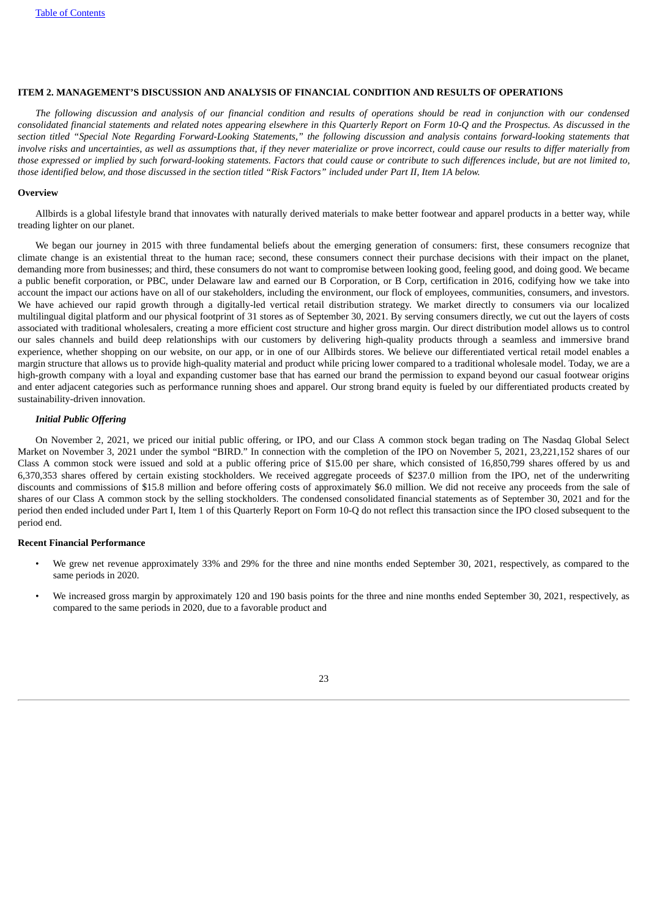# **ITEM 2. MANAGEMENT'S DISCUSSION AND ANALYSIS OF FINANCIAL CONDITION AND RESULTS OF OPERATIONS**

The following discussion and analysis of our financial condition and results of operations should be read in conjunction with our condensed consolidated financial statements and related notes appearing elsewhere in this Quarterly Report on Form 10-Q and the Prospectus. As discussed in the section titled "Special Note Regarding Forward-Looking Statements," the following discussion and analysis contains forward-looking statements that involve risks and uncertainties, as well as assumptions that, if they never materialize or prove incorrect, could cause our results to differ materially from those expressed or implied by such forward-looking statements. Factors that could cause or contribute to such differences include, but are not limited to, those identified below, and those discussed in the section titled "Risk Factors" included under Part II, Item 1A below.

#### **Overview**

Allbirds is a global lifestyle brand that innovates with naturally derived materials to make better footwear and apparel products in a better way, while treading lighter on our planet.

We began our journey in 2015 with three fundamental beliefs about the emerging generation of consumers: first, these consumers recognize that climate change is an existential threat to the human race; second, these consumers connect their purchase decisions with their impact on the planet, demanding more from businesses; and third, these consumers do not want to compromise between looking good, feeling good, and doing good. We became a public benefit corporation, or PBC, under Delaware law and earned our B Corporation, or B Corp, certification in 2016, codifying how we take into account the impact our actions have on all of our stakeholders, including the environment, our flock of employees, communities, consumers, and investors. We have achieved our rapid growth through a digitally-led vertical retail distribution strategy. We market directly to consumers via our localized multilingual digital platform and our physical footprint of 31 stores as of September 30, 2021. By serving consumers directly, we cut out the layers of costs associated with traditional wholesalers, creating a more efficient cost structure and higher gross margin. Our direct distribution model allows us to control our sales channels and build deep relationships with our customers by delivering high-quality products through a seamless and immersive brand experience, whether shopping on our website, on our app, or in one of our Allbirds stores. We believe our differentiated vertical retail model enables a margin structure that allows us to provide high-quality material and product while pricing lower compared to a traditional wholesale model. Today, we are a high-growth company with a loyal and expanding customer base that has earned our brand the permission to expand beyond our casual footwear origins and enter adjacent categories such as performance running shoes and apparel. Our strong brand equity is fueled by our differentiated products created by sustainability-driven innovation.

# *Initial Public Offering*

On November 2, 2021, we priced our initial public offering, or IPO, and our Class A common stock began trading on The Nasdaq Global Select Market on November 3, 2021 under the symbol "BIRD." In connection with the completion of the IPO on November 5, 2021, 23,221,152 shares of our Class A common stock were issued and sold at a public offering price of \$15.00 per share, which consisted of 16,850,799 shares offered by us and 6,370,353 shares offered by certain existing stockholders. We received aggregate proceeds of \$237.0 million from the IPO, net of the underwriting discounts and commissions of \$15.8 million and before offering costs of approximately \$6.0 million. We did not receive any proceeds from the sale of shares of our Class A common stock by the selling stockholders. The condensed consolidated financial statements as of September 30, 2021 and for the period then ended included under Part I, Item 1 of this Quarterly Report on Form 10-Q do not reflect this transaction since the IPO closed subsequent to the period end.

## **Recent Financial Performance**

- We grew net revenue approximately 33% and 29% for the three and nine months ended September 30, 2021, respectively, as compared to the same periods in 2020.
- We increased gross margin by approximately 120 and 190 basis points for the three and nine months ended September 30, 2021, respectively, as compared to the same periods in 2020, due to a favorable product and

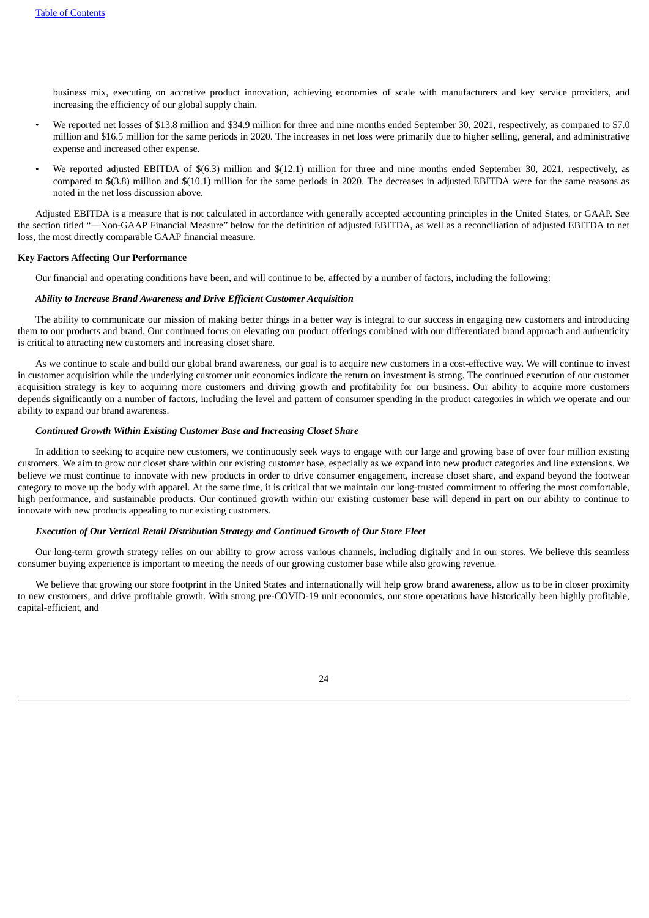business mix, executing on accretive product innovation, achieving economies of scale with manufacturers and key service providers, and increasing the efficiency of our global supply chain.

- We reported net losses of \$13.8 million and \$34.9 million for three and nine months ended September 30, 2021, respectively, as compared to \$7.0 million and \$16.5 million for the same periods in 2020. The increases in net loss were primarily due to higher selling, general, and administrative expense and increased other expense.
- We reported adjusted EBITDA of \$(6.3) million and \$(12.1) million for three and nine months ended September 30, 2021, respectively, as compared to \$(3.8) million and \$(10.1) million for the same periods in 2020. The decreases in adjusted EBITDA were for the same reasons as noted in the net loss discussion above.

Adjusted EBITDA is a measure that is not calculated in accordance with generally accepted accounting principles in the United States, or GAAP. See the section titled "—Non-GAAP Financial Measure" below for the definition of adjusted EBITDA, as well as a reconciliation of adjusted EBITDA to net loss, the most directly comparable GAAP financial measure.

#### **Key Factors Affecting Our Performance**

Our financial and operating conditions have been, and will continue to be, affected by a number of factors, including the following:

#### *Ability to Increase Brand Awareness and Drive Efficient Customer Acquisition*

The ability to communicate our mission of making better things in a better way is integral to our success in engaging new customers and introducing them to our products and brand. Our continued focus on elevating our product offerings combined with our differentiated brand approach and authenticity is critical to attracting new customers and increasing closet share.

As we continue to scale and build our global brand awareness, our goal is to acquire new customers in a cost-effective way. We will continue to invest in customer acquisition while the underlying customer unit economics indicate the return on investment is strong. The continued execution of our customer acquisition strategy is key to acquiring more customers and driving growth and profitability for our business. Our ability to acquire more customers depends significantly on a number of factors, including the level and pattern of consumer spending in the product categories in which we operate and our ability to expand our brand awareness.

#### *Continued Growth Within Existing Customer Base and Increasing Closet Share*

In addition to seeking to acquire new customers, we continuously seek ways to engage with our large and growing base of over four million existing customers. We aim to grow our closet share within our existing customer base, especially as we expand into new product categories and line extensions. We believe we must continue to innovate with new products in order to drive consumer engagement, increase closet share, and expand beyond the footwear category to move up the body with apparel. At the same time, it is critical that we maintain our long-trusted commitment to offering the most comfortable, high performance, and sustainable products. Our continued growth within our existing customer base will depend in part on our ability to continue to innovate with new products appealing to our existing customers.

#### *Execution of Our Vertical Retail Distribution Strategy and Continued Growth of Our Store Fleet*

Our long-term growth strategy relies on our ability to grow across various channels, including digitally and in our stores. We believe this seamless consumer buying experience is important to meeting the needs of our growing customer base while also growing revenue.

We believe that growing our store footprint in the United States and internationally will help grow brand awareness, allow us to be in closer proximity to new customers, and drive profitable growth. With strong pre-COVID-19 unit economics, our store operations have historically been highly profitable, capital-efficient, and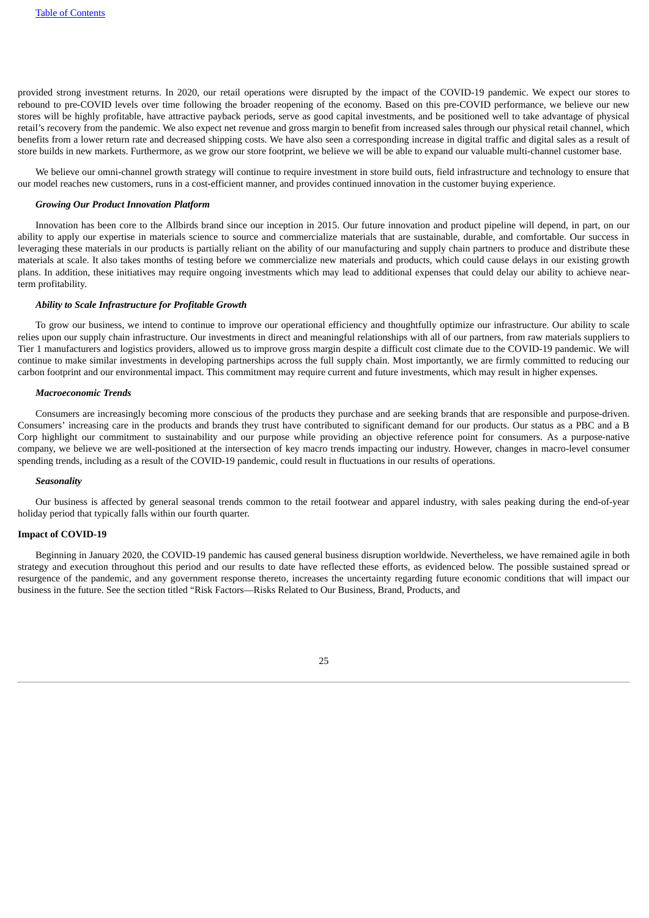provided strong investment returns. In 2020, our retail operations were disrupted by the impact of the COVID-19 pandemic. We expect our stores to rebound to pre-COVID levels over time following the broader reopening of the economy. Based on this pre-COVID performance, we believe our new stores will be highly profitable, have attractive payback periods, serve as good capital investments, and be positioned well to take advantage of physical retail's recovery from the pandemic. We also expect net revenue and gross margin to benefit from increased sales through our physical retail channel, which benefits from a lower return rate and decreased shipping costs. We have also seen a corresponding increase in digital traffic and digital sales as a result of store builds in new markets. Furthermore, as we grow our store footprint, we believe we will be able to expand our valuable multi-channel customer base.

We believe our omni-channel growth strategy will continue to require investment in store build outs, field infrastructure and technology to ensure that our model reaches new customers, runs in a cost-efficient manner, and provides continued innovation in the customer buying experience.

#### *Growing Our Product Innovation Platform*

Innovation has been core to the Allbirds brand since our inception in 2015. Our future innovation and product pipeline will depend, in part, on our ability to apply our expertise in materials science to source and commercialize materials that are sustainable, durable, and comfortable. Our success in leveraging these materials in our products is partially reliant on the ability of our manufacturing and supply chain partners to produce and distribute these materials at scale. It also takes months of testing before we commercialize new materials and products, which could cause delays in our existing growth plans. In addition, these initiatives may require ongoing investments which may lead to additional expenses that could delay our ability to achieve nearterm profitability.

#### *Ability to Scale Infrastructure for Profitable Growth*

To grow our business, we intend to continue to improve our operational efficiency and thoughtfully optimize our infrastructure. Our ability to scale relies upon our supply chain infrastructure. Our investments in direct and meaningful relationships with all of our partners, from raw materials suppliers to Tier 1 manufacturers and logistics providers, allowed us to improve gross margin despite a difficult cost climate due to the COVID-19 pandemic. We will continue to make similar investments in developing partnerships across the full supply chain. Most importantly, we are firmly committed to reducing our carbon footprint and our environmental impact. This commitment may require current and future investments, which may result in higher expenses.

#### *Macroeconomic Trends*

Consumers are increasingly becoming more conscious of the products they purchase and are seeking brands that are responsible and purpose-driven. Consumers' increasing care in the products and brands they trust have contributed to significant demand for our products. Our status as a PBC and a B Corp highlight our commitment to sustainability and our purpose while providing an objective reference point for consumers. As a purpose-native company, we believe we are well-positioned at the intersection of key macro trends impacting our industry. However, changes in macro-level consumer spending trends, including as a result of the COVID-19 pandemic, could result in fluctuations in our results of operations.

#### *Seasonality*

Our business is affected by general seasonal trends common to the retail footwear and apparel industry, with sales peaking during the end-of-year holiday period that typically falls within our fourth quarter.

#### **Impact of COVID-19**

Beginning in January 2020, the COVID-19 pandemic has caused general business disruption worldwide. Nevertheless, we have remained agile in both strategy and execution throughout this period and our results to date have reflected these efforts, as evidenced below. The possible sustained spread or resurgence of the pandemic, and any government response thereto, increases the uncertainty regarding future economic conditions that will impact our business in the future. See the section titled "Risk Factors—Risks Related to Our Business, Brand, Products, and

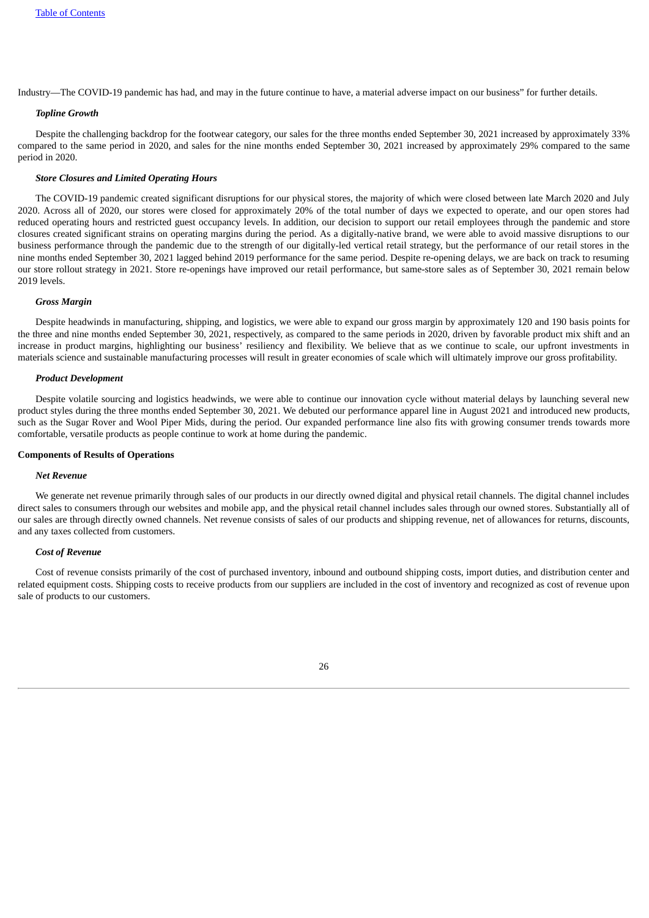Industry—The COVID-19 pandemic has had, and may in the future continue to have, a material adverse impact on our business" for further details.

## *Topline Growth*

Despite the challenging backdrop for the footwear category, our sales for the three months ended September 30, 2021 increased by approximately 33% compared to the same period in 2020, and sales for the nine months ended September 30, 2021 increased by approximately 29% compared to the same period in 2020.

#### *Store Closures and Limited Operating Hours*

The COVID-19 pandemic created significant disruptions for our physical stores, the majority of which were closed between late March 2020 and July 2020. Across all of 2020, our stores were closed for approximately 20% of the total number of days we expected to operate, and our open stores had reduced operating hours and restricted guest occupancy levels. In addition, our decision to support our retail employees through the pandemic and store closures created significant strains on operating margins during the period. As a digitally-native brand, we were able to avoid massive disruptions to our business performance through the pandemic due to the strength of our digitally-led vertical retail strategy, but the performance of our retail stores in the nine months ended September 30, 2021 lagged behind 2019 performance for the same period. Despite re-opening delays, we are back on track to resuming our store rollout strategy in 2021. Store re-openings have improved our retail performance, but same-store sales as of September 30, 2021 remain below 2019 levels.

#### *Gross Margin*

Despite headwinds in manufacturing, shipping, and logistics, we were able to expand our gross margin by approximately 120 and 190 basis points for the three and nine months ended September 30, 2021, respectively, as compared to the same periods in 2020, driven by favorable product mix shift and an increase in product margins, highlighting our business' resiliency and flexibility. We believe that as we continue to scale, our upfront investments in materials science and sustainable manufacturing processes will result in greater economies of scale which will ultimately improve our gross profitability.

#### *Product Development*

Despite volatile sourcing and logistics headwinds, we were able to continue our innovation cycle without material delays by launching several new product styles during the three months ended September 30, 2021. We debuted our performance apparel line in August 2021 and introduced new products, such as the Sugar Rover and Wool Piper Mids, during the period. Our expanded performance line also fits with growing consumer trends towards more comfortable, versatile products as people continue to work at home during the pandemic.

#### **Components of Results of Operations**

#### *Net Revenue*

We generate net revenue primarily through sales of our products in our directly owned digital and physical retail channels. The digital channel includes direct sales to consumers through our websites and mobile app, and the physical retail channel includes sales through our owned stores. Substantially all of our sales are through directly owned channels. Net revenue consists of sales of our products and shipping revenue, net of allowances for returns, discounts, and any taxes collected from customers.

#### *Cost of Revenue*

Cost of revenue consists primarily of the cost of purchased inventory, inbound and outbound shipping costs, import duties, and distribution center and related equipment costs. Shipping costs to receive products from our suppliers are included in the cost of inventory and recognized as cost of revenue upon sale of products to our customers.

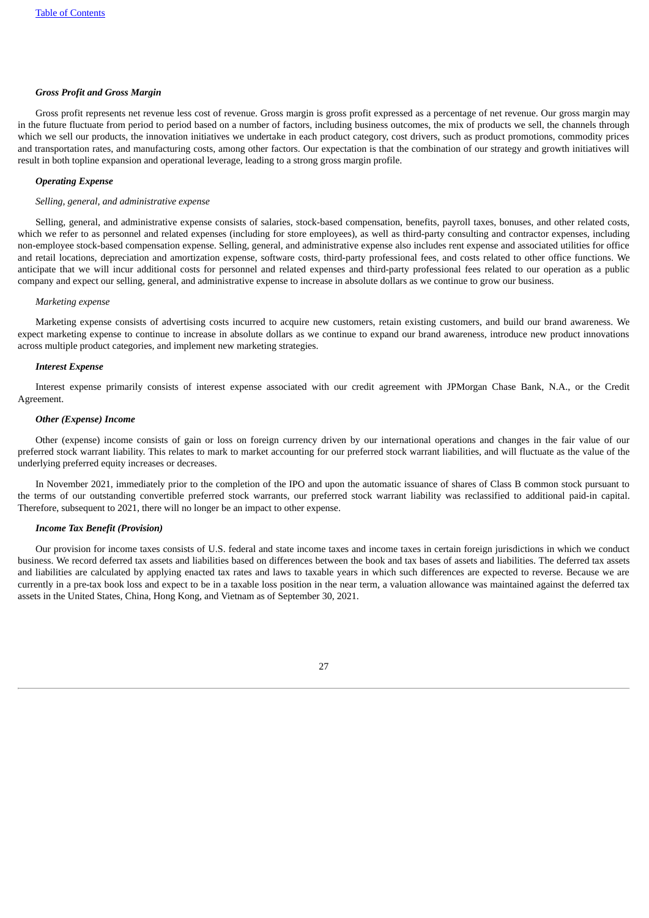#### *Gross Profit and Gross Margin*

Gross profit represents net revenue less cost of revenue. Gross margin is gross profit expressed as a percentage of net revenue. Our gross margin may in the future fluctuate from period to period based on a number of factors, including business outcomes, the mix of products we sell, the channels through which we sell our products, the innovation initiatives we undertake in each product category, cost drivers, such as product promotions, commodity prices and transportation rates, and manufacturing costs, among other factors. Our expectation is that the combination of our strategy and growth initiatives will result in both topline expansion and operational leverage, leading to a strong gross margin profile.

#### *Operating Expense*

#### *Selling, general, and administrative expense*

Selling, general, and administrative expense consists of salaries, stock-based compensation, benefits, payroll taxes, bonuses, and other related costs, which we refer to as personnel and related expenses (including for store employees), as well as third-party consulting and contractor expenses, including non-employee stock-based compensation expense. Selling, general, and administrative expense also includes rent expense and associated utilities for office and retail locations, depreciation and amortization expense, software costs, third-party professional fees, and costs related to other office functions. We anticipate that we will incur additional costs for personnel and related expenses and third-party professional fees related to our operation as a public company and expect our selling, general, and administrative expense to increase in absolute dollars as we continue to grow our business.

#### *Marketing expense*

Marketing expense consists of advertising costs incurred to acquire new customers, retain existing customers, and build our brand awareness. We expect marketing expense to continue to increase in absolute dollars as we continue to expand our brand awareness, introduce new product innovations across multiple product categories, and implement new marketing strategies.

#### *Interest Expense*

Interest expense primarily consists of interest expense associated with our credit agreement with JPMorgan Chase Bank, N.A., or the Credit Agreement.

#### *Other (Expense) Income*

Other (expense) income consists of gain or loss on foreign currency driven by our international operations and changes in the fair value of our preferred stock warrant liability. This relates to mark to market accounting for our preferred stock warrant liabilities, and will fluctuate as the value of the underlying preferred equity increases or decreases.

In November 2021, immediately prior to the completion of the IPO and upon the automatic issuance of shares of Class B common stock pursuant to the terms of our outstanding convertible preferred stock warrants, our preferred stock warrant liability was reclassified to additional paid-in capital. Therefore, subsequent to 2021, there will no longer be an impact to other expense.

#### *Income Tax Benefit (Provision)*

Our provision for income taxes consists of U.S. federal and state income taxes and income taxes in certain foreign jurisdictions in which we conduct business. We record deferred tax assets and liabilities based on differences between the book and tax bases of assets and liabilities. The deferred tax assets and liabilities are calculated by applying enacted tax rates and laws to taxable years in which such differences are expected to reverse. Because we are currently in a pre-tax book loss and expect to be in a taxable loss position in the near term, a valuation allowance was maintained against the deferred tax assets in the United States, China, Hong Kong, and Vietnam as of September 30, 2021.

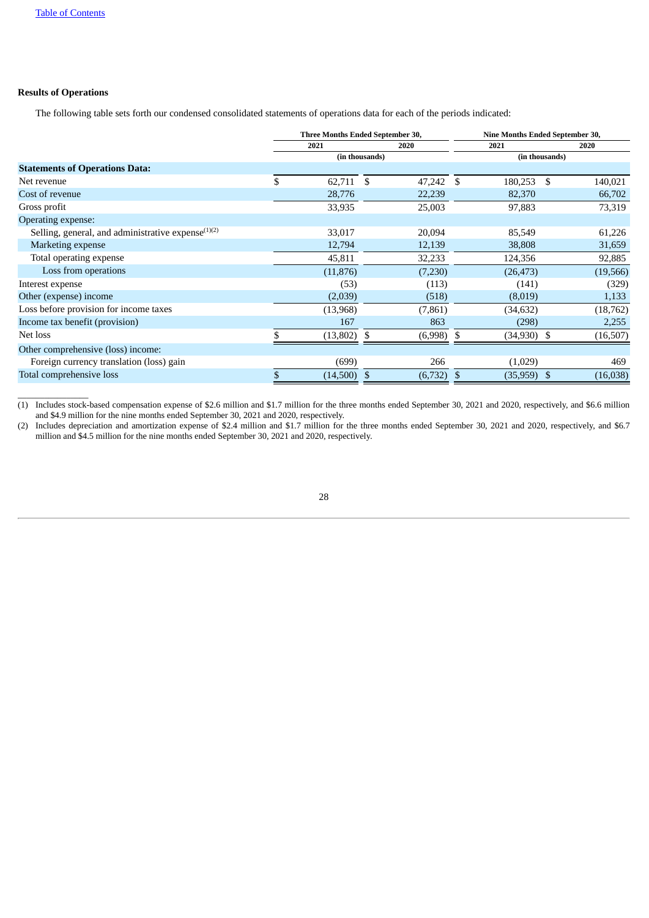# **Results of Operations**

 $\overline{\phantom{a}}$  , where  $\overline{\phantom{a}}$  , where  $\overline{\phantom{a}}$ 

The following table sets forth our condensed consolidated statements of operations data for each of the periods indicated:

|                                                       | Three Months Ended September 30, |                |      |              | Nine Months Ended September 30, |                |    |           |  |
|-------------------------------------------------------|----------------------------------|----------------|------|--------------|---------------------------------|----------------|----|-----------|--|
|                                                       |                                  | 2021           |      | 2020         |                                 | 2021           |    | 2020      |  |
|                                                       |                                  | (in thousands) |      |              |                                 | (in thousands) |    |           |  |
| <b>Statements of Operations Data:</b>                 |                                  |                |      |              |                                 |                |    |           |  |
| Net revenue                                           | \$                               | 62,711 \$      |      | 47,242 \$    |                                 | 180,253        | -S | 140,021   |  |
| Cost of revenue                                       |                                  | 28,776         |      | 22,239       |                                 | 82,370         |    | 66,702    |  |
| Gross profit                                          |                                  | 33,935         |      | 25,003       |                                 | 97,883         |    | 73,319    |  |
| Operating expense:                                    |                                  |                |      |              |                                 |                |    |           |  |
| Selling, general, and administrative expense $(1)(2)$ |                                  | 33,017         |      | 20,094       |                                 | 85,549         |    | 61,226    |  |
| Marketing expense                                     |                                  | 12,794         |      | 12,139       |                                 | 38,808         |    | 31,659    |  |
| Total operating expense                               |                                  | 45,811         |      | 32,233       |                                 | 124,356        |    | 92,885    |  |
| Loss from operations                                  |                                  | (11, 876)      |      | (7,230)      |                                 | (26, 473)      |    | (19, 566) |  |
| Interest expense                                      |                                  | (53)           |      | (113)        |                                 | (141)          |    | (329)     |  |
| Other (expense) income                                |                                  | (2,039)        |      | (518)        |                                 | (8,019)        |    | 1,133     |  |
| Loss before provision for income taxes                |                                  | (13,968)       |      | (7, 861)     |                                 | (34, 632)      |    | (18, 762) |  |
| Income tax benefit (provision)                        |                                  | 167            |      | 863          |                                 | (298)          |    | 2,255     |  |
| Net loss                                              |                                  | (13, 802)      | - \$ | $(6,998)$ \$ |                                 | $(34,930)$ \$  |    | (16, 507) |  |
| Other comprehensive (loss) income:                    |                                  |                |      |              |                                 |                |    |           |  |
| Foreign currency translation (loss) gain              |                                  | (699)          |      | 266          |                                 | (1,029)        |    | 469       |  |
| Total comprehensive loss                              | S                                | $(14,500)$ \$  |      | (6,732)      | $\mathcal{S}$                   | $(35,959)$ \$  |    | (16,038)  |  |

(1) Includes stock-based compensation expense of \$2.6 million and \$1.7 million for the three months ended September 30, 2021 and 2020, respectively, and \$6.6 million and \$4.9 million for the nine months ended September 30, 2021 and 2020, respectively.

(2) Includes depreciation and amortization expense of \$2.4 million and \$1.7 million for the three months ended September 30, 2021 and 2020, respectively, and \$6.7 million and \$4.5 million for the nine months ended September 30, 2021 and 2020, respectively.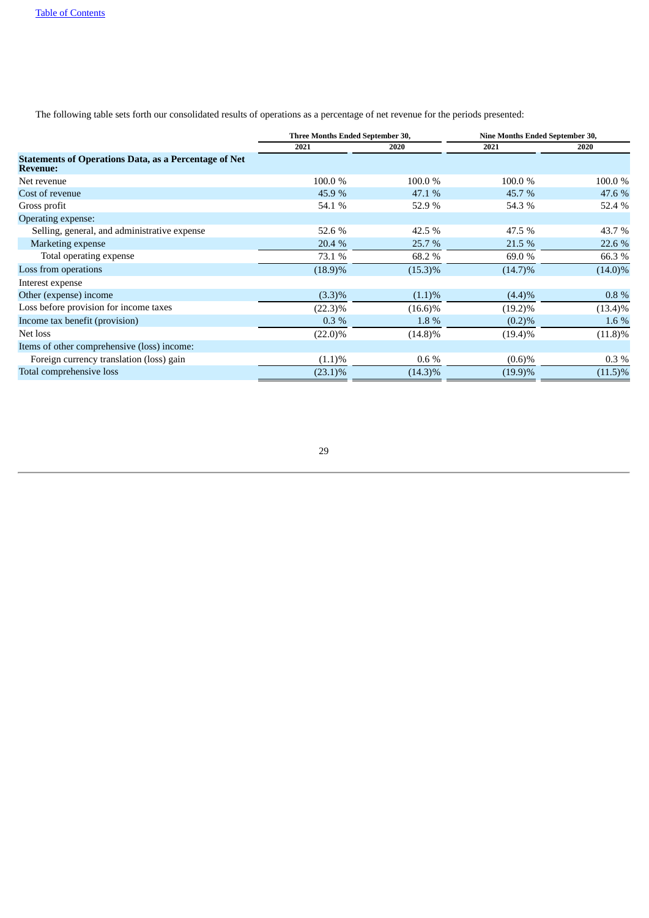The following table sets forth our consolidated results of operations as a percentage of net revenue for the periods presented:

|                                                                                 | Three Months Ended September 30, |            | Nine Months Ended September 30, |            |  |
|---------------------------------------------------------------------------------|----------------------------------|------------|---------------------------------|------------|--|
|                                                                                 | 2021                             | 2020       | 2021                            | 2020       |  |
| <b>Statements of Operations Data, as a Percentage of Net</b><br><b>Revenue:</b> |                                  |            |                                 |            |  |
| Net revenue                                                                     | 100.0%                           | 100.0%     | 100.0 %                         | 100.0 %    |  |
| Cost of revenue                                                                 | 45.9 %                           | 47.1 %     | 45.7 %                          | 47.6 %     |  |
| Gross profit                                                                    | 54.1 %                           | 52.9%      | 54.3 %                          | 52.4 %     |  |
| Operating expense:                                                              |                                  |            |                                 |            |  |
| Selling, general, and administrative expense                                    | 52.6 %                           | 42.5 %     | 47.5 %                          | 43.7 %     |  |
| Marketing expense                                                               | 20.4 %                           | 25.7 %     | 21.5 %                          | 22.6 %     |  |
| Total operating expense                                                         | 73.1 %                           | 68.2 %     | 69.0 %                          | 66.3%      |  |
| Loss from operations                                                            | $(18.9)\%$                       | $(15.3)\%$ | $(14.7)\%$                      | $(14.0)\%$ |  |
| Interest expense                                                                |                                  |            |                                 |            |  |
| Other (expense) income                                                          | $(3.3)\%$                        | $(1.1)\%$  | (4.4)%                          | $0.8 \%$   |  |
| Loss before provision for income taxes                                          | $(22.3)\%$                       | $(16.6)\%$ | $(19.2)\%$                      | $(13.4)\%$ |  |
| Income tax benefit (provision)                                                  | $0.3\%$                          | 1.8 %      | (0.2)%                          | 1.6 %      |  |
| Net loss                                                                        | $(22.0)\%$                       | $(14.8)\%$ | $(19.4)\%$                      | $(11.8)\%$ |  |
| Items of other comprehensive (loss) income:                                     |                                  |            |                                 |            |  |
| Foreign currency translation (loss) gain                                        | $(1.1)\%$                        | $0.6\%$    | $(0.6)\%$                       | $0.3\%$    |  |
| Total comprehensive loss                                                        | $(23.1)\%$                       | $(14.3)\%$ | $(19.9)\%$                      | $(11.5)\%$ |  |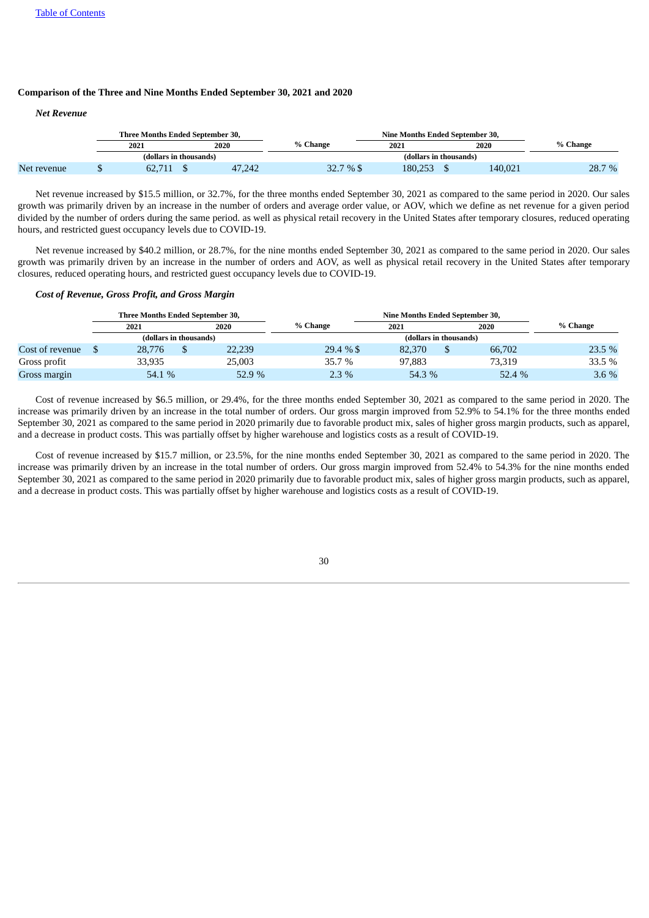## **Comparison of the Three and Nine Months Ended September 30, 2021 and 2020**

### *Net Revenue*

|             | <b>Three Months Ended September 30.</b> |        |             |      |                        | Nine Months Ended September 30. |          |
|-------------|-----------------------------------------|--------|-------------|------|------------------------|---------------------------------|----------|
|             | 2021                                    | 2020   | % Change    | 2021 |                        | 2020                            | % Change |
|             | (dollars in thousands)                  |        |             |      | (dollars in thousands) |                                 |          |
| Net revenue | 62,711                                  | 47,242 | $32.7\%$ \$ |      | 180.253                | 140,021                         | 28.7 %   |

Net revenue increased by \$15.5 million, or 32.7%, for the three months ended September 30, 2021 as compared to the same period in 2020. Our sales growth was primarily driven by an increase in the number of orders and average order value, or AOV, which we define as net revenue for a given period divided by the number of orders during the same period. as well as physical retail recovery in the United States after temporary closures, reduced operating hours, and restricted guest occupancy levels due to COVID-19.

Net revenue increased by \$40.2 million, or 28.7%, for the nine months ended September 30, 2021 as compared to the same period in 2020. Our sales growth was primarily driven by an increase in the number of orders and AOV, as well as physical retail recovery in the United States after temporary closures, reduced operating hours, and restricted guest occupancy levels due to COVID-19.

#### *Cost of Revenue, Gross Profit, and Gross Margin*

|                 | Three Months Ended September 30, |        | Nine Months Ended September 30, |        |  |        |          |
|-----------------|----------------------------------|--------|---------------------------------|--------|--|--------|----------|
|                 | 2021                             | 2020   | % Change                        | 2021   |  | 2020   | % Change |
|                 | (dollars in thousands)           |        |                                 |        |  |        |          |
| Cost of revenue | 28,776                           | 22,239 | $29.4\%$ \$                     | 82,370 |  | 66,702 | 23.5 %   |
| Gross profit    | 33,935                           | 25,003 | 35.7 %                          | 97,883 |  | 73.319 | 33.5 %   |
| Gross margin    | 54.1 %                           | 52.9 % | $2.3\%$                         | 54.3 % |  | 52.4 % | $3.6\%$  |

Cost of revenue increased by \$6.5 million, or 29.4%, for the three months ended September 30, 2021 as compared to the same period in 2020. The increase was primarily driven by an increase in the total number of orders. Our gross margin improved from 52.9% to 54.1% for the three months ended September 30, 2021 as compared to the same period in 2020 primarily due to favorable product mix, sales of higher gross margin products, such as apparel, and a decrease in product costs. This was partially offset by higher warehouse and logistics costs as a result of COVID-19.

Cost of revenue increased by \$15.7 million, or 23.5%, for the nine months ended September 30, 2021 as compared to the same period in 2020. The increase was primarily driven by an increase in the total number of orders. Our gross margin improved from 52.4% to 54.3% for the nine months ended September 30, 2021 as compared to the same period in 2020 primarily due to favorable product mix, sales of higher gross margin products, such as apparel, and a decrease in product costs. This was partially offset by higher warehouse and logistics costs as a result of COVID-19.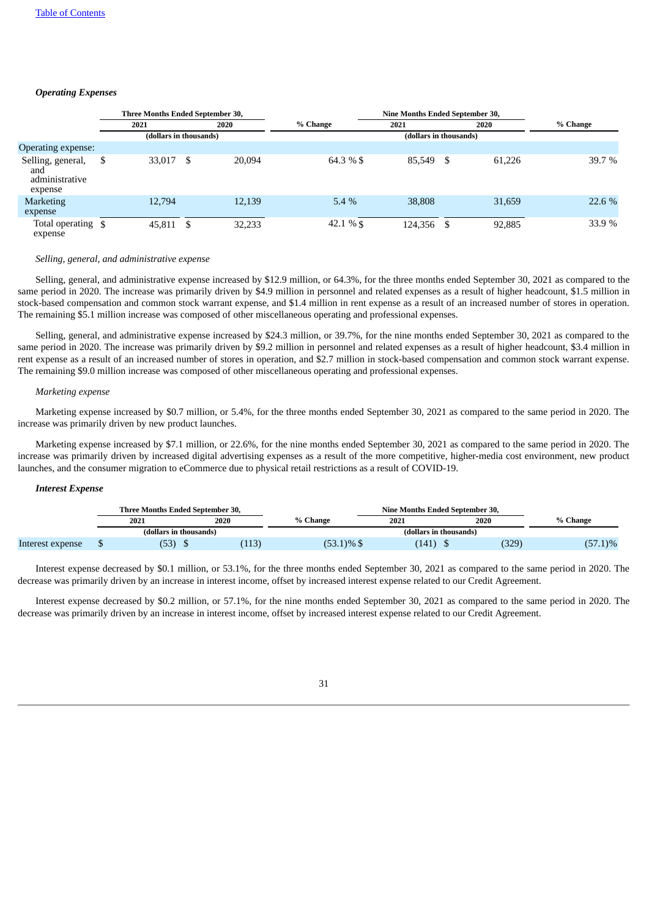# *Operating Expenses*

|                                                       | Three Months Ended September 30, |   |        |            | <b>Nine Months Ended September 30,</b> |    |        |          |
|-------------------------------------------------------|----------------------------------|---|--------|------------|----------------------------------------|----|--------|----------|
|                                                       | 2021                             |   | 2020   | % Change   | 2021                                   |    | 2020   | % Change |
|                                                       | (dollars in thousands)           |   |        |            | (dollars in thousands)                 |    |        |          |
| Operating expense:                                    |                                  |   |        |            |                                        |    |        |          |
| Selling, general,<br>and<br>administrative<br>expense | \$<br>33,017 \$                  |   | 20,094 | 64.3 % \$  | 85,549                                 | -S | 61,226 | 39.7 %   |
| <b>Marketing</b><br>expense                           | 12,794                           |   | 12,139 | 5.4%       | 38,808                                 |    | 31,659 | 22.6 %   |
| Total operating \$<br>expense                         | 45,811                           | S | 32,233 | 42.1 % $$$ | 124,356                                | \$ | 92,885 | 33.9 %   |

#### *Selling, general, and administrative expense*

Selling, general, and administrative expense increased by \$12.9 million, or 64.3%, for the three months ended September 30, 2021 as compared to the same period in 2020. The increase was primarily driven by \$4.9 million in personnel and related expenses as a result of higher headcount, \$1.5 million in stock-based compensation and common stock warrant expense, and \$1.4 million in rent expense as a result of an increased number of stores in operation. The remaining \$5.1 million increase was composed of other miscellaneous operating and professional expenses.

Selling, general, and administrative expense increased by \$24.3 million, or 39.7%, for the nine months ended September 30, 2021 as compared to the same period in 2020. The increase was primarily driven by \$9.2 million in personnel and related expenses as a result of higher headcount, \$3.4 million in rent expense as a result of an increased number of stores in operation, and \$2.7 million in stock-based compensation and common stock warrant expense. The remaining \$9.0 million increase was composed of other miscellaneous operating and professional expenses.

#### *Marketing expense*

Marketing expense increased by \$0.7 million, or 5.4%, for the three months ended September 30, 2021 as compared to the same period in 2020. The increase was primarily driven by new product launches.

Marketing expense increased by \$7.1 million, or 22.6%, for the nine months ended September 30, 2021 as compared to the same period in 2020. The increase was primarily driven by increased digital advertising expenses as a result of the more competitive, higher-media cost environment, new product launches, and the consumer migration to eCommerce due to physical retail restrictions as a result of COVID-19.

### *Interest Expense*

|                  | <b>Three Months Ended September 30.</b> |            |               | Nine Months Ended September 30. |                        |       |            |  |
|------------------|-----------------------------------------|------------|---------------|---------------------------------|------------------------|-------|------------|--|
|                  | 2021                                    | 2020       | % Change      | 2021                            |                        | 2020  | % Change   |  |
|                  | (dollars in thousands)                  |            |               |                                 | (dollars in thousands) |       |            |  |
| Interest expense | (53)                                    | <b>TTO</b> | $(53.1)\%$ \$ | (141)                           |                        | (329) | $(57.1)\%$ |  |

Interest expense decreased by \$0.1 million, or 53.1%, for the three months ended September 30, 2021 as compared to the same period in 2020. The decrease was primarily driven by an increase in interest income, offset by increased interest expense related to our Credit Agreement.

Interest expense decreased by \$0.2 million, or 57.1%, for the nine months ended September 30, 2021 as compared to the same period in 2020. The decrease was primarily driven by an increase in interest income, offset by increased interest expense related to our Credit Agreement.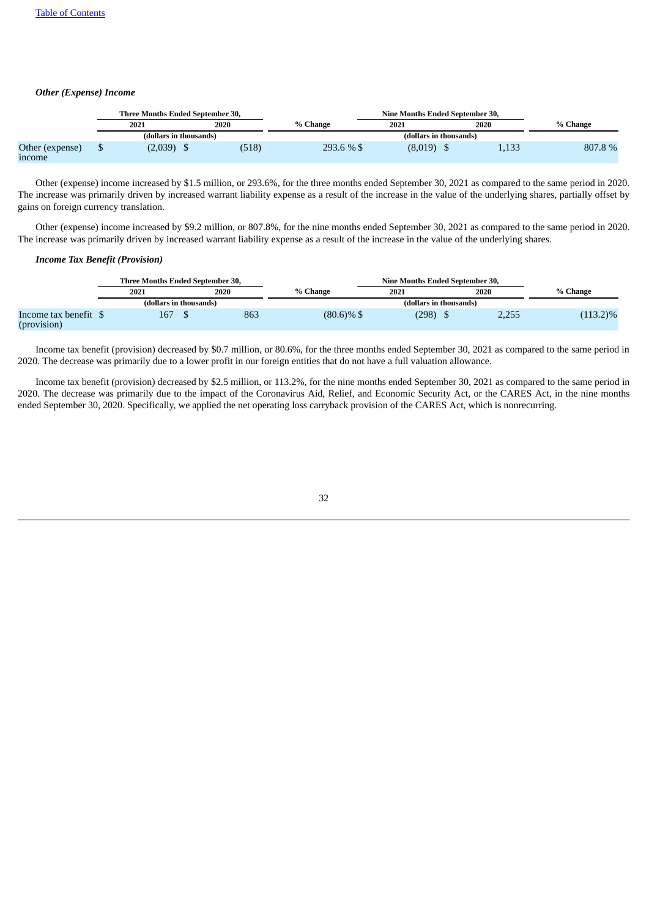### *Other (Expense) Income*

|                           | Three Months Ended September 30, |      |       |           |      |         |       |          |
|---------------------------|----------------------------------|------|-------|-----------|------|---------|-------|----------|
|                           | 2021                             | 2020 |       | % Change  | 2021 |         | 2020  | % Change |
|                           | (dollars in thousands)           |      |       |           |      |         |       |          |
| Other (expense)<br>income | (2,039)                          |      | (518) | $293.6\%$ |      | (8,019) | 1,133 | 807.8%   |

Other (expense) income increased by \$1.5 million, or 293.6%, for the three months ended September 30, 2021 as compared to the same period in 2020. The increase was primarily driven by increased warrant liability expense as a result of the increase in the value of the underlying shares, partially offset by gains on foreign currency translation.

Other (expense) income increased by \$9.2 million, or 807.8%, for the nine months ended September 30, 2021 as compared to the same period in 2020. The increase was primarily driven by increased warrant liability expense as a result of the increase in the value of the underlying shares.

### *Income Tax Benefit (Provision)*

|                                      | Three Months Ended September 30, |  |      |               |       |       |             |
|--------------------------------------|----------------------------------|--|------|---------------|-------|-------|-------------|
|                                      | 2021                             |  | 2020 | % Change      | 2021  | 2020  | % Change    |
|                                      | (dollars in thousands)           |  |      |               |       |       |             |
| Income tax benefit \$<br>(provision) | 167                              |  | 863  | $(80.6)\%$ \$ | (298) | 2,255 | $(113.2)\%$ |

Income tax benefit (provision) decreased by \$0.7 million, or 80.6%, for the three months ended September 30, 2021 as compared to the same period in 2020. The decrease was primarily due to a lower profit in our foreign entities that do not have a full valuation allowance.

Income tax benefit (provision) decreased by \$2.5 million, or 113.2%, for the nine months ended September 30, 2021 as compared to the same period in 2020. The decrease was primarily due to the impact of the Coronavirus Aid, Relief, and Economic Security Act, or the CARES Act, in the nine months ended September 30, 2020. Specifically, we applied the net operating loss carryback provision of the CARES Act, which is nonrecurring.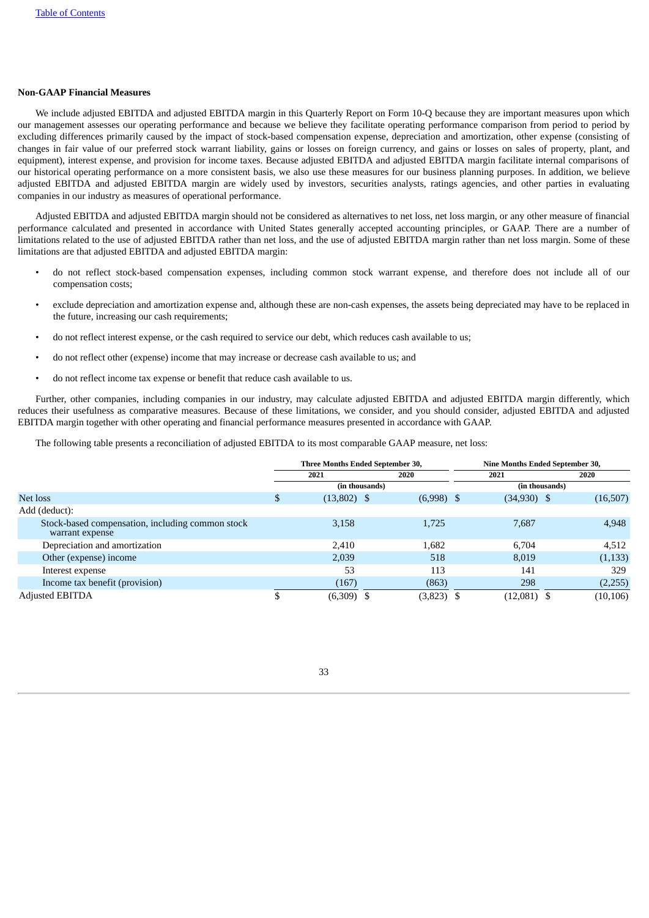### **Non-GAAP Financial Measures**

We include adjusted EBITDA and adjusted EBITDA margin in this Quarterly Report on Form 10-Q because they are important measures upon which our management assesses our operating performance and because we believe they facilitate operating performance comparison from period to period by excluding differences primarily caused by the impact of stock-based compensation expense, depreciation and amortization, other expense (consisting of changes in fair value of our preferred stock warrant liability, gains or losses on foreign currency, and gains or losses on sales of property, plant, and equipment), interest expense, and provision for income taxes. Because adjusted EBITDA and adjusted EBITDA margin facilitate internal comparisons of our historical operating performance on a more consistent basis, we also use these measures for our business planning purposes. In addition, we believe adjusted EBITDA and adjusted EBITDA margin are widely used by investors, securities analysts, ratings agencies, and other parties in evaluating companies in our industry as measures of operational performance.

Adjusted EBITDA and adjusted EBITDA margin should not be considered as alternatives to net loss, net loss margin, or any other measure of financial performance calculated and presented in accordance with United States generally accepted accounting principles, or GAAP. There are a number of limitations related to the use of adjusted EBITDA rather than net loss, and the use of adjusted EBITDA margin rather than net loss margin. Some of these limitations are that adjusted EBITDA and adjusted EBITDA margin:

- do not reflect stock-based compensation expenses, including common stock warrant expense, and therefore does not include all of our compensation costs;
- exclude depreciation and amortization expense and, although these are non-cash expenses, the assets being depreciated may have to be replaced in the future, increasing our cash requirements;
- do not reflect interest expense, or the cash required to service our debt, which reduces cash available to us;
- do not reflect other (expense) income that may increase or decrease cash available to us; and
- do not reflect income tax expense or benefit that reduce cash available to us.

Further, other companies, including companies in our industry, may calculate adjusted EBITDA and adjusted EBITDA margin differently, which reduces their usefulness as comparative measures. Because of these limitations, we consider, and you should consider, adjusted EBITDA and adjusted EBITDA margin together with other operating and financial performance measures presented in accordance with GAAP.

The following table presents a reconciliation of adjusted EBITDA to its most comparable GAAP measure, net loss:

|                                                                     | <b>Three Months Ended September 30,</b> |                |              |  | Nine Months Ended September 30, |           |  |  |
|---------------------------------------------------------------------|-----------------------------------------|----------------|--------------|--|---------------------------------|-----------|--|--|
|                                                                     |                                         | 2021           | 2020         |  | 2021                            | 2020      |  |  |
|                                                                     |                                         | (in thousands) |              |  | (in thousands)                  |           |  |  |
| Net loss                                                            | \$                                      | $(13,802)$ \$  | $(6,998)$ \$ |  | $(34,930)$ \$                   | (16,507)  |  |  |
| Add (deduct):                                                       |                                         |                |              |  |                                 |           |  |  |
| Stock-based compensation, including common stock<br>warrant expense |                                         | 3,158          | 1,725        |  | 7,687                           | 4,948     |  |  |
| Depreciation and amortization                                       |                                         | 2.410          | 1,682        |  | 6.704                           | 4,512     |  |  |
| Other (expense) income                                              |                                         | 2.039          | 518          |  | 8.019                           | (1, 133)  |  |  |
| Interest expense                                                    |                                         | 53             | 113          |  | 141                             | 329       |  |  |
| Income tax benefit (provision)                                      |                                         | (167)          | (863)        |  | 298                             | (2,255)   |  |  |
| <b>Adjusted EBITDA</b>                                              |                                         | $(6,309)$ \$   | $(3,823)$ \$ |  | $(12,081)$ \$                   | (10, 106) |  |  |

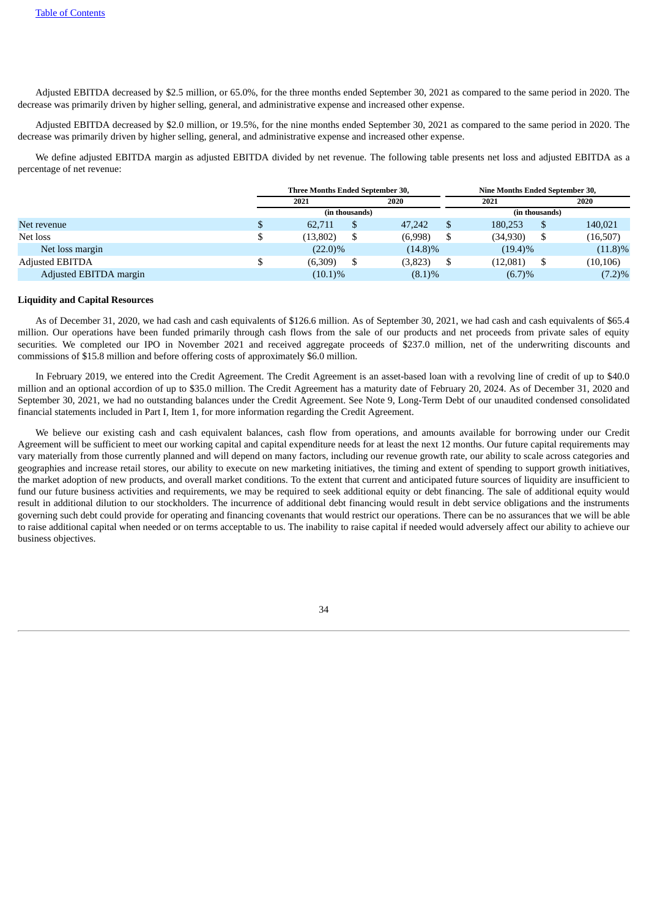Adjusted EBITDA decreased by \$2.5 million, or 65.0%, for the three months ended September 30, 2021 as compared to the same period in 2020. The decrease was primarily driven by higher selling, general, and administrative expense and increased other expense.

Adjusted EBITDA decreased by \$2.0 million, or 19.5%, for the nine months ended September 30, 2021 as compared to the same period in 2020. The decrease was primarily driven by higher selling, general, and administrative expense and increased other expense.

We define adjusted EBITDA margin as adjusted EBITDA divided by net revenue. The following table presents net loss and adjusted EBITDA as a percentage of net revenue:

|                        |    | Three Months Ended September 30, |                |            |   | Nine Months Ended September 30, |    |            |  |
|------------------------|----|----------------------------------|----------------|------------|---|---------------------------------|----|------------|--|
|                        |    | 2021                             |                |            |   | 2021                            |    | 2020       |  |
|                        |    |                                  | (in thousands) |            |   | (in thousands)                  |    |            |  |
| Net revenue            | ۰υ | 62.711                           |                | 47.242     |   | 180.253                         | \$ | 140,021    |  |
| Net loss               |    | (13, 802)                        |                | (6,998)    | S | (34,930)                        | \$ | (16,507)   |  |
| Net loss margin        |    | $(22.0)\%$                       |                | $(14.8)\%$ |   | $(19.4)\%$                      |    | $(11.8)\%$ |  |
| <b>Adjusted EBITDA</b> |    | (6,309)                          |                | (3,823)    |   | (12,081)                        |    | (10, 106)  |  |
| Adjusted EBITDA margin |    | $(10.1)\%$                       |                | $(8.1)\%$  |   | (6.7)%                          |    | $(7.2)\%$  |  |

### **Liquidity and Capital Resources**

As of December 31, 2020, we had cash and cash equivalents of \$126.6 million. As of September 30, 2021, we had cash and cash equivalents of \$65.4 million. Our operations have been funded primarily through cash flows from the sale of our products and net proceeds from private sales of equity securities. We completed our IPO in November 2021 and received aggregate proceeds of \$237.0 million, net of the underwriting discounts and commissions of \$15.8 million and before offering costs of approximately \$6.0 million.

In February 2019, we entered into the Credit Agreement. The Credit Agreement is an asset-based loan with a revolving line of credit of up to \$40.0 million and an optional accordion of up to \$35.0 million. The Credit Agreement has a maturity date of February 20, 2024. As of December 31, 2020 and September 30, 2021, we had no outstanding balances under the Credit Agreement. See Note 9, Long-Term Debt of our unaudited condensed consolidated financial statements included in Part I, Item 1, for more information regarding the Credit Agreement.

We believe our existing cash and cash equivalent balances, cash flow from operations, and amounts available for borrowing under our Credit Agreement will be sufficient to meet our working capital and capital expenditure needs for at least the next 12 months. Our future capital requirements may vary materially from those currently planned and will depend on many factors, including our revenue growth rate, our ability to scale across categories and geographies and increase retail stores, our ability to execute on new marketing initiatives, the timing and extent of spending to support growth initiatives, the market adoption of new products, and overall market conditions. To the extent that current and anticipated future sources of liquidity are insufficient to fund our future business activities and requirements, we may be required to seek additional equity or debt financing. The sale of additional equity would result in additional dilution to our stockholders. The incurrence of additional debt financing would result in debt service obligations and the instruments governing such debt could provide for operating and financing covenants that would restrict our operations. There can be no assurances that we will be able to raise additional capital when needed or on terms acceptable to us. The inability to raise capital if needed would adversely affect our ability to achieve our business objectives.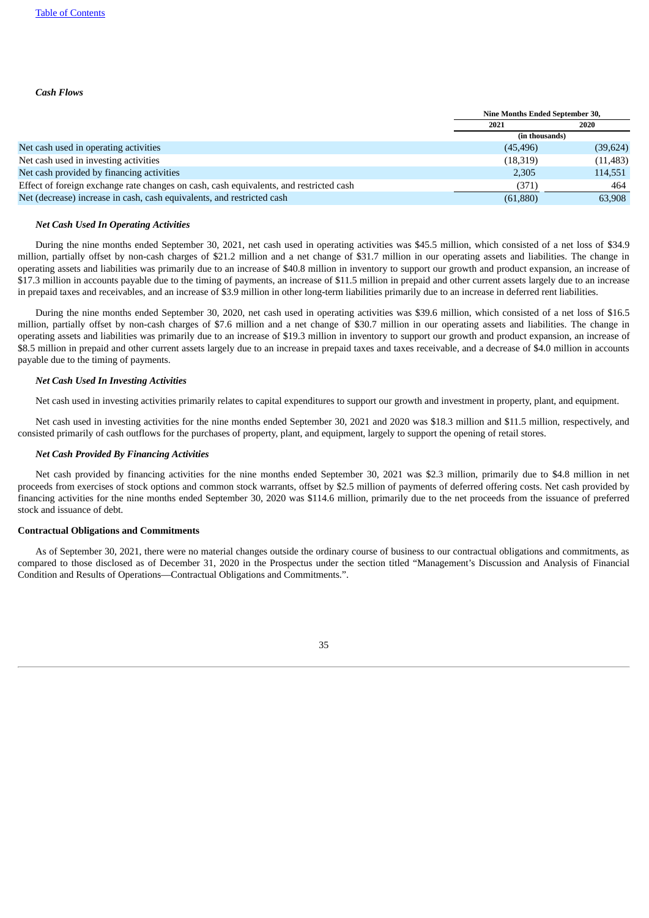# *Cash Flows*

|                                                                                        | Nine Months Ended September 30, |           |
|----------------------------------------------------------------------------------------|---------------------------------|-----------|
|                                                                                        | 2021                            | 2020      |
|                                                                                        | (in thousands)                  |           |
| Net cash used in operating activities                                                  | (45, 496)                       | (39,624)  |
| Net cash used in investing activities                                                  | (18,319)                        | (11, 483) |
| Net cash provided by financing activities                                              | 2,305                           | 114,551   |
| Effect of foreign exchange rate changes on cash, cash equivalents, and restricted cash | (371)                           | 464       |
| Net (decrease) increase in cash, cash equivalents, and restricted cash                 | (61,880)                        | 63,908    |

#### *Net Cash Used In Operating Activities*

During the nine months ended September 30, 2021, net cash used in operating activities was \$45.5 million, which consisted of a net loss of \$34.9 million, partially offset by non-cash charges of \$21.2 million and a net change of \$31.7 million in our operating assets and liabilities. The change in operating assets and liabilities was primarily due to an increase of \$40.8 million in inventory to support our growth and product expansion, an increase of \$17.3 million in accounts payable due to the timing of payments, an increase of \$11.5 million in prepaid and other current assets largely due to an increase in prepaid taxes and receivables, and an increase of \$3.9 million in other long-term liabilities primarily due to an increase in deferred rent liabilities.

During the nine months ended September 30, 2020, net cash used in operating activities was \$39.6 million, which consisted of a net loss of \$16.5 million, partially offset by non-cash charges of \$7.6 million and a net change of \$30.7 million in our operating assets and liabilities. The change in operating assets and liabilities was primarily due to an increase of \$19.3 million in inventory to support our growth and product expansion, an increase of \$8.5 million in prepaid and other current assets largely due to an increase in prepaid taxes and taxes receivable, and a decrease of \$4.0 million in accounts payable due to the timing of payments.

# *Net Cash Used In Investing Activities*

Net cash used in investing activities primarily relates to capital expenditures to support our growth and investment in property, plant, and equipment.

Net cash used in investing activities for the nine months ended September 30, 2021 and 2020 was \$18.3 million and \$11.5 million, respectively, and consisted primarily of cash outflows for the purchases of property, plant, and equipment, largely to support the opening of retail stores.

### *Net Cash Provided By Financing Activities*

Net cash provided by financing activities for the nine months ended September 30, 2021 was \$2.3 million, primarily due to \$4.8 million in net proceeds from exercises of stock options and common stock warrants, offset by \$2.5 million of payments of deferred offering costs. Net cash provided by financing activities for the nine months ended September 30, 2020 was \$114.6 million, primarily due to the net proceeds from the issuance of preferred stock and issuance of debt.

# **Contractual Obligations and Commitments**

As of September 30, 2021, there were no material changes outside the ordinary course of business to our contractual obligations and commitments, as compared to those disclosed as of December 31, 2020 in the Prospectus under the section titled "Management's Discussion and Analysis of Financial Condition and Results of Operations—Contractual Obligations and Commitments.".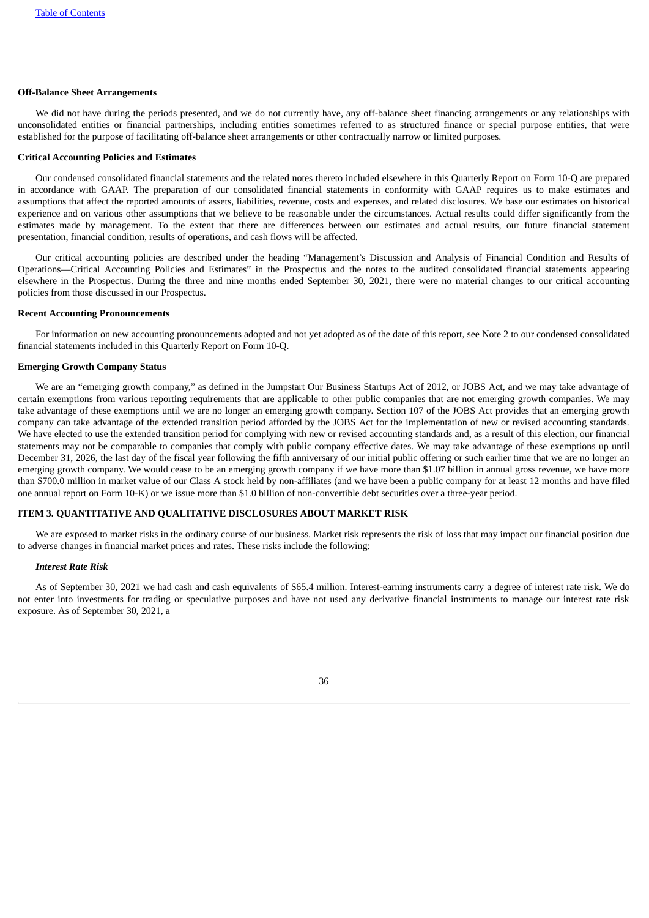### **Off-Balance Sheet Arrangements**

We did not have during the periods presented, and we do not currently have, any off-balance sheet financing arrangements or any relationships with unconsolidated entities or financial partnerships, including entities sometimes referred to as structured finance or special purpose entities, that were established for the purpose of facilitating off-balance sheet arrangements or other contractually narrow or limited purposes.

#### **Critical Accounting Policies and Estimates**

Our condensed consolidated financial statements and the related notes thereto included elsewhere in this Quarterly Report on Form 10-Q are prepared in accordance with GAAP. The preparation of our consolidated financial statements in conformity with GAAP requires us to make estimates and assumptions that affect the reported amounts of assets, liabilities, revenue, costs and expenses, and related disclosures. We base our estimates on historical experience and on various other assumptions that we believe to be reasonable under the circumstances. Actual results could differ significantly from the estimates made by management. To the extent that there are differences between our estimates and actual results, our future financial statement presentation, financial condition, results of operations, and cash flows will be affected.

Our critical accounting policies are described under the heading "Management's Discussion and Analysis of Financial Condition and Results of Operations—Critical Accounting Policies and Estimates" in the Prospectus and the notes to the audited consolidated financial statements appearing elsewhere in the Prospectus. During the three and nine months ended September 30, 2021, there were no material changes to our critical accounting policies from those discussed in our Prospectus.

#### **Recent Accounting Pronouncements**

For information on new accounting pronouncements adopted and not yet adopted as of the date of this report, see Note 2 to our condensed consolidated financial statements included in this Quarterly Report on Form 10-Q.

#### **Emerging Growth Company Status**

We are an "emerging growth company," as defined in the Jumpstart Our Business Startups Act of 2012, or JOBS Act, and we may take advantage of certain exemptions from various reporting requirements that are applicable to other public companies that are not emerging growth companies. We may take advantage of these exemptions until we are no longer an emerging growth company. Section 107 of the JOBS Act provides that an emerging growth company can take advantage of the extended transition period afforded by the JOBS Act for the implementation of new or revised accounting standards. We have elected to use the extended transition period for complying with new or revised accounting standards and, as a result of this election, our financial statements may not be comparable to companies that comply with public company effective dates. We may take advantage of these exemptions up until December 31, 2026, the last day of the fiscal year following the fifth anniversary of our initial public offering or such earlier time that we are no longer an emerging growth company. We would cease to be an emerging growth company if we have more than \$1.07 billion in annual gross revenue, we have more than \$700.0 million in market value of our Class A stock held by non-affiliates (and we have been a public company for at least 12 months and have filed one annual report on Form 10-K) or we issue more than \$1.0 billion of non-convertible debt securities over a three-year period.

#### **ITEM 3. QUANTITATIVE AND QUALITATIVE DISCLOSURES ABOUT MARKET RISK**

We are exposed to market risks in the ordinary course of our business. Market risk represents the risk of loss that may impact our financial position due to adverse changes in financial market prices and rates. These risks include the following:

#### *Interest Rate Risk*

As of September 30, 2021 we had cash and cash equivalents of \$65.4 million. Interest-earning instruments carry a degree of interest rate risk. We do not enter into investments for trading or speculative purposes and have not used any derivative financial instruments to manage our interest rate risk exposure. As of September 30, 2021, a

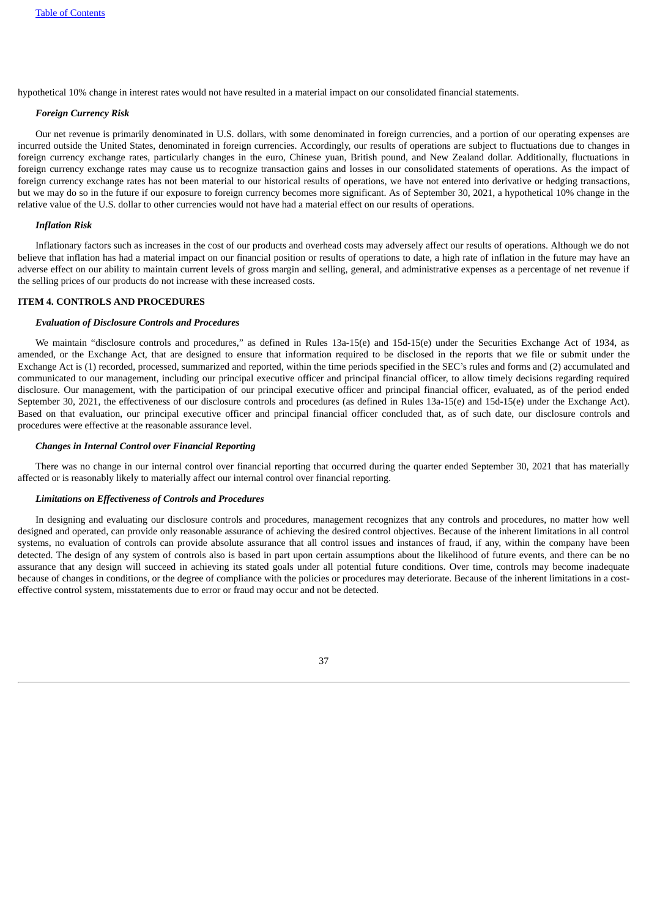hypothetical 10% change in interest rates would not have resulted in a material impact on our consolidated financial statements.

### *Foreign Currency Risk*

Our net revenue is primarily denominated in U.S. dollars, with some denominated in foreign currencies, and a portion of our operating expenses are incurred outside the United States, denominated in foreign currencies. Accordingly, our results of operations are subject to fluctuations due to changes in foreign currency exchange rates, particularly changes in the euro, Chinese yuan, British pound, and New Zealand dollar. Additionally, fluctuations in foreign currency exchange rates may cause us to recognize transaction gains and losses in our consolidated statements of operations. As the impact of foreign currency exchange rates has not been material to our historical results of operations, we have not entered into derivative or hedging transactions, but we may do so in the future if our exposure to foreign currency becomes more significant. As of September 30, 2021, a hypothetical 10% change in the relative value of the U.S. dollar to other currencies would not have had a material effect on our results of operations.

## *Inflation Risk*

Inflationary factors such as increases in the cost of our products and overhead costs may adversely affect our results of operations. Although we do not believe that inflation has had a material impact on our financial position or results of operations to date, a high rate of inflation in the future may have an adverse effect on our ability to maintain current levels of gross margin and selling, general, and administrative expenses as a percentage of net revenue if the selling prices of our products do not increase with these increased costs.

#### **ITEM 4. CONTROLS AND PROCEDURES**

#### *Evaluation of Disclosure Controls and Procedures*

We maintain "disclosure controls and procedures," as defined in Rules 13a-15(e) and 15d-15(e) under the Securities Exchange Act of 1934, as amended, or the Exchange Act, that are designed to ensure that information required to be disclosed in the reports that we file or submit under the Exchange Act is (1) recorded, processed, summarized and reported, within the time periods specified in the SEC's rules and forms and (2) accumulated and communicated to our management, including our principal executive officer and principal financial officer, to allow timely decisions regarding required disclosure. Our management, with the participation of our principal executive officer and principal financial officer, evaluated, as of the period ended September 30, 2021, the effectiveness of our disclosure controls and procedures (as defined in Rules 13a-15(e) and 15d-15(e) under the Exchange Act). Based on that evaluation, our principal executive officer and principal financial officer concluded that, as of such date, our disclosure controls and procedures were effective at the reasonable assurance level.

### *Changes in Internal Control over Financial Reporting*

There was no change in our internal control over financial reporting that occurred during the quarter ended September 30, 2021 that has materially affected or is reasonably likely to materially affect our internal control over financial reporting.

## *Limitations on Effectiveness of Controls and Procedures*

In designing and evaluating our disclosure controls and procedures, management recognizes that any controls and procedures, no matter how well designed and operated, can provide only reasonable assurance of achieving the desired control objectives. Because of the inherent limitations in all control systems, no evaluation of controls can provide absolute assurance that all control issues and instances of fraud, if any, within the company have been detected. The design of any system of controls also is based in part upon certain assumptions about the likelihood of future events, and there can be no assurance that any design will succeed in achieving its stated goals under all potential future conditions. Over time, controls may become inadequate because of changes in conditions, or the degree of compliance with the policies or procedures may deteriorate. Because of the inherent limitations in a costeffective control system, misstatements due to error or fraud may occur and not be detected.

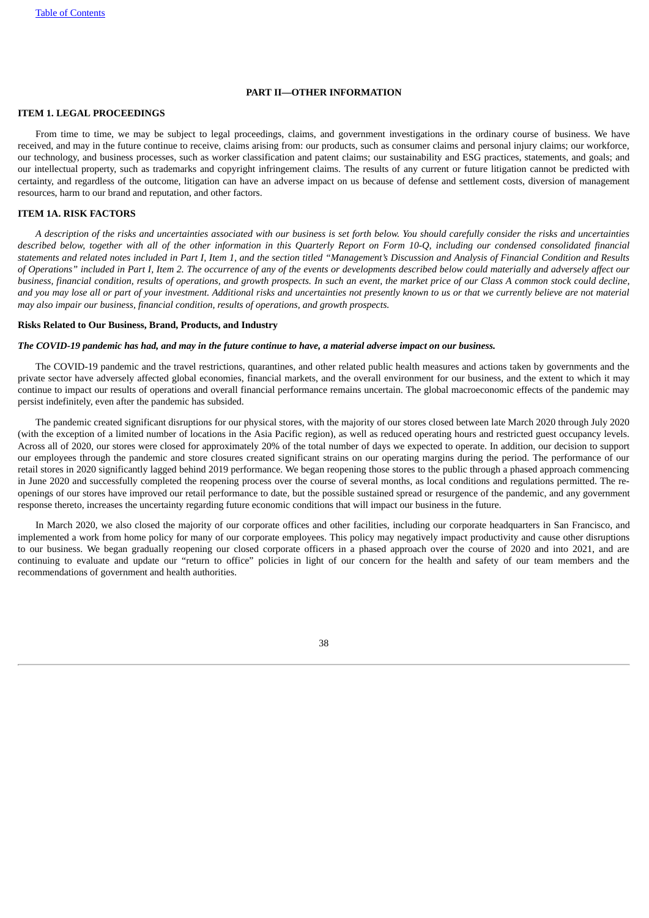# **PART II—OTHER INFORMATION**

# **ITEM 1. LEGAL PROCEEDINGS**

From time to time, we may be subject to legal proceedings, claims, and government investigations in the ordinary course of business. We have received, and may in the future continue to receive, claims arising from: our products, such as consumer claims and personal injury claims; our workforce, our technology, and business processes, such as worker classification and patent claims; our sustainability and ESG practices, statements, and goals; and our intellectual property, such as trademarks and copyright infringement claims. The results of any current or future litigation cannot be predicted with certainty, and regardless of the outcome, litigation can have an adverse impact on us because of defense and settlement costs, diversion of management resources, harm to our brand and reputation, and other factors.

# **ITEM 1A. RISK FACTORS**

A description of the risks and uncertainties associated with our business is set forth below. You should carefully consider the risks and uncertainties described below, together with all of the other information in this Quarterly Report on Form 10-Q, including our condensed consolidated financial statements and related notes included in Part I, Item 1, and the section titled "Management's Discussion and Analysis of Financial Condition and Results of Operations" included in Part I, Item 2. The occurrence of any of the events or developments described below could materially and adversely affect our business, financial condition, results of operations, and growth prospects. In such an event, the market price of our Class A common stock could decline, and you may lose all or part of your investment. Additional risks and uncertainties not presently known to us or that we currently believe are not material *may also impair our business, financial condition, results of operations, and growth prospects.*

### **Risks Related to Our Business, Brand, Products, and Industry**

### The COVID-19 pandemic has had, and may in the future continue to have, a material adverse impact on our business.

The COVID-19 pandemic and the travel restrictions, quarantines, and other related public health measures and actions taken by governments and the private sector have adversely affected global economies, financial markets, and the overall environment for our business, and the extent to which it may continue to impact our results of operations and overall financial performance remains uncertain. The global macroeconomic effects of the pandemic may persist indefinitely, even after the pandemic has subsided.

The pandemic created significant disruptions for our physical stores, with the majority of our stores closed between late March 2020 through July 2020 (with the exception of a limited number of locations in the Asia Pacific region), as well as reduced operating hours and restricted guest occupancy levels. Across all of 2020, our stores were closed for approximately 20% of the total number of days we expected to operate. In addition, our decision to support our employees through the pandemic and store closures created significant strains on our operating margins during the period. The performance of our retail stores in 2020 significantly lagged behind 2019 performance. We began reopening those stores to the public through a phased approach commencing in June 2020 and successfully completed the reopening process over the course of several months, as local conditions and regulations permitted. The reopenings of our stores have improved our retail performance to date, but the possible sustained spread or resurgence of the pandemic, and any government response thereto, increases the uncertainty regarding future economic conditions that will impact our business in the future.

In March 2020, we also closed the majority of our corporate offices and other facilities, including our corporate headquarters in San Francisco, and implemented a work from home policy for many of our corporate employees. This policy may negatively impact productivity and cause other disruptions to our business. We began gradually reopening our closed corporate officers in a phased approach over the course of 2020 and into 2021, and are continuing to evaluate and update our "return to office" policies in light of our concern for the health and safety of our team members and the recommendations of government and health authorities.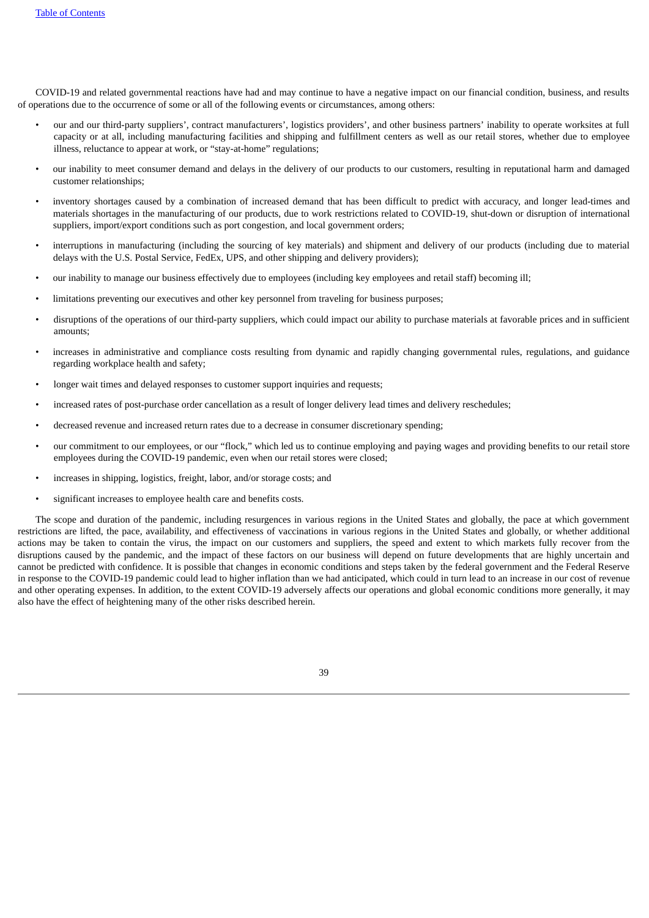COVID-19 and related governmental reactions have had and may continue to have a negative impact on our financial condition, business, and results of operations due to the occurrence of some or all of the following events or circumstances, among others:

- our and our third-party suppliers', contract manufacturers', logistics providers', and other business partners' inability to operate worksites at full capacity or at all, including manufacturing facilities and shipping and fulfillment centers as well as our retail stores, whether due to employee illness, reluctance to appear at work, or "stay-at-home" regulations;
- our inability to meet consumer demand and delays in the delivery of our products to our customers, resulting in reputational harm and damaged customer relationships;
- inventory shortages caused by a combination of increased demand that has been difficult to predict with accuracy, and longer lead-times and materials shortages in the manufacturing of our products, due to work restrictions related to COVID-19, shut-down or disruption of international suppliers, import/export conditions such as port congestion, and local government orders;
- interruptions in manufacturing (including the sourcing of key materials) and shipment and delivery of our products (including due to material delays with the U.S. Postal Service, FedEx, UPS, and other shipping and delivery providers);
- our inability to manage our business effectively due to employees (including key employees and retail staff) becoming ill;
- limitations preventing our executives and other key personnel from traveling for business purposes;
- disruptions of the operations of our third-party suppliers, which could impact our ability to purchase materials at favorable prices and in sufficient amounts;
- increases in administrative and compliance costs resulting from dynamic and rapidly changing governmental rules, regulations, and guidance regarding workplace health and safety;
- longer wait times and delayed responses to customer support inquiries and requests;
- increased rates of post-purchase order cancellation as a result of longer delivery lead times and delivery reschedules;
- decreased revenue and increased return rates due to a decrease in consumer discretionary spending;
- our commitment to our employees, or our "flock," which led us to continue employing and paying wages and providing benefits to our retail store employees during the COVID-19 pandemic, even when our retail stores were closed;
- increases in shipping, logistics, freight, labor, and/or storage costs; and
- significant increases to employee health care and benefits costs.

The scope and duration of the pandemic, including resurgences in various regions in the United States and globally, the pace at which government restrictions are lifted, the pace, availability, and effectiveness of vaccinations in various regions in the United States and globally, or whether additional actions may be taken to contain the virus, the impact on our customers and suppliers, the speed and extent to which markets fully recover from the disruptions caused by the pandemic, and the impact of these factors on our business will depend on future developments that are highly uncertain and cannot be predicted with confidence. It is possible that changes in economic conditions and steps taken by the federal government and the Federal Reserve in response to the COVID-19 pandemic could lead to higher inflation than we had anticipated, which could in turn lead to an increase in our cost of revenue and other operating expenses. In addition, to the extent COVID-19 adversely affects our operations and global economic conditions more generally, it may also have the effect of heightening many of the other risks described herein.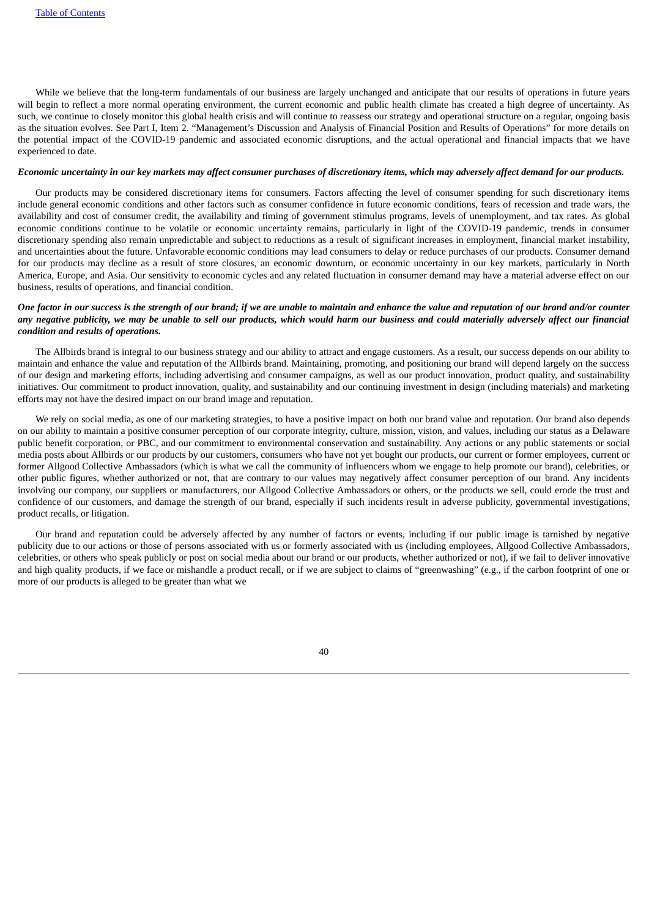While we believe that the long-term fundamentals of our business are largely unchanged and anticipate that our results of operations in future years will begin to reflect a more normal operating environment, the current economic and public health climate has created a high degree of uncertainty. As such, we continue to closely monitor this global health crisis and will continue to reassess our strategy and operational structure on a regular, ongoing basis as the situation evolves. See Part I, Item 2. "Management's Discussion and Analysis of Financial Position and Results of Operations" for more details on the potential impact of the COVID-19 pandemic and associated economic disruptions, and the actual operational and financial impacts that we have experienced to date.

### Economic uncertainty in our key markets may affect consumer purchases of discretionary items, which may adversely affect demand for our products.

Our products may be considered discretionary items for consumers. Factors affecting the level of consumer spending for such discretionary items include general economic conditions and other factors such as consumer confidence in future economic conditions, fears of recession and trade wars, the availability and cost of consumer credit, the availability and timing of government stimulus programs, levels of unemployment, and tax rates. As global economic conditions continue to be volatile or economic uncertainty remains, particularly in light of the COVID-19 pandemic, trends in consumer discretionary spending also remain unpredictable and subject to reductions as a result of significant increases in employment, financial market instability, and uncertainties about the future. Unfavorable economic conditions may lead consumers to delay or reduce purchases of our products. Consumer demand for our products may decline as a result of store closures, an economic downturn, or economic uncertainty in our key markets, particularly in North America, Europe, and Asia. Our sensitivity to economic cycles and any related fluctuation in consumer demand may have a material adverse effect on our business, results of operations, and financial condition.

# One factor in our success is the strength of our brand; if we are unable to maintain and enhance the value and reputation of our brand and/or counter any negative publicity, we may be unable to sell our products, which would harm our business and could materially adversely affect our financial *condition and results of operations.*

The Allbirds brand is integral to our business strategy and our ability to attract and engage customers. As a result, our success depends on our ability to maintain and enhance the value and reputation of the Allbirds brand. Maintaining, promoting, and positioning our brand will depend largely on the success of our design and marketing efforts, including advertising and consumer campaigns, as well as our product innovation, product quality, and sustainability initiatives. Our commitment to product innovation, quality, and sustainability and our continuing investment in design (including materials) and marketing efforts may not have the desired impact on our brand image and reputation.

We rely on social media, as one of our marketing strategies, to have a positive impact on both our brand value and reputation. Our brand also depends on our ability to maintain a positive consumer perception of our corporate integrity, culture, mission, vision, and values, including our status as a Delaware public benefit corporation, or PBC, and our commitment to environmental conservation and sustainability. Any actions or any public statements or social media posts about Allbirds or our products by our customers, consumers who have not yet bought our products, our current or former employees, current or former Allgood Collective Ambassadors (which is what we call the community of influencers whom we engage to help promote our brand), celebrities, or other public figures, whether authorized or not, that are contrary to our values may negatively affect consumer perception of our brand. Any incidents involving our company, our suppliers or manufacturers, our Allgood Collective Ambassadors or others, or the products we sell, could erode the trust and confidence of our customers, and damage the strength of our brand, especially if such incidents result in adverse publicity, governmental investigations, product recalls, or litigation.

Our brand and reputation could be adversely affected by any number of factors or events, including if our public image is tarnished by negative publicity due to our actions or those of persons associated with us or formerly associated with us (including employees, Allgood Collective Ambassadors, celebrities, or others who speak publicly or post on social media about our brand or our products, whether authorized or not), if we fail to deliver innovative and high quality products, if we face or mishandle a product recall, or if we are subject to claims of "greenwashing" (e.g., if the carbon footprint of one or more of our products is alleged to be greater than what we

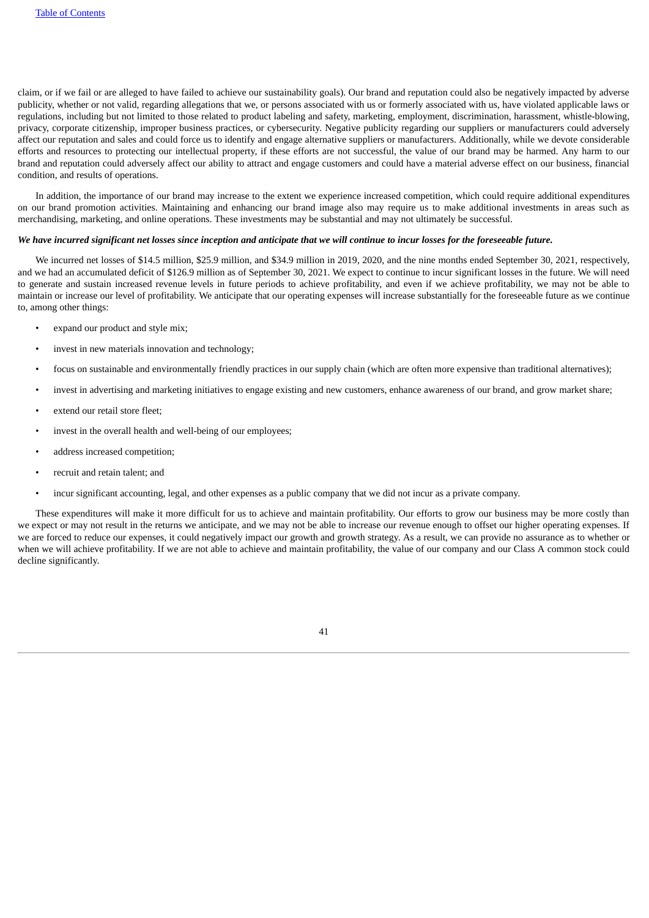claim, or if we fail or are alleged to have failed to achieve our sustainability goals). Our brand and reputation could also be negatively impacted by adverse publicity, whether or not valid, regarding allegations that we, or persons associated with us or formerly associated with us, have violated applicable laws or regulations, including but not limited to those related to product labeling and safety, marketing, employment, discrimination, harassment, whistle-blowing, privacy, corporate citizenship, improper business practices, or cybersecurity. Negative publicity regarding our suppliers or manufacturers could adversely affect our reputation and sales and could force us to identify and engage alternative suppliers or manufacturers. Additionally, while we devote considerable efforts and resources to protecting our intellectual property, if these efforts are not successful, the value of our brand may be harmed. Any harm to our brand and reputation could adversely affect our ability to attract and engage customers and could have a material adverse effect on our business, financial condition, and results of operations.

In addition, the importance of our brand may increase to the extent we experience increased competition, which could require additional expenditures on our brand promotion activities. Maintaining and enhancing our brand image also may require us to make additional investments in areas such as merchandising, marketing, and online operations. These investments may be substantial and may not ultimately be successful.

#### We have incurred significant net losses since inception and anticipate that we will continue to incur losses for the foreseeable future.

We incurred net losses of \$14.5 million, \$25.9 million, and \$34.9 million in 2019, 2020, and the nine months ended September 30, 2021, respectively, and we had an accumulated deficit of \$126.9 million as of September 30, 2021. We expect to continue to incur significant losses in the future. We will need to generate and sustain increased revenue levels in future periods to achieve profitability, and even if we achieve profitability, we may not be able to maintain or increase our level of profitability. We anticipate that our operating expenses will increase substantially for the foreseeable future as we continue to, among other things:

- expand our product and style mix;
- invest in new materials innovation and technology;
- focus on sustainable and environmentally friendly practices in our supply chain (which are often more expensive than traditional alternatives);
- invest in advertising and marketing initiatives to engage existing and new customers, enhance awareness of our brand, and grow market share;
- extend our retail store fleet:
- invest in the overall health and well-being of our employees;
- address increased competition;
- recruit and retain talent; and
- incur significant accounting, legal, and other expenses as a public company that we did not incur as a private company.

These expenditures will make it more difficult for us to achieve and maintain profitability. Our efforts to grow our business may be more costly than we expect or may not result in the returns we anticipate, and we may not be able to increase our revenue enough to offset our higher operating expenses. If we are forced to reduce our expenses, it could negatively impact our growth and growth strategy. As a result, we can provide no assurance as to whether or when we will achieve profitability. If we are not able to achieve and maintain profitability, the value of our company and our Class A common stock could decline significantly.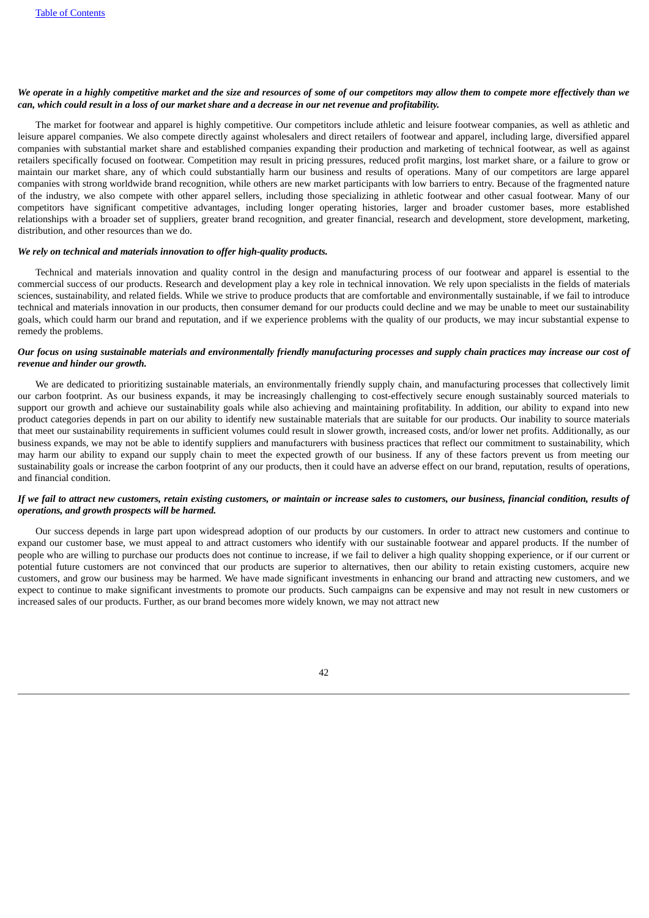# We operate in a highly competitive market and the size and resources of some of our competitors may allow them to compete more effectively than we can, which could result in a loss of our market share and a decrease in our net revenue and profitability.

The market for footwear and apparel is highly competitive. Our competitors include athletic and leisure footwear companies, as well as athletic and leisure apparel companies. We also compete directly against wholesalers and direct retailers of footwear and apparel, including large, diversified apparel companies with substantial market share and established companies expanding their production and marketing of technical footwear, as well as against retailers specifically focused on footwear. Competition may result in pricing pressures, reduced profit margins, lost market share, or a failure to grow or maintain our market share, any of which could substantially harm our business and results of operations. Many of our competitors are large apparel companies with strong worldwide brand recognition, while others are new market participants with low barriers to entry. Because of the fragmented nature of the industry, we also compete with other apparel sellers, including those specializing in athletic footwear and other casual footwear. Many of our competitors have significant competitive advantages, including longer operating histories, larger and broader customer bases, more established relationships with a broader set of suppliers, greater brand recognition, and greater financial, research and development, store development, marketing, distribution, and other resources than we do.

## *We rely on technical and materials innovation to offer high-quality products.*

Technical and materials innovation and quality control in the design and manufacturing process of our footwear and apparel is essential to the commercial success of our products. Research and development play a key role in technical innovation. We rely upon specialists in the fields of materials sciences, sustainability, and related fields. While we strive to produce products that are comfortable and environmentally sustainable, if we fail to introduce technical and materials innovation in our products, then consumer demand for our products could decline and we may be unable to meet our sustainability goals, which could harm our brand and reputation, and if we experience problems with the quality of our products, we may incur substantial expense to remedy the problems.

# Our focus on using sustainable materials and environmentally friendly manufacturing processes and supply chain practices may increase our cost of *revenue and hinder our growth.*

We are dedicated to prioritizing sustainable materials, an environmentally friendly supply chain, and manufacturing processes that collectively limit our carbon footprint. As our business expands, it may be increasingly challenging to cost-effectively secure enough sustainably sourced materials to support our growth and achieve our sustainability goals while also achieving and maintaining profitability. In addition, our ability to expand into new product categories depends in part on our ability to identify new sustainable materials that are suitable for our products. Our inability to source materials that meet our sustainability requirements in sufficient volumes could result in slower growth, increased costs, and/or lower net profits. Additionally, as our business expands, we may not be able to identify suppliers and manufacturers with business practices that reflect our commitment to sustainability, which may harm our ability to expand our supply chain to meet the expected growth of our business. If any of these factors prevent us from meeting our sustainability goals or increase the carbon footprint of any our products, then it could have an adverse effect on our brand, reputation, results of operations, and financial condition.

# If we fail to attract new customers, retain existina customers, or maintain or increase sales to customers, our business, financial condition, results of *operations, and growth prospects will be harmed.*

Our success depends in large part upon widespread adoption of our products by our customers. In order to attract new customers and continue to expand our customer base, we must appeal to and attract customers who identify with our sustainable footwear and apparel products. If the number of people who are willing to purchase our products does not continue to increase, if we fail to deliver a high quality shopping experience, or if our current or potential future customers are not convinced that our products are superior to alternatives, then our ability to retain existing customers, acquire new customers, and grow our business may be harmed. We have made significant investments in enhancing our brand and attracting new customers, and we expect to continue to make significant investments to promote our products. Such campaigns can be expensive and may not result in new customers or increased sales of our products. Further, as our brand becomes more widely known, we may not attract new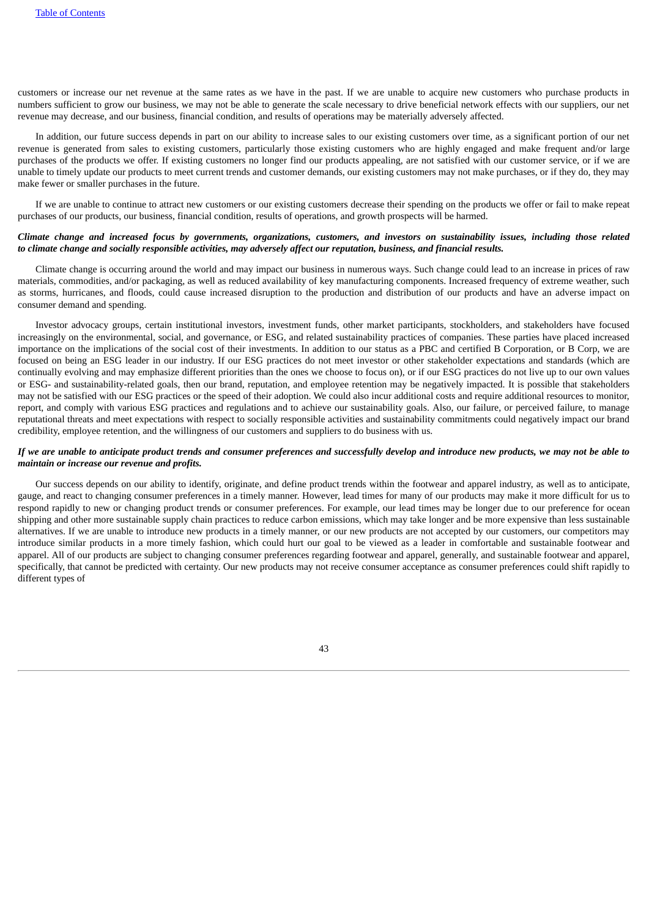customers or increase our net revenue at the same rates as we have in the past. If we are unable to acquire new customers who purchase products in numbers sufficient to grow our business, we may not be able to generate the scale necessary to drive beneficial network effects with our suppliers, our net revenue may decrease, and our business, financial condition, and results of operations may be materially adversely affected.

In addition, our future success depends in part on our ability to increase sales to our existing customers over time, as a significant portion of our net revenue is generated from sales to existing customers, particularly those existing customers who are highly engaged and make frequent and/or large purchases of the products we offer. If existing customers no longer find our products appealing, are not satisfied with our customer service, or if we are unable to timely update our products to meet current trends and customer demands, our existing customers may not make purchases, or if they do, they may make fewer or smaller purchases in the future.

If we are unable to continue to attract new customers or our existing customers decrease their spending on the products we offer or fail to make repeat purchases of our products, our business, financial condition, results of operations, and growth prospects will be harmed.

# Climate change and increased focus by governments, organizations, customers, and investors on sustainability issues, including those related to climate change and socially responsible activities, may adversely affect our reputation, business, and financial results.

Climate change is occurring around the world and may impact our business in numerous ways. Such change could lead to an increase in prices of raw materials, commodities, and/or packaging, as well as reduced availability of key manufacturing components. Increased frequency of extreme weather, such as storms, hurricanes, and floods, could cause increased disruption to the production and distribution of our products and have an adverse impact on consumer demand and spending.

Investor advocacy groups, certain institutional investors, investment funds, other market participants, stockholders, and stakeholders have focused increasingly on the environmental, social, and governance, or ESG, and related sustainability practices of companies. These parties have placed increased importance on the implications of the social cost of their investments. In addition to our status as a PBC and certified B Corporation, or B Corp, we are focused on being an ESG leader in our industry. If our ESG practices do not meet investor or other stakeholder expectations and standards (which are continually evolving and may emphasize different priorities than the ones we choose to focus on), or if our ESG practices do not live up to our own values or ESG- and sustainability-related goals, then our brand, reputation, and employee retention may be negatively impacted. It is possible that stakeholders may not be satisfied with our ESG practices or the speed of their adoption. We could also incur additional costs and require additional resources to monitor, report, and comply with various ESG practices and regulations and to achieve our sustainability goals. Also, our failure, or perceived failure, to manage reputational threats and meet expectations with respect to socially responsible activities and sustainability commitments could negatively impact our brand credibility, employee retention, and the willingness of our customers and suppliers to do business with us.

### If we are unable to anticipate product trends and consumer preferences and successfully develop and introduce new products, we may not be able to *maintain or increase our revenue and profits.*

Our success depends on our ability to identify, originate, and define product trends within the footwear and apparel industry, as well as to anticipate, gauge, and react to changing consumer preferences in a timely manner. However, lead times for many of our products may make it more difficult for us to respond rapidly to new or changing product trends or consumer preferences. For example, our lead times may be longer due to our preference for ocean shipping and other more sustainable supply chain practices to reduce carbon emissions, which may take longer and be more expensive than less sustainable alternatives. If we are unable to introduce new products in a timely manner, or our new products are not accepted by our customers, our competitors may introduce similar products in a more timely fashion, which could hurt our goal to be viewed as a leader in comfortable and sustainable footwear and apparel. All of our products are subject to changing consumer preferences regarding footwear and apparel, generally, and sustainable footwear and apparel, specifically, that cannot be predicted with certainty. Our new products may not receive consumer acceptance as consumer preferences could shift rapidly to different types of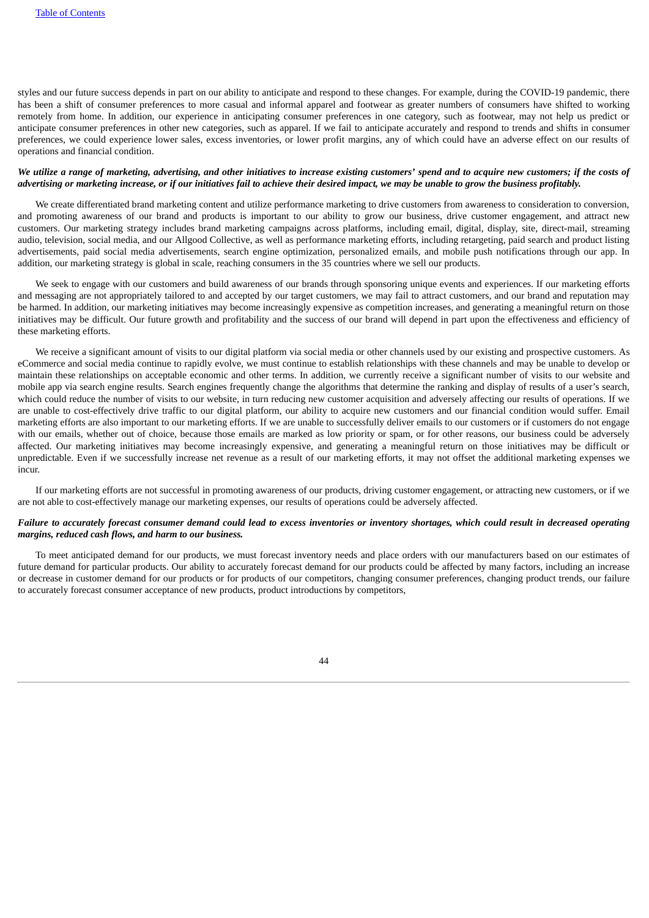styles and our future success depends in part on our ability to anticipate and respond to these changes. For example, during the COVID-19 pandemic, there has been a shift of consumer preferences to more casual and informal apparel and footwear as greater numbers of consumers have shifted to working remotely from home. In addition, our experience in anticipating consumer preferences in one category, such as footwear, may not help us predict or anticipate consumer preferences in other new categories, such as apparel. If we fail to anticipate accurately and respond to trends and shifts in consumer preferences, we could experience lower sales, excess inventories, or lower profit margins, any of which could have an adverse effect on our results of operations and financial condition.

# We utilize a range of marketing, advertising, and other initiatives to increase existing customers' spend and to acquire new customers; if the costs of advertising or marketing increase, or if our initiatives fail to achieve their desired impact, we may be unable to grow the business profitably.

We create differentiated brand marketing content and utilize performance marketing to drive customers from awareness to consideration to conversion, and promoting awareness of our brand and products is important to our ability to grow our business, drive customer engagement, and attract new customers. Our marketing strategy includes brand marketing campaigns across platforms, including email, digital, display, site, direct-mail, streaming audio, television, social media, and our Allgood Collective, as well as performance marketing efforts, including retargeting, paid search and product listing advertisements, paid social media advertisements, search engine optimization, personalized emails, and mobile push notifications through our app. In addition, our marketing strategy is global in scale, reaching consumers in the 35 countries where we sell our products.

We seek to engage with our customers and build awareness of our brands through sponsoring unique events and experiences. If our marketing efforts and messaging are not appropriately tailored to and accepted by our target customers, we may fail to attract customers, and our brand and reputation may be harmed. In addition, our marketing initiatives may become increasingly expensive as competition increases, and generating a meaningful return on those initiatives may be difficult. Our future growth and profitability and the success of our brand will depend in part upon the effectiveness and efficiency of these marketing efforts.

We receive a significant amount of visits to our digital platform via social media or other channels used by our existing and prospective customers. As eCommerce and social media continue to rapidly evolve, we must continue to establish relationships with these channels and may be unable to develop or maintain these relationships on acceptable economic and other terms. In addition, we currently receive a significant number of visits to our website and mobile app via search engine results. Search engines frequently change the algorithms that determine the ranking and display of results of a user's search, which could reduce the number of visits to our website, in turn reducing new customer acquisition and adversely affecting our results of operations. If we are unable to cost-effectively drive traffic to our digital platform, our ability to acquire new customers and our financial condition would suffer. Email marketing efforts are also important to our marketing efforts. If we are unable to successfully deliver emails to our customers or if customers do not engage with our emails, whether out of choice, because those emails are marked as low priority or spam, or for other reasons, our business could be adversely affected. Our marketing initiatives may become increasingly expensive, and generating a meaningful return on those initiatives may be difficult or unpredictable. Even if we successfully increase net revenue as a result of our marketing efforts, it may not offset the additional marketing expenses we incur.

If our marketing efforts are not successful in promoting awareness of our products, driving customer engagement, or attracting new customers, or if we are not able to cost-effectively manage our marketing expenses, our results of operations could be adversely affected.

## Failure to accurately forecast consumer demand could lead to excess inventories or inventory shortages, which could result in decreased operating *margins, reduced cash flows, and harm to our business.*

To meet anticipated demand for our products, we must forecast inventory needs and place orders with our manufacturers based on our estimates of future demand for particular products. Our ability to accurately forecast demand for our products could be affected by many factors, including an increase or decrease in customer demand for our products or for products of our competitors, changing consumer preferences, changing product trends, our failure to accurately forecast consumer acceptance of new products, product introductions by competitors,

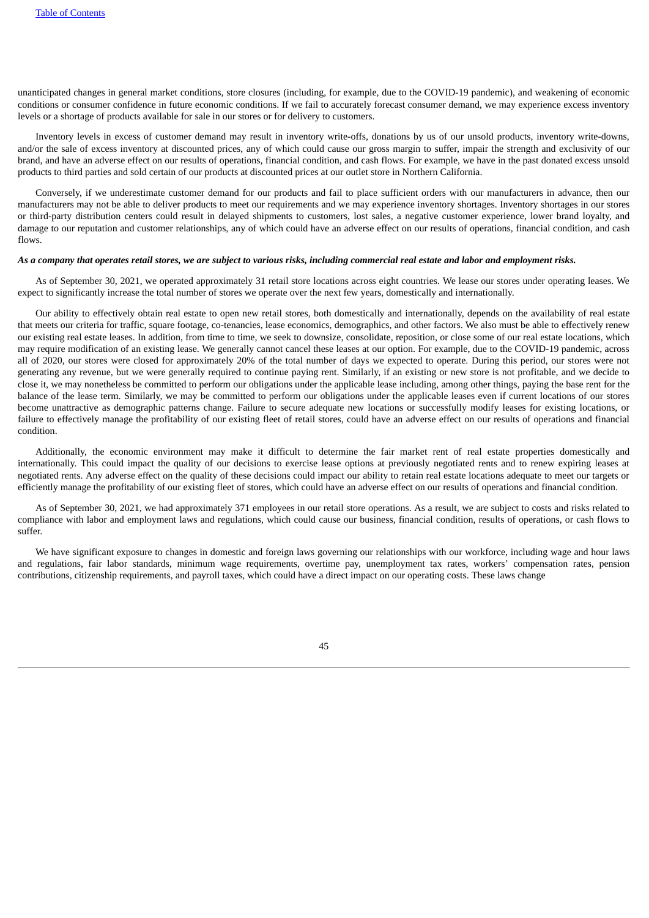unanticipated changes in general market conditions, store closures (including, for example, due to the COVID-19 pandemic), and weakening of economic conditions or consumer confidence in future economic conditions. If we fail to accurately forecast consumer demand, we may experience excess inventory levels or a shortage of products available for sale in our stores or for delivery to customers.

Inventory levels in excess of customer demand may result in inventory write-offs, donations by us of our unsold products, inventory write-downs, and/or the sale of excess inventory at discounted prices, any of which could cause our gross margin to suffer, impair the strength and exclusivity of our brand, and have an adverse effect on our results of operations, financial condition, and cash flows. For example, we have in the past donated excess unsold products to third parties and sold certain of our products at discounted prices at our outlet store in Northern California.

Conversely, if we underestimate customer demand for our products and fail to place sufficient orders with our manufacturers in advance, then our manufacturers may not be able to deliver products to meet our requirements and we may experience inventory shortages. Inventory shortages in our stores or third-party distribution centers could result in delayed shipments to customers, lost sales, a negative customer experience, lower brand loyalty, and damage to our reputation and customer relationships, any of which could have an adverse effect on our results of operations, financial condition, and cash flows.

# As a company that operates retail stores, we are subject to various risks, including commercial real estate and labor and employment risks.

As of September 30, 2021, we operated approximately 31 retail store locations across eight countries. We lease our stores under operating leases. We expect to significantly increase the total number of stores we operate over the next few years, domestically and internationally.

Our ability to effectively obtain real estate to open new retail stores, both domestically and internationally, depends on the availability of real estate that meets our criteria for traffic, square footage, co-tenancies, lease economics, demographics, and other factors. We also must be able to effectively renew our existing real estate leases. In addition, from time to time, we seek to downsize, consolidate, reposition, or close some of our real estate locations, which may require modification of an existing lease. We generally cannot cancel these leases at our option. For example, due to the COVID-19 pandemic, across all of 2020, our stores were closed for approximately 20% of the total number of days we expected to operate. During this period, our stores were not generating any revenue, but we were generally required to continue paying rent. Similarly, if an existing or new store is not profitable, and we decide to close it, we may nonetheless be committed to perform our obligations under the applicable lease including, among other things, paying the base rent for the balance of the lease term. Similarly, we may be committed to perform our obligations under the applicable leases even if current locations of our stores become unattractive as demographic patterns change. Failure to secure adequate new locations or successfully modify leases for existing locations, or failure to effectively manage the profitability of our existing fleet of retail stores, could have an adverse effect on our results of operations and financial condition.

Additionally, the economic environment may make it difficult to determine the fair market rent of real estate properties domestically and internationally. This could impact the quality of our decisions to exercise lease options at previously negotiated rents and to renew expiring leases at negotiated rents. Any adverse effect on the quality of these decisions could impact our ability to retain real estate locations adequate to meet our targets or efficiently manage the profitability of our existing fleet of stores, which could have an adverse effect on our results of operations and financial condition.

As of September 30, 2021, we had approximately 371 employees in our retail store operations. As a result, we are subject to costs and risks related to compliance with labor and employment laws and regulations, which could cause our business, financial condition, results of operations, or cash flows to suffer.

We have significant exposure to changes in domestic and foreign laws governing our relationships with our workforce, including wage and hour laws and regulations, fair labor standards, minimum wage requirements, overtime pay, unemployment tax rates, workers' compensation rates, pension contributions, citizenship requirements, and payroll taxes, which could have a direct impact on our operating costs. These laws change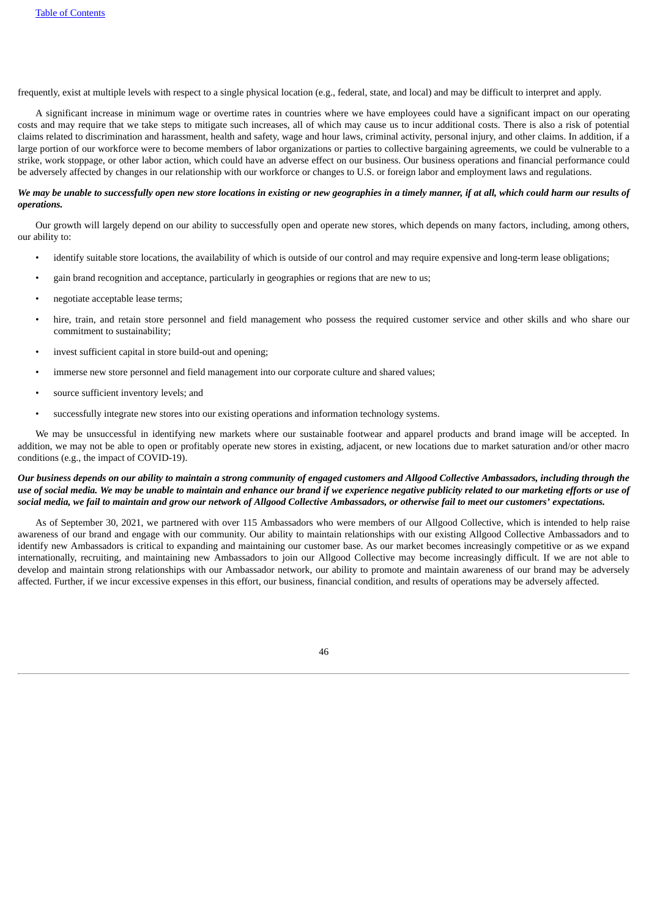frequently, exist at multiple levels with respect to a single physical location (e.g., federal, state, and local) and may be difficult to interpret and apply.

A significant increase in minimum wage or overtime rates in countries where we have employees could have a significant impact on our operating costs and may require that we take steps to mitigate such increases, all of which may cause us to incur additional costs. There is also a risk of potential claims related to discrimination and harassment, health and safety, wage and hour laws, criminal activity, personal injury, and other claims. In addition, if a large portion of our workforce were to become members of labor organizations or parties to collective bargaining agreements, we could be vulnerable to a strike, work stoppage, or other labor action, which could have an adverse effect on our business. Our business operations and financial performance could be adversely affected by changes in our relationship with our workforce or changes to U.S. or foreign labor and employment laws and regulations.

# We may be unable to successfully open new store locations in existing or new geographies in a timely manner, if at all, which could harm our results of *operations.*

Our growth will largely depend on our ability to successfully open and operate new stores, which depends on many factors, including, among others, our ability to:

- identify suitable store locations, the availability of which is outside of our control and may require expensive and long-term lease obligations;
- gain brand recognition and acceptance, particularly in geographies or regions that are new to us;
- negotiate acceptable lease terms;
- hire, train, and retain store personnel and field management who possess the required customer service and other skills and who share our commitment to sustainability;
- invest sufficient capital in store build-out and opening;
- immerse new store personnel and field management into our corporate culture and shared values;
- source sufficient inventory levels; and
- successfully integrate new stores into our existing operations and information technology systems.

We may be unsuccessful in identifying new markets where our sustainable footwear and apparel products and brand image will be accepted. In addition, we may not be able to open or profitably operate new stores in existing, adjacent, or new locations due to market saturation and/or other macro conditions (e.g., the impact of COVID-19).

# Our business depends on our ability to maintain a strong community of engaged customers and Allgood Collective Ambassadors, including through the use of social media. We may be unable to maintain and enhance our brand if we experience negative publicity related to our marketing efforts or use of social media, we fail to maintain and grow our network of Allgood Collective Ambassadors, or otherwise fail to meet our customers' expectations.

As of September 30, 2021, we partnered with over 115 Ambassadors who were members of our Allgood Collective, which is intended to help raise awareness of our brand and engage with our community. Our ability to maintain relationships with our existing Allgood Collective Ambassadors and to identify new Ambassadors is critical to expanding and maintaining our customer base. As our market becomes increasingly competitive or as we expand internationally, recruiting, and maintaining new Ambassadors to join our Allgood Collective may become increasingly difficult. If we are not able to develop and maintain strong relationships with our Ambassador network, our ability to promote and maintain awareness of our brand may be adversely affected. Further, if we incur excessive expenses in this effort, our business, financial condition, and results of operations may be adversely affected.

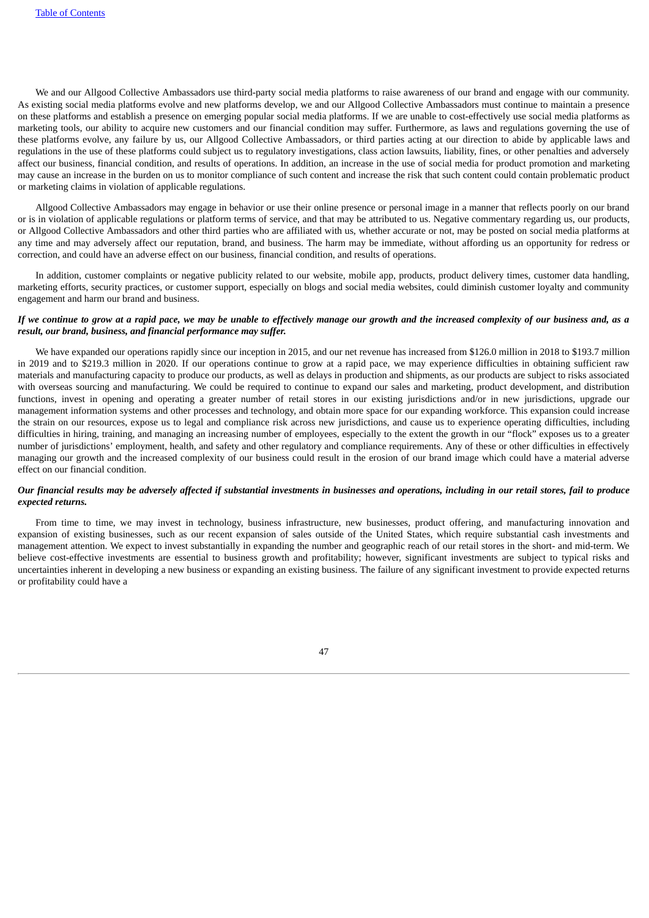We and our Allgood Collective Ambassadors use third-party social media platforms to raise awareness of our brand and engage with our community. As existing social media platforms evolve and new platforms develop, we and our Allgood Collective Ambassadors must continue to maintain a presence on these platforms and establish a presence on emerging popular social media platforms. If we are unable to cost-effectively use social media platforms as marketing tools, our ability to acquire new customers and our financial condition may suffer. Furthermore, as laws and regulations governing the use of these platforms evolve, any failure by us, our Allgood Collective Ambassadors, or third parties acting at our direction to abide by applicable laws and regulations in the use of these platforms could subject us to regulatory investigations, class action lawsuits, liability, fines, or other penalties and adversely affect our business, financial condition, and results of operations. In addition, an increase in the use of social media for product promotion and marketing may cause an increase in the burden on us to monitor compliance of such content and increase the risk that such content could contain problematic product or marketing claims in violation of applicable regulations.

Allgood Collective Ambassadors may engage in behavior or use their online presence or personal image in a manner that reflects poorly on our brand or is in violation of applicable regulations or platform terms of service, and that may be attributed to us. Negative commentary regarding us, our products, or Allgood Collective Ambassadors and other third parties who are affiliated with us, whether accurate or not, may be posted on social media platforms at any time and may adversely affect our reputation, brand, and business. The harm may be immediate, without affording us an opportunity for redress or correction, and could have an adverse effect on our business, financial condition, and results of operations.

In addition, customer complaints or negative publicity related to our website, mobile app, products, product delivery times, customer data handling, marketing efforts, security practices, or customer support, especially on blogs and social media websites, could diminish customer loyalty and community engagement and harm our brand and business.

# If we continue to grow at a rapid pace, we may be unable to effectively manage our growth and the increased complexity of our business and, as a *result, our brand, business, and financial performance may suffer.*

We have expanded our operations rapidly since our inception in 2015, and our net revenue has increased from \$126.0 million in 2018 to \$193.7 million in 2019 and to \$219.3 million in 2020. If our operations continue to grow at a rapid pace, we may experience difficulties in obtaining sufficient raw materials and manufacturing capacity to produce our products, as well as delays in production and shipments, as our products are subject to risks associated with overseas sourcing and manufacturing. We could be required to continue to expand our sales and marketing, product development, and distribution functions, invest in opening and operating a greater number of retail stores in our existing jurisdictions and/or in new jurisdictions, upgrade our management information systems and other processes and technology, and obtain more space for our expanding workforce. This expansion could increase the strain on our resources, expose us to legal and compliance risk across new jurisdictions, and cause us to experience operating difficulties, including difficulties in hiring, training, and managing an increasing number of employees, especially to the extent the growth in our "flock" exposes us to a greater number of jurisdictions' employment, health, and safety and other regulatory and compliance requirements. Any of these or other difficulties in effectively managing our growth and the increased complexity of our business could result in the erosion of our brand image which could have a material adverse effect on our financial condition.

# Our financial results may be adversely affected if substantial investments in businesses and operations, including in our retail stores, fail to produce *expected returns.*

From time to time, we may invest in technology, business infrastructure, new businesses, product offering, and manufacturing innovation and expansion of existing businesses, such as our recent expansion of sales outside of the United States, which require substantial cash investments and management attention. We expect to invest substantially in expanding the number and geographic reach of our retail stores in the short- and mid-term. We believe cost-effective investments are essential to business growth and profitability; however, significant investments are subject to typical risks and uncertainties inherent in developing a new business or expanding an existing business. The failure of any significant investment to provide expected returns or profitability could have a

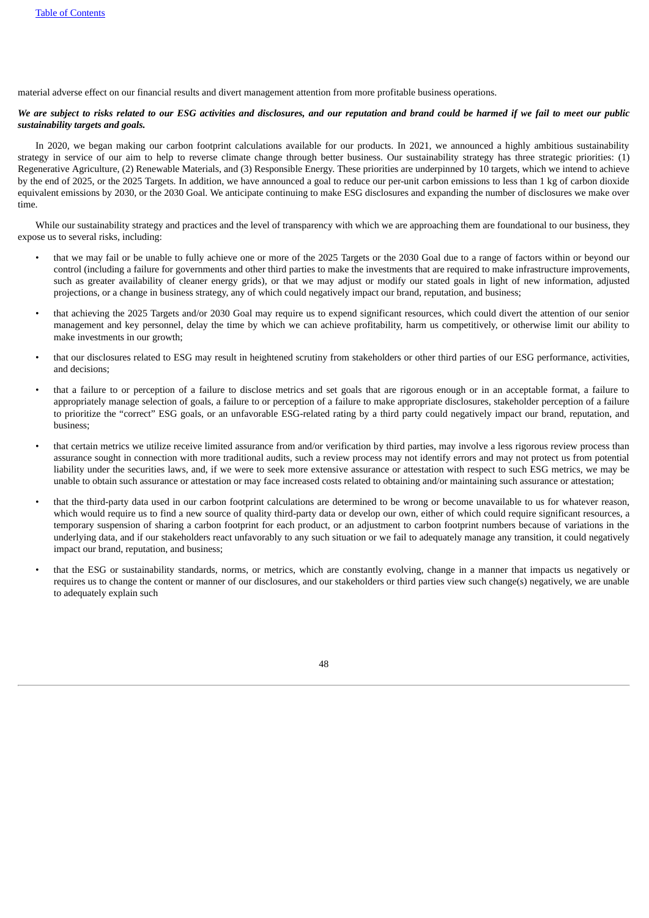material adverse effect on our financial results and divert management attention from more profitable business operations.

## We are subject to risks related to our ESG activities and disclosures, and our reputation and brand could be harmed if we fail to meet our public *sustainability targets and goals.*

In 2020, we began making our carbon footprint calculations available for our products. In 2021, we announced a highly ambitious sustainability strategy in service of our aim to help to reverse climate change through better business. Our sustainability strategy has three strategic priorities: (1) Regenerative Agriculture, (2) Renewable Materials, and (3) Responsible Energy. These priorities are underpinned by 10 targets, which we intend to achieve by the end of 2025, or the 2025 Targets. In addition, we have announced a goal to reduce our per-unit carbon emissions to less than 1 kg of carbon dioxide equivalent emissions by 2030, or the 2030 Goal. We anticipate continuing to make ESG disclosures and expanding the number of disclosures we make over time.

While our sustainability strategy and practices and the level of transparency with which we are approaching them are foundational to our business, they expose us to several risks, including:

- that we may fail or be unable to fully achieve one or more of the 2025 Targets or the 2030 Goal due to a range of factors within or beyond our control (including a failure for governments and other third parties to make the investments that are required to make infrastructure improvements, such as greater availability of cleaner energy grids), or that we may adjust or modify our stated goals in light of new information, adjusted projections, or a change in business strategy, any of which could negatively impact our brand, reputation, and business;
- that achieving the 2025 Targets and/or 2030 Goal may require us to expend significant resources, which could divert the attention of our senior management and key personnel, delay the time by which we can achieve profitability, harm us competitively, or otherwise limit our ability to make investments in our growth;
- that our disclosures related to ESG may result in heightened scrutiny from stakeholders or other third parties of our ESG performance, activities, and decisions;
- that a failure to or perception of a failure to disclose metrics and set goals that are rigorous enough or in an acceptable format, a failure to appropriately manage selection of goals, a failure to or perception of a failure to make appropriate disclosures, stakeholder perception of a failure to prioritize the "correct" ESG goals, or an unfavorable ESG-related rating by a third party could negatively impact our brand, reputation, and business;
- that certain metrics we utilize receive limited assurance from and/or verification by third parties, may involve a less rigorous review process than assurance sought in connection with more traditional audits, such a review process may not identify errors and may not protect us from potential liability under the securities laws, and, if we were to seek more extensive assurance or attestation with respect to such ESG metrics, we may be unable to obtain such assurance or attestation or may face increased costs related to obtaining and/or maintaining such assurance or attestation;
- that the third-party data used in our carbon footprint calculations are determined to be wrong or become unavailable to us for whatever reason, which would require us to find a new source of quality third-party data or develop our own, either of which could require significant resources, a temporary suspension of sharing a carbon footprint for each product, or an adjustment to carbon footprint numbers because of variations in the underlying data, and if our stakeholders react unfavorably to any such situation or we fail to adequately manage any transition, it could negatively impact our brand, reputation, and business;
- that the ESG or sustainability standards, norms, or metrics, which are constantly evolving, change in a manner that impacts us negatively or requires us to change the content or manner of our disclosures, and our stakeholders or third parties view such change(s) negatively, we are unable to adequately explain such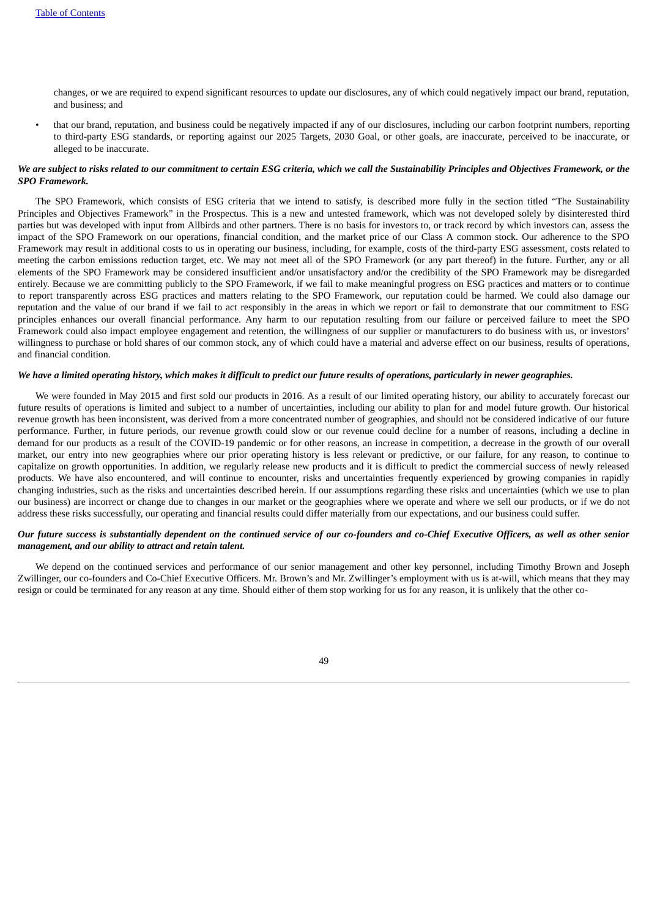changes, or we are required to expend significant resources to update our disclosures, any of which could negatively impact our brand, reputation, and business; and

• that our brand, reputation, and business could be negatively impacted if any of our disclosures, including our carbon footprint numbers, reporting to third-party ESG standards, or reporting against our 2025 Targets, 2030 Goal, or other goals, are inaccurate, perceived to be inaccurate, or alleged to be inaccurate.

# We are subject to risks related to our commitment to certain ESG criteria, which we call the Sustainability Principles and Objectives Framework, or the *SPO Framework.*

The SPO Framework, which consists of ESG criteria that we intend to satisfy, is described more fully in the section titled "The Sustainability Principles and Objectives Framework" in the Prospectus. This is a new and untested framework, which was not developed solely by disinterested third parties but was developed with input from Allbirds and other partners. There is no basis for investors to, or track record by which investors can, assess the impact of the SPO Framework on our operations, financial condition, and the market price of our Class A common stock. Our adherence to the SPO Framework may result in additional costs to us in operating our business, including, for example, costs of the third-party ESG assessment, costs related to meeting the carbon emissions reduction target, etc. We may not meet all of the SPO Framework (or any part thereof) in the future. Further, any or all elements of the SPO Framework may be considered insufficient and/or unsatisfactory and/or the credibility of the SPO Framework may be disregarded entirely. Because we are committing publicly to the SPO Framework, if we fail to make meaningful progress on ESG practices and matters or to continue to report transparently across ESG practices and matters relating to the SPO Framework, our reputation could be harmed. We could also damage our reputation and the value of our brand if we fail to act responsibly in the areas in which we report or fail to demonstrate that our commitment to ESG principles enhances our overall financial performance. Any harm to our reputation resulting from our failure or perceived failure to meet the SPO Framework could also impact employee engagement and retention, the willingness of our supplier or manufacturers to do business with us, or investors' willingness to purchase or hold shares of our common stock, any of which could have a material and adverse effect on our business, results of operations, and financial condition.

# We have a limited operating history, which makes it difficult to predict our future results of operations, particularly in newer geographies.

We were founded in May 2015 and first sold our products in 2016. As a result of our limited operating history, our ability to accurately forecast our future results of operations is limited and subject to a number of uncertainties, including our ability to plan for and model future growth. Our historical revenue growth has been inconsistent, was derived from a more concentrated number of geographies, and should not be considered indicative of our future performance. Further, in future periods, our revenue growth could slow or our revenue could decline for a number of reasons, including a decline in demand for our products as a result of the COVID-19 pandemic or for other reasons, an increase in competition, a decrease in the growth of our overall market, our entry into new geographies where our prior operating history is less relevant or predictive, or our failure, for any reason, to continue to capitalize on growth opportunities. In addition, we regularly release new products and it is difficult to predict the commercial success of newly released products. We have also encountered, and will continue to encounter, risks and uncertainties frequently experienced by growing companies in rapidly changing industries, such as the risks and uncertainties described herein. If our assumptions regarding these risks and uncertainties (which we use to plan our business) are incorrect or change due to changes in our market or the geographies where we operate and where we sell our products, or if we do not address these risks successfully, our operating and financial results could differ materially from our expectations, and our business could suffer.

# Our future success is substantially dependent on the continued service of our co-founders and co-Chief Executive Officers, as well as other senior *management, and our ability to attract and retain talent.*

We depend on the continued services and performance of our senior management and other key personnel, including Timothy Brown and Joseph Zwillinger, our co-founders and Co-Chief Executive Officers. Mr. Brown's and Mr. Zwillinger's employment with us is at-will, which means that they may resign or could be terminated for any reason at any time. Should either of them stop working for us for any reason, it is unlikely that the other co-

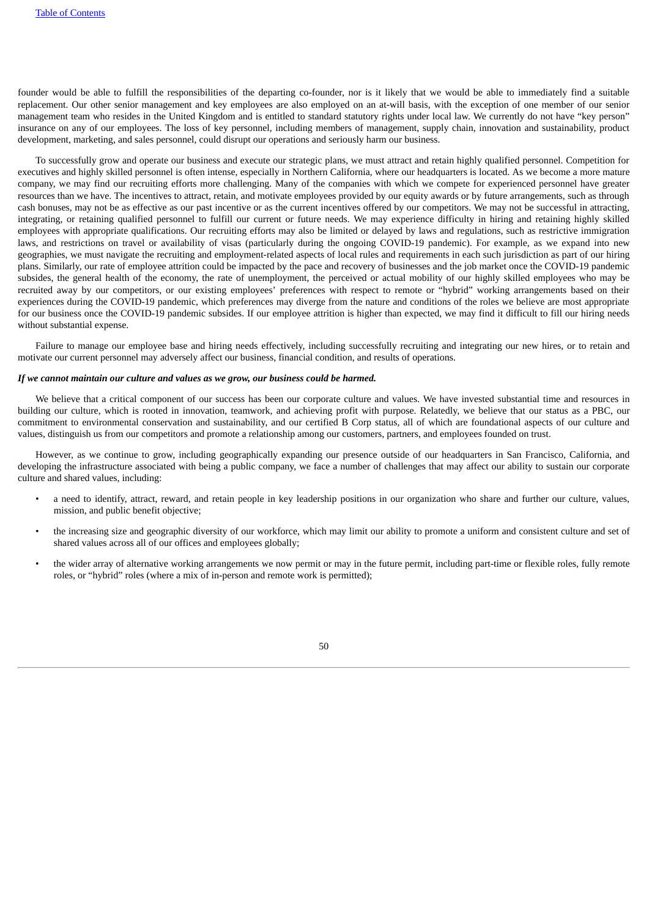founder would be able to fulfill the responsibilities of the departing co-founder, nor is it likely that we would be able to immediately find a suitable replacement. Our other senior management and key employees are also employed on an at-will basis, with the exception of one member of our senior management team who resides in the United Kingdom and is entitled to standard statutory rights under local law. We currently do not have "key person" insurance on any of our employees. The loss of key personnel, including members of management, supply chain, innovation and sustainability, product development, marketing, and sales personnel, could disrupt our operations and seriously harm our business.

To successfully grow and operate our business and execute our strategic plans, we must attract and retain highly qualified personnel. Competition for executives and highly skilled personnel is often intense, especially in Northern California, where our headquarters is located. As we become a more mature company, we may find our recruiting efforts more challenging. Many of the companies with which we compete for experienced personnel have greater resources than we have. The incentives to attract, retain, and motivate employees provided by our equity awards or by future arrangements, such as through cash bonuses, may not be as effective as our past incentive or as the current incentives offered by our competitors. We may not be successful in attracting, integrating, or retaining qualified personnel to fulfill our current or future needs. We may experience difficulty in hiring and retaining highly skilled employees with appropriate qualifications. Our recruiting efforts may also be limited or delayed by laws and regulations, such as restrictive immigration laws, and restrictions on travel or availability of visas (particularly during the ongoing COVID-19 pandemic). For example, as we expand into new geographies, we must navigate the recruiting and employment-related aspects of local rules and requirements in each such jurisdiction as part of our hiring plans. Similarly, our rate of employee attrition could be impacted by the pace and recovery of businesses and the job market once the COVID-19 pandemic subsides, the general health of the economy, the rate of unemployment, the perceived or actual mobility of our highly skilled employees who may be recruited away by our competitors, or our existing employees' preferences with respect to remote or "hybrid" working arrangements based on their experiences during the COVID-19 pandemic, which preferences may diverge from the nature and conditions of the roles we believe are most appropriate for our business once the COVID-19 pandemic subsides. If our employee attrition is higher than expected, we may find it difficult to fill our hiring needs without substantial expense.

Failure to manage our employee base and hiring needs effectively, including successfully recruiting and integrating our new hires, or to retain and motivate our current personnel may adversely affect our business, financial condition, and results of operations.

#### *If we cannot maintain our culture and values as we grow, our business could be harmed.*

We believe that a critical component of our success has been our corporate culture and values. We have invested substantial time and resources in building our culture, which is rooted in innovation, teamwork, and achieving profit with purpose. Relatedly, we believe that our status as a PBC, our commitment to environmental conservation and sustainability, and our certified B Corp status, all of which are foundational aspects of our culture and values, distinguish us from our competitors and promote a relationship among our customers, partners, and employees founded on trust.

However, as we continue to grow, including geographically expanding our presence outside of our headquarters in San Francisco, California, and developing the infrastructure associated with being a public company, we face a number of challenges that may affect our ability to sustain our corporate culture and shared values, including:

- a need to identify, attract, reward, and retain people in key leadership positions in our organization who share and further our culture, values, mission, and public benefit objective;
- the increasing size and geographic diversity of our workforce, which may limit our ability to promote a uniform and consistent culture and set of shared values across all of our offices and employees globally;
- the wider array of alternative working arrangements we now permit or may in the future permit, including part-time or flexible roles, fully remote roles, or "hybrid" roles (where a mix of in-person and remote work is permitted);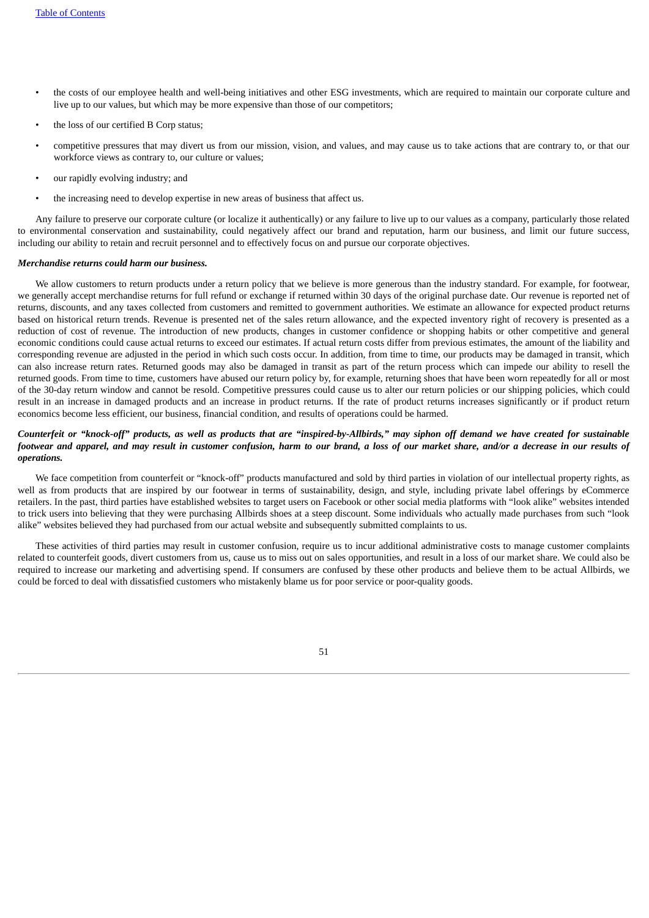- the costs of our employee health and well-being initiatives and other ESG investments, which are required to maintain our corporate culture and live up to our values, but which may be more expensive than those of our competitors;
- the loss of our certified B Corp status;
- competitive pressures that may divert us from our mission, vision, and values, and may cause us to take actions that are contrary to, or that our workforce views as contrary to, our culture or values;
- our rapidly evolving industry; and
- the increasing need to develop expertise in new areas of business that affect us.

Any failure to preserve our corporate culture (or localize it authentically) or any failure to live up to our values as a company, particularly those related to environmental conservation and sustainability, could negatively affect our brand and reputation, harm our business, and limit our future success, including our ability to retain and recruit personnel and to effectively focus on and pursue our corporate objectives.

#### *Merchandise returns could harm our business.*

We allow customers to return products under a return policy that we believe is more generous than the industry standard. For example, for footwear, we generally accept merchandise returns for full refund or exchange if returned within 30 days of the original purchase date. Our revenue is reported net of returns, discounts, and any taxes collected from customers and remitted to government authorities. We estimate an allowance for expected product returns based on historical return trends. Revenue is presented net of the sales return allowance, and the expected inventory right of recovery is presented as a reduction of cost of revenue. The introduction of new products, changes in customer confidence or shopping habits or other competitive and general economic conditions could cause actual returns to exceed our estimates. If actual return costs differ from previous estimates, the amount of the liability and corresponding revenue are adjusted in the period in which such costs occur. In addition, from time to time, our products may be damaged in transit, which can also increase return rates. Returned goods may also be damaged in transit as part of the return process which can impede our ability to resell the returned goods. From time to time, customers have abused our return policy by, for example, returning shoes that have been worn repeatedly for all or most of the 30-day return window and cannot be resold. Competitive pressures could cause us to alter our return policies or our shipping policies, which could result in an increase in damaged products and an increase in product returns. If the rate of product returns increases significantly or if product return economics become less efficient, our business, financial condition, and results of operations could be harmed.

# Counterfeit or "knock-off" products, as well as products that are "inspired-by-Allbirds," may siphon off demand we have created for sustainable footwear and apparel, and may result in customer confusion, harm to our brand, a loss of our market share, and/or a decrease in our results of *operations.*

We face competition from counterfeit or "knock-off" products manufactured and sold by third parties in violation of our intellectual property rights, as well as from products that are inspired by our footwear in terms of sustainability, design, and style, including private label offerings by eCommerce retailers. In the past, third parties have established websites to target users on Facebook or other social media platforms with "look alike" websites intended to trick users into believing that they were purchasing Allbirds shoes at a steep discount. Some individuals who actually made purchases from such "look alike" websites believed they had purchased from our actual website and subsequently submitted complaints to us.

These activities of third parties may result in customer confusion, require us to incur additional administrative costs to manage customer complaints related to counterfeit goods, divert customers from us, cause us to miss out on sales opportunities, and result in a loss of our market share. We could also be required to increase our marketing and advertising spend. If consumers are confused by these other products and believe them to be actual Allbirds, we could be forced to deal with dissatisfied customers who mistakenly blame us for poor service or poor-quality goods.

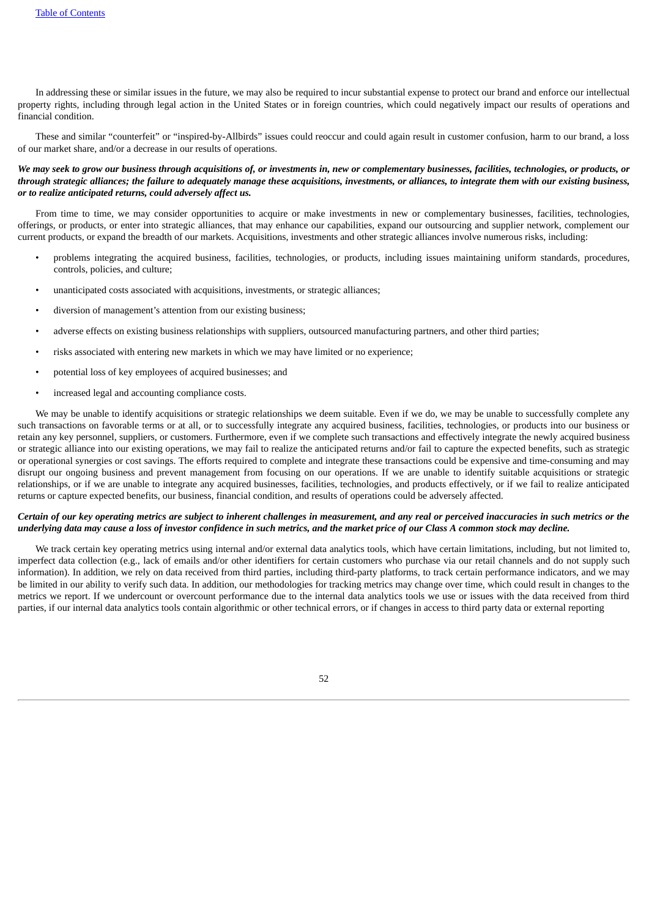In addressing these or similar issues in the future, we may also be required to incur substantial expense to protect our brand and enforce our intellectual property rights, including through legal action in the United States or in foreign countries, which could negatively impact our results of operations and financial condition.

These and similar "counterfeit" or "inspired-by-Allbirds" issues could reoccur and could again result in customer confusion, harm to our brand, a loss of our market share, and/or a decrease in our results of operations.

# We may seek to grow our business through acquisitions of, or investments in, new or complementary businesses, facilities, technologies, or products, or through strategic alliances; the failure to adequately mangge these acquisitions, investments, or alliances, to integrate them with our existing business, *or to realize anticipated returns, could adversely affect us.*

From time to time, we may consider opportunities to acquire or make investments in new or complementary businesses, facilities, technologies, offerings, or products, or enter into strategic alliances, that may enhance our capabilities, expand our outsourcing and supplier network, complement our current products, or expand the breadth of our markets. Acquisitions, investments and other strategic alliances involve numerous risks, including:

- problems integrating the acquired business, facilities, technologies, or products, including issues maintaining uniform standards, procedures, controls, policies, and culture;
- unanticipated costs associated with acquisitions, investments, or strategic alliances;
- diversion of management's attention from our existing business;
- adverse effects on existing business relationships with suppliers, outsourced manufacturing partners, and other third parties;
- risks associated with entering new markets in which we may have limited or no experience;
- potential loss of key employees of acquired businesses; and
- increased legal and accounting compliance costs.

We may be unable to identify acquisitions or strategic relationships we deem suitable. Even if we do, we may be unable to successfully complete any such transactions on favorable terms or at all, or to successfully integrate any acquired business, facilities, technologies, or products into our business or retain any key personnel, suppliers, or customers. Furthermore, even if we complete such transactions and effectively integrate the newly acquired business or strategic alliance into our existing operations, we may fail to realize the anticipated returns and/or fail to capture the expected benefits, such as strategic or operational synergies or cost savings. The efforts required to complete and integrate these transactions could be expensive and time-consuming and may disrupt our ongoing business and prevent management from focusing on our operations. If we are unable to identify suitable acquisitions or strategic relationships, or if we are unable to integrate any acquired businesses, facilities, technologies, and products effectively, or if we fail to realize anticipated returns or capture expected benefits, our business, financial condition, and results of operations could be adversely affected.

#### Certain of our key operating metrics are subject to inherent challenges in measurement, and any real or perceived inaccuracies in such metrics or the underlying data may cause a loss of investor confidence in such metrics, and the market price of our Class A common stock may decline.

We track certain key operating metrics using internal and/or external data analytics tools, which have certain limitations, including, but not limited to, imperfect data collection (e.g., lack of emails and/or other identifiers for certain customers who purchase via our retail channels and do not supply such information). In addition, we rely on data received from third parties, including third-party platforms, to track certain performance indicators, and we may be limited in our ability to verify such data. In addition, our methodologies for tracking metrics may change over time, which could result in changes to the metrics we report. If we undercount or overcount performance due to the internal data analytics tools we use or issues with the data received from third parties, if our internal data analytics tools contain algorithmic or other technical errors, or if changes in access to third party data or external reporting

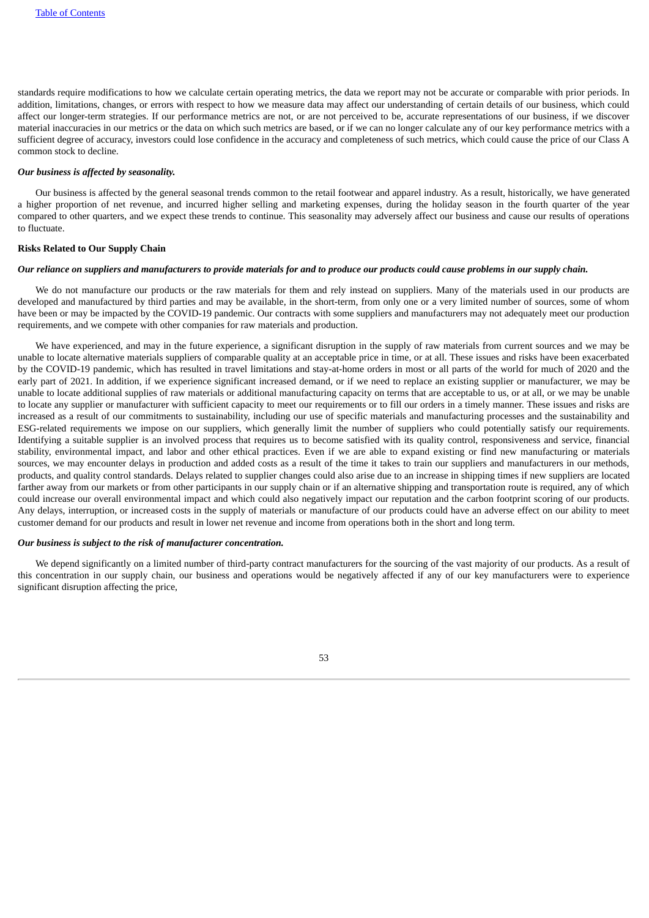standards require modifications to how we calculate certain operating metrics, the data we report may not be accurate or comparable with prior periods. In addition, limitations, changes, or errors with respect to how we measure data may affect our understanding of certain details of our business, which could affect our longer-term strategies. If our performance metrics are not, or are not perceived to be, accurate representations of our business, if we discover material inaccuracies in our metrics or the data on which such metrics are based, or if we can no longer calculate any of our key performance metrics with a sufficient degree of accuracy, investors could lose confidence in the accuracy and completeness of such metrics, which could cause the price of our Class A common stock to decline.

### *Our business is affected by seasonality.*

Our business is affected by the general seasonal trends common to the retail footwear and apparel industry. As a result, historically, we have generated a higher proportion of net revenue, and incurred higher selling and marketing expenses, during the holiday season in the fourth quarter of the year compared to other quarters, and we expect these trends to continue. This seasonality may adversely affect our business and cause our results of operations to fluctuate.

### **Risks Related to Our Supply Chain**

### Our reliance on suppliers and manufacturers to provide materials for and to produce our products could cause problems in our supply chain.

We do not manufacture our products or the raw materials for them and rely instead on suppliers. Many of the materials used in our products are developed and manufactured by third parties and may be available, in the short-term, from only one or a very limited number of sources, some of whom have been or may be impacted by the COVID-19 pandemic. Our contracts with some suppliers and manufacturers may not adequately meet our production requirements, and we compete with other companies for raw materials and production.

We have experienced, and may in the future experience, a significant disruption in the supply of raw materials from current sources and we may be unable to locate alternative materials suppliers of comparable quality at an acceptable price in time, or at all. These issues and risks have been exacerbated by the COVID-19 pandemic, which has resulted in travel limitations and stay-at-home orders in most or all parts of the world for much of 2020 and the early part of 2021. In addition, if we experience significant increased demand, or if we need to replace an existing supplier or manufacturer, we may be unable to locate additional supplies of raw materials or additional manufacturing capacity on terms that are acceptable to us, or at all, or we may be unable to locate any supplier or manufacturer with sufficient capacity to meet our requirements or to fill our orders in a timely manner. These issues and risks are increased as a result of our commitments to sustainability, including our use of specific materials and manufacturing processes and the sustainability and ESG-related requirements we impose on our suppliers, which generally limit the number of suppliers who could potentially satisfy our requirements. Identifying a suitable supplier is an involved process that requires us to become satisfied with its quality control, responsiveness and service, financial stability, environmental impact, and labor and other ethical practices. Even if we are able to expand existing or find new manufacturing or materials sources, we may encounter delays in production and added costs as a result of the time it takes to train our suppliers and manufacturers in our methods, products, and quality control standards. Delays related to supplier changes could also arise due to an increase in shipping times if new suppliers are located farther away from our markets or from other participants in our supply chain or if an alternative shipping and transportation route is required, any of which could increase our overall environmental impact and which could also negatively impact our reputation and the carbon footprint scoring of our products. Any delays, interruption, or increased costs in the supply of materials or manufacture of our products could have an adverse effect on our ability to meet customer demand for our products and result in lower net revenue and income from operations both in the short and long term.

### *Our business is subject to the risk of manufacturer concentration.*

We depend significantly on a limited number of third-party contract manufacturers for the sourcing of the vast majority of our products. As a result of this concentration in our supply chain, our business and operations would be negatively affected if any of our key manufacturers were to experience significant disruption affecting the price,

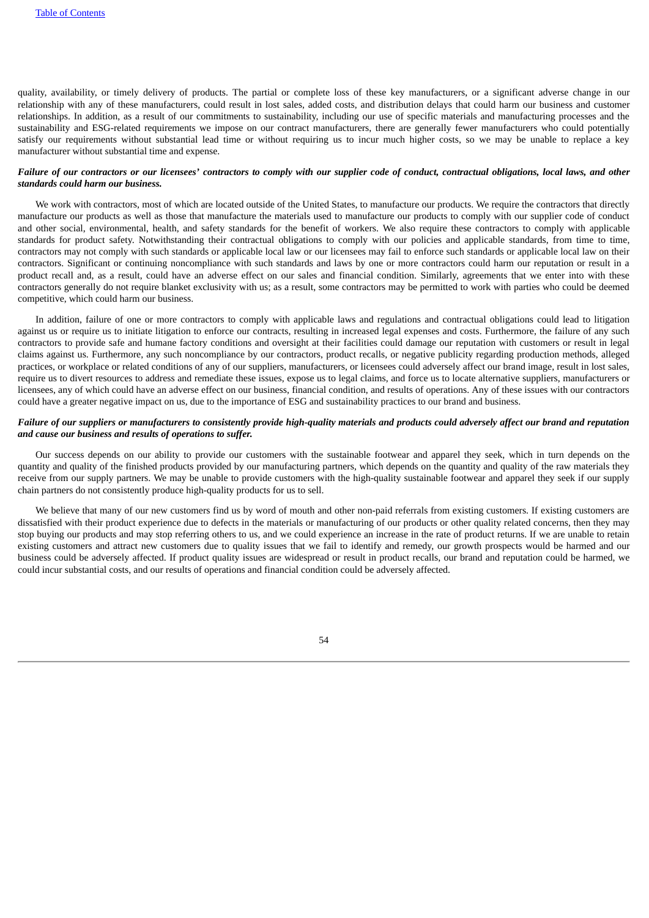quality, availability, or timely delivery of products. The partial or complete loss of these key manufacturers, or a significant adverse change in our relationship with any of these manufacturers, could result in lost sales, added costs, and distribution delays that could harm our business and customer relationships. In addition, as a result of our commitments to sustainability, including our use of specific materials and manufacturing processes and the sustainability and ESG-related requirements we impose on our contract manufacturers, there are generally fewer manufacturers who could potentially satisfy our requirements without substantial lead time or without requiring us to incur much higher costs, so we may be unable to replace a key manufacturer without substantial time and expense.

# Failure of our contractors or our licensees' contractors to comply with our supplier code of conduct, contractual obligations, local laws, and other *standards could harm our business.*

We work with contractors, most of which are located outside of the United States, to manufacture our products. We require the contractors that directly manufacture our products as well as those that manufacture the materials used to manufacture our products to comply with our supplier code of conduct and other social, environmental, health, and safety standards for the benefit of workers. We also require these contractors to comply with applicable standards for product safety. Notwithstanding their contractual obligations to comply with our policies and applicable standards, from time to time, contractors may not comply with such standards or applicable local law or our licensees may fail to enforce such standards or applicable local law on their contractors. Significant or continuing noncompliance with such standards and laws by one or more contractors could harm our reputation or result in a product recall and, as a result, could have an adverse effect on our sales and financial condition. Similarly, agreements that we enter into with these contractors generally do not require blanket exclusivity with us; as a result, some contractors may be permitted to work with parties who could be deemed competitive, which could harm our business.

In addition, failure of one or more contractors to comply with applicable laws and regulations and contractual obligations could lead to litigation against us or require us to initiate litigation to enforce our contracts, resulting in increased legal expenses and costs. Furthermore, the failure of any such contractors to provide safe and humane factory conditions and oversight at their facilities could damage our reputation with customers or result in legal claims against us. Furthermore, any such noncompliance by our contractors, product recalls, or negative publicity regarding production methods, alleged practices, or workplace or related conditions of any of our suppliers, manufacturers, or licensees could adversely affect our brand image, result in lost sales, require us to divert resources to address and remediate these issues, expose us to legal claims, and force us to locate alternative suppliers, manufacturers or licensees, any of which could have an adverse effect on our business, financial condition, and results of operations. Any of these issues with our contractors could have a greater negative impact on us, due to the importance of ESG and sustainability practices to our brand and business.

# Failure of our suppliers or manufacturers to consistently provide high-quality materials and products could adversely affect our brand and reputation *and cause our business and results of operations to suffer.*

Our success depends on our ability to provide our customers with the sustainable footwear and apparel they seek, which in turn depends on the quantity and quality of the finished products provided by our manufacturing partners, which depends on the quantity and quality of the raw materials they receive from our supply partners. We may be unable to provide customers with the high-quality sustainable footwear and apparel they seek if our supply chain partners do not consistently produce high-quality products for us to sell.

We believe that many of our new customers find us by word of mouth and other non-paid referrals from existing customers. If existing customers are dissatisfied with their product experience due to defects in the materials or manufacturing of our products or other quality related concerns, then they may stop buying our products and may stop referring others to us, and we could experience an increase in the rate of product returns. If we are unable to retain existing customers and attract new customers due to quality issues that we fail to identify and remedy, our growth prospects would be harmed and our business could be adversely affected. If product quality issues are widespread or result in product recalls, our brand and reputation could be harmed, we could incur substantial costs, and our results of operations and financial condition could be adversely affected.

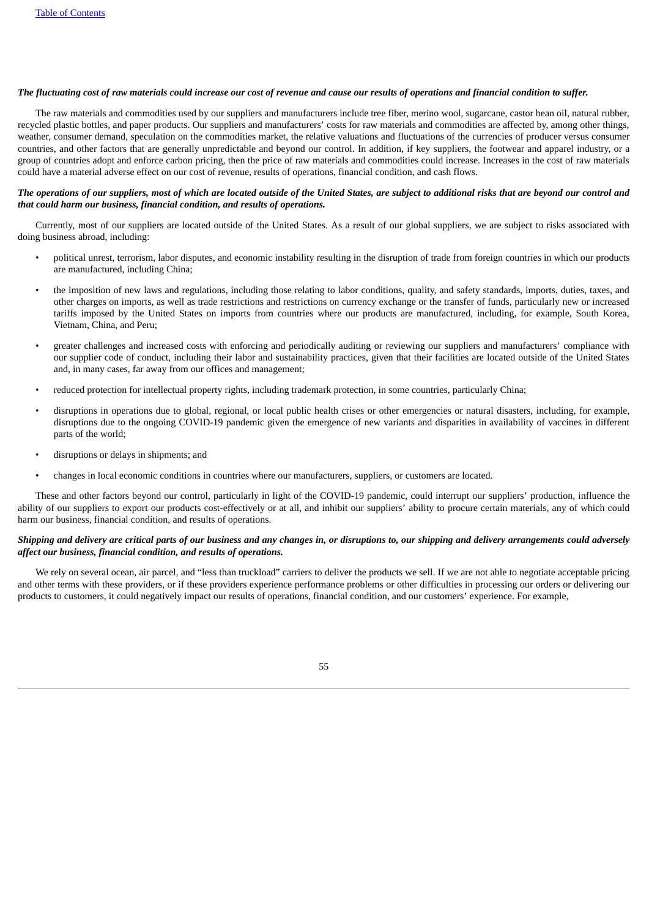### The fluctuatina cost of raw materials could increase our cost of revenue and cause our results of operations and financial condition to suffer.

The raw materials and commodities used by our suppliers and manufacturers include tree fiber, merino wool, sugarcane, castor bean oil, natural rubber, recycled plastic bottles, and paper products. Our suppliers and manufacturers' costs for raw materials and commodities are affected by, among other things, weather, consumer demand, speculation on the commodities market, the relative valuations and fluctuations of the currencies of producer versus consumer countries, and other factors that are generally unpredictable and beyond our control. In addition, if key suppliers, the footwear and apparel industry, or a group of countries adopt and enforce carbon pricing, then the price of raw materials and commodities could increase. Increases in the cost of raw materials could have a material adverse effect on our cost of revenue, results of operations, financial condition, and cash flows.

# The operations of our suppliers, most of which are located outside of the United States, are subject to additional risks that are bevond our control and *that could harm our business, financial condition, and results of operations.*

Currently, most of our suppliers are located outside of the United States. As a result of our global suppliers, we are subject to risks associated with doing business abroad, including:

- political unrest, terrorism, labor disputes, and economic instability resulting in the disruption of trade from foreign countries in which our products are manufactured, including China;
- the imposition of new laws and regulations, including those relating to labor conditions, quality, and safety standards, imports, duties, taxes, and other charges on imports, as well as trade restrictions and restrictions on currency exchange or the transfer of funds, particularly new or increased tariffs imposed by the United States on imports from countries where our products are manufactured, including, for example, South Korea, Vietnam, China, and Peru;
- greater challenges and increased costs with enforcing and periodically auditing or reviewing our suppliers and manufacturers' compliance with our supplier code of conduct, including their labor and sustainability practices, given that their facilities are located outside of the United States and, in many cases, far away from our offices and management;
- reduced protection for intellectual property rights, including trademark protection, in some countries, particularly China;
- disruptions in operations due to global, regional, or local public health crises or other emergencies or natural disasters, including, for example, disruptions due to the ongoing COVID-19 pandemic given the emergence of new variants and disparities in availability of vaccines in different parts of the world;
- disruptions or delays in shipments; and
- changes in local economic conditions in countries where our manufacturers, suppliers, or customers are located.

These and other factors beyond our control, particularly in light of the COVID-19 pandemic, could interrupt our suppliers' production, influence the ability of our suppliers to export our products cost-effectively or at all, and inhibit our suppliers' ability to procure certain materials, any of which could harm our business, financial condition, and results of operations.

# Shipping and delivery are critical parts of our business and any changes in, or disruptions to, our shipping and delivery arrangements could adversely *affect our business, financial condition, and results of operations.*

We rely on several ocean, air parcel, and "less than truckload" carriers to deliver the products we sell. If we are not able to negotiate acceptable pricing and other terms with these providers, or if these providers experience performance problems or other difficulties in processing our orders or delivering our products to customers, it could negatively impact our results of operations, financial condition, and our customers' experience. For example,

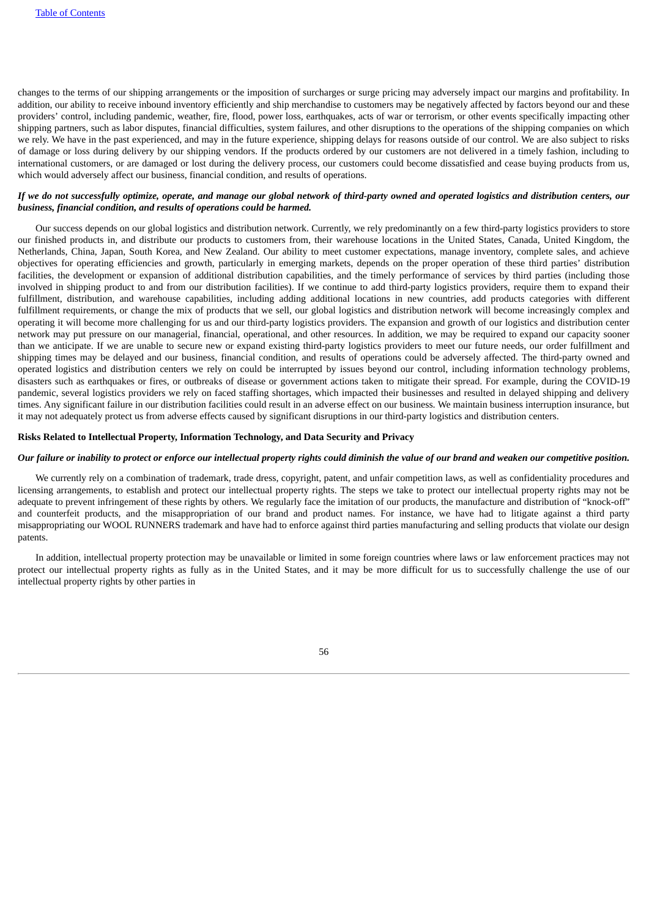changes to the terms of our shipping arrangements or the imposition of surcharges or surge pricing may adversely impact our margins and profitability. In addition, our ability to receive inbound inventory efficiently and ship merchandise to customers may be negatively affected by factors beyond our and these providers' control, including pandemic, weather, fire, flood, power loss, earthquakes, acts of war or terrorism, or other events specifically impacting other shipping partners, such as labor disputes, financial difficulties, system failures, and other disruptions to the operations of the shipping companies on which we rely. We have in the past experienced, and may in the future experience, shipping delays for reasons outside of our control. We are also subject to risks of damage or loss during delivery by our shipping vendors. If the products ordered by our customers are not delivered in a timely fashion, including to international customers, or are damaged or lost during the delivery process, our customers could become dissatisfied and cease buying products from us, which would adversely affect our business, financial condition, and results of operations.

# If we do not successfully optimize, operate, and manage our global network of third-party owned and operated logistics and distribution centers, our *business, financial condition, and results of operations could be harmed.*

Our success depends on our global logistics and distribution network. Currently, we rely predominantly on a few third-party logistics providers to store our finished products in, and distribute our products to customers from, their warehouse locations in the United States, Canada, United Kingdom, the Netherlands, China, Japan, South Korea, and New Zealand. Our ability to meet customer expectations, manage inventory, complete sales, and achieve objectives for operating efficiencies and growth, particularly in emerging markets, depends on the proper operation of these third parties' distribution facilities, the development or expansion of additional distribution capabilities, and the timely performance of services by third parties (including those involved in shipping product to and from our distribution facilities). If we continue to add third-party logistics providers, require them to expand their fulfillment, distribution, and warehouse capabilities, including adding additional locations in new countries, add products categories with different fulfillment requirements, or change the mix of products that we sell, our global logistics and distribution network will become increasingly complex and operating it will become more challenging for us and our third-party logistics providers. The expansion and growth of our logistics and distribution center network may put pressure on our managerial, financial, operational, and other resources. In addition, we may be required to expand our capacity sooner than we anticipate. If we are unable to secure new or expand existing third-party logistics providers to meet our future needs, our order fulfillment and shipping times may be delayed and our business, financial condition, and results of operations could be adversely affected. The third-party owned and operated logistics and distribution centers we rely on could be interrupted by issues beyond our control, including information technology problems, disasters such as earthquakes or fires, or outbreaks of disease or government actions taken to mitigate their spread. For example, during the COVID-19 pandemic, several logistics providers we rely on faced staffing shortages, which impacted their businesses and resulted in delayed shipping and delivery times. Any significant failure in our distribution facilities could result in an adverse effect on our business. We maintain business interruption insurance, but it may not adequately protect us from adverse effects caused by significant disruptions in our third-party logistics and distribution centers.

### **Risks Related to Intellectual Property, Information Technology, and Data Security and Privacy**

### Our failure or inability to protect or enforce our intellectual property rights could diminish the value of our brand and weaken our competitive position.

We currently rely on a combination of trademark, trade dress, copyright, patent, and unfair competition laws, as well as confidentiality procedures and licensing arrangements, to establish and protect our intellectual property rights. The steps we take to protect our intellectual property rights may not be adequate to prevent infringement of these rights by others. We regularly face the imitation of our products, the manufacture and distribution of "knock-off" and counterfeit products, and the misappropriation of our brand and product names. For instance, we have had to litigate against a third party misappropriating our WOOL RUNNERS trademark and have had to enforce against third parties manufacturing and selling products that violate our design patents.

In addition, intellectual property protection may be unavailable or limited in some foreign countries where laws or law enforcement practices may not protect our intellectual property rights as fully as in the United States, and it may be more difficult for us to successfully challenge the use of our intellectual property rights by other parties in

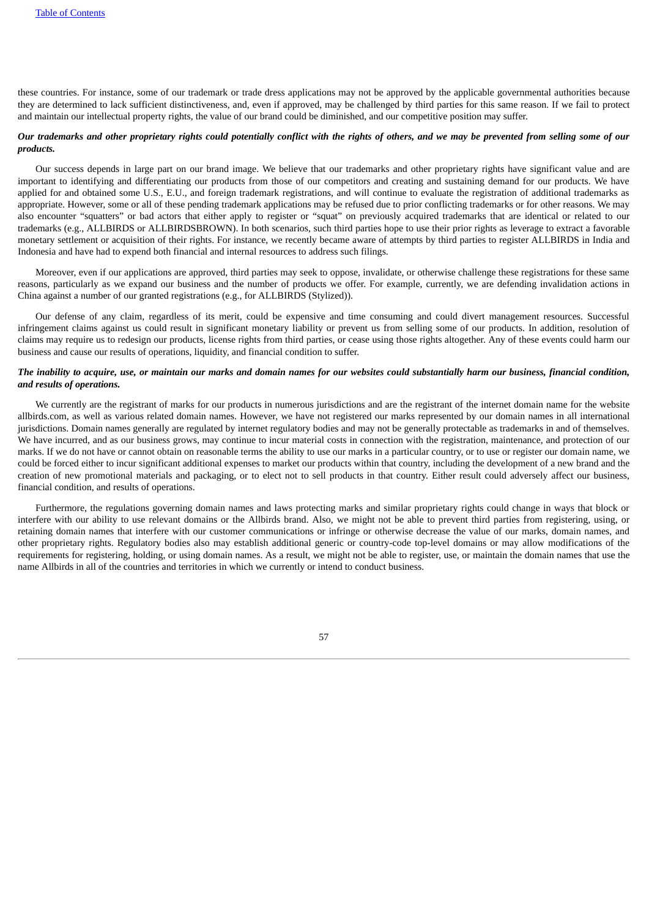these countries. For instance, some of our trademark or trade dress applications may not be approved by the applicable governmental authorities because they are determined to lack sufficient distinctiveness, and, even if approved, may be challenged by third parties for this same reason. If we fail to protect and maintain our intellectual property rights, the value of our brand could be diminished, and our competitive position may suffer.

# Our trademarks and other proprietary rights could potentially conflict with the rights of others, and we may be prevented from selling some of our *products.*

Our success depends in large part on our brand image. We believe that our trademarks and other proprietary rights have significant value and are important to identifying and differentiating our products from those of our competitors and creating and sustaining demand for our products. We have applied for and obtained some U.S., E.U., and foreign trademark registrations, and will continue to evaluate the registration of additional trademarks as appropriate. However, some or all of these pending trademark applications may be refused due to prior conflicting trademarks or for other reasons. We may also encounter "squatters" or bad actors that either apply to register or "squat" on previously acquired trademarks that are identical or related to our trademarks (e.g., ALLBIRDS or ALLBIRDSBROWN). In both scenarios, such third parties hope to use their prior rights as leverage to extract a favorable monetary settlement or acquisition of their rights. For instance, we recently became aware of attempts by third parties to register ALLBIRDS in India and Indonesia and have had to expend both financial and internal resources to address such filings.

Moreover, even if our applications are approved, third parties may seek to oppose, invalidate, or otherwise challenge these registrations for these same reasons, particularly as we expand our business and the number of products we offer. For example, currently, we are defending invalidation actions in China against a number of our granted registrations (e.g., for ALLBIRDS (Stylized)).

Our defense of any claim, regardless of its merit, could be expensive and time consuming and could divert management resources. Successful infringement claims against us could result in significant monetary liability or prevent us from selling some of our products. In addition, resolution of claims may require us to redesign our products, license rights from third parties, or cease using those rights altogether. Any of these events could harm our business and cause our results of operations, liquidity, and financial condition to suffer.

### The inability to acquire, use, or maintain our marks and domain names for our websites could substantially harm our business, financial condition, *and results of operations.*

We currently are the registrant of marks for our products in numerous jurisdictions and are the registrant of the internet domain name for the website allbirds.com, as well as various related domain names. However, we have not registered our marks represented by our domain names in all international jurisdictions. Domain names generally are regulated by internet regulatory bodies and may not be generally protectable as trademarks in and of themselves. We have incurred, and as our business grows, may continue to incur material costs in connection with the registration, maintenance, and protection of our marks. If we do not have or cannot obtain on reasonable terms the ability to use our marks in a particular country, or to use or register our domain name, we could be forced either to incur significant additional expenses to market our products within that country, including the development of a new brand and the creation of new promotional materials and packaging, or to elect not to sell products in that country. Either result could adversely affect our business, financial condition, and results of operations.

Furthermore, the regulations governing domain names and laws protecting marks and similar proprietary rights could change in ways that block or interfere with our ability to use relevant domains or the Allbirds brand. Also, we might not be able to prevent third parties from registering, using, or retaining domain names that interfere with our customer communications or infringe or otherwise decrease the value of our marks, domain names, and other proprietary rights. Regulatory bodies also may establish additional generic or country-code top-level domains or may allow modifications of the requirements for registering, holding, or using domain names. As a result, we might not be able to register, use, or maintain the domain names that use the name Allbirds in all of the countries and territories in which we currently or intend to conduct business.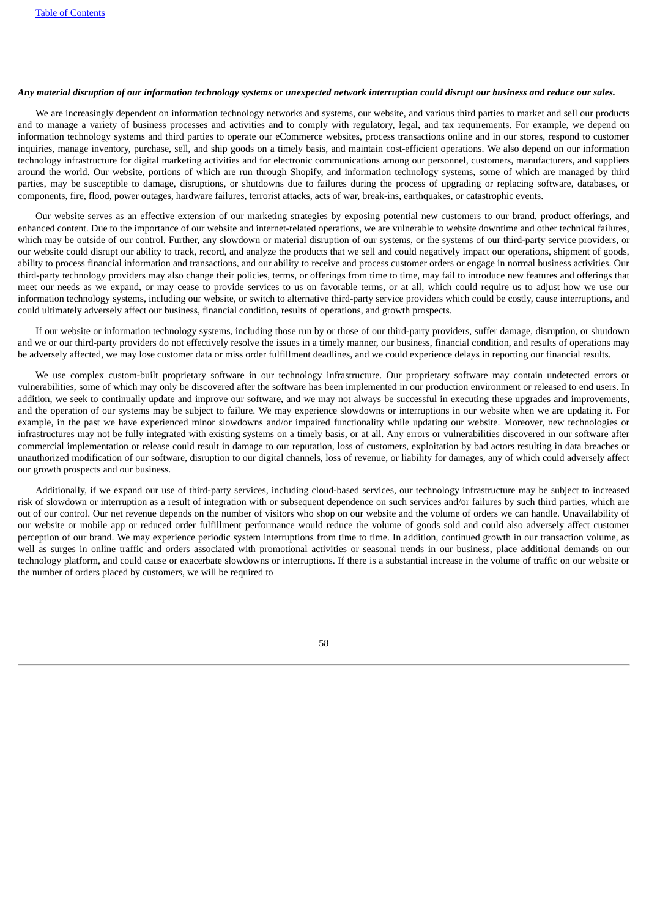#### Any material disruption of our information technology systems or unexpected network interruption could disrupt our business and reduce our sales.

We are increasingly dependent on information technology networks and systems, our website, and various third parties to market and sell our products and to manage a variety of business processes and activities and to comply with regulatory, legal, and tax requirements. For example, we depend on information technology systems and third parties to operate our eCommerce websites, process transactions online and in our stores, respond to customer inquiries, manage inventory, purchase, sell, and ship goods on a timely basis, and maintain cost-efficient operations. We also depend on our information technology infrastructure for digital marketing activities and for electronic communications among our personnel, customers, manufacturers, and suppliers around the world. Our website, portions of which are run through Shopify, and information technology systems, some of which are managed by third parties, may be susceptible to damage, disruptions, or shutdowns due to failures during the process of upgrading or replacing software, databases, or components, fire, flood, power outages, hardware failures, terrorist attacks, acts of war, break-ins, earthquakes, or catastrophic events.

Our website serves as an effective extension of our marketing strategies by exposing potential new customers to our brand, product offerings, and enhanced content. Due to the importance of our website and internet-related operations, we are vulnerable to website downtime and other technical failures, which may be outside of our control. Further, any slowdown or material disruption of our systems, or the systems of our third-party service providers, or our website could disrupt our ability to track, record, and analyze the products that we sell and could negatively impact our operations, shipment of goods, ability to process financial information and transactions, and our ability to receive and process customer orders or engage in normal business activities. Our third-party technology providers may also change their policies, terms, or offerings from time to time, may fail to introduce new features and offerings that meet our needs as we expand, or may cease to provide services to us on favorable terms, or at all, which could require us to adjust how we use our information technology systems, including our website, or switch to alternative third-party service providers which could be costly, cause interruptions, and could ultimately adversely affect our business, financial condition, results of operations, and growth prospects.

If our website or information technology systems, including those run by or those of our third-party providers, suffer damage, disruption, or shutdown and we or our third-party providers do not effectively resolve the issues in a timely manner, our business, financial condition, and results of operations may be adversely affected, we may lose customer data or miss order fulfillment deadlines, and we could experience delays in reporting our financial results.

We use complex custom-built proprietary software in our technology infrastructure. Our proprietary software may contain undetected errors or vulnerabilities, some of which may only be discovered after the software has been implemented in our production environment or released to end users. In addition, we seek to continually update and improve our software, and we may not always be successful in executing these upgrades and improvements, and the operation of our systems may be subject to failure. We may experience slowdowns or interruptions in our website when we are updating it. For example, in the past we have experienced minor slowdowns and/or impaired functionality while updating our website. Moreover, new technologies or infrastructures may not be fully integrated with existing systems on a timely basis, or at all. Any errors or vulnerabilities discovered in our software after commercial implementation or release could result in damage to our reputation, loss of customers, exploitation by bad actors resulting in data breaches or unauthorized modification of our software, disruption to our digital channels, loss of revenue, or liability for damages, any of which could adversely affect our growth prospects and our business.

Additionally, if we expand our use of third-party services, including cloud-based services, our technology infrastructure may be subject to increased risk of slowdown or interruption as a result of integration with or subsequent dependence on such services and/or failures by such third parties, which are out of our control. Our net revenue depends on the number of visitors who shop on our website and the volume of orders we can handle. Unavailability of our website or mobile app or reduced order fulfillment performance would reduce the volume of goods sold and could also adversely affect customer perception of our brand. We may experience periodic system interruptions from time to time. In addition, continued growth in our transaction volume, as well as surges in online traffic and orders associated with promotional activities or seasonal trends in our business, place additional demands on our technology platform, and could cause or exacerbate slowdowns or interruptions. If there is a substantial increase in the volume of traffic on our website or the number of orders placed by customers, we will be required to

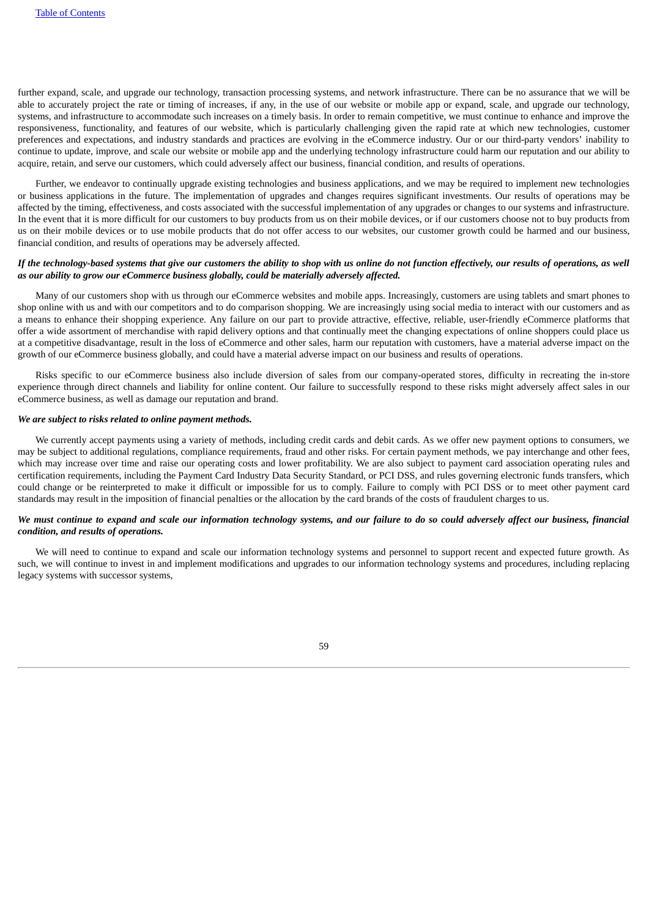further expand, scale, and upgrade our technology, transaction processing systems, and network infrastructure. There can be no assurance that we will be able to accurately project the rate or timing of increases, if any, in the use of our website or mobile app or expand, scale, and upgrade our technology, systems, and infrastructure to accommodate such increases on a timely basis. In order to remain competitive, we must continue to enhance and improve the responsiveness, functionality, and features of our website, which is particularly challenging given the rapid rate at which new technologies, customer preferences and expectations, and industry standards and practices are evolving in the eCommerce industry. Our or our third-party vendors' inability to continue to update, improve, and scale our website or mobile app and the underlying technology infrastructure could harm our reputation and our ability to acquire, retain, and serve our customers, which could adversely affect our business, financial condition, and results of operations.

Further, we endeavor to continually upgrade existing technologies and business applications, and we may be required to implement new technologies or business applications in the future. The implementation of upgrades and changes requires significant investments. Our results of operations may be affected by the timing, effectiveness, and costs associated with the successful implementation of any upgrades or changes to our systems and infrastructure. In the event that it is more difficult for our customers to buy products from us on their mobile devices, or if our customers choose not to buy products from us on their mobile devices or to use mobile products that do not offer access to our websites, our customer growth could be harmed and our business, financial condition, and results of operations may be adversely affected.

# If the technology-based systems that give our customers the ability to shop with us online do not function effectively, our results of operations, as well *as our ability to grow our eCommerce business globally, could be materially adversely affected.*

Many of our customers shop with us through our eCommerce websites and mobile apps. Increasingly, customers are using tablets and smart phones to shop online with us and with our competitors and to do comparison shopping. We are increasingly using social media to interact with our customers and as a means to enhance their shopping experience. Any failure on our part to provide attractive, effective, reliable, user-friendly eCommerce platforms that offer a wide assortment of merchandise with rapid delivery options and that continually meet the changing expectations of online shoppers could place us at a competitive disadvantage, result in the loss of eCommerce and other sales, harm our reputation with customers, have a material adverse impact on the growth of our eCommerce business globally, and could have a material adverse impact on our business and results of operations.

Risks specific to our eCommerce business also include diversion of sales from our company-operated stores, difficulty in recreating the in-store experience through direct channels and liability for online content. Our failure to successfully respond to these risks might adversely affect sales in our eCommerce business, as well as damage our reputation and brand.

#### *We are subject to risks related to online payment methods.*

We currently accept payments using a variety of methods, including credit cards and debit cards. As we offer new payment options to consumers, we may be subject to additional regulations, compliance requirements, fraud and other risks. For certain payment methods, we pay interchange and other fees, which may increase over time and raise our operating costs and lower profitability. We are also subject to payment card association operating rules and certification requirements, including the Payment Card Industry Data Security Standard, or PCI DSS, and rules governing electronic funds transfers, which could change or be reinterpreted to make it difficult or impossible for us to comply. Failure to comply with PCI DSS or to meet other payment card standards may result in the imposition of financial penalties or the allocation by the card brands of the costs of fraudulent charges to us.

# We must continue to expand and scale our information technology systems, and our failure to do so could adversely affect our business, financial *condition, and results of operations.*

We will need to continue to expand and scale our information technology systems and personnel to support recent and expected future growth. As such, we will continue to invest in and implement modifications and upgrades to our information technology systems and procedures, including replacing legacy systems with successor systems,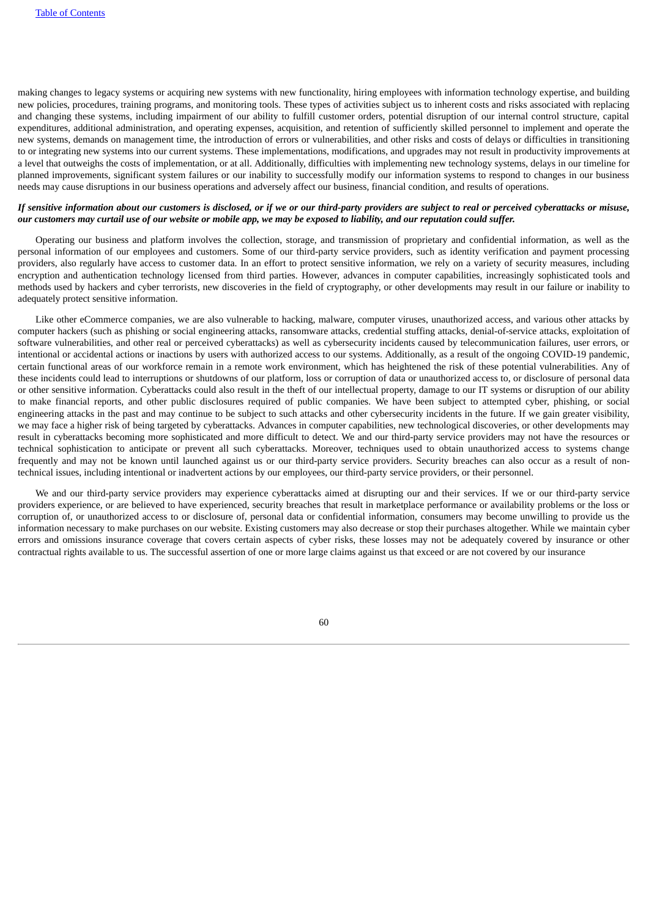making changes to legacy systems or acquiring new systems with new functionality, hiring employees with information technology expertise, and building new policies, procedures, training programs, and monitoring tools. These types of activities subject us to inherent costs and risks associated with replacing and changing these systems, including impairment of our ability to fulfill customer orders, potential disruption of our internal control structure, capital expenditures, additional administration, and operating expenses, acquisition, and retention of sufficiently skilled personnel to implement and operate the new systems, demands on management time, the introduction of errors or vulnerabilities, and other risks and costs of delays or difficulties in transitioning to or integrating new systems into our current systems. These implementations, modifications, and upgrades may not result in productivity improvements at a level that outweighs the costs of implementation, or at all. Additionally, difficulties with implementing new technology systems, delays in our timeline for planned improvements, significant system failures or our inability to successfully modify our information systems to respond to changes in our business needs may cause disruptions in our business operations and adversely affect our business, financial condition, and results of operations.

# If sensitive information about our customers is disclosed, or if we or our third-party providers are subject to real or perceived cyberattacks or misuse, our customers may curtail use of our website or mobile app, we may be exposed to liability, and our reputation could suffer.

Operating our business and platform involves the collection, storage, and transmission of proprietary and confidential information, as well as the personal information of our employees and customers. Some of our third-party service providers, such as identity verification and payment processing providers, also regularly have access to customer data. In an effort to protect sensitive information, we rely on a variety of security measures, including encryption and authentication technology licensed from third parties. However, advances in computer capabilities, increasingly sophisticated tools and methods used by hackers and cyber terrorists, new discoveries in the field of cryptography, or other developments may result in our failure or inability to adequately protect sensitive information.

Like other eCommerce companies, we are also vulnerable to hacking, malware, computer viruses, unauthorized access, and various other attacks by computer hackers (such as phishing or social engineering attacks, ransomware attacks, credential stuffing attacks, denial-of-service attacks, exploitation of software vulnerabilities, and other real or perceived cyberattacks) as well as cybersecurity incidents caused by telecommunication failures, user errors, or intentional or accidental actions or inactions by users with authorized access to our systems. Additionally, as a result of the ongoing COVID-19 pandemic, certain functional areas of our workforce remain in a remote work environment, which has heightened the risk of these potential vulnerabilities. Any of these incidents could lead to interruptions or shutdowns of our platform, loss or corruption of data or unauthorized access to, or disclosure of personal data or other sensitive information. Cyberattacks could also result in the theft of our intellectual property, damage to our IT systems or disruption of our ability to make financial reports, and other public disclosures required of public companies. We have been subject to attempted cyber, phishing, or social engineering attacks in the past and may continue to be subject to such attacks and other cybersecurity incidents in the future. If we gain greater visibility, we may face a higher risk of being targeted by cyberattacks. Advances in computer capabilities, new technological discoveries, or other developments may result in cyberattacks becoming more sophisticated and more difficult to detect. We and our third-party service providers may not have the resources or technical sophistication to anticipate or prevent all such cyberattacks. Moreover, techniques used to obtain unauthorized access to systems change frequently and may not be known until launched against us or our third-party service providers. Security breaches can also occur as a result of nontechnical issues, including intentional or inadvertent actions by our employees, our third-party service providers, or their personnel.

We and our third-party service providers may experience cyberattacks aimed at disrupting our and their services. If we or our third-party service providers experience, or are believed to have experienced, security breaches that result in marketplace performance or availability problems or the loss or corruption of, or unauthorized access to or disclosure of, personal data or confidential information, consumers may become unwilling to provide us the information necessary to make purchases on our website. Existing customers may also decrease or stop their purchases altogether. While we maintain cyber errors and omissions insurance coverage that covers certain aspects of cyber risks, these losses may not be adequately covered by insurance or other contractual rights available to us. The successful assertion of one or more large claims against us that exceed or are not covered by our insurance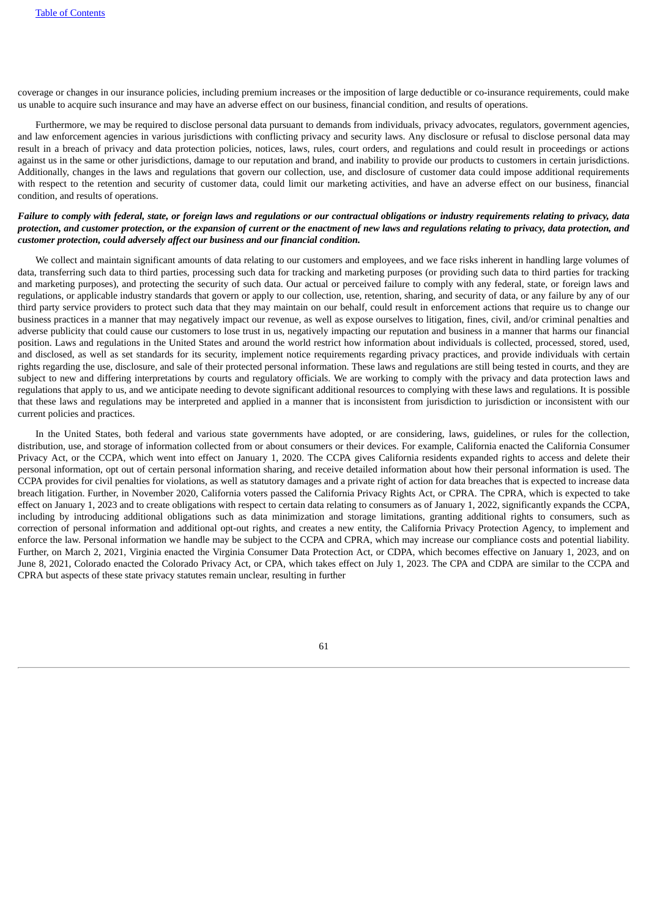coverage or changes in our insurance policies, including premium increases or the imposition of large deductible or co-insurance requirements, could make us unable to acquire such insurance and may have an adverse effect on our business, financial condition, and results of operations.

Furthermore, we may be required to disclose personal data pursuant to demands from individuals, privacy advocates, regulators, government agencies, and law enforcement agencies in various jurisdictions with conflicting privacy and security laws. Any disclosure or refusal to disclose personal data may result in a breach of privacy and data protection policies, notices, laws, rules, court orders, and regulations and could result in proceedings or actions against us in the same or other jurisdictions, damage to our reputation and brand, and inability to provide our products to customers in certain jurisdictions. Additionally, changes in the laws and regulations that govern our collection, use, and disclosure of customer data could impose additional requirements with respect to the retention and security of customer data, could limit our marketing activities, and have an adverse effect on our business, financial condition, and results of operations.

### Failure to comply with federal, state, or foreign laws and regulations or our contractual obligations or industry requirements relating to privacy, data protection, and customer protection, or the expansion of current or the enactment of new laws and regulations relating to privacy, data protection, and *customer protection, could adversely affect our business and our financial condition.*

We collect and maintain significant amounts of data relating to our customers and employees, and we face risks inherent in handling large volumes of data, transferring such data to third parties, processing such data for tracking and marketing purposes (or providing such data to third parties for tracking and marketing purposes), and protecting the security of such data. Our actual or perceived failure to comply with any federal, state, or foreign laws and regulations, or applicable industry standards that govern or apply to our collection, use, retention, sharing, and security of data, or any failure by any of our third party service providers to protect such data that they may maintain on our behalf, could result in enforcement actions that require us to change our business practices in a manner that may negatively impact our revenue, as well as expose ourselves to litigation, fines, civil, and/or criminal penalties and adverse publicity that could cause our customers to lose trust in us, negatively impacting our reputation and business in a manner that harms our financial position. Laws and regulations in the United States and around the world restrict how information about individuals is collected, processed, stored, used, and disclosed, as well as set standards for its security, implement notice requirements regarding privacy practices, and provide individuals with certain rights regarding the use, disclosure, and sale of their protected personal information. These laws and regulations are still being tested in courts, and they are subject to new and differing interpretations by courts and regulatory officials. We are working to comply with the privacy and data protection laws and regulations that apply to us, and we anticipate needing to devote significant additional resources to complying with these laws and regulations. It is possible that these laws and regulations may be interpreted and applied in a manner that is inconsistent from jurisdiction to jurisdiction or inconsistent with our current policies and practices.

In the United States, both federal and various state governments have adopted, or are considering, laws, guidelines, or rules for the collection, distribution, use, and storage of information collected from or about consumers or their devices. For example, California enacted the California Consumer Privacy Act, or the CCPA, which went into effect on January 1, 2020. The CCPA gives California residents expanded rights to access and delete their personal information, opt out of certain personal information sharing, and receive detailed information about how their personal information is used. The CCPA provides for civil penalties for violations, as well as statutory damages and a private right of action for data breaches that is expected to increase data breach litigation. Further, in November 2020, California voters passed the California Privacy Rights Act, or CPRA. The CPRA, which is expected to take effect on January 1, 2023 and to create obligations with respect to certain data relating to consumers as of January 1, 2022, significantly expands the CCPA, including by introducing additional obligations such as data minimization and storage limitations, granting additional rights to consumers, such as correction of personal information and additional opt-out rights, and creates a new entity, the California Privacy Protection Agency, to implement and enforce the law. Personal information we handle may be subject to the CCPA and CPRA, which may increase our compliance costs and potential liability. Further, on March 2, 2021, Virginia enacted the Virginia Consumer Data Protection Act, or CDPA, which becomes effective on January 1, 2023, and on June 8, 2021, Colorado enacted the Colorado Privacy Act, or CPA, which takes effect on July 1, 2023. The CPA and CDPA are similar to the CCPA and CPRA but aspects of these state privacy statutes remain unclear, resulting in further

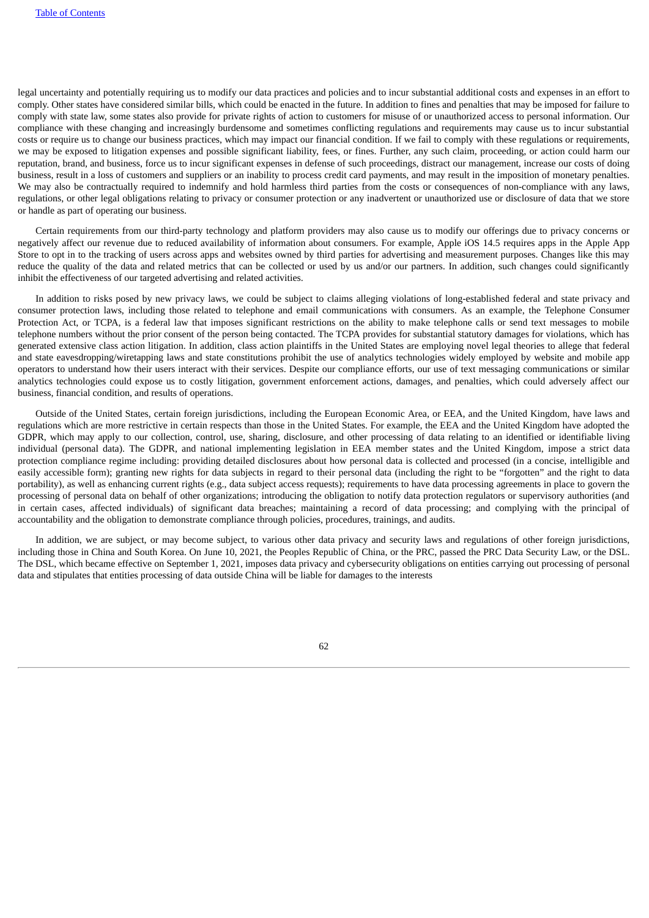legal uncertainty and potentially requiring us to modify our data practices and policies and to incur substantial additional costs and expenses in an effort to comply. Other states have considered similar bills, which could be enacted in the future. In addition to fines and penalties that may be imposed for failure to comply with state law, some states also provide for private rights of action to customers for misuse of or unauthorized access to personal information. Our compliance with these changing and increasingly burdensome and sometimes conflicting regulations and requirements may cause us to incur substantial costs or require us to change our business practices, which may impact our financial condition. If we fail to comply with these regulations or requirements, we may be exposed to litigation expenses and possible significant liability, fees, or fines. Further, any such claim, proceeding, or action could harm our reputation, brand, and business, force us to incur significant expenses in defense of such proceedings, distract our management, increase our costs of doing business, result in a loss of customers and suppliers or an inability to process credit card payments, and may result in the imposition of monetary penalties. We may also be contractually required to indemnify and hold harmless third parties from the costs or consequences of non-compliance with any laws. regulations, or other legal obligations relating to privacy or consumer protection or any inadvertent or unauthorized use or disclosure of data that we store or handle as part of operating our business.

Certain requirements from our third-party technology and platform providers may also cause us to modify our offerings due to privacy concerns or negatively affect our revenue due to reduced availability of information about consumers. For example, Apple iOS 14.5 requires apps in the Apple App Store to opt in to the tracking of users across apps and websites owned by third parties for advertising and measurement purposes. Changes like this may reduce the quality of the data and related metrics that can be collected or used by us and/or our partners. In addition, such changes could significantly inhibit the effectiveness of our targeted advertising and related activities.

In addition to risks posed by new privacy laws, we could be subject to claims alleging violations of long-established federal and state privacy and consumer protection laws, including those related to telephone and email communications with consumers. As an example, the Telephone Consumer Protection Act, or TCPA, is a federal law that imposes significant restrictions on the ability to make telephone calls or send text messages to mobile telephone numbers without the prior consent of the person being contacted. The TCPA provides for substantial statutory damages for violations, which has generated extensive class action litigation. In addition, class action plaintiffs in the United States are employing novel legal theories to allege that federal and state eavesdropping/wiretapping laws and state constitutions prohibit the use of analytics technologies widely employed by website and mobile app operators to understand how their users interact with their services. Despite our compliance efforts, our use of text messaging communications or similar analytics technologies could expose us to costly litigation, government enforcement actions, damages, and penalties, which could adversely affect our business, financial condition, and results of operations.

Outside of the United States, certain foreign jurisdictions, including the European Economic Area, or EEA, and the United Kingdom, have laws and regulations which are more restrictive in certain respects than those in the United States. For example, the EEA and the United Kingdom have adopted the GDPR, which may apply to our collection, control, use, sharing, disclosure, and other processing of data relating to an identified or identifiable living individual (personal data). The GDPR, and national implementing legislation in EEA member states and the United Kingdom, impose a strict data protection compliance regime including: providing detailed disclosures about how personal data is collected and processed (in a concise, intelligible and easily accessible form); granting new rights for data subjects in regard to their personal data (including the right to be "forgotten" and the right to data portability), as well as enhancing current rights (e.g., data subject access requests); requirements to have data processing agreements in place to govern the processing of personal data on behalf of other organizations; introducing the obligation to notify data protection regulators or supervisory authorities (and in certain cases, affected individuals) of significant data breaches; maintaining a record of data processing; and complying with the principal of accountability and the obligation to demonstrate compliance through policies, procedures, trainings, and audits.

In addition, we are subject, or may become subject, to various other data privacy and security laws and regulations of other foreign jurisdictions, including those in China and South Korea. On June 10, 2021, the Peoples Republic of China, or the PRC, passed the PRC Data Security Law, or the DSL. The DSL, which became effective on September 1, 2021, imposes data privacy and cybersecurity obligations on entities carrying out processing of personal data and stipulates that entities processing of data outside China will be liable for damages to the interests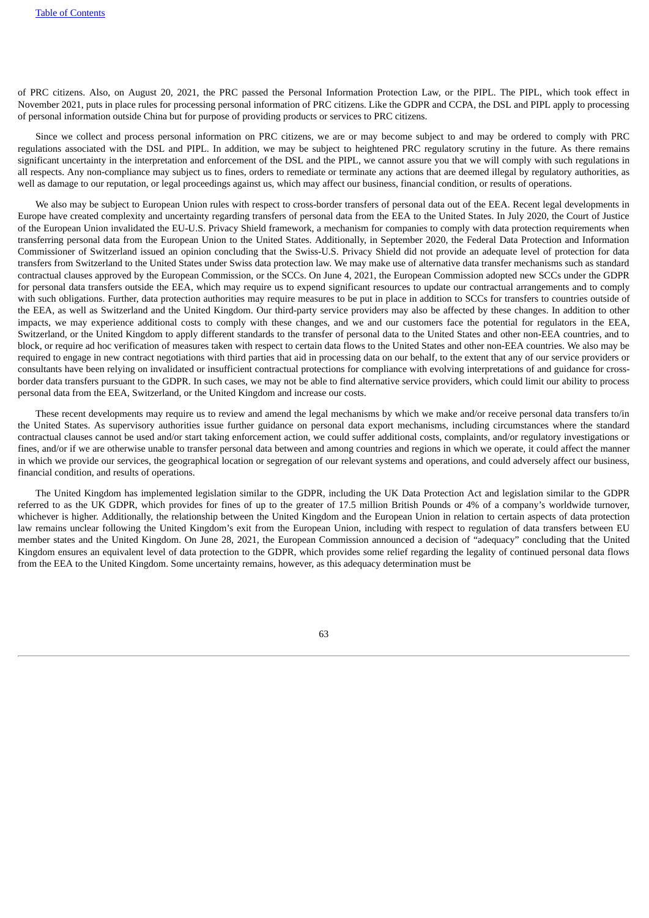of PRC citizens. Also, on August 20, 2021, the PRC passed the Personal Information Protection Law, or the PIPL. The PIPL, which took effect in November 2021, puts in place rules for processing personal information of PRC citizens. Like the GDPR and CCPA, the DSL and PIPL apply to processing of personal information outside China but for purpose of providing products or services to PRC citizens.

Since we collect and process personal information on PRC citizens, we are or may become subject to and may be ordered to comply with PRC regulations associated with the DSL and PIPL. In addition, we may be subject to heightened PRC regulatory scrutiny in the future. As there remains significant uncertainty in the interpretation and enforcement of the DSL and the PIPL, we cannot assure you that we will comply with such regulations in all respects. Any non-compliance may subject us to fines, orders to remediate or terminate any actions that are deemed illegal by regulatory authorities, as well as damage to our reputation, or legal proceedings against us, which may affect our business, financial condition, or results of operations.

We also may be subject to European Union rules with respect to cross-border transfers of personal data out of the EEA. Recent legal developments in Europe have created complexity and uncertainty regarding transfers of personal data from the EEA to the United States. In July 2020, the Court of Justice of the European Union invalidated the EU-U.S. Privacy Shield framework, a mechanism for companies to comply with data protection requirements when transferring personal data from the European Union to the United States. Additionally, in September 2020, the Federal Data Protection and Information Commissioner of Switzerland issued an opinion concluding that the Swiss-U.S. Privacy Shield did not provide an adequate level of protection for data transfers from Switzerland to the United States under Swiss data protection law. We may make use of alternative data transfer mechanisms such as standard contractual clauses approved by the European Commission, or the SCCs. On June 4, 2021, the European Commission adopted new SCCs under the GDPR for personal data transfers outside the EEA, which may require us to expend significant resources to update our contractual arrangements and to comply with such obligations. Further, data protection authorities may require measures to be put in place in addition to SCCs for transfers to countries outside of the EEA, as well as Switzerland and the United Kingdom. Our third-party service providers may also be affected by these changes. In addition to other impacts, we may experience additional costs to comply with these changes, and we and our customers face the potential for regulators in the EEA, Switzerland, or the United Kingdom to apply different standards to the transfer of personal data to the United States and other non-EEA countries, and to block, or require ad hoc verification of measures taken with respect to certain data flows to the United States and other non-EEA countries. We also may be required to engage in new contract negotiations with third parties that aid in processing data on our behalf, to the extent that any of our service providers or consultants have been relying on invalidated or insufficient contractual protections for compliance with evolving interpretations of and guidance for crossborder data transfers pursuant to the GDPR. In such cases, we may not be able to find alternative service providers, which could limit our ability to process personal data from the EEA, Switzerland, or the United Kingdom and increase our costs.

These recent developments may require us to review and amend the legal mechanisms by which we make and/or receive personal data transfers to/in the United States. As supervisory authorities issue further guidance on personal data export mechanisms, including circumstances where the standard contractual clauses cannot be used and/or start taking enforcement action, we could suffer additional costs, complaints, and/or regulatory investigations or fines, and/or if we are otherwise unable to transfer personal data between and among countries and regions in which we operate, it could affect the manner in which we provide our services, the geographical location or segregation of our relevant systems and operations, and could adversely affect our business, financial condition, and results of operations.

The United Kingdom has implemented legislation similar to the GDPR, including the UK Data Protection Act and legislation similar to the GDPR referred to as the UK GDPR, which provides for fines of up to the greater of 17.5 million British Pounds or 4% of a company's worldwide turnover, whichever is higher. Additionally, the relationship between the United Kingdom and the European Union in relation to certain aspects of data protection law remains unclear following the United Kingdom's exit from the European Union, including with respect to regulation of data transfers between EU member states and the United Kingdom. On June 28, 2021, the European Commission announced a decision of "adequacy" concluding that the United Kingdom ensures an equivalent level of data protection to the GDPR, which provides some relief regarding the legality of continued personal data flows from the EEA to the United Kingdom. Some uncertainty remains, however, as this adequacy determination must be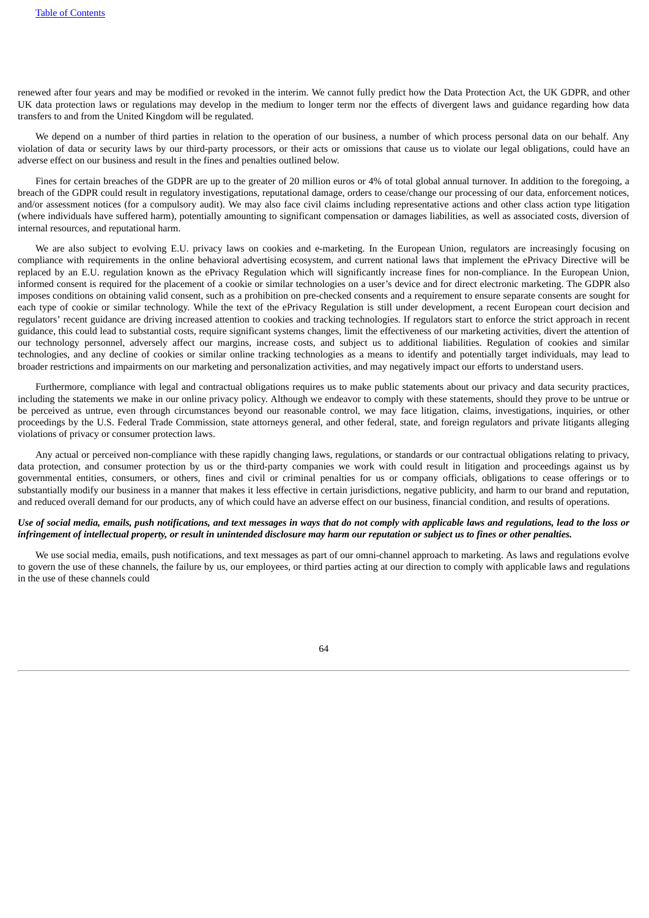renewed after four years and may be modified or revoked in the interim. We cannot fully predict how the Data Protection Act, the UK GDPR, and other UK data protection laws or regulations may develop in the medium to longer term nor the effects of divergent laws and guidance regarding how data transfers to and from the United Kingdom will be regulated.

We depend on a number of third parties in relation to the operation of our business, a number of which process personal data on our behalf. Any violation of data or security laws by our third-party processors, or their acts or omissions that cause us to violate our legal obligations, could have an adverse effect on our business and result in the fines and penalties outlined below.

Fines for certain breaches of the GDPR are up to the greater of 20 million euros or 4% of total global annual turnover. In addition to the foregoing, a breach of the GDPR could result in regulatory investigations, reputational damage, orders to cease/change our processing of our data, enforcement notices, and/or assessment notices (for a compulsory audit). We may also face civil claims including representative actions and other class action type litigation (where individuals have suffered harm), potentially amounting to significant compensation or damages liabilities, as well as associated costs, diversion of internal resources, and reputational harm.

We are also subject to evolving E.U. privacy laws on cookies and e-marketing. In the European Union, regulators are increasingly focusing on compliance with requirements in the online behavioral advertising ecosystem, and current national laws that implement the ePrivacy Directive will be replaced by an E.U. regulation known as the ePrivacy Regulation which will significantly increase fines for non-compliance. In the European Union, informed consent is required for the placement of a cookie or similar technologies on a user's device and for direct electronic marketing. The GDPR also imposes conditions on obtaining valid consent, such as a prohibition on pre-checked consents and a requirement to ensure separate consents are sought for each type of cookie or similar technology. While the text of the ePrivacy Regulation is still under development, a recent European court decision and regulators' recent guidance are driving increased attention to cookies and tracking technologies. If regulators start to enforce the strict approach in recent guidance, this could lead to substantial costs, require significant systems changes, limit the effectiveness of our marketing activities, divert the attention of our technology personnel, adversely affect our margins, increase costs, and subject us to additional liabilities. Regulation of cookies and similar technologies, and any decline of cookies or similar online tracking technologies as a means to identify and potentially target individuals, may lead to broader restrictions and impairments on our marketing and personalization activities, and may negatively impact our efforts to understand users.

Furthermore, compliance with legal and contractual obligations requires us to make public statements about our privacy and data security practices, including the statements we make in our online privacy policy. Although we endeavor to comply with these statements, should they prove to be untrue or be perceived as untrue, even through circumstances beyond our reasonable control, we may face litigation, claims, investigations, inquiries, or other proceedings by the U.S. Federal Trade Commission, state attorneys general, and other federal, state, and foreign regulators and private litigants alleging violations of privacy or consumer protection laws.

Any actual or perceived non-compliance with these rapidly changing laws, regulations, or standards or our contractual obligations relating to privacy, data protection, and consumer protection by us or the third-party companies we work with could result in litigation and proceedings against us by governmental entities, consumers, or others, fines and civil or criminal penalties for us or company officials, obligations to cease offerings or to substantially modify our business in a manner that makes it less effective in certain jurisdictions, negative publicity, and harm to our brand and reputation, and reduced overall demand for our products, any of which could have an adverse effect on our business, financial condition, and results of operations.

## Use of social media, emails, push notifications, and text messages in ways that do not comply with applicable laws and regulations, lead to the loss or infringement of intellectual property, or result in unintended disclosure may harm our reputation or subject us to fines or other penalties.

We use social media, emails, push notifications, and text messages as part of our omni-channel approach to marketing. As laws and regulations evolve to govern the use of these channels, the failure by us, our employees, or third parties acting at our direction to comply with applicable laws and regulations in the use of these channels could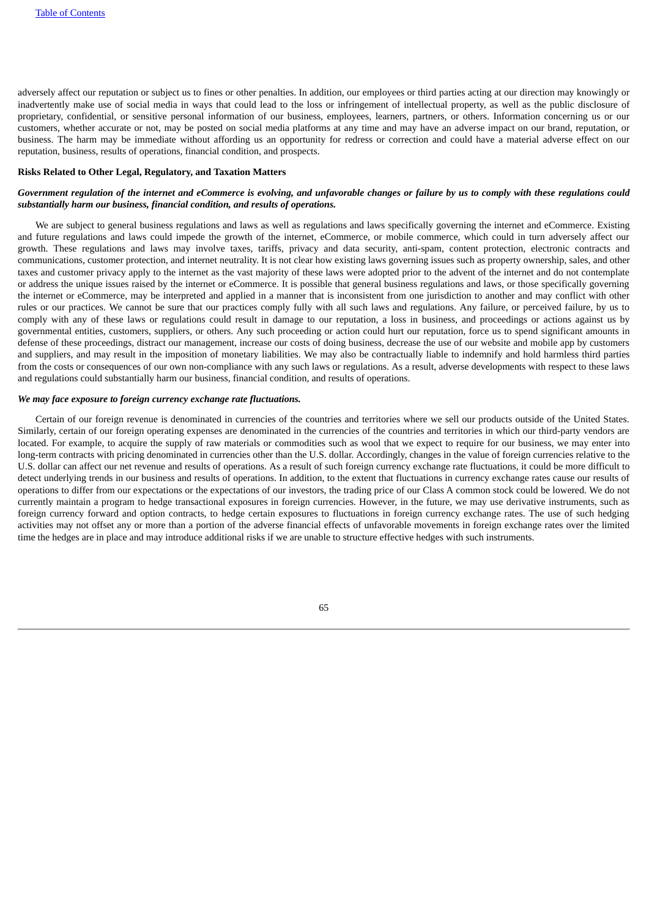adversely affect our reputation or subject us to fines or other penalties. In addition, our employees or third parties acting at our direction may knowingly or inadvertently make use of social media in ways that could lead to the loss or infringement of intellectual property, as well as the public disclosure of proprietary, confidential, or sensitive personal information of our business, employees, learners, partners, or others. Information concerning us or our customers, whether accurate or not, may be posted on social media platforms at any time and may have an adverse impact on our brand, reputation, or business. The harm may be immediate without affording us an opportunity for redress or correction and could have a material adverse effect on our reputation, business, results of operations, financial condition, and prospects.

### **Risks Related to Other Legal, Regulatory, and Taxation Matters**

## Government regulation of the internet and eCommerce is evolving, and unfavorable changes or failure by us to comply with these regulations could *substantially harm our business, financial condition, and results of operations.*

We are subject to general business regulations and laws as well as regulations and laws specifically governing the internet and eCommerce. Existing and future regulations and laws could impede the growth of the internet, eCommerce, or mobile commerce, which could in turn adversely affect our growth. These regulations and laws may involve taxes, tariffs, privacy and data security, anti-spam, content protection, electronic contracts and communications, customer protection, and internet neutrality. It is not clear how existing laws governing issues such as property ownership, sales, and other taxes and customer privacy apply to the internet as the vast majority of these laws were adopted prior to the advent of the internet and do not contemplate or address the unique issues raised by the internet or eCommerce. It is possible that general business regulations and laws, or those specifically governing the internet or eCommerce, may be interpreted and applied in a manner that is inconsistent from one jurisdiction to another and may conflict with other rules or our practices. We cannot be sure that our practices comply fully with all such laws and regulations. Any failure, or perceived failure, by us to comply with any of these laws or regulations could result in damage to our reputation, a loss in business, and proceedings or actions against us by governmental entities, customers, suppliers, or others. Any such proceeding or action could hurt our reputation, force us to spend significant amounts in defense of these proceedings, distract our management, increase our costs of doing business, decrease the use of our website and mobile app by customers and suppliers, and may result in the imposition of monetary liabilities. We may also be contractually liable to indemnify and hold harmless third parties from the costs or consequences of our own non-compliance with any such laws or regulations. As a result, adverse developments with respect to these laws and regulations could substantially harm our business, financial condition, and results of operations.

### *We may face exposure to foreign currency exchange rate fluctuations.*

Certain of our foreign revenue is denominated in currencies of the countries and territories where we sell our products outside of the United States. Similarly, certain of our foreign operating expenses are denominated in the currencies of the countries and territories in which our third-party vendors are located. For example, to acquire the supply of raw materials or commodities such as wool that we expect to require for our business, we may enter into long-term contracts with pricing denominated in currencies other than the U.S. dollar. Accordingly, changes in the value of foreign currencies relative to the U.S. dollar can affect our net revenue and results of operations. As a result of such foreign currency exchange rate fluctuations, it could be more difficult to detect underlying trends in our business and results of operations. In addition, to the extent that fluctuations in currency exchange rates cause our results of operations to differ from our expectations or the expectations of our investors, the trading price of our Class A common stock could be lowered. We do not currently maintain a program to hedge transactional exposures in foreign currencies. However, in the future, we may use derivative instruments, such as foreign currency forward and option contracts, to hedge certain exposures to fluctuations in foreign currency exchange rates. The use of such hedging activities may not offset any or more than a portion of the adverse financial effects of unfavorable movements in foreign exchange rates over the limited time the hedges are in place and may introduce additional risks if we are unable to structure effective hedges with such instruments.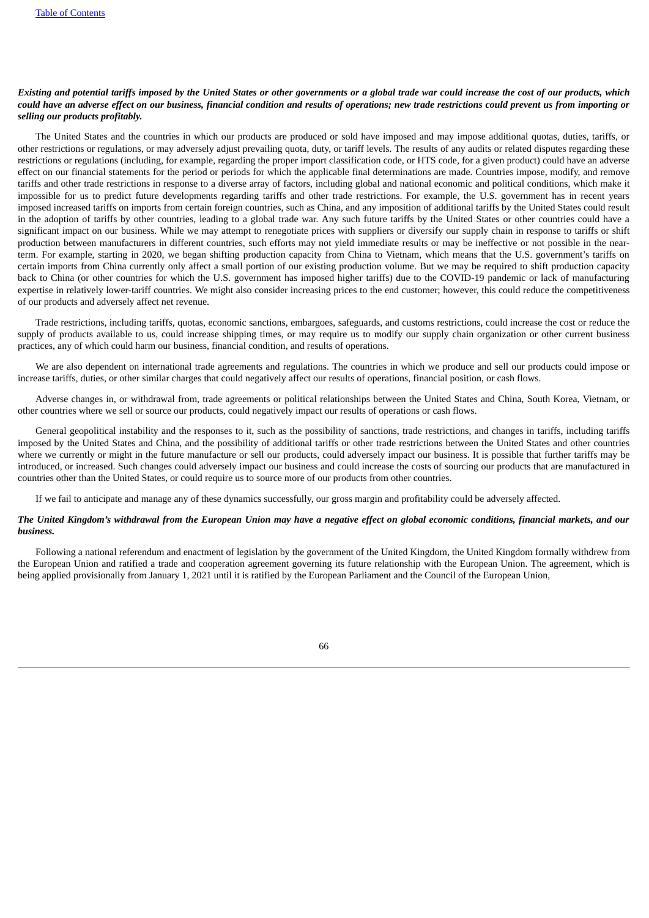# Existing and potential tariffs imposed by the United States or other governments or a alobal trade war could increase the cost of our products, which could have an adverse effect on our business, financial condition and results of operations; new trade restrictions could prevent us from importing or *selling our products profitably.*

The United States and the countries in which our products are produced or sold have imposed and may impose additional quotas, duties, tariffs, or other restrictions or regulations, or may adversely adjust prevailing quota, duty, or tariff levels. The results of any audits or related disputes regarding these restrictions or regulations (including, for example, regarding the proper import classification code, or HTS code, for a given product) could have an adverse effect on our financial statements for the period or periods for which the applicable final determinations are made. Countries impose, modify, and remove tariffs and other trade restrictions in response to a diverse array of factors, including global and national economic and political conditions, which make it impossible for us to predict future developments regarding tariffs and other trade restrictions. For example, the U.S. government has in recent years imposed increased tariffs on imports from certain foreign countries, such as China, and any imposition of additional tariffs by the United States could result in the adoption of tariffs by other countries, leading to a global trade war. Any such future tariffs by the United States or other countries could have a significant impact on our business. While we may attempt to renegotiate prices with suppliers or diversify our supply chain in response to tariffs or shift production between manufacturers in different countries, such efforts may not yield immediate results or may be ineffective or not possible in the nearterm. For example, starting in 2020, we began shifting production capacity from China to Vietnam, which means that the U.S. government's tariffs on certain imports from China currently only affect a small portion of our existing production volume. But we may be required to shift production capacity back to China (or other countries for which the U.S. government has imposed higher tariffs) due to the COVID-19 pandemic or lack of manufacturing expertise in relatively lower-tariff countries. We might also consider increasing prices to the end customer; however, this could reduce the competitiveness of our products and adversely affect net revenue.

Trade restrictions, including tariffs, quotas, economic sanctions, embargoes, safeguards, and customs restrictions, could increase the cost or reduce the supply of products available to us, could increase shipping times, or may require us to modify our supply chain organization or other current business practices, any of which could harm our business, financial condition, and results of operations.

We are also dependent on international trade agreements and regulations. The countries in which we produce and sell our products could impose or increase tariffs, duties, or other similar charges that could negatively affect our results of operations, financial position, or cash flows.

Adverse changes in, or withdrawal from, trade agreements or political relationships between the United States and China, South Korea, Vietnam, or other countries where we sell or source our products, could negatively impact our results of operations or cash flows.

General geopolitical instability and the responses to it, such as the possibility of sanctions, trade restrictions, and changes in tariffs, including tariffs imposed by the United States and China, and the possibility of additional tariffs or other trade restrictions between the United States and other countries where we currently or might in the future manufacture or sell our products, could adversely impact our business. It is possible that further tariffs may be introduced, or increased. Such changes could adversely impact our business and could increase the costs of sourcing our products that are manufactured in countries other than the United States, or could require us to source more of our products from other countries.

If we fail to anticipate and manage any of these dynamics successfully, our gross margin and profitability could be adversely affected.

# The United Kingdom's withdrawal from the European Union may have a negative effect on global economic conditions, financial markets, and our *business.*

Following a national referendum and enactment of legislation by the government of the United Kingdom, the United Kingdom formally withdrew from the European Union and ratified a trade and cooperation agreement governing its future relationship with the European Union. The agreement, which is being applied provisionally from January 1, 2021 until it is ratified by the European Parliament and the Council of the European Union,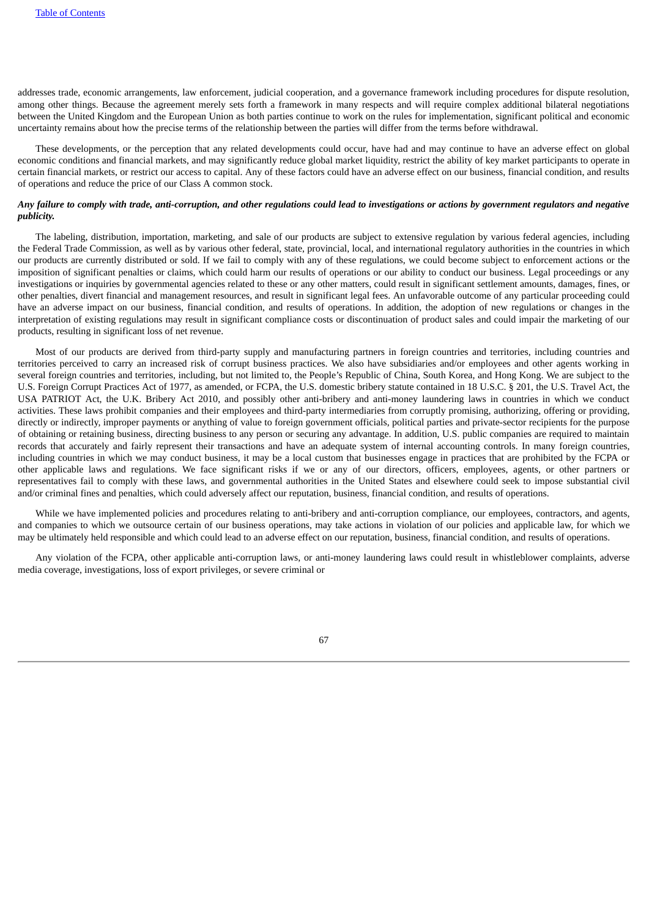addresses trade, economic arrangements, law enforcement, judicial cooperation, and a governance framework including procedures for dispute resolution, among other things. Because the agreement merely sets forth a framework in many respects and will require complex additional bilateral negotiations between the United Kingdom and the European Union as both parties continue to work on the rules for implementation, significant political and economic uncertainty remains about how the precise terms of the relationship between the parties will differ from the terms before withdrawal.

These developments, or the perception that any related developments could occur, have had and may continue to have an adverse effect on global economic conditions and financial markets, and may significantly reduce global market liquidity, restrict the ability of key market participants to operate in certain financial markets, or restrict our access to capital. Any of these factors could have an adverse effect on our business, financial condition, and results of operations and reduce the price of our Class A common stock.

### Any failure to comply with trade, anti-corruption, and other regulations could lead to investigations or actions by government regulators and negative *publicity.*

The labeling, distribution, importation, marketing, and sale of our products are subject to extensive regulation by various federal agencies, including the Federal Trade Commission, as well as by various other federal, state, provincial, local, and international regulatory authorities in the countries in which our products are currently distributed or sold. If we fail to comply with any of these regulations, we could become subject to enforcement actions or the imposition of significant penalties or claims, which could harm our results of operations or our ability to conduct our business. Legal proceedings or any investigations or inquiries by governmental agencies related to these or any other matters, could result in significant settlement amounts, damages, fines, or other penalties, divert financial and management resources, and result in significant legal fees. An unfavorable outcome of any particular proceeding could have an adverse impact on our business, financial condition, and results of operations. In addition, the adoption of new regulations or changes in the interpretation of existing regulations may result in significant compliance costs or discontinuation of product sales and could impair the marketing of our products, resulting in significant loss of net revenue.

Most of our products are derived from third-party supply and manufacturing partners in foreign countries and territories, including countries and territories perceived to carry an increased risk of corrupt business practices. We also have subsidiaries and/or employees and other agents working in several foreign countries and territories, including, but not limited to, the People's Republic of China, South Korea, and Hong Kong. We are subject to the U.S. Foreign Corrupt Practices Act of 1977, as amended, or FCPA, the U.S. domestic bribery statute contained in 18 U.S.C. § 201, the U.S. Travel Act, the USA PATRIOT Act, the U.K. Bribery Act 2010, and possibly other anti-bribery and anti-money laundering laws in countries in which we conduct activities. These laws prohibit companies and their employees and third-party intermediaries from corruptly promising, authorizing, offering or providing, directly or indirectly, improper payments or anything of value to foreign government officials, political parties and private-sector recipients for the purpose of obtaining or retaining business, directing business to any person or securing any advantage. In addition, U.S. public companies are required to maintain records that accurately and fairly represent their transactions and have an adequate system of internal accounting controls. In many foreign countries, including countries in which we may conduct business, it may be a local custom that businesses engage in practices that are prohibited by the FCPA or other applicable laws and regulations. We face significant risks if we or any of our directors, officers, employees, agents, or other partners or representatives fail to comply with these laws, and governmental authorities in the United States and elsewhere could seek to impose substantial civil and/or criminal fines and penalties, which could adversely affect our reputation, business, financial condition, and results of operations.

While we have implemented policies and procedures relating to anti-bribery and anti-corruption compliance, our employees, contractors, and agents, and companies to which we outsource certain of our business operations, may take actions in violation of our policies and applicable law, for which we may be ultimately held responsible and which could lead to an adverse effect on our reputation, business, financial condition, and results of operations.

Any violation of the FCPA, other applicable anti-corruption laws, or anti-money laundering laws could result in whistleblower complaints, adverse media coverage, investigations, loss of export privileges, or severe criminal or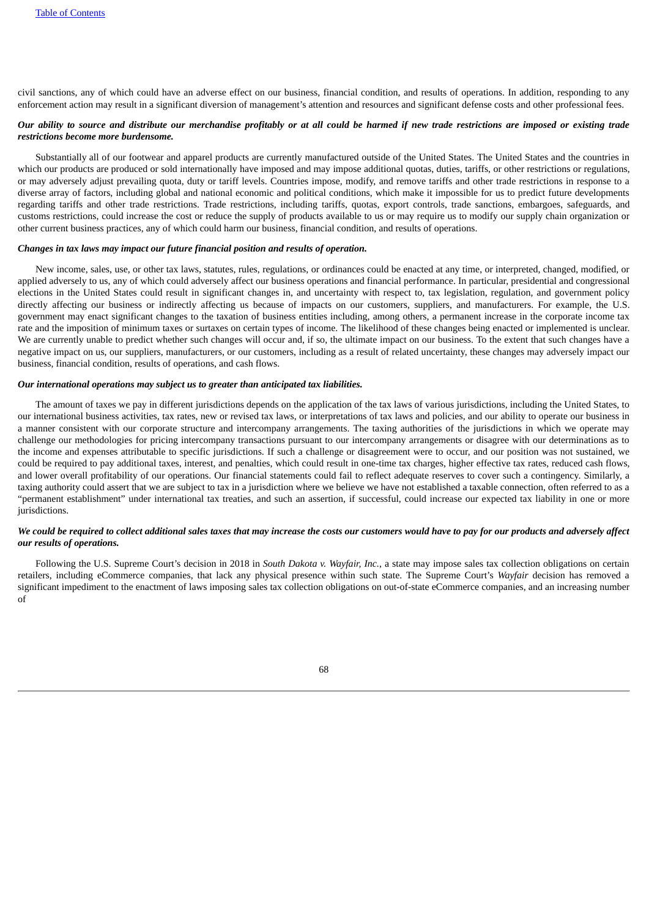civil sanctions, any of which could have an adverse effect on our business, financial condition, and results of operations. In addition, responding to any enforcement action may result in a significant diversion of management's attention and resources and significant defense costs and other professional fees.

## Our ability to source and distribute our merchandise profitably or at all could be harmed if new trade restrictions are imposed or existing trade *restrictions become more burdensome.*

Substantially all of our footwear and apparel products are currently manufactured outside of the United States. The United States and the countries in which our products are produced or sold internationally have imposed and may impose additional quotas, duties, tariffs, or other restrictions or regulations, or may adversely adjust prevailing quota, duty or tariff levels. Countries impose, modify, and remove tariffs and other trade restrictions in response to a diverse array of factors, including global and national economic and political conditions, which make it impossible for us to predict future developments regarding tariffs and other trade restrictions. Trade restrictions, including tariffs, quotas, export controls, trade sanctions, embargoes, safeguards, and customs restrictions, could increase the cost or reduce the supply of products available to us or may require us to modify our supply chain organization or other current business practices, any of which could harm our business, financial condition, and results of operations.

### *Changes in tax laws may impact our future financial position and results of operation.*

New income, sales, use, or other tax laws, statutes, rules, regulations, or ordinances could be enacted at any time, or interpreted, changed, modified, or applied adversely to us, any of which could adversely affect our business operations and financial performance. In particular, presidential and congressional elections in the United States could result in significant changes in, and uncertainty with respect to, tax legislation, regulation, and government policy directly affecting our business or indirectly affecting us because of impacts on our customers, suppliers, and manufacturers. For example, the U.S. government may enact significant changes to the taxation of business entities including, among others, a permanent increase in the corporate income tax rate and the imposition of minimum taxes or surtaxes on certain types of income. The likelihood of these changes being enacted or implemented is unclear. We are currently unable to predict whether such changes will occur and, if so, the ultimate impact on our business. To the extent that such changes have a negative impact on us, our suppliers, manufacturers, or our customers, including as a result of related uncertainty, these changes may adversely impact our business, financial condition, results of operations, and cash flows.

#### *Our international operations may subject us to greater than anticipated tax liabilities.*

The amount of taxes we pay in different jurisdictions depends on the application of the tax laws of various jurisdictions, including the United States, to our international business activities, tax rates, new or revised tax laws, or interpretations of tax laws and policies, and our ability to operate our business in a manner consistent with our corporate structure and intercompany arrangements. The taxing authorities of the jurisdictions in which we operate may challenge our methodologies for pricing intercompany transactions pursuant to our intercompany arrangements or disagree with our determinations as to the income and expenses attributable to specific jurisdictions. If such a challenge or disagreement were to occur, and our position was not sustained, we could be required to pay additional taxes, interest, and penalties, which could result in one-time tax charges, higher effective tax rates, reduced cash flows, and lower overall profitability of our operations. Our financial statements could fail to reflect adequate reserves to cover such a contingency. Similarly, a taxing authority could assert that we are subject to tax in a jurisdiction where we believe we have not established a taxable connection, often referred to as a "permanent establishment" under international tax treaties, and such an assertion, if successful, could increase our expected tax liability in one or more jurisdictions.

#### We could be required to collect additional sales taxes that may increase the costs our customers would have to pay for our products and adversely affect *our results of operations.*

Following the U.S. Supreme Court's decision in 2018 in *South Dakota v. Wayfair, Inc.*, a state may impose sales tax collection obligations on certain retailers, including eCommerce companies, that lack any physical presence within such state. The Supreme Court's *Wayfair* decision has removed a significant impediment to the enactment of laws imposing sales tax collection obligations on out-of-state eCommerce companies, and an increasing number of

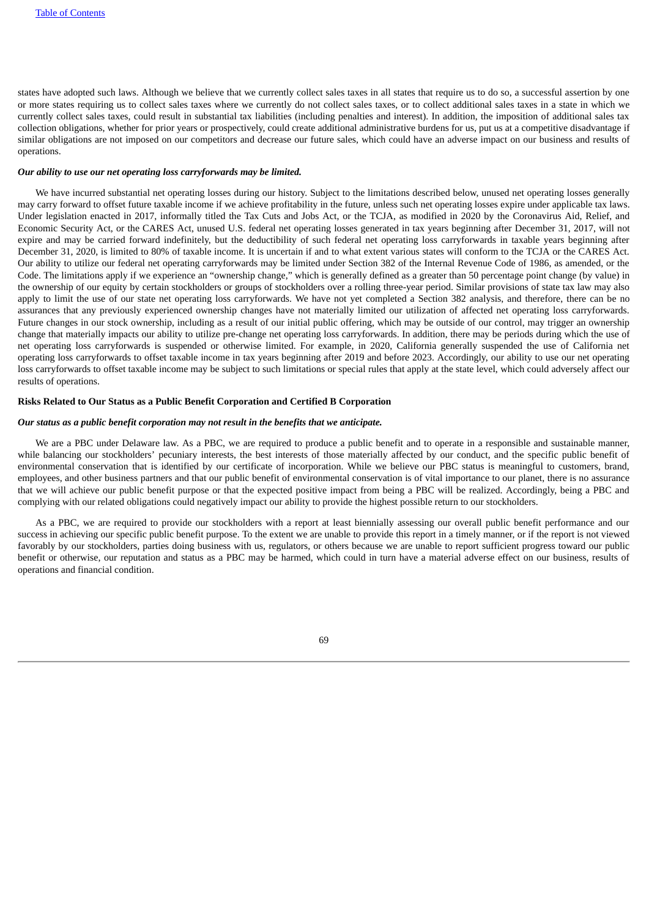states have adopted such laws. Although we believe that we currently collect sales taxes in all states that require us to do so, a successful assertion by one or more states requiring us to collect sales taxes where we currently do not collect sales taxes, or to collect additional sales taxes in a state in which we currently collect sales taxes, could result in substantial tax liabilities (including penalties and interest). In addition, the imposition of additional sales tax collection obligations, whether for prior years or prospectively, could create additional administrative burdens for us, put us at a competitive disadvantage if similar obligations are not imposed on our competitors and decrease our future sales, which could have an adverse impact on our business and results of operations.

#### *Our ability to use our net operating loss carryforwards may be limited.*

We have incurred substantial net operating losses during our history. Subject to the limitations described below, unused net operating losses generally may carry forward to offset future taxable income if we achieve profitability in the future, unless such net operating losses expire under applicable tax laws. Under legislation enacted in 2017, informally titled the Tax Cuts and Jobs Act, or the TCJA, as modified in 2020 by the Coronavirus Aid, Relief, and Economic Security Act, or the CARES Act, unused U.S. federal net operating losses generated in tax years beginning after December 31, 2017, will not expire and may be carried forward indefinitely, but the deductibility of such federal net operating loss carryforwards in taxable years beginning after December 31, 2020, is limited to 80% of taxable income. It is uncertain if and to what extent various states will conform to the TCJA or the CARES Act. Our ability to utilize our federal net operating carryforwards may be limited under Section 382 of the Internal Revenue Code of 1986, as amended, or the Code. The limitations apply if we experience an "ownership change," which is generally defined as a greater than 50 percentage point change (by value) in the ownership of our equity by certain stockholders or groups of stockholders over a rolling three-year period. Similar provisions of state tax law may also apply to limit the use of our state net operating loss carryforwards. We have not yet completed a Section 382 analysis, and therefore, there can be no assurances that any previously experienced ownership changes have not materially limited our utilization of affected net operating loss carryforwards. Future changes in our stock ownership, including as a result of our initial public offering, which may be outside of our control, may trigger an ownership change that materially impacts our ability to utilize pre-change net operating loss carryforwards. In addition, there may be periods during which the use of net operating loss carryforwards is suspended or otherwise limited. For example, in 2020, California generally suspended the use of California net operating loss carryforwards to offset taxable income in tax years beginning after 2019 and before 2023. Accordingly, our ability to use our net operating loss carryforwards to offset taxable income may be subject to such limitations or special rules that apply at the state level, which could adversely affect our results of operations.

#### **Risks Related to Our Status as a Public Benefit Corporation and Certified B Corporation**

#### *Our status as a public benefit corporation may not result in the benefits that we anticipate.*

We are a PBC under Delaware law. As a PBC, we are required to produce a public benefit and to operate in a responsible and sustainable manner, while balancing our stockholders' pecuniary interests, the best interests of those materially affected by our conduct, and the specific public benefit of environmental conservation that is identified by our certificate of incorporation. While we believe our PBC status is meaningful to customers, brand, employees, and other business partners and that our public benefit of environmental conservation is of vital importance to our planet, there is no assurance that we will achieve our public benefit purpose or that the expected positive impact from being a PBC will be realized. Accordingly, being a PBC and complying with our related obligations could negatively impact our ability to provide the highest possible return to our stockholders.

As a PBC, we are required to provide our stockholders with a report at least biennially assessing our overall public benefit performance and our success in achieving our specific public benefit purpose. To the extent we are unable to provide this report in a timely manner, or if the report is not viewed favorably by our stockholders, parties doing business with us, regulators, or others because we are unable to report sufficient progress toward our public benefit or otherwise, our reputation and status as a PBC may be harmed, which could in turn have a material adverse effect on our business, results of operations and financial condition.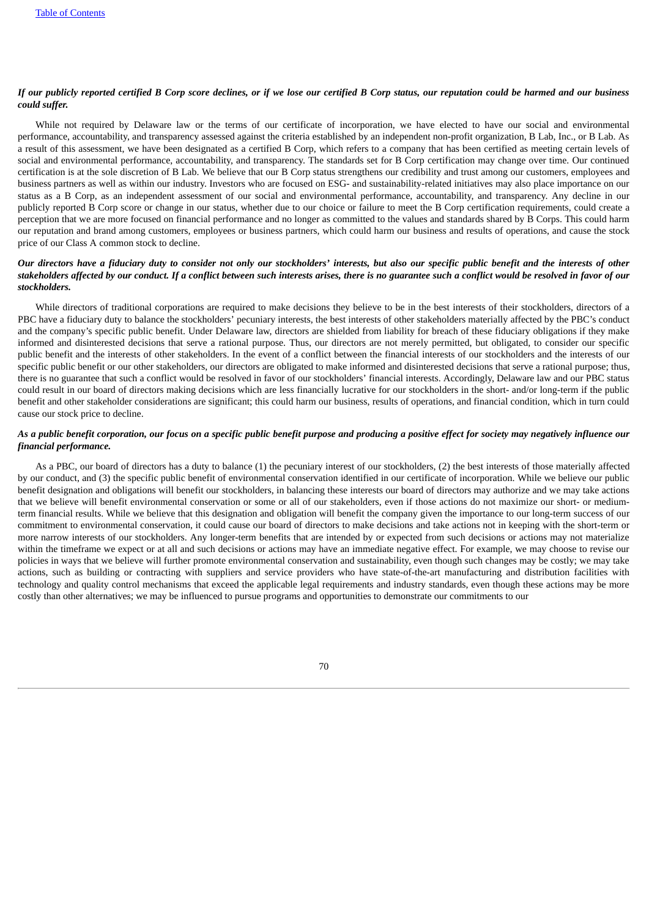# If our publicly reported certified B Corp score declines, or if we lose our certified B Corp status, our reputation could be harmed and our business *could suffer.*

While not required by Delaware law or the terms of our certificate of incorporation, we have elected to have our social and environmental performance, accountability, and transparency assessed against the criteria established by an independent non-profit organization, B Lab, Inc., or B Lab. As a result of this assessment, we have been designated as a certified B Corp, which refers to a company that has been certified as meeting certain levels of social and environmental performance, accountability, and transparency. The standards set for B Corp certification may change over time. Our continued certification is at the sole discretion of B Lab. We believe that our B Corp status strengthens our credibility and trust among our customers, employees and business partners as well as within our industry. Investors who are focused on ESG- and sustainability-related initiatives may also place importance on our status as a B Corp, as an independent assessment of our social and environmental performance, accountability, and transparency. Any decline in our publicly reported B Corp score or change in our status, whether due to our choice or failure to meet the B Corp certification requirements, could create a perception that we are more focused on financial performance and no longer as committed to the values and standards shared by B Corps. This could harm our reputation and brand among customers, employees or business partners, which could harm our business and results of operations, and cause the stock price of our Class A common stock to decline.

# Our directors have a fiduciary duty to consider not only our stockholders' interests, but also our specific public benefit and the interests of other stakeholders affected by our conduct. If a conflict between such interests arises, there is no guarantee such a conflict would be resolved in favor of our *stockholders.*

While directors of traditional corporations are required to make decisions they believe to be in the best interests of their stockholders, directors of a PBC have a fiduciary duty to balance the stockholders' pecuniary interests, the best interests of other stakeholders materially affected by the PBC's conduct and the company's specific public benefit. Under Delaware law, directors are shielded from liability for breach of these fiduciary obligations if they make informed and disinterested decisions that serve a rational purpose. Thus, our directors are not merely permitted, but obligated, to consider our specific public benefit and the interests of other stakeholders. In the event of a conflict between the financial interests of our stockholders and the interests of our specific public benefit or our other stakeholders, our directors are obligated to make informed and disinterested decisions that serve a rational purpose; thus, there is no guarantee that such a conflict would be resolved in favor of our stockholders' financial interests. Accordingly, Delaware law and our PBC status could result in our board of directors making decisions which are less financially lucrative for our stockholders in the short- and/or long-term if the public benefit and other stakeholder considerations are significant; this could harm our business, results of operations, and financial condition, which in turn could cause our stock price to decline.

# As a public benefit corporation, our focus on a specific public benefit purpose and producing a positive effect for society may negatively influence our *financial performance.*

As a PBC, our board of directors has a duty to balance (1) the pecuniary interest of our stockholders, (2) the best interests of those materially affected by our conduct, and (3) the specific public benefit of environmental conservation identified in our certificate of incorporation. While we believe our public benefit designation and obligations will benefit our stockholders, in balancing these interests our board of directors may authorize and we may take actions that we believe will benefit environmental conservation or some or all of our stakeholders, even if those actions do not maximize our short- or mediumterm financial results. While we believe that this designation and obligation will benefit the company given the importance to our long-term success of our commitment to environmental conservation, it could cause our board of directors to make decisions and take actions not in keeping with the short-term or more narrow interests of our stockholders. Any longer-term benefits that are intended by or expected from such decisions or actions may not materialize within the timeframe we expect or at all and such decisions or actions may have an immediate negative effect. For example, we may choose to revise our policies in ways that we believe will further promote environmental conservation and sustainability, even though such changes may be costly; we may take actions, such as building or contracting with suppliers and service providers who have state-of-the-art manufacturing and distribution facilities with technology and quality control mechanisms that exceed the applicable legal requirements and industry standards, even though these actions may be more costly than other alternatives; we may be influenced to pursue programs and opportunities to demonstrate our commitments to our

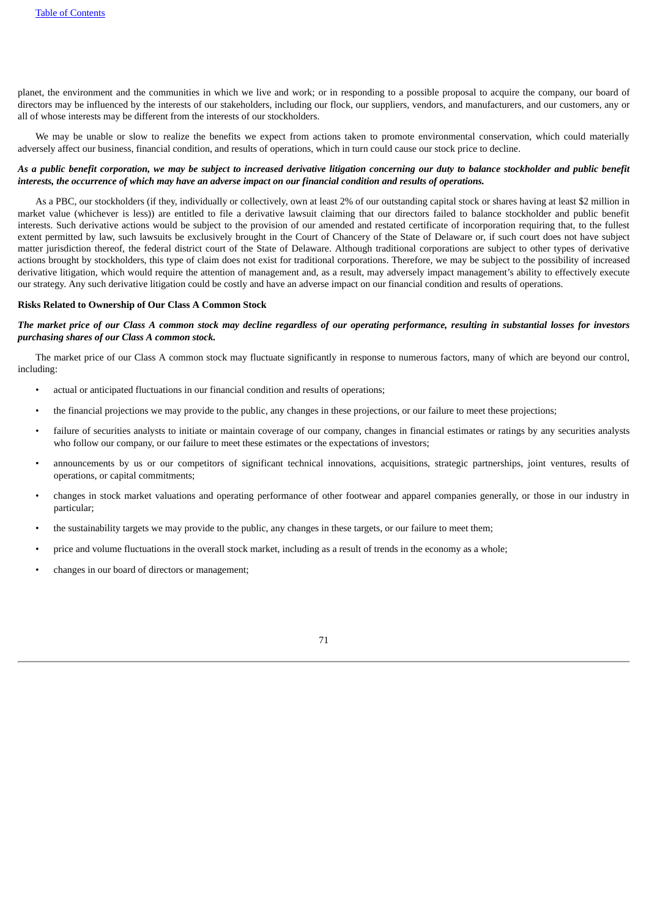planet, the environment and the communities in which we live and work; or in responding to a possible proposal to acquire the company, our board of directors may be influenced by the interests of our stakeholders, including our flock, our suppliers, vendors, and manufacturers, and our customers, any or all of whose interests may be different from the interests of our stockholders.

We may be unable or slow to realize the benefits we expect from actions taken to promote environmental conservation, which could materially adversely affect our business, financial condition, and results of operations, which in turn could cause our stock price to decline.

## As a public benefit corporation, we may be subject to increased derivative litigation concerning our duty to balance stockholder and public benefit interests, the occurrence of which may have an adverse impact on our financial condition and results of operations.

As a PBC, our stockholders (if they, individually or collectively, own at least 2% of our outstanding capital stock or shares having at least \$2 million in market value (whichever is less)) are entitled to file a derivative lawsuit claiming that our directors failed to balance stockholder and public benefit interests. Such derivative actions would be subject to the provision of our amended and restated certificate of incorporation requiring that, to the fullest extent permitted by law, such lawsuits be exclusively brought in the Court of Chancery of the State of Delaware or, if such court does not have subject matter jurisdiction thereof, the federal district court of the State of Delaware. Although traditional corporations are subject to other types of derivative actions brought by stockholders, this type of claim does not exist for traditional corporations. Therefore, we may be subject to the possibility of increased derivative litigation, which would require the attention of management and, as a result, may adversely impact management's ability to effectively execute our strategy. Any such derivative litigation could be costly and have an adverse impact on our financial condition and results of operations.

#### **Risks Related to Ownership of Our Class A Common Stock**

# The market price of our Class A common stock may decline regardless of our operating performance, resulting in substantial losses for investors *purchasing shares of our Class A common stock.*

The market price of our Class A common stock may fluctuate significantly in response to numerous factors, many of which are beyond our control, including:

- actual or anticipated fluctuations in our financial condition and results of operations;
- the financial projections we may provide to the public, any changes in these projections, or our failure to meet these projections;
- failure of securities analysts to initiate or maintain coverage of our company, changes in financial estimates or ratings by any securities analysts who follow our company, or our failure to meet these estimates or the expectations of investors;
- announcements by us or our competitors of significant technical innovations, acquisitions, strategic partnerships, joint ventures, results of operations, or capital commitments;
- changes in stock market valuations and operating performance of other footwear and apparel companies generally, or those in our industry in particular;
- the sustainability targets we may provide to the public, any changes in these targets, or our failure to meet them;
- price and volume fluctuations in the overall stock market, including as a result of trends in the economy as a whole;
- changes in our board of directors or management;

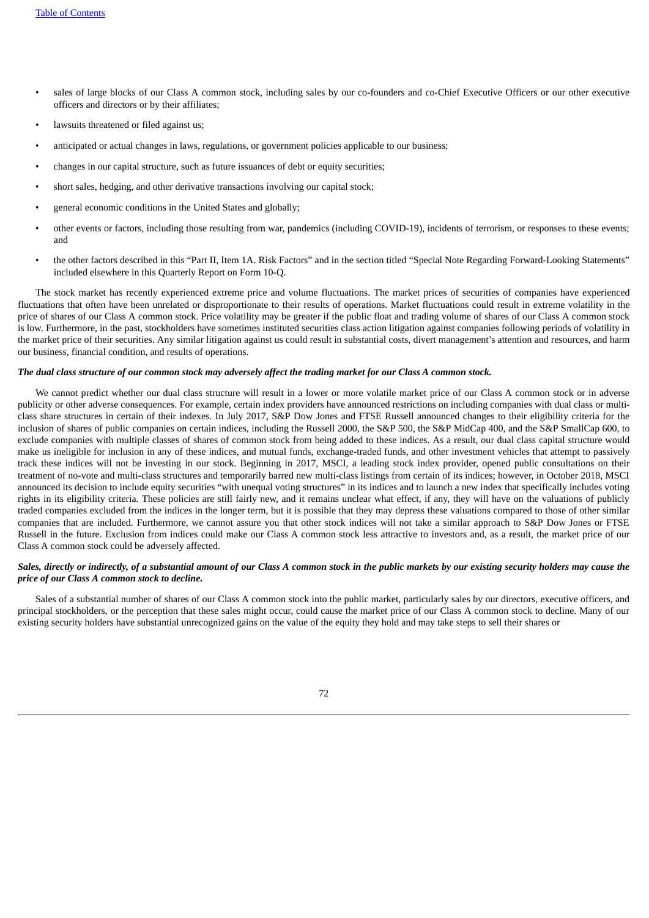- sales of large blocks of our Class A common stock, including sales by our co-founders and co-Chief Executive Officers or our other executive officers and directors or by their affiliates;
- lawsuits threatened or filed against us;
- anticipated or actual changes in laws, regulations, or government policies applicable to our business;
- changes in our capital structure, such as future issuances of debt or equity securities;
- short sales, hedging, and other derivative transactions involving our capital stock;
- general economic conditions in the United States and globally;
- other events or factors, including those resulting from war, pandemics (including COVID-19), incidents of terrorism, or responses to these events; and
- the other factors described in this "Part II, Item 1A. Risk Factors" and in the section titled "Special Note Regarding Forward-Looking Statements" included elsewhere in this Quarterly Report on Form 10-Q.

The stock market has recently experienced extreme price and volume fluctuations. The market prices of securities of companies have experienced fluctuations that often have been unrelated or disproportionate to their results of operations. Market fluctuations could result in extreme volatility in the price of shares of our Class A common stock. Price volatility may be greater if the public float and trading volume of shares of our Class A common stock is low. Furthermore, in the past, stockholders have sometimes instituted securities class action litigation against companies following periods of volatility in the market price of their securities. Any similar litigation against us could result in substantial costs, divert management's attention and resources, and harm our business, financial condition, and results of operations.

#### The dual class structure of our common stock may adversely affect the trading market for our Class A common stock.

We cannot predict whether our dual class structure will result in a lower or more volatile market price of our Class A common stock or in adverse publicity or other adverse consequences. For example, certain index providers have announced restrictions on including companies with dual class or multiclass share structures in certain of their indexes. In July 2017, S&P Dow Jones and FTSE Russell announced changes to their eligibility criteria for the inclusion of shares of public companies on certain indices, including the Russell 2000, the S&P 500, the S&P MidCap 400, and the S&P SmallCap 600, to exclude companies with multiple classes of shares of common stock from being added to these indices. As a result, our dual class capital structure would make us ineligible for inclusion in any of these indices, and mutual funds, exchange-traded funds, and other investment vehicles that attempt to passively track these indices will not be investing in our stock. Beginning in 2017, MSCI, a leading stock index provider, opened public consultations on their treatment of no-vote and multi-class structures and temporarily barred new multi-class listings from certain of its indices; however, in October 2018, MSCI announced its decision to include equity securities "with unequal voting structures" in its indices and to launch a new index that specifically includes voting rights in its eligibility criteria. These policies are still fairly new, and it remains unclear what effect, if any, they will have on the valuations of publicly traded companies excluded from the indices in the longer term, but it is possible that they may depress these valuations compared to those of other similar companies that are included. Furthermore, we cannot assure you that other stock indices will not take a similar approach to S&P Dow Jones or FTSE Russell in the future. Exclusion from indices could make our Class A common stock less attractive to investors and, as a result, the market price of our Class A common stock could be adversely affected.

# Sales, directly or indirectly, of a substantial amount of our Class A common stock in the public markets by our existing security holders may cause the *price of our Class A common stock to decline.*

Sales of a substantial number of shares of our Class A common stock into the public market, particularly sales by our directors, executive officers, and principal stockholders, or the perception that these sales might occur, could cause the market price of our Class A common stock to decline. Many of our existing security holders have substantial unrecognized gains on the value of the equity they hold and may take steps to sell their shares or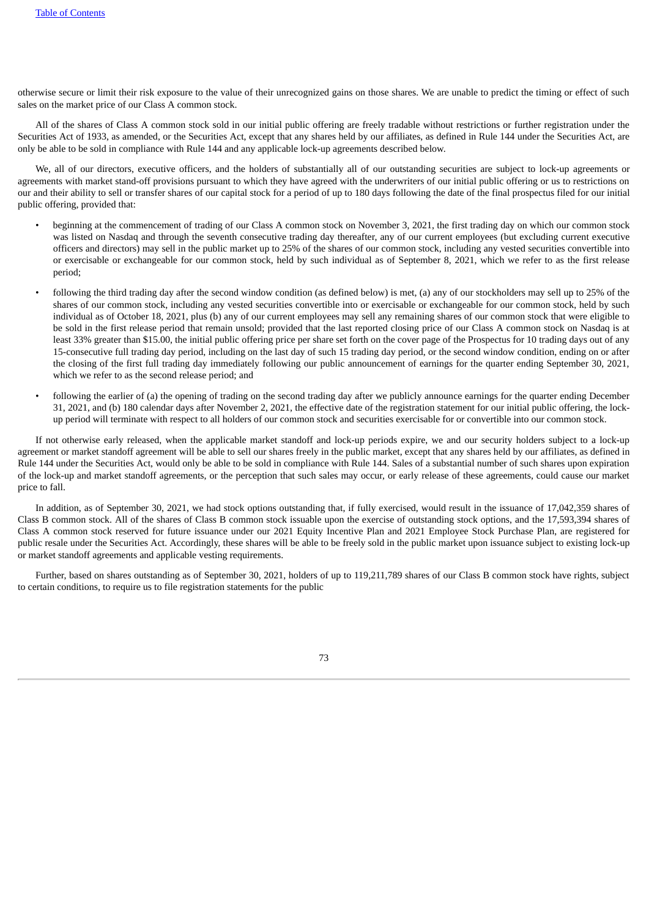otherwise secure or limit their risk exposure to the value of their unrecognized gains on those shares. We are unable to predict the timing or effect of such sales on the market price of our Class A common stock.

All of the shares of Class A common stock sold in our initial public offering are freely tradable without restrictions or further registration under the Securities Act of 1933, as amended, or the Securities Act, except that any shares held by our affiliates, as defined in Rule 144 under the Securities Act, are only be able to be sold in compliance with Rule 144 and any applicable lock-up agreements described below.

We, all of our directors, executive officers, and the holders of substantially all of our outstanding securities are subject to lock-up agreements or agreements with market stand-off provisions pursuant to which they have agreed with the underwriters of our initial public offering or us to restrictions on our and their ability to sell or transfer shares of our capital stock for a period of up to 180 days following the date of the final prospectus filed for our initial public offering, provided that:

- beginning at the commencement of trading of our Class A common stock on November 3, 2021, the first trading day on which our common stock was listed on Nasdaq and through the seventh consecutive trading day thereafter, any of our current employees (but excluding current executive officers and directors) may sell in the public market up to 25% of the shares of our common stock, including any vested securities convertible into or exercisable or exchangeable for our common stock, held by such individual as of September 8, 2021, which we refer to as the first release period;
- following the third trading day after the second window condition (as defined below) is met, (a) any of our stockholders may sell up to 25% of the shares of our common stock, including any vested securities convertible into or exercisable or exchangeable for our common stock, held by such individual as of October 18, 2021, plus (b) any of our current employees may sell any remaining shares of our common stock that were eligible to be sold in the first release period that remain unsold; provided that the last reported closing price of our Class A common stock on Nasdaq is at least 33% greater than \$15.00, the initial public offering price per share set forth on the cover page of the Prospectus for 10 trading days out of any 15-consecutive full trading day period, including on the last day of such 15 trading day period, or the second window condition, ending on or after the closing of the first full trading day immediately following our public announcement of earnings for the quarter ending September 30, 2021, which we refer to as the second release period; and
- following the earlier of (a) the opening of trading on the second trading day after we publicly announce earnings for the quarter ending December 31, 2021, and (b) 180 calendar days after November 2, 2021, the effective date of the registration statement for our initial public offering, the lockup period will terminate with respect to all holders of our common stock and securities exercisable for or convertible into our common stock.

If not otherwise early released, when the applicable market standoff and lock-up periods expire, we and our security holders subject to a lock-up agreement or market standoff agreement will be able to sell our shares freely in the public market, except that any shares held by our affiliates, as defined in Rule 144 under the Securities Act, would only be able to be sold in compliance with Rule 144. Sales of a substantial number of such shares upon expiration of the lock-up and market standoff agreements, or the perception that such sales may occur, or early release of these agreements, could cause our market price to fall.

In addition, as of September 30, 2021, we had stock options outstanding that, if fully exercised, would result in the issuance of 17,042,359 shares of Class B common stock. All of the shares of Class B common stock issuable upon the exercise of outstanding stock options, and the 17,593,394 shares of Class A common stock reserved for future issuance under our 2021 Equity Incentive Plan and 2021 Employee Stock Purchase Plan, are registered for public resale under the Securities Act. Accordingly, these shares will be able to be freely sold in the public market upon issuance subject to existing lock-up or market standoff agreements and applicable vesting requirements.

Further, based on shares outstanding as of September 30, 2021, holders of up to 119,211,789 shares of our Class B common stock have rights, subject to certain conditions, to require us to file registration statements for the public

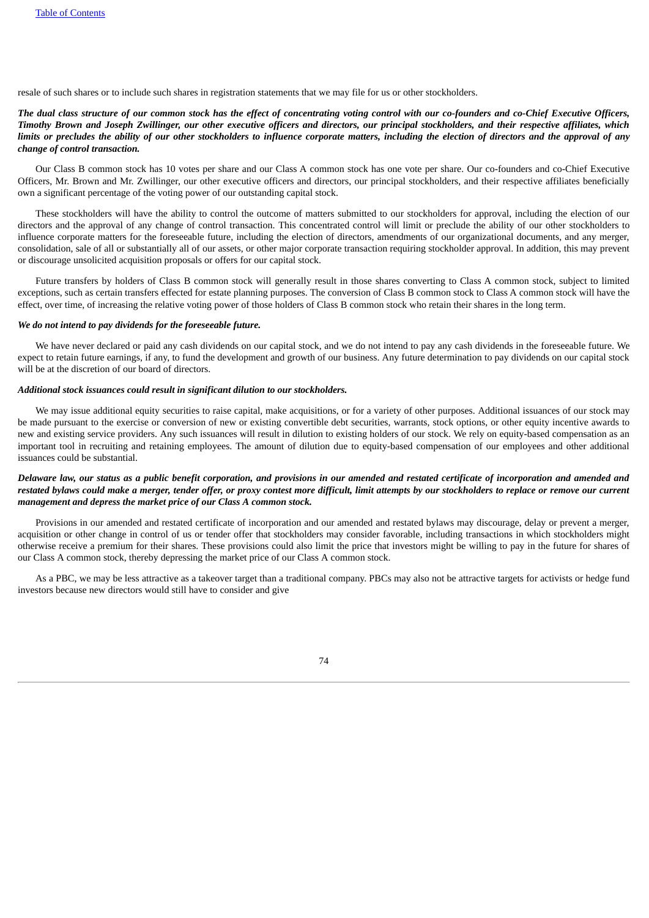resale of such shares or to include such shares in registration statements that we may file for us or other stockholders.

The dual class structure of our common stock has the effect of concentrating voting control with our co-founders and co-Chief Executive Officers, Timothy Brown and Joseph Zwillinger, our other executive officers and directors, our principal stockholders, and their respective affiliates, which limits or precludes the ability of our other stockholders to influence corporate matters, including the election of directors and the approval of any *change of control transaction.*

Our Class B common stock has 10 votes per share and our Class A common stock has one vote per share. Our co-founders and co-Chief Executive Officers, Mr. Brown and Mr. Zwillinger, our other executive officers and directors, our principal stockholders, and their respective affiliates beneficially own a significant percentage of the voting power of our outstanding capital stock.

These stockholders will have the ability to control the outcome of matters submitted to our stockholders for approval, including the election of our directors and the approval of any change of control transaction. This concentrated control will limit or preclude the ability of our other stockholders to influence corporate matters for the foreseeable future, including the election of directors, amendments of our organizational documents, and any merger, consolidation, sale of all or substantially all of our assets, or other major corporate transaction requiring stockholder approval. In addition, this may prevent or discourage unsolicited acquisition proposals or offers for our capital stock.

Future transfers by holders of Class B common stock will generally result in those shares converting to Class A common stock, subject to limited exceptions, such as certain transfers effected for estate planning purposes. The conversion of Class B common stock to Class A common stock will have the effect, over time, of increasing the relative voting power of those holders of Class B common stock who retain their shares in the long term.

# *We do not intend to pay dividends for the foreseeable future.*

We have never declared or paid any cash dividends on our capital stock, and we do not intend to pay any cash dividends in the foreseeable future. We expect to retain future earnings, if any, to fund the development and growth of our business. Any future determination to pay dividends on our capital stock will be at the discretion of our board of directors.

### *Additional stock issuances could result in significant dilution to our stockholders.*

We may issue additional equity securities to raise capital, make acquisitions, or for a variety of other purposes. Additional issuances of our stock may be made pursuant to the exercise or conversion of new or existing convertible debt securities, warrants, stock options, or other equity incentive awards to new and existing service providers. Any such issuances will result in dilution to existing holders of our stock. We rely on equity-based compensation as an important tool in recruiting and retaining employees. The amount of dilution due to equity-based compensation of our employees and other additional issuances could be substantial.

# Delaware law, our status as a public benefit corporation, and provisions in our amended and restated certificate of incorporation and amended and restated bylaws could make a merger, tender offer, or proxy contest more difficult, limit attempts by our stockholders to replace or remove our current *management and depress the market price of our Class A common stock.*

Provisions in our amended and restated certificate of incorporation and our amended and restated bylaws may discourage, delay or prevent a merger, acquisition or other change in control of us or tender offer that stockholders may consider favorable, including transactions in which stockholders might otherwise receive a premium for their shares. These provisions could also limit the price that investors might be willing to pay in the future for shares of our Class A common stock, thereby depressing the market price of our Class A common stock.

As a PBC, we may be less attractive as a takeover target than a traditional company. PBCs may also not be attractive targets for activists or hedge fund investors because new directors would still have to consider and give

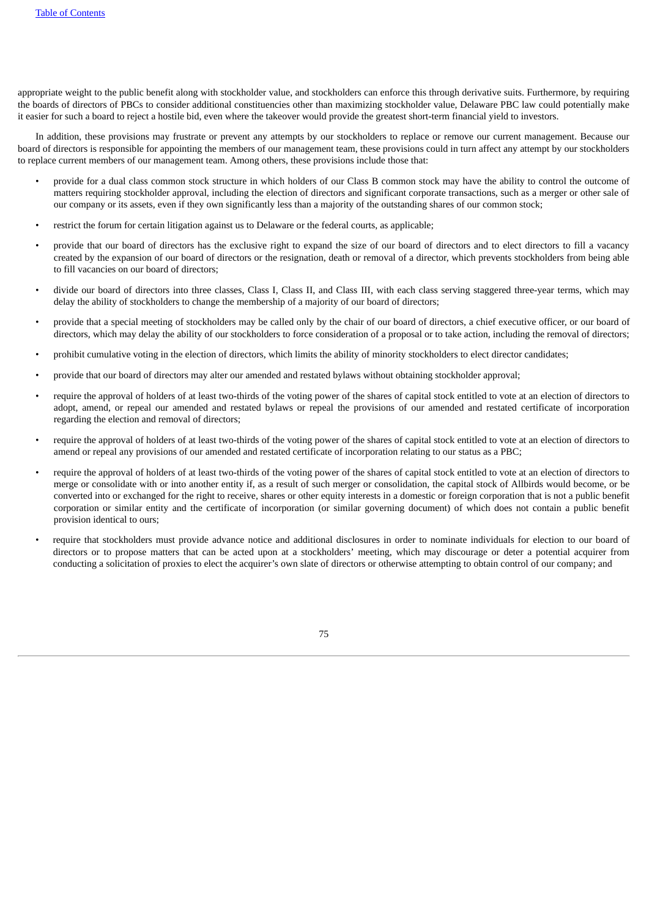appropriate weight to the public benefit along with stockholder value, and stockholders can enforce this through derivative suits. Furthermore, by requiring the boards of directors of PBCs to consider additional constituencies other than maximizing stockholder value, Delaware PBC law could potentially make it easier for such a board to reject a hostile bid, even where the takeover would provide the greatest short-term financial yield to investors.

In addition, these provisions may frustrate or prevent any attempts by our stockholders to replace or remove our current management. Because our board of directors is responsible for appointing the members of our management team, these provisions could in turn affect any attempt by our stockholders to replace current members of our management team. Among others, these provisions include those that:

- provide for a dual class common stock structure in which holders of our Class B common stock may have the ability to control the outcome of matters requiring stockholder approval, including the election of directors and significant corporate transactions, such as a merger or other sale of our company or its assets, even if they own significantly less than a majority of the outstanding shares of our common stock;
- restrict the forum for certain litigation against us to Delaware or the federal courts, as applicable;
- provide that our board of directors has the exclusive right to expand the size of our board of directors and to elect directors to fill a vacancy created by the expansion of our board of directors or the resignation, death or removal of a director, which prevents stockholders from being able to fill vacancies on our board of directors;
- divide our board of directors into three classes, Class I, Class II, and Class III, with each class serving staggered three-year terms, which may delay the ability of stockholders to change the membership of a majority of our board of directors;
- provide that a special meeting of stockholders may be called only by the chair of our board of directors, a chief executive officer, or our board of directors, which may delay the ability of our stockholders to force consideration of a proposal or to take action, including the removal of directors;
- prohibit cumulative voting in the election of directors, which limits the ability of minority stockholders to elect director candidates;
- provide that our board of directors may alter our amended and restated bylaws without obtaining stockholder approval;
- require the approval of holders of at least two-thirds of the voting power of the shares of capital stock entitled to vote at an election of directors to adopt, amend, or repeal our amended and restated bylaws or repeal the provisions of our amended and restated certificate of incorporation regarding the election and removal of directors;
- require the approval of holders of at least two-thirds of the voting power of the shares of capital stock entitled to vote at an election of directors to amend or repeal any provisions of our amended and restated certificate of incorporation relating to our status as a PBC;
- require the approval of holders of at least two-thirds of the voting power of the shares of capital stock entitled to vote at an election of directors to merge or consolidate with or into another entity if, as a result of such merger or consolidation, the capital stock of Allbirds would become, or be converted into or exchanged for the right to receive, shares or other equity interests in a domestic or foreign corporation that is not a public benefit corporation or similar entity and the certificate of incorporation (or similar governing document) of which does not contain a public benefit provision identical to ours;
- require that stockholders must provide advance notice and additional disclosures in order to nominate individuals for election to our board of directors or to propose matters that can be acted upon at a stockholders' meeting, which may discourage or deter a potential acquirer from conducting a solicitation of proxies to elect the acquirer's own slate of directors or otherwise attempting to obtain control of our company; and

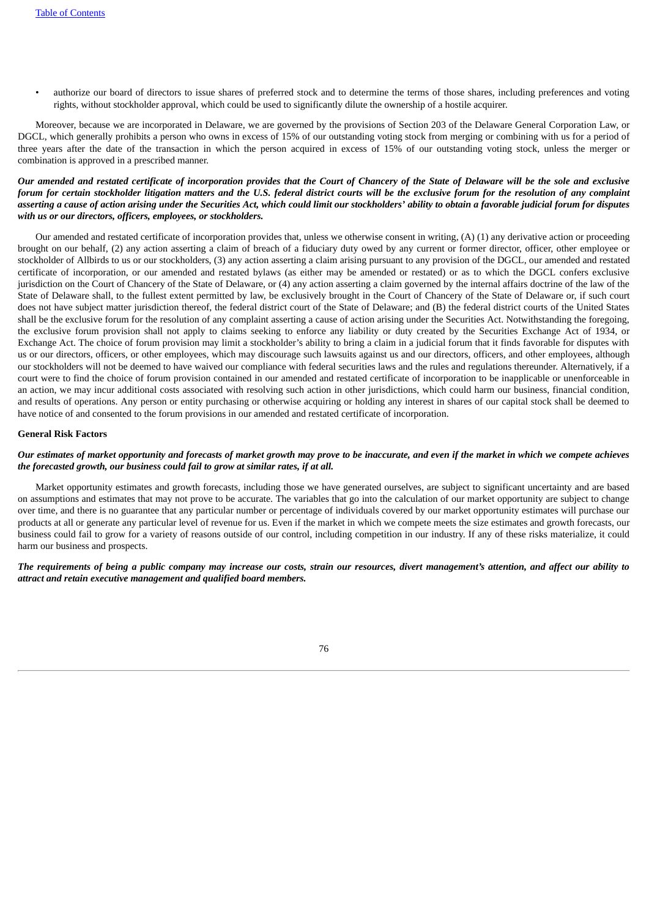• authorize our board of directors to issue shares of preferred stock and to determine the terms of those shares, including preferences and voting rights, without stockholder approval, which could be used to significantly dilute the ownership of a hostile acquirer.

Moreover, because we are incorporated in Delaware, we are governed by the provisions of Section 203 of the Delaware General Corporation Law, or DGCL, which generally prohibits a person who owns in excess of 15% of our outstanding voting stock from merging or combining with us for a period of three years after the date of the transaction in which the person acquired in excess of 15% of our outstanding voting stock, unless the merger or combination is approved in a prescribed manner.

# Our amended and restated certificate of incorporation provides that the Court of Chancery of the State of Delaware will be the sole and exclusive forum for certain stockholder litigation matters and the U.S. federal district courts will be the exclusive forum for the resolution of any complaint asserting a cause of action arising under the Securities Act, which could limit our stockholders' ability to obtain a favorable judicial forum for disputes *with us or our directors, officers, employees, or stockholders.*

Our amended and restated certificate of incorporation provides that, unless we otherwise consent in writing, (A) (1) any derivative action or proceeding brought on our behalf, (2) any action asserting a claim of breach of a fiduciary duty owed by any current or former director, officer, other employee or stockholder of Allbirds to us or our stockholders, (3) any action asserting a claim arising pursuant to any provision of the DGCL, our amended and restated certificate of incorporation, or our amended and restated bylaws (as either may be amended or restated) or as to which the DGCL confers exclusive jurisdiction on the Court of Chancery of the State of Delaware, or (4) any action asserting a claim governed by the internal affairs doctrine of the law of the State of Delaware shall, to the fullest extent permitted by law, be exclusively brought in the Court of Chancery of the State of Delaware or, if such court does not have subject matter jurisdiction thereof, the federal district court of the State of Delaware; and (B) the federal district courts of the United States shall be the exclusive forum for the resolution of any complaint asserting a cause of action arising under the Securities Act. Notwithstanding the foregoing, the exclusive forum provision shall not apply to claims seeking to enforce any liability or duty created by the Securities Exchange Act of 1934, or Exchange Act. The choice of forum provision may limit a stockholder's ability to bring a claim in a judicial forum that it finds favorable for disputes with us or our directors, officers, or other employees, which may discourage such lawsuits against us and our directors, officers, and other employees, although our stockholders will not be deemed to have waived our compliance with federal securities laws and the rules and regulations thereunder. Alternatively, if a court were to find the choice of forum provision contained in our amended and restated certificate of incorporation to be inapplicable or unenforceable in an action, we may incur additional costs associated with resolving such action in other jurisdictions, which could harm our business, financial condition, and results of operations. Any person or entity purchasing or otherwise acquiring or holding any interest in shares of our capital stock shall be deemed to have notice of and consented to the forum provisions in our amended and restated certificate of incorporation.

### **General Risk Factors**

### Our estimates of market opportunity and forecasts of market growth may prove to be inaccurate, and even if the market in which we compete achieves *the forecasted growth, our business could fail to grow at similar rates, if at all.*

Market opportunity estimates and growth forecasts, including those we have generated ourselves, are subject to significant uncertainty and are based on assumptions and estimates that may not prove to be accurate. The variables that go into the calculation of our market opportunity are subject to change over time, and there is no guarantee that any particular number or percentage of individuals covered by our market opportunity estimates will purchase our products at all or generate any particular level of revenue for us. Even if the market in which we compete meets the size estimates and growth forecasts, our business could fail to grow for a variety of reasons outside of our control, including competition in our industry. If any of these risks materialize, it could harm our business and prospects.

# The requirements of being a public company may increase our costs, strain our resources, divert management's attention, and affect our ability to *attract and retain executive management and qualified board members.*

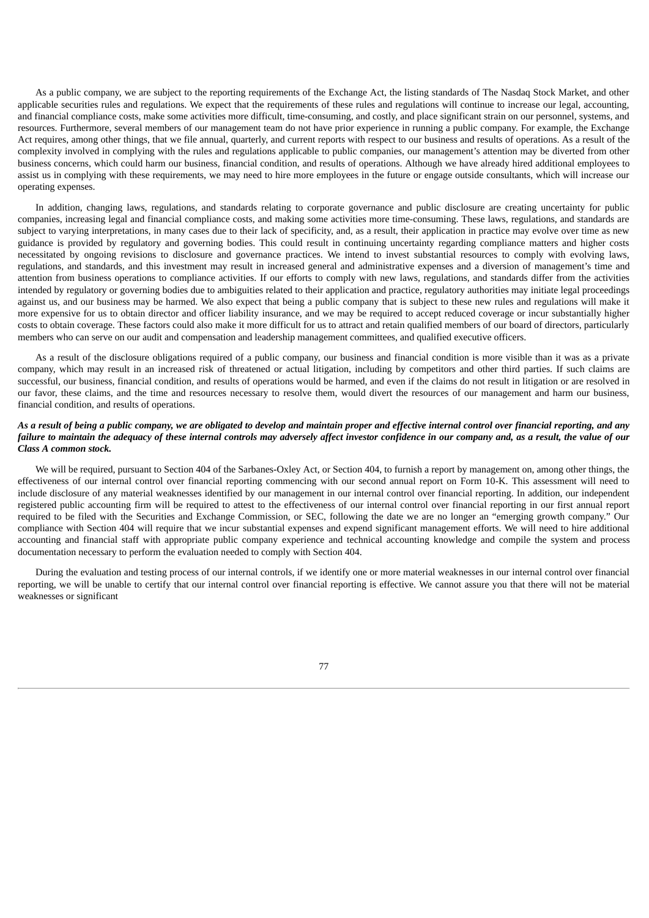As a public company, we are subject to the reporting requirements of the Exchange Act, the listing standards of The Nasdaq Stock Market, and other applicable securities rules and regulations. We expect that the requirements of these rules and regulations will continue to increase our legal, accounting, and financial compliance costs, make some activities more difficult, time-consuming, and costly, and place significant strain on our personnel, systems, and resources. Furthermore, several members of our management team do not have prior experience in running a public company. For example, the Exchange Act requires, among other things, that we file annual, quarterly, and current reports with respect to our business and results of operations. As a result of the complexity involved in complying with the rules and regulations applicable to public companies, our management's attention may be diverted from other business concerns, which could harm our business, financial condition, and results of operations. Although we have already hired additional employees to assist us in complying with these requirements, we may need to hire more employees in the future or engage outside consultants, which will increase our operating expenses.

In addition, changing laws, regulations, and standards relating to corporate governance and public disclosure are creating uncertainty for public companies, increasing legal and financial compliance costs, and making some activities more time-consuming. These laws, regulations, and standards are subject to varying interpretations, in many cases due to their lack of specificity, and, as a result, their application in practice may evolve over time as new guidance is provided by regulatory and governing bodies. This could result in continuing uncertainty regarding compliance matters and higher costs necessitated by ongoing revisions to disclosure and governance practices. We intend to invest substantial resources to comply with evolving laws, regulations, and standards, and this investment may result in increased general and administrative expenses and a diversion of management's time and attention from business operations to compliance activities. If our efforts to comply with new laws, regulations, and standards differ from the activities intended by regulatory or governing bodies due to ambiguities related to their application and practice, regulatory authorities may initiate legal proceedings against us, and our business may be harmed. We also expect that being a public company that is subject to these new rules and regulations will make it more expensive for us to obtain director and officer liability insurance, and we may be required to accept reduced coverage or incur substantially higher costs to obtain coverage. These factors could also make it more difficult for us to attract and retain qualified members of our board of directors, particularly members who can serve on our audit and compensation and leadership management committees, and qualified executive officers.

As a result of the disclosure obligations required of a public company, our business and financial condition is more visible than it was as a private company, which may result in an increased risk of threatened or actual litigation, including by competitors and other third parties. If such claims are successful, our business, financial condition, and results of operations would be harmed, and even if the claims do not result in litigation or are resolved in our favor, these claims, and the time and resources necessary to resolve them, would divert the resources of our management and harm our business, financial condition, and results of operations.

# As a result of beina a public company, we are obligated to develop and maintain proper and effective internal control over financial reportina, and any failure to maintain the adequacy of these internal controls may adversely affect investor confidence in our company and, as a result, the value of our *Class A common stock.*

We will be required, pursuant to Section 404 of the Sarbanes-Oxley Act, or Section 404, to furnish a report by management on, among other things, the effectiveness of our internal control over financial reporting commencing with our second annual report on Form 10-K. This assessment will need to include disclosure of any material weaknesses identified by our management in our internal control over financial reporting. In addition, our independent registered public accounting firm will be required to attest to the effectiveness of our internal control over financial reporting in our first annual report required to be filed with the Securities and Exchange Commission, or SEC, following the date we are no longer an "emerging growth company." Our compliance with Section 404 will require that we incur substantial expenses and expend significant management efforts. We will need to hire additional accounting and financial staff with appropriate public company experience and technical accounting knowledge and compile the system and process documentation necessary to perform the evaluation needed to comply with Section 404.

During the evaluation and testing process of our internal controls, if we identify one or more material weaknesses in our internal control over financial reporting, we will be unable to certify that our internal control over financial reporting is effective. We cannot assure you that there will not be material weaknesses or significant

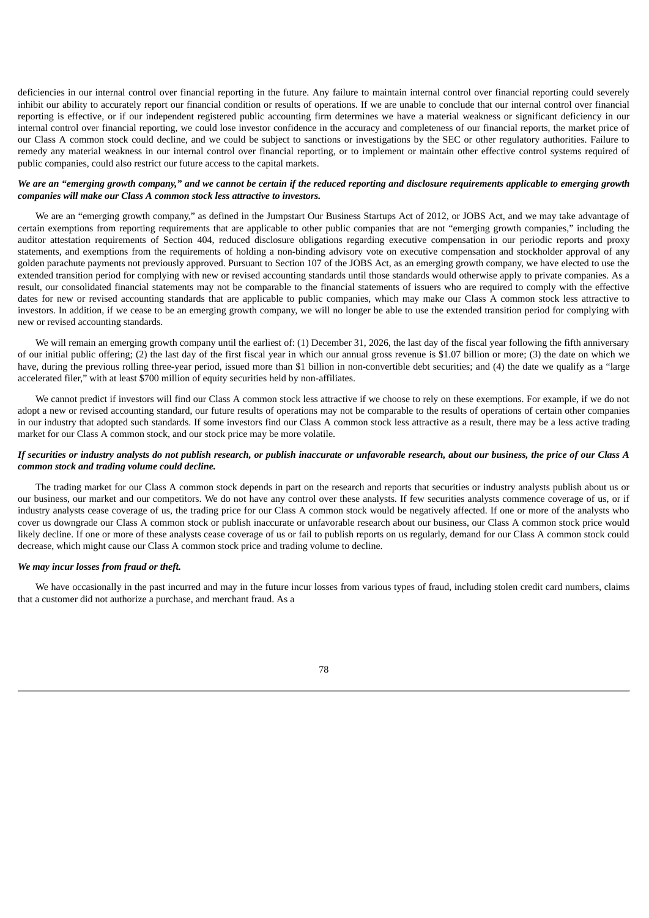deficiencies in our internal control over financial reporting in the future. Any failure to maintain internal control over financial reporting could severely inhibit our ability to accurately report our financial condition or results of operations. If we are unable to conclude that our internal control over financial reporting is effective, or if our independent registered public accounting firm determines we have a material weakness or significant deficiency in our internal control over financial reporting, we could lose investor confidence in the accuracy and completeness of our financial reports, the market price of our Class A common stock could decline, and we could be subject to sanctions or investigations by the SEC or other regulatory authorities. Failure to remedy any material weakness in our internal control over financial reporting, or to implement or maintain other effective control systems required of public companies, could also restrict our future access to the capital markets.

# We are an "emerging growth company," and we cannot be certain if the reduced reporting and disclosure requirements applicable to emerging growth *companies will make our Class A common stock less attractive to investors.*

We are an "emerging growth company," as defined in the Jumpstart Our Business Startups Act of 2012, or JOBS Act, and we may take advantage of certain exemptions from reporting requirements that are applicable to other public companies that are not "emerging growth companies," including the auditor attestation requirements of Section 404, reduced disclosure obligations regarding executive compensation in our periodic reports and proxy statements, and exemptions from the requirements of holding a non-binding advisory vote on executive compensation and stockholder approval of any golden parachute payments not previously approved. Pursuant to Section 107 of the JOBS Act, as an emerging growth company, we have elected to use the extended transition period for complying with new or revised accounting standards until those standards would otherwise apply to private companies. As a result, our consolidated financial statements may not be comparable to the financial statements of issuers who are required to comply with the effective dates for new or revised accounting standards that are applicable to public companies, which may make our Class A common stock less attractive to investors. In addition, if we cease to be an emerging growth company, we will no longer be able to use the extended transition period for complying with new or revised accounting standards.

We will remain an emerging growth company until the earliest of: (1) December 31, 2026, the last day of the fiscal year following the fifth anniversary of our initial public offering; (2) the last day of the first fiscal year in which our annual gross revenue is \$1.07 billion or more; (3) the date on which we have, during the previous rolling three-year period, issued more than \$1 billion in non-convertible debt securities; and (4) the date we qualify as a "large accelerated filer," with at least \$700 million of equity securities held by non-affiliates.

We cannot predict if investors will find our Class A common stock less attractive if we choose to rely on these exemptions. For example, if we do not adopt a new or revised accounting standard, our future results of operations may not be comparable to the results of operations of certain other companies in our industry that adopted such standards. If some investors find our Class A common stock less attractive as a result, there may be a less active trading market for our Class A common stock, and our stock price may be more volatile.

## If securities or industry analysts do not publish research, or publish inaccurate or unfavorable research, about our business, the price of our Class A *common stock and trading volume could decline.*

The trading market for our Class A common stock depends in part on the research and reports that securities or industry analysts publish about us or our business, our market and our competitors. We do not have any control over these analysts. If few securities analysts commence coverage of us, or if industry analysts cease coverage of us, the trading price for our Class A common stock would be negatively affected. If one or more of the analysts who cover us downgrade our Class A common stock or publish inaccurate or unfavorable research about our business, our Class A common stock price would likely decline. If one or more of these analysts cease coverage of us or fail to publish reports on us regularly, demand for our Class A common stock could decrease, which might cause our Class A common stock price and trading volume to decline.

# *We may incur losses from fraud or theft.*

We have occasionally in the past incurred and may in the future incur losses from various types of fraud, including stolen credit card numbers, claims that a customer did not authorize a purchase, and merchant fraud. As a

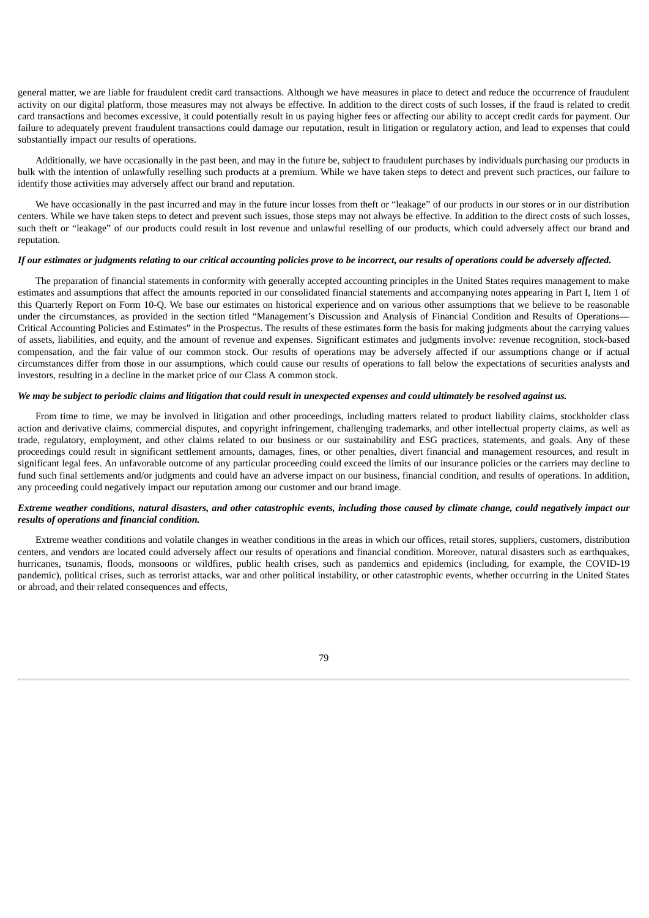general matter, we are liable for fraudulent credit card transactions. Although we have measures in place to detect and reduce the occurrence of fraudulent activity on our digital platform, those measures may not always be effective. In addition to the direct costs of such losses, if the fraud is related to credit card transactions and becomes excessive, it could potentially result in us paying higher fees or affecting our ability to accept credit cards for payment. Our failure to adequately prevent fraudulent transactions could damage our reputation, result in litigation or regulatory action, and lead to expenses that could substantially impact our results of operations.

Additionally, we have occasionally in the past been, and may in the future be, subject to fraudulent purchases by individuals purchasing our products in bulk with the intention of unlawfully reselling such products at a premium. While we have taken steps to detect and prevent such practices, our failure to identify those activities may adversely affect our brand and reputation.

We have occasionally in the past incurred and may in the future incur losses from theft or "leakage" of our products in our stores or in our distribution centers. While we have taken steps to detect and prevent such issues, those steps may not always be effective. In addition to the direct costs of such losses, such theft or "leakage" of our products could result in lost revenue and unlawful reselling of our products, which could adversely affect our brand and reputation.

# If our estimates or judgments relating to our critical accounting policies prove to be incorrect, our results of operations could be adversely affected.

The preparation of financial statements in conformity with generally accepted accounting principles in the United States requires management to make estimates and assumptions that affect the amounts reported in our consolidated financial statements and accompanying notes appearing in Part I, Item 1 of this Quarterly Report on Form 10-Q. We base our estimates on historical experience and on various other assumptions that we believe to be reasonable under the circumstances, as provided in the section titled "Management's Discussion and Analysis of Financial Condition and Results of Operations— Critical Accounting Policies and Estimates" in the Prospectus. The results of these estimates form the basis for making judgments about the carrying values of assets, liabilities, and equity, and the amount of revenue and expenses. Significant estimates and judgments involve: revenue recognition, stock-based compensation, and the fair value of our common stock. Our results of operations may be adversely affected if our assumptions change or if actual circumstances differ from those in our assumptions, which could cause our results of operations to fall below the expectations of securities analysts and investors, resulting in a decline in the market price of our Class A common stock.

## We may be subject to periodic claims and litigation that could result in unexpected expenses and could ultimately be resolved against us.

From time to time, we may be involved in litigation and other proceedings, including matters related to product liability claims, stockholder class action and derivative claims, commercial disputes, and copyright infringement, challenging trademarks, and other intellectual property claims, as well as trade, regulatory, employment, and other claims related to our business or our sustainability and ESG practices, statements, and goals. Any of these proceedings could result in significant settlement amounts, damages, fines, or other penalties, divert financial and management resources, and result in significant legal fees. An unfavorable outcome of any particular proceeding could exceed the limits of our insurance policies or the carriers may decline to fund such final settlements and/or judgments and could have an adverse impact on our business, financial condition, and results of operations. In addition, any proceeding could negatively impact our reputation among our customer and our brand image.

# Extreme weather conditions, natural disasters, and other catastrophic events, including those caused by climate change, could negatively impact our *results of operations and financial condition.*

Extreme weather conditions and volatile changes in weather conditions in the areas in which our offices, retail stores, suppliers, customers, distribution centers, and vendors are located could adversely affect our results of operations and financial condition. Moreover, natural disasters such as earthquakes, hurricanes, tsunamis, floods, monsoons or wildfires, public health crises, such as pandemics and epidemics (including, for example, the COVID-19 pandemic), political crises, such as terrorist attacks, war and other political instability, or other catastrophic events, whether occurring in the United States or abroad, and their related consequences and effects,

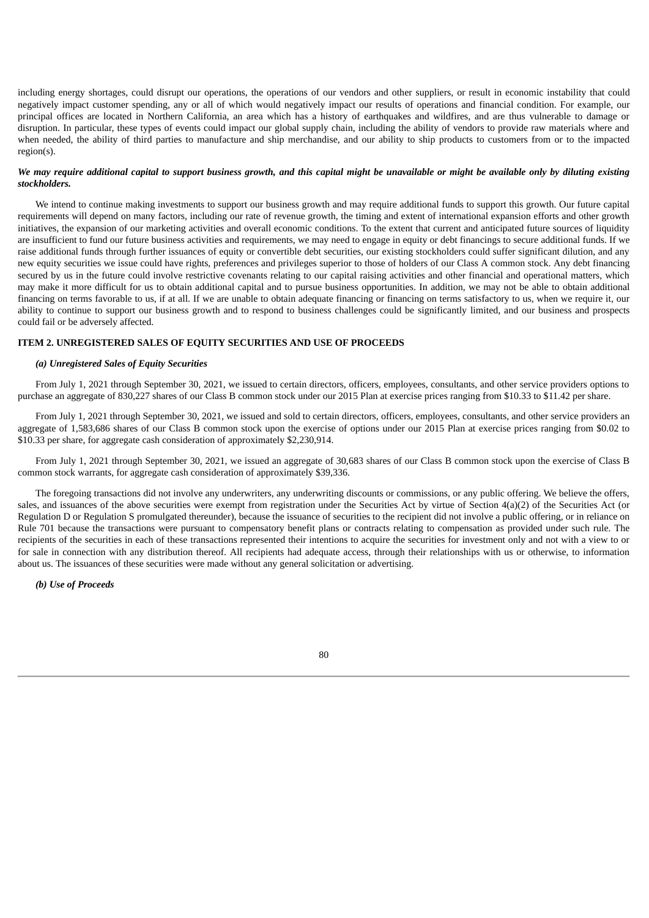including energy shortages, could disrupt our operations, the operations of our vendors and other suppliers, or result in economic instability that could negatively impact customer spending, any or all of which would negatively impact our results of operations and financial condition. For example, our principal offices are located in Northern California, an area which has a history of earthquakes and wildfires, and are thus vulnerable to damage or disruption. In particular, these types of events could impact our global supply chain, including the ability of vendors to provide raw materials where and when needed, the ability of third parties to manufacture and ship merchandise, and our ability to ship products to customers from or to the impacted region(s).

# We may require additional capital to support business growth, and this capital might be unavailable or might be available only by diluting existing *stockholders.*

We intend to continue making investments to support our business growth and may require additional funds to support this growth. Our future capital requirements will depend on many factors, including our rate of revenue growth, the timing and extent of international expansion efforts and other growth initiatives, the expansion of our marketing activities and overall economic conditions. To the extent that current and anticipated future sources of liquidity are insufficient to fund our future business activities and requirements, we may need to engage in equity or debt financings to secure additional funds. If we raise additional funds through further issuances of equity or convertible debt securities, our existing stockholders could suffer significant dilution, and any new equity securities we issue could have rights, preferences and privileges superior to those of holders of our Class A common stock. Any debt financing secured by us in the future could involve restrictive covenants relating to our capital raising activities and other financial and operational matters, which may make it more difficult for us to obtain additional capital and to pursue business opportunities. In addition, we may not be able to obtain additional financing on terms favorable to us, if at all. If we are unable to obtain adequate financing or financing on terms satisfactory to us, when we require it, our ability to continue to support our business growth and to respond to business challenges could be significantly limited, and our business and prospects could fail or be adversely affected.

# **ITEM 2. UNREGISTERED SALES OF EQUITY SECURITIES AND USE OF PROCEEDS**

### *(a) Unregistered Sales of Equity Securities*

From July 1, 2021 through September 30, 2021, we issued to certain directors, officers, employees, consultants, and other service providers options to purchase an aggregate of 830,227 shares of our Class B common stock under our 2015 Plan at exercise prices ranging from \$10.33 to \$11.42 per share.

From July 1, 2021 through September 30, 2021, we issued and sold to certain directors, officers, employees, consultants, and other service providers an aggregate of 1,583,686 shares of our Class B common stock upon the exercise of options under our 2015 Plan at exercise prices ranging from \$0.02 to \$10.33 per share, for aggregate cash consideration of approximately \$2,230,914.

From July 1, 2021 through September 30, 2021, we issued an aggregate of 30,683 shares of our Class B common stock upon the exercise of Class B common stock warrants, for aggregate cash consideration of approximately \$39,336.

The foregoing transactions did not involve any underwriters, any underwriting discounts or commissions, or any public offering. We believe the offers, sales, and issuances of the above securities were exempt from registration under the Securities Act by virtue of Section 4(a)(2) of the Securities Act (or Regulation D or Regulation S promulgated thereunder), because the issuance of securities to the recipient did not involve a public offering, or in reliance on Rule 701 because the transactions were pursuant to compensatory benefit plans or contracts relating to compensation as provided under such rule. The recipients of the securities in each of these transactions represented their intentions to acquire the securities for investment only and not with a view to or for sale in connection with any distribution thereof. All recipients had adequate access, through their relationships with us or otherwise, to information about us. The issuances of these securities were made without any general solicitation or advertising.

*(b) Use of Proceeds*

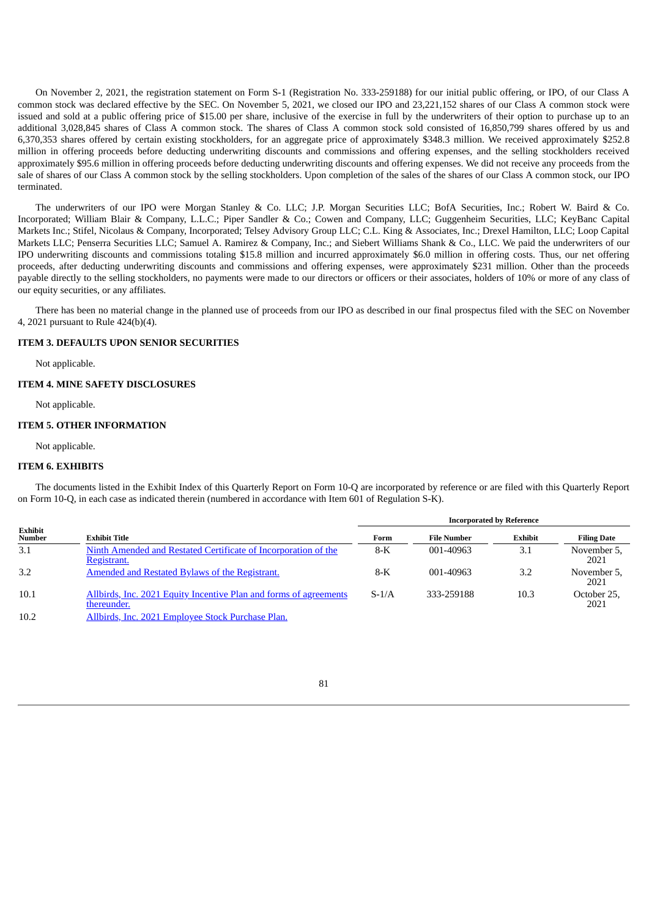On November 2, 2021, the registration statement on Form S-1 (Registration No. 333-259188) for our initial public offering, or IPO, of our Class A common stock was declared effective by the SEC. On November 5, 2021, we closed our IPO and 23,221,152 shares of our Class A common stock were issued and sold at a public offering price of \$15.00 per share, inclusive of the exercise in full by the underwriters of their option to purchase up to an additional 3,028,845 shares of Class A common stock. The shares of Class A common stock sold consisted of 16,850,799 shares offered by us and 6,370,353 shares offered by certain existing stockholders, for an aggregate price of approximately \$348.3 million. We received approximately \$252.8 million in offering proceeds before deducting underwriting discounts and commissions and offering expenses, and the selling stockholders received approximately \$95.6 million in offering proceeds before deducting underwriting discounts and offering expenses. We did not receive any proceeds from the sale of shares of our Class A common stock by the selling stockholders. Upon completion of the sales of the shares of our Class A common stock, our IPO terminated.

The underwriters of our IPO were Morgan Stanley & Co. LLC; J.P. Morgan Securities LLC; BofA Securities, Inc.; Robert W. Baird & Co. Incorporated; William Blair & Company, L.L.C.; Piper Sandler & Co.; Cowen and Company, LLC; Guggenheim Securities, LLC; KeyBanc Capital Markets Inc.; Stifel, Nicolaus & Company, Incorporated; Telsey Advisory Group LLC; C.L. King & Associates, Inc.; Drexel Hamilton, LLC; Loop Capital Markets LLC; Penserra Securities LLC; Samuel A. Ramirez & Company, Inc.; and Siebert Williams Shank & Co., LLC. We paid the underwriters of our IPO underwriting discounts and commissions totaling \$15.8 million and incurred approximately \$6.0 million in offering costs. Thus, our net offering proceeds, after deducting underwriting discounts and commissions and offering expenses, were approximately \$231 million. Other than the proceeds payable directly to the selling stockholders, no payments were made to our directors or officers or their associates, holders of 10% or more of any class of our equity securities, or any affiliates.

There has been no material change in the planned use of proceeds from our IPO as described in our final prospectus filed with the SEC on November 4, 2021 pursuant to Rule 424(b)(4).

### **ITEM 3. DEFAULTS UPON SENIOR SECURITIES**

Not applicable.

#### **ITEM 4. MINE SAFETY DISCLOSURES**

Not applicable.

#### **ITEM 5. OTHER INFORMATION**

Not applicable.

#### **ITEM 6. EXHIBITS**

The documents listed in the Exhibit Index of this Quarterly Report on Form 10-Q are incorporated by reference or are filed with this Quarterly Report on Form 10-Q, in each case as indicated therein (numbered in accordance with Item 601 of Regulation S-K).

| Exhibit<br>Number |                                                                                  | <b>Incorporated by Reference</b> |                    |                |                     |
|-------------------|----------------------------------------------------------------------------------|----------------------------------|--------------------|----------------|---------------------|
|                   | <b>Exhibit Title</b>                                                             | Form                             | <b>File Number</b> | <b>Exhibit</b> | <b>Filing Date</b>  |
| 3.1               | Ninth Amended and Restated Certificate of Incorporation of the<br>Registrant.    | $8-K$                            | 001-40963          | 3.1            | November 5,<br>2021 |
| 3.2               | <b>Amended and Restated Bylaws of the Registrant.</b>                            | $8-K$                            | 001-40963          | 3.2            | November 5,<br>2021 |
| 10.1              | Allbirds, Inc. 2021 Equity Incentive Plan and forms of agreements<br>thereunder. | $S-1/A$                          | 333-259188         | 10.3           | October 25.<br>2021 |
| 10.2              | Allbirds, Inc. 2021 Employee Stock Purchase Plan.                                |                                  |                    |                |                     |

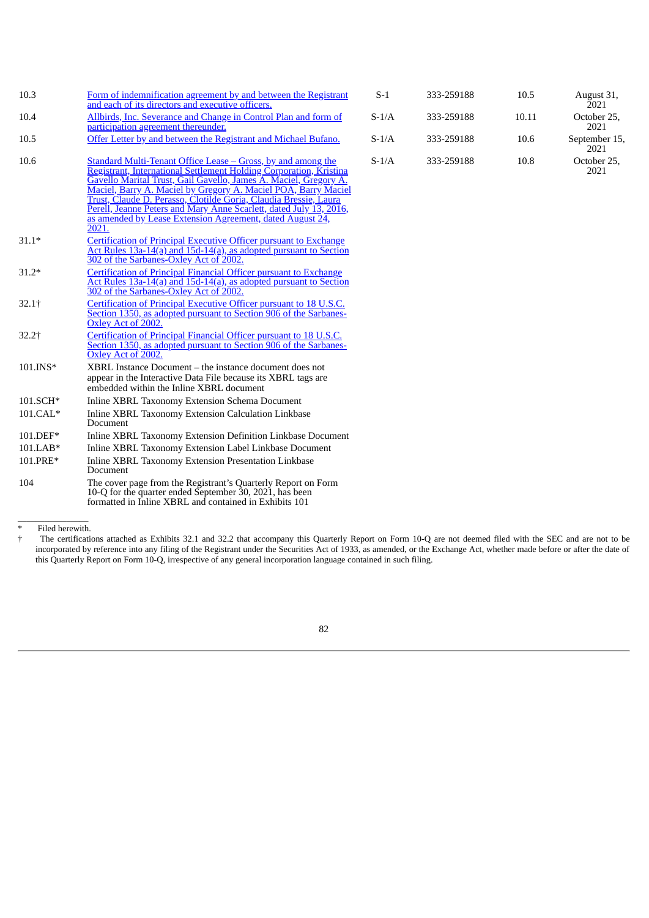| 10.3       | Form of indemnification agreement by and between the Registrant<br>and each of its directors and executive officers.                                                                                                                                                                                                                                                                                                                                                                     | $S-1$   | 333-259188 | 10.5  | August 31,<br>2021    |
|------------|------------------------------------------------------------------------------------------------------------------------------------------------------------------------------------------------------------------------------------------------------------------------------------------------------------------------------------------------------------------------------------------------------------------------------------------------------------------------------------------|---------|------------|-------|-----------------------|
| 10.4       | Allbirds, Inc. Severance and Change in Control Plan and form of<br>participation agreement thereunder.                                                                                                                                                                                                                                                                                                                                                                                   | $S-1/A$ | 333-259188 | 10.11 | October 25,<br>2021   |
| 10.5       | Offer Letter by and between the Registrant and Michael Bufano.                                                                                                                                                                                                                                                                                                                                                                                                                           | $S-1/A$ | 333-259188 | 10.6  | September 15,<br>2021 |
| 10.6       | Standard Multi-Tenant Office Lease – Gross, by and among the<br>Registrant, International Settlement Holding Corporation, Kristina<br>Gavello Marital Trust, Gail Gavello, James A. Maciel, Gregory A.<br>Maciel, Barry A. Maciel by Gregory A. Maciel POA, Barry Maciel<br>Trust, Claude D. Perasso, Clotilde Goria, Claudia Bressie, Laura<br>Perell, Jeanne Peters and Mary Anne Scarlett, dated July 13, 2016,<br>as amended by Lease Extension Agreement, dated August 24,<br>2021. | $S-1/A$ | 333-259188 | 10.8  | October 25,<br>2021   |
| $31.1*$    | Certification of Principal Executive Officer pursuant to Exchange<br><u>Act Rules 13a-14(a) and 15d-14(a), as adopted pursuant to Section</u><br>302 of the Sarbanes-Oxley Act of 2002.                                                                                                                                                                                                                                                                                                  |         |            |       |                       |
| $31.2*$    | Certification of Principal Financial Officer pursuant to Exchange<br>Act Rules 13a-14(a) and 15d-14(a), as adopted pursuant to Section<br>302 of the Sarbanes-Oxley Act of 2002.                                                                                                                                                                                                                                                                                                         |         |            |       |                       |
| $32.1+$    | Certification of Principal Executive Officer pursuant to 18 U.S.C.<br>Section 1350, as adopted pursuant to Section 906 of the Sarbanes-<br>Oxley Act of 2002.                                                                                                                                                                                                                                                                                                                            |         |            |       |                       |
| 32.2†      | Certification of Principal Financial Officer pursuant to 18 U.S.C.<br>Section 1350, as adopted pursuant to Section 906 of the Sarbanes-<br>Oxley Act of 2002.                                                                                                                                                                                                                                                                                                                            |         |            |       |                       |
| $101.INS*$ | XBRL Instance Document – the instance document does not<br>appear in the Interactive Data File because its XBRL tags are<br>embedded within the Inline XBRL document                                                                                                                                                                                                                                                                                                                     |         |            |       |                       |
| 101.SCH*   | Inline XBRL Taxonomy Extension Schema Document                                                                                                                                                                                                                                                                                                                                                                                                                                           |         |            |       |                       |
| 101.CAL*   | <b>Inline XBRL Taxonomy Extension Calculation Linkbase</b><br>Document                                                                                                                                                                                                                                                                                                                                                                                                                   |         |            |       |                       |
| 101.DEF*   | Inline XBRL Taxonomy Extension Definition Linkbase Document                                                                                                                                                                                                                                                                                                                                                                                                                              |         |            |       |                       |
| $101.LAB*$ | Inline XBRL Taxonomy Extension Label Linkbase Document                                                                                                                                                                                                                                                                                                                                                                                                                                   |         |            |       |                       |
| 101.PRE*   | Inline XBRL Taxonomy Extension Presentation Linkbase<br>Document                                                                                                                                                                                                                                                                                                                                                                                                                         |         |            |       |                       |
| 104        | The cover page from the Registrant's Quarterly Report on Form<br>10-Q for the quarter ended September 30, 2021, has been<br>formatted in Inline XBRL and contained in Exhibits 101                                                                                                                                                                                                                                                                                                       |         |            |       |                       |
| $-1$       |                                                                                                                                                                                                                                                                                                                                                                                                                                                                                          |         |            |       |                       |

\* Filed herewith.

<sup>†</sup> The certifications attached as Exhibits 32.1 and 32.2 that accompany this Quarterly Report on Form 10-Q are not deemed filed with the SEC and are not to be incorporated by reference into any filing of the Registrant under the Securities Act of 1933, as amended, or the Exchange Act, whether made before or after the date of this Quarterly Report on Form 10-Q, irrespective of any general incorporation language contained in such filing.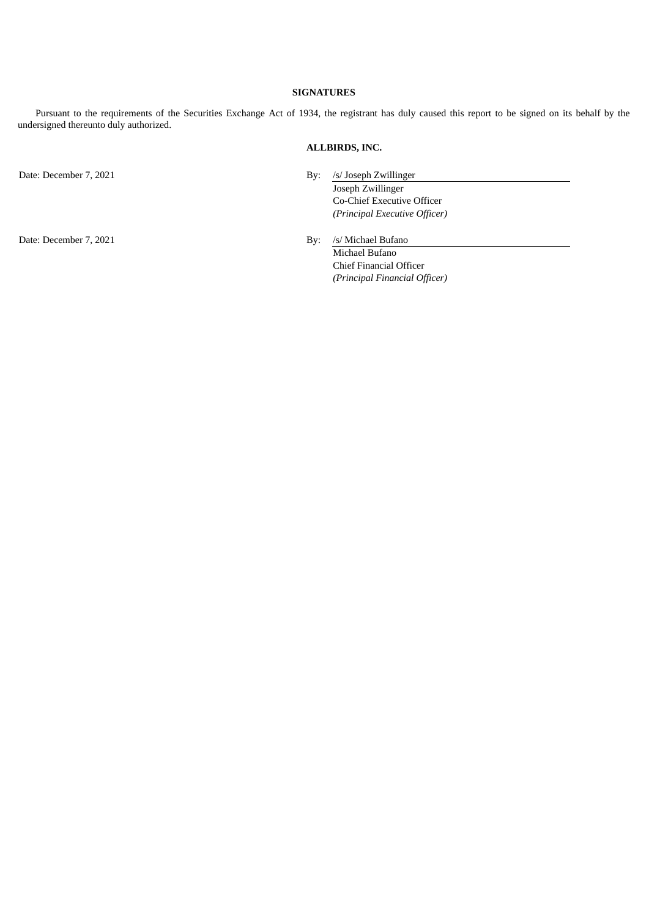## **SIGNATURES**

Pursuant to the requirements of the Securities Exchange Act of 1934, the registrant has duly caused this report to be signed on its behalf by the undersigned thereunto duly authorized.

# **ALLBIRDS, INC.**

Date: December 7, 2021 By: /s/ Joseph Zwillinger

Date: December 7, 2021 By: /s/ Michael Bufano

Joseph Zwillinger Co-Chief Executive Officer *(Principal Executive Officer)*

Michael Bufano

Chief Financial Officer *(Principal Financial Officer)*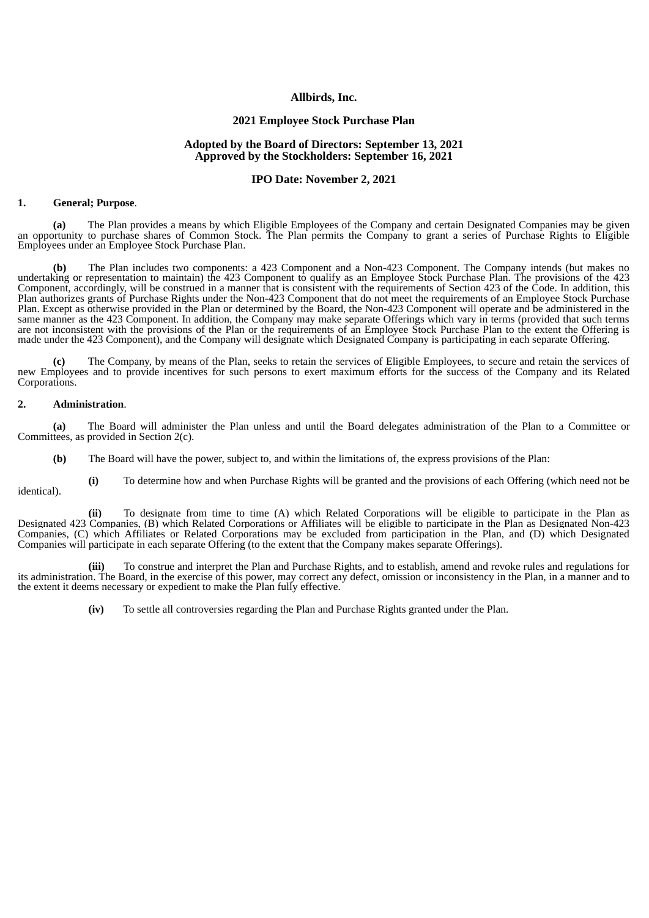# **Allbirds, Inc.**

# **2021 Employee Stock Purchase Plan**

# **Adopted by the Board of Directors: September 13, 2021 Approved by the Stockholders: September 16, 2021**

### **IPO Date: November 2, 2021**

## <span id="page-90-0"></span>**1. General; Purpose**.

**(a)** The Plan provides a means by which Eligible Employees of the Company and certain Designated Companies may be given an opportunity to purchase shares of Common Stock. The Plan permits the Company to grant a series of Purchase Rights to Eligible Employees under an Employee Stock Purchase Plan.

**(b)** The Plan includes two components: a 423 Component and a Non-423 Component. The Company intends (but makes no undertaking or representation to maintain) the 423 Component to qualify as an Employee Stock Purchase Plan. The provisions of the 423 Component, accordingly, will be construed in a manner that is consistent with the requirements of Section 423 of the Code. In addition, this Plan authorizes grants of Purchase Rights under the Non-423 Component that do not meet the requirements of an Employee Stock Purchase Plan. Except as otherwise provided in the Plan or determined by the Board, the Non-423 Component will operate and be administered in the same manner as the 423 Component. In addition, the Company may make separate Offerings which vary in terms (provided that such terms are not inconsistent with the provisions of the Plan or the requirements of an Employee Stock Purchase Plan to the extent the Offering is made under the 423 Component), and the Company will designate which Designated Company is participating in each separate Offering.

**(c)** The Company, by means of the Plan, seeks to retain the services of Eligible Employees, to secure and retain the services of new Employees and to provide incentives for such persons to exert maximum efforts for the success of the Company and its Related Corporations.

### **2. Administration**.

**(a)** The Board will administer the Plan unless and until the Board delegates administration of the Plan to a Committee or Committees, as provided in Section 2(c).

**(b)** The Board will have the power, subject to, and within the limitations of, the express provisions of the Plan:

**(i)** To determine how and when Purchase Rights will be granted and the provisions of each Offering (which need not be identical).

**(ii)** To designate from time to time (A) which Related Corporations will be eligible to participate in the Plan as Designated 423 Companies, (B) which Related Corporations or Affiliates will be eligible to participate in the Plan as Designated Non-423 Companies, (C) which Affiliates or Related Corporations may be excluded from participation in the Plan, and (D) which Designated Companies will participate in each separate Offering (to the extent that the Company makes separate Offerings).

**(iii)** To construe and interpret the Plan and Purchase Rights, and to establish, amend and revoke rules and regulations for its administration. The Board, in the exercise of this power, may correct any defect, omission or inconsistency in the Plan, in a manner and to the extent it deems necessary or expedient to make the Plan fully effective.

**(iv)** To settle all controversies regarding the Plan and Purchase Rights granted under the Plan.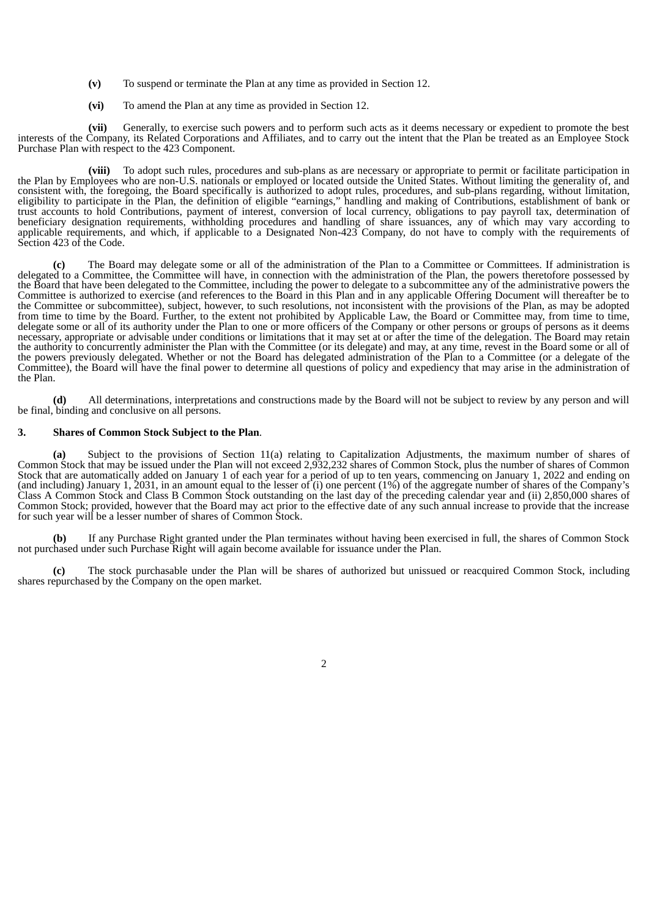- **(v)** To suspend or terminate the Plan at any time as provided in Section 12.
- **(vi)** To amend the Plan at any time as provided in Section 12.

**(vii)** Generally, to exercise such powers and to perform such acts as it deems necessary or expedient to promote the best interests of the Company, its Related Corporations and Affiliates, and to carry out the intent that the Plan be treated as an Employee Stock Purchase Plan with respect to the 423 Component.

**(viii)** To adopt such rules, procedures and sub-plans as are necessary or appropriate to permit or facilitate participation in the Plan by Employees who are non-U.S. nationals or employed or located outside the United States. Without limiting the generality of, and consistent with, the foregoing, the Board specifically is authorized to adopt rules, procedures, and sub-plans regarding, without limitation, eligibility to participate in the Plan, the definition of eligible "earnings," handling and making of Contributions, establishment of bank or trust accounts to hold Contributions, payment of interest, conversion of local currency, obligations to pay payroll tax, determination of beneficiary designation requirements, withholding procedures and handling of share issuances, any of which may vary according to applicable requirements, and which, if applicable to a Designated Non-423 Company, do not have to comply with the requirements of Section 423 of the Code.

The Board may delegate some or all of the administration of the Plan to a Committee or Committees. If administration is delegated to a Committee, the Committee will have, in connection with the administration of the Plan, the powers theretofore possessed by the Board that have been delegated to the Committee, including the power to delegate to a subcommittee any of the administrative powers the Committee is authorized to exercise (and references to the Board in this Plan and in any applicable Offering Document will thereafter be to the Committee or subcommittee), subject, however, to such resolutions, not inconsistent with the provisions of the Plan, as may be adopted from time to time by the Board. Further, to the extent not prohibited by Applicable Law, the Board or Committee may, from time to time, delegate some or all of its authority under the Plan to one or more officers of the Company or other persons or groups of persons as it deems necessary, appropriate or advisable under conditions or limitations that it may set at or after the time of the delegation. The Board may retain the authority to concurrently administer the Plan with the Committee (or its delegate) and may, at any time, revest in the Board some or all of the powers previously delegated. Whether or not the Board has delegated administration of the Plan to a Committee (or a delegate of the Committee), the Board will have the final power to determine all questions of policy and expediency that may arise in the administration of the Plan.

**(d)** All determinations, interpretations and constructions made by the Board will not be subject to review by any person and will (d) All determinations, interpretative final, binding and conclusive on all persons.

#### **3. Shares of Common Stock Subject to the Plan**.

**(a)** Subject to the provisions of Section 11(a) relating to Capitalization Adjustments, the maximum number of shares of Common Stock that may be issued under the Plan will not exceed 2,932,232 shares of Common Stock, plus the number of shares of Common Stock that are automatically added on January 1 of each year for a period of up to ten years, commencing on January 1, 2022 and ending on (and including) January 1, 2031, in an amount equal to the lesser of (i) one percent (1%) of the aggregate number of shares of the Company's Class A Common Stock and Class B Common Stock outstanding on the last day of the preceding calendar year and (ii) 2,850,000 shares of Common Stock; provided, however that the Board may act prior to the effective date of any such annual increase to provide that the increase for such year will be a lesser number of shares of Common Stock.

**(b)** If any Purchase Right granted under the Plan terminates without having been exercised in full, the shares of Common Stock not purchased under such Purchase Right will again become available for issuance under the Plan.

**(c)** The stock purchasable under the Plan will be shares of authorized but unissued or reacquired Common Stock, including shares repurchased by the Company on the open market.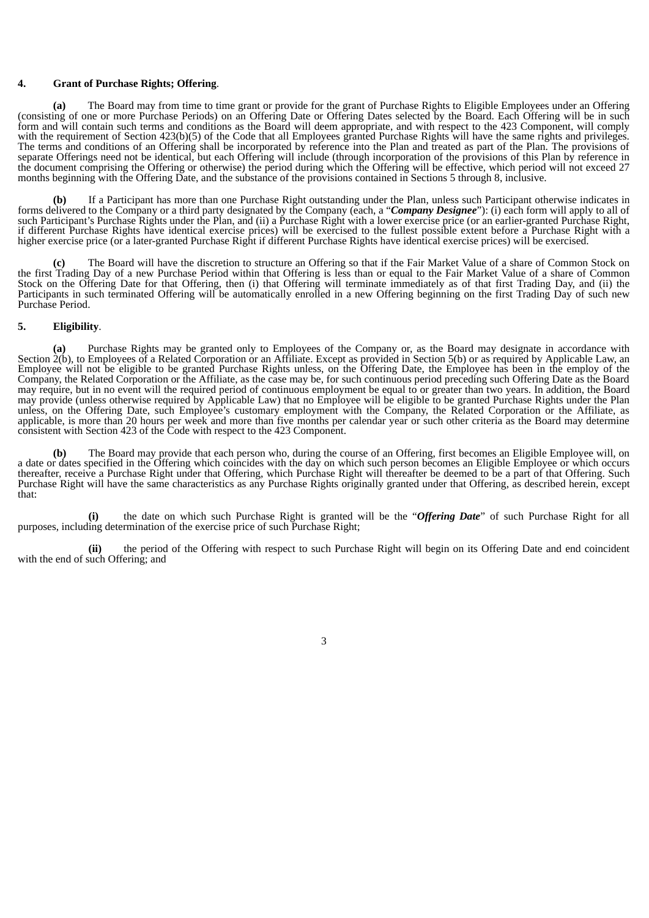# **4. Grant of Purchase Rights; Offering**.

**(a)** The Board may from time to time grant or provide for the grant of Purchase Rights to Eligible Employees under an Offering (consisting of one or more Purchase Periods) on an Offering Date or Offering Dates selected by the Board. Each Offering will be in such form and will contain such terms and conditions as the Board will deem appropriate, and with respect to the 423 Component, will comply with the requirement of Section 423(b)(5) of the Code that all Employees granted Purchase Rights will have the same rights and privileges. The terms and conditions of an Offering shall be incorporated by reference into the Plan and treated as part of the Plan. The provisions of separate Offerings need not be identical, but each Offering will include (through incorporation of the provisions of this Plan by reference in the document comprising the Offering or otherwise) the period during which the Offering will be effective, which period will not exceed 27 months beginning with the Offering Date, and the substance of the provisions contained in Sections 5 through 8, inclusive.

**(b)** If a Participant has more than one Purchase Right outstanding under the Plan, unless such Participant otherwise indicates in forms delivered to the Company or a third party designated by the Company (each, a "*Company Designee*"): (i) each form will apply to all of such Participant's Purchase Rights under the Plan, and (ii) a Purchase Right with a lower exercise price (or an earlier-granted Purchase Right, if different Purchase Rights have identical exercise prices) will be exercised to the fullest possible extent before a Purchase Right with a higher exercise price (or a later-granted Purchase Right if different Purchase Rights have identical exercise prices) will be exercised.

**(c)** The Board will have the discretion to structure an Offering so that if the Fair Market Value of a share of Common Stock on the first Trading Day of a new Purchase Period within that Offering is less than or equal to the Fair Market Value of a share of Common Stock on the Offering Date for that Offering, then (i) that Offering will terminate immediately as of that first Trading Day, and (ii) the Participants in such terminated Offering will be automatically enrolled in a new Offering beginning on the first Trading Day of such new Purchase Period.

## **5. Eligibility**.

**(a)** Purchase Rights may be granted only to Employees of the Company or, as the Board may designate in accordance with Section 2(b), to Employees of a Related Corporation or an Affiliate. Except as provided in Section 5(b) or as required by Applicable Law, an Employee will not be eligible to be granted Purchase Rights unless, on the Offering Date, the Employee has been in the employ of the Company, the Related Corporation or the Affiliate, as the case may be, for such continuous period preceding such Offering Date as the Board may require, but in no event will the required period of continuous employment be equal to or greater than two years. In addition, the Board may provide (unless otherwise required by Applicable Law) that no Employee will be eligible to be granted Purchase Rights under the Plan unless, on the Offering Date, such Employee's customary employment with the Company, the Related Corporation or the Affiliate, as applicable, is more than 20 hours per week and more than five months per calendar year or such other criteria as the Board may determine consistent with Section 423 of the Code with respect to the 423 Component.

**(b)** The Board may provide that each person who, during the course of an Offering, first becomes an Eligible Employee will, on a date or dates specified in the Offering which coincides with the day on which such person becomes an Eligible Employee or which occurs thereafter, receive a Purchase Right under that Offering, which Purchase Right will thereafter be deemed to be a part of that Offering. Such Purchase Right will have the same characteristics as any Purchase Rights originally granted under that Offering, as described herein, except that:

**(i)** the date on which such Purchase Right is granted will be the "*Offering Date*" of such Purchase Right for all purposes, including determination of the exercise price of such Purchase Right;

**(ii)** the period of the Offering with respect to such Purchase Right will begin on its Offering Date and end coincident with the end of such Offering; and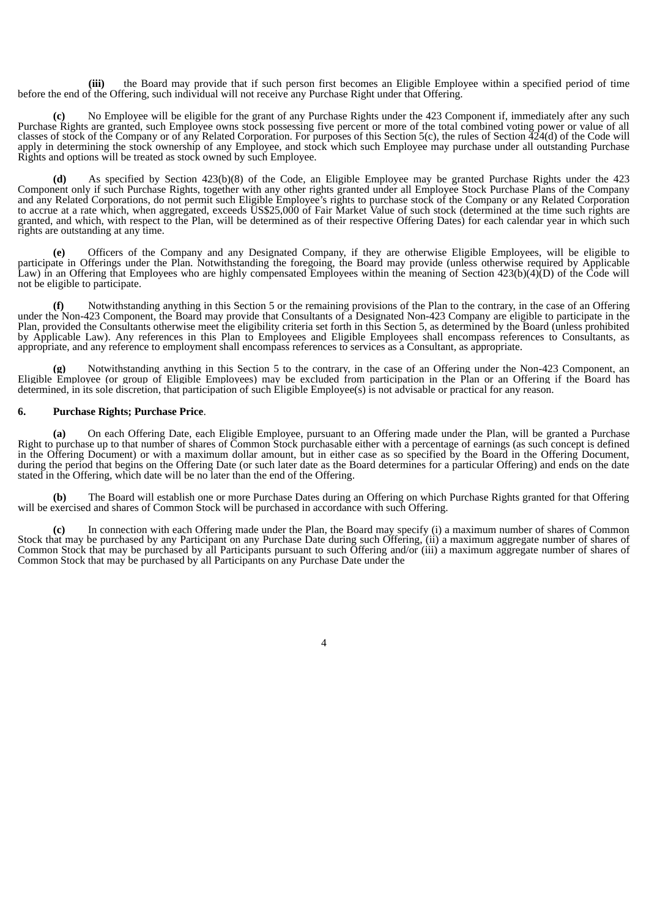the Board may provide that if such person first becomes an Eligible Employee within a specified period of time **(iii)** the Board may provide that if such person first becomes an Eligible Emplo<br>before the end of the Offering, such individual will not receive any Purchase Right under that Offering.

**(c)** No Employee will be eligible for the grant of any Purchase Rights under the 423 Component if, immediately after any such Purchase Rights are granted, such Employee owns stock possessing five percent or more of the total combined voting power or value of all classes of stock of the Company or of any Related Corporation. For purposes of this Section 5(c), the rules of Section 424(d) of the Code will apply in determining the stock ownership of any Employee, and stock which such Employee may purchase under all outstanding Purchase Rights and options will be treated as stock owned by such Employee.

**(d)** As specified by Section 423(b)(8) of the Code, an Eligible Employee may be granted Purchase Rights under the 423 Component only if such Purchase Rights, together with any other rights granted under all Employee Stock Purchase Plans of the Company and any Related Corporations, do not permit such Eligible Employee's rights to purchase stock of the Company or any Related Corporation to accrue at a rate which, when aggregated, exceeds US\$25,000 of Fair Market Value of such stock (determined at the time such rights are granted, and which, with respect to the Plan, will be determined as of their respective Offering Dates) for each calendar year in which such rights are outstanding at any time.

**(e)** Officers of the Company and any Designated Company, if they are otherwise Eligible Employees, will be eligible to participate in Offerings under the Plan. Notwithstanding the foregoing, the Board may provide (unless otherwise required by Applicable Law) in an Offering that Employees who are highly compensated Employees within the meaning of Section 423(b)(4)(D) of the Code will not be eligible to participate.

**(f)** Notwithstanding anything in this Section 5 or the remaining provisions of the Plan to the contrary, in the case of an Offering under the Non-423 Component, the Board may provide that Consultants of a Designated Non-423 Company are eligible to participate in the Plan, provided the Consultants otherwise meet the eligibility criteria set forth in this Section 5, as determined by the Board (unless prohibited by Applicable Law). Any references in this Plan to Employees and Eligible Employees shall encompass references to Consultants, as appropriate, and any reference to employment shall encompass references to services as a Consultant, as appropriate.

**(g)** Notwithstanding anything in this Section 5 to the contrary, in the case of an Offering under the Non-423 Component, an Eligible Employee (or group of Eligible Employees) may be excluded from participation in the Plan or an Offering if the Board has determined, in its sole discretion, that participation of such Eligible Employee(s) is not advisable or practical for any reason.

# **6. Purchase Rights; Purchase Price**.

**(a)** On each Offering Date, each Eligible Employee, pursuant to an Offering made under the Plan, will be granted a Purchase Right to purchase up to that number of shares of Common Stock purchasable either with a percentage of earnings (as such concept is defined in the Offering Document) or with a maximum dollar amount, but in either case as so specified by the Board in the Offering Document, during the period that begins on the Offering Date (or such later date as the Board determines for a particular Offering) and ends on the date stated in the Offering, which date will be no later than the end of the Offering.

**(b)** The Board will establish one or more Purchase Dates during an Offering on which Purchase Rights granted for that Offering will be exercised and shares of Common Stock will be purchased in accordance with such Offering.

**(c)** In connection with each Offering made under the Plan, the Board may specify (i) a maximum number of shares of Common Stock that may be purchased by any Participant on any Purchase Date during such Offering, (ii) a maximum aggregate number of shares of Common Stock that may be purchased by all Participants pursuant to such Offering and/or (iii) a maximum aggregate number of shares of Common Stock that may be purchased by all Participants on any Purchase Date under the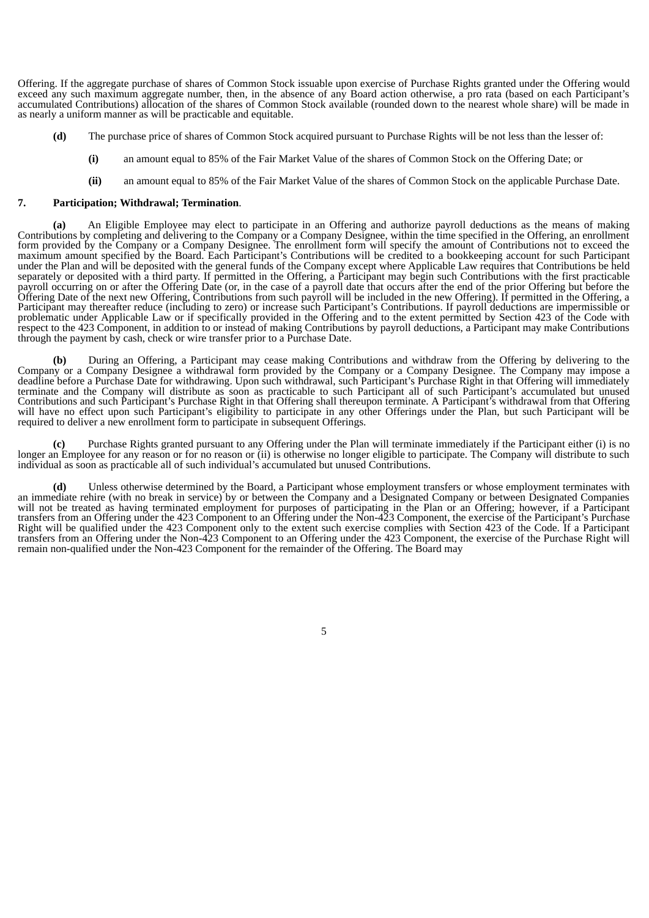Offering. If the aggregate purchase of shares of Common Stock issuable upon exercise of Purchase Rights granted under the Offering would exceed any such maximum aggregate number, then, in the absence of any Board action otherwise, a pro rata (based on each Participant's accumulated Contributions) allocation of the shares of Common Stock available (rounded down to the nearest whole share) will be made in as nearly a uniform manner as will be practicable and equitable.

- **(d)** The purchase price of shares of Common Stock acquired pursuant to Purchase Rights will be not less than the lesser of:
	- **(i)** an amount equal to 85% of the Fair Market Value of the shares of Common Stock on the Offering Date; or
	- **(ii)** an amount equal to 85% of the Fair Market Value of the shares of Common Stock on the applicable Purchase Date.

### **7. Participation; Withdrawal; Termination**.

**(a)** An Eligible Employee may elect to participate in an Offering and authorize payroll deductions as the means of making Contributions by completing and delivering to the Company or a Company Designee, within the time specified in the Offering, an enrollment form provided by the Company or a Company Designee. The enrollment form will specify the amount of Contributions not to exceed the maximum amount specified by the Board. Each Participant's Contributions will be credited to a bookkeeping account for such Participant under the Plan and will be deposited with the general funds of the Company except where Applicable Law requires that Contributions be held separately or deposited with a third party. If permitted in the Offering, a Participant may begin such Contributions with the first practicable payroll occurring on or after the Offering Date (or, in the case of a payroll date that occurs after the end of the prior Offering but before the Offering Date of the next new Offering, Contributions from such payroll will be included in the new Offering). If permitted in the Offering, a Participant may thereafter reduce (including to zero) or increase such Participant's Contributions. If payroll deductions are impermissible or problematic under Applicable Law or if specifically provided in the Offering and to the extent permitted by Section 423 of the Code with respect to the 423 Component, in addition to or instead of making Contributions by payroll deductions, a Participant may make Contributions through the payment by cash, check or wire transfer prior to a Purchase Date.

**(b)** During an Offering, a Participant may cease making Contributions and withdraw from the Offering by delivering to the Company or a Company Designee a withdrawal form provided by the Company or a Company Designee. The Company may impose a deadline before a Purchase Date for withdrawing. Upon such withdrawal, such Participant's Purchase Right in that Offering will immediately terminate and the Company will distribute as soon as practicable to such Participant all of such Participant's accumulated but unused Contributions and such Participant's Purchase Right in that Offering shall thereupon terminate. A Participant's withdrawal from that Offering will have no effect upon such Participant's eligibility to participate in any other Offerings under the Plan, but such Participant will be required to deliver a new enrollment form to participate in subsequent Offerings.

**(c)** Purchase Rights granted pursuant to any Offering under the Plan will terminate immediately if the Participant either (i) is no longer an Employee for any reason or for no reason or (ii) is otherwise no longer eligible to participate. The Company will distribute to such individual as soon as practicable all of such individual's accumulated but unused Contributions.

**(d)** Unless otherwise determined by the Board, a Participant whose employment transfers or whose employment terminates with an immediate rehire (with no break in service) by or between the Company and a Designated Company or between Designated Companies will not be treated as having terminated employment for purposes of participating in the Plan or an Offering; however, if a Participant transfers from an Offering under the 423 Component to an Offering under the Non-423 Component, the exercise of the Participant's Purchase Right will be qualified under the 423 Component only to the extent such exercise complies with Section 423 of the Code. If a Participant transfers from an Offering under the Non-423 Component to an Offering under the 423 Component, the exercise of the Purchase Right will remain non-qualified under the Non-423 Component for the remainder of the Offering. The Board may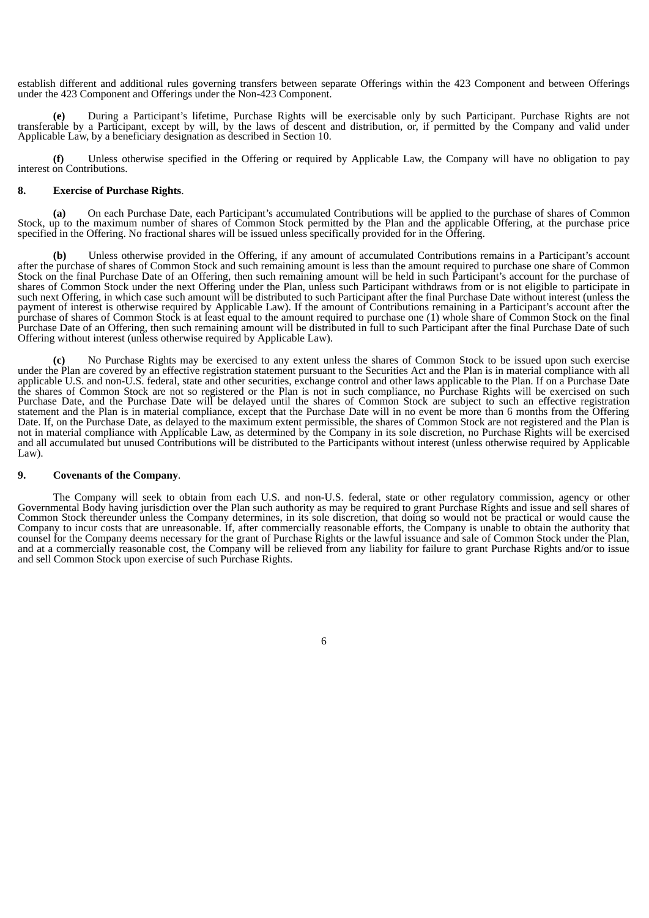establish different and additional rules governing transfers between separate Offerings within the 423 Component and between Offerings under the 423 Component and Offerings under the Non-423 Component.

**(e)** During a Participant's lifetime, Purchase Rights will be exercisable only by such Participant. Purchase Rights are not transferable by a Participant, except by will, by the laws of descent and distribution, or, if permitted by the Company and valid under Applicable Law, by a beneficiary designation as described in Section 10.

**(f)** Unless otherwise specified in the Offering or required by Applicable Law, the Company will have no obligation to pay interest on Contributions.

#### **8. Exercise of Purchase Rights**.

**(a)** On each Purchase Date, each Participant's accumulated Contributions will be applied to the purchase of shares of Common Stock, up to the maximum number of shares of Common Stock permitted by the Plan and the applicable Offering, at the purchase price specified in the Offering. No fractional shares will be issued unless specifically provided for in the Offering.

**(b)** Unless otherwise provided in the Offering, if any amount of accumulated Contributions remains in a Participant's account after the purchase of shares of Common Stock and such remaining amount is less than the amount required to purchase one share of Common Stock on the final Purchase Date of an Offering, then such remaining amount will be held in such Participant's account for the purchase of shares of Common Stock under the next Offering under the Plan, unless such Participant withdraws from or is not eligible to participate in such next Offering, in which case such amount will be distributed to such Participant after the final Purchase Date without interest (unless the payment of interest is otherwise required by Applicable Law). If the amount of Contributions remaining in a Participant's account after the purchase of shares of Common Stock is at least equal to the amount required to purchase one (1) whole share of Common Stock on the final Purchase Date of an Offering, then such remaining amount will be distributed in full to such Participant after the final Purchase Date of such Offering without interest (unless otherwise required by Applicable Law).

**(c)** No Purchase Rights may be exercised to any extent unless the shares of Common Stock to be issued upon such exercise under the Plan are covered by an effective registration statement pursuant to the Securities Act and the Plan is in material compliance with all applicable U.S. and non-U.S. federal, state and other securities, exchange control and other laws applicable to the Plan. If on a Purchase Date the shares of Common Stock are not so registered or the Plan is not in such compliance, no Purchase Rights will be exercised on such Purchase Date, and the Purchase Date will be delayed until the shares of Common Stock are subject to such an effective registration statement and the Plan is in material compliance, except that the Purchase Date will in no event be more than 6 months from the Offering Date. If, on the Purchase Date, as delayed to the maximum extent permissible, the shares of Common Stock are not registered and the Plan is not in material compliance with Applicable Law, as determined by the Company in its sole discretion, no Purchase Rights will be exercised and all accumulated but unused Contributions will be distributed to the Participants without interest (unless otherwise required by Applicable Law).

# **9. Covenants of the Company**.

The Company will seek to obtain from each U.S. and non-U.S. federal, state or other regulatory commission, agency or other Governmental Body having jurisdiction over the Plan such authority as may be required to grant Purchase Rights and issue and sell shares of Common Stock thereunder unless the Company determines, in its sole discretion, that doing so would not be practical or would cause the Company to incur costs that are unreasonable. If, after commercially reasonable efforts, the Company is unable to obtain the authority that counsel for the Company deems necessary for the grant of Purchase Rights or the lawful issuance and sale of Common Stock under the Plan, and at a commercially reasonable cost, the Company will be relieved from any liability for failure to grant Purchase Rights and/or to issue and sell Common Stock upon exercise of such Purchase Rights.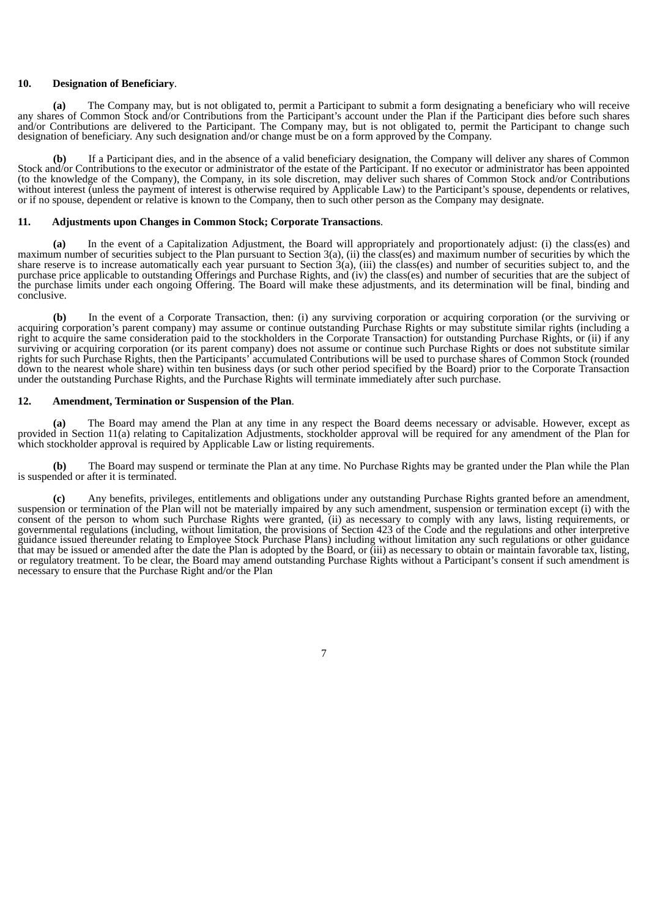# **10. Designation of Beneficiary**.

**(a)** The Company may, but is not obligated to, permit a Participant to submit a form designating a beneficiary who will receive any shares of Common Stock and/or Contributions from the Participant's account under the Plan if the Participant dies before such shares and/or Contributions are delivered to the Participant. The Company may, but is not obligated to, permit the Participant to change such designation of beneficiary. Any such designation and/or change must be on a form approved by the Company.

**(b)** If a Participant dies, and in the absence of a valid beneficiary designation, the Company will deliver any shares of Common Stock and/or Contributions to the executor or administrator of the estate of the Participant. If no executor or administrator has been appointed (to the knowledge of the Company), the Company, in its sole discretion, may deliver such shares of Common Stock and/or Contributions without interest (unless the payment of interest is otherwise required by Applicable Law) to the Participant's spouse, dependents or relatives, or if no spouse, dependent or relative is known to the Company, then to such other person as the Company may designate.

#### **11. Adjustments upon Changes in Common Stock; Corporate Transactions**.

**(a)** In the event of a Capitalization Adjustment, the Board will appropriately and proportionately adjust: (i) the class(es) and maximum number of securities subject to the Plan pursuant to Section 3(a), (ii) the class(es) and maximum number of securities by which the share reserve is to increase automatically each year pursuant to Section  $\hat{3}(a)$ , (iii) the class(es) and number of securities subject to, and the purchase price applicable to outstanding Offerings and Purchase Rights, and (iv) the class(es) and number of securities that are the subject of the purchase limits under each ongoing Offering. The Board will make these adjustments, and its determination will be final, binding and conclusive.

**(b)** In the event of a Corporate Transaction, then: (i) any surviving corporation or acquiring corporation (or the surviving or acquiring corporation's parent company) may assume or continue outstanding Purchase Rights or may substitute similar rights (including a right to acquire the same consideration paid to the stockholders in the Corporate Transaction) for outstanding Purchase Rights, or (ii) if any surviving or acquiring corporation (or its parent company) does not assume or continue such Purchase Rights or does not substitute similar rights for such Purchase Rights, then the Participants' accumulated Contributions will be used to purchase shares of Common Stock (rounded down to the nearest whole share) within ten business days (or such other period specified by the Board) prior to the Corporate Transaction under the outstanding Purchase Rights, and the Purchase Rights will terminate immediately after such purchase.

# **12. Amendment, Termination or Suspension of the Plan**.

**(a)** The Board may amend the Plan at any time in any respect the Board deems necessary or advisable. However, except as provided in Section 11(a) relating to Capitalization Adjustments, stockholder approval will be required for any amendment of the Plan for which stockholder approval is required by Applicable Law or listing requirements.

**(b)** The Board may suspend or terminate the Plan at any time. No Purchase Rights may be granted under the Plan while the Plan is suspended or after it is terminated.

**(c)** Any benefits, privileges, entitlements and obligations under any outstanding Purchase Rights granted before an amendment, suspension or termination of the Plan will not be materially impaired by any such amendment, suspension or termination except (i) with the consent of the person to whom such Purchase Rights were granted, (ii) as necessary to comply with any laws, listing requirements, or governmental regulations (including, without limitation, the provisions of Section 423 of the Code and the regulations and other interpretive guidance issued thereunder relating to Employee Stock Purchase Plans) including without limitation any such regulations or other guidance that may be issued or amended after the date the Plan is adopted by the Board, or (iii) as necessary to obtain or maintain favorable tax, listing, or regulatory treatment. To be clear, the Board may amend outstanding Purchase Rights without a Participant's consent if such amendment is necessary to ensure that the Purchase Right and/or the Plan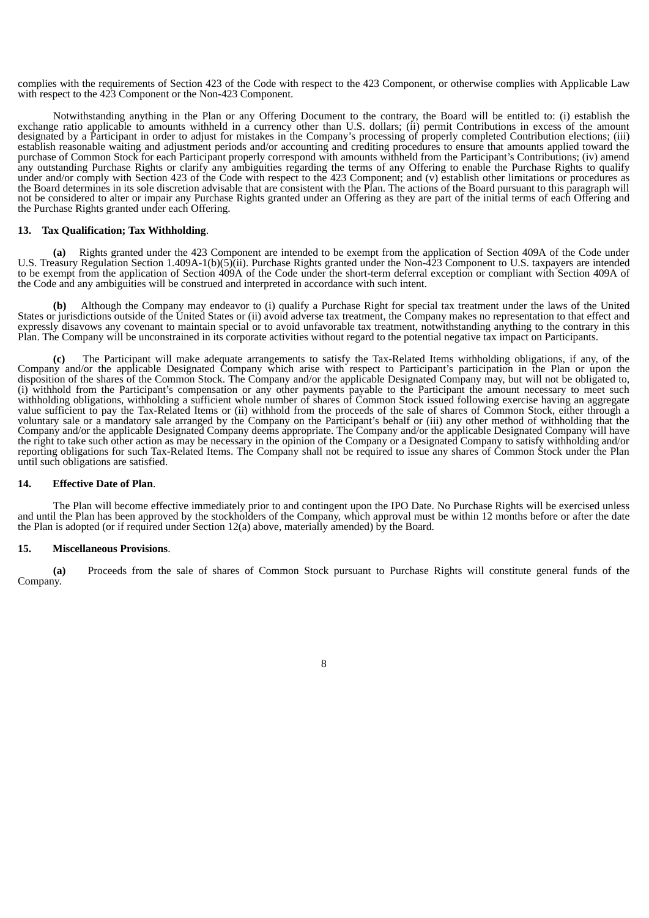complies with the requirements of Section 423 of the Code with respect to the 423 Component, or otherwise complies with Applicable Law with respect to the 423 Component or the Non-423 Component.

Notwithstanding anything in the Plan or any Offering Document to the contrary, the Board will be entitled to: (i) establish the exchange ratio applicable to amounts withheld in a currency other than U.S. dollars; (ii) permit Contributions in excess of the amount designated by a Participant in order to adjust for mistakes in the Company's processing of properly completed Contribution elections; (iii) establish reasonable waiting and adjustment periods and/or accounting and crediting procedures to ensure that amounts applied toward the purchase of Common Stock for each Participant properly correspond with amounts withheld from the Participant's Contributions; (iv) amend any outstanding Purchase Rights or clarify any ambiguities regarding the terms of any Offering to enable the Purchase Rights to qualify under and/or comply with Section 423 of the Code with respect to the 423 Component; and (v) establish other limitations or procedures as the Board determines in its sole discretion advisable that are consistent with the Plan. The actions of the Board pursuant to this paragraph will not be considered to alter or impair any Purchase Rights granted under an Offering as they are part of the initial terms of each Offering and the Purchase Rights granted under each Offering.

### **13. Tax Qualification; Tax Withholding**.

**(a)** Rights granted under the 423 Component are intended to be exempt from the application of Section 409A of the Code under U.S. Treasury Regulation Section 1.409A-1(b)(5)(ii). Purchase Rights granted under the Non-423 Component to U.S. taxpayers are intended to be exempt from the application of Section 409A of the Code under the short-term deferral exception or compliant with Section 409A of the Code and any ambiguities will be construed and interpreted in accordance with such intent.

**(b)** Although the Company may endeavor to (i) qualify a Purchase Right for special tax treatment under the laws of the United States or jurisdictions outside of the United States or (ii) avoid adverse tax treatment, the Company makes no representation to that effect and expressly disavows any covenant to maintain special or to avoid unfavorable tax treatment, notwithstanding anything to the contrary in this Plan. The Company will be unconstrained in its corporate activities without regard to the potential negative tax impact on Participants.

**(c)** The Participant will make adequate arrangements to satisfy the Tax-Related Items withholding obligations, if any, of the Company and/or the applicable Designated Company which arise with respect to Participant's participation in the Plan or upon the disposition of the shares of the Common Stock. The Company and/or the applicable Designated Company may, but will not be obligated to, (i) withhold from the Participant's compensation or any other payments payable to the Participant the amount necessary to meet such withholding obligations, withholding a sufficient whole number of shares of Common Stock issued following exercise having an aggregate value sufficient to pay the Tax-Related Items or (ii) withhold from the proceeds of the sale of shares of Common Stock, either through a voluntary sale or a mandatory sale arranged by the Company on the Participant's behalf or (iii) any other method of withholding that the Company and/or the applicable Designated Company deems appropriate. The Company and/or the applicable Designated Company will have the right to take such other action as may be necessary in the opinion of the Company or a Designated Company to satisfy withholding and/or reporting obligations for such Tax-Related Items. The Company shall not be required to issue any shares of Common Stock under the Plan until such obligations are satisfied.

# **14. Effective Date of Plan**.

The Plan will become effective immediately prior to and contingent upon the IPO Date. No Purchase Rights will be exercised unless and until the Plan has been approved by the stockholders of the Company, which approval must be within 12 months before or after the date the Plan is adopted (or if required under Section  $12(a)$  above, materially amended) by the Board.

# **15. Miscellaneous Provisions**.

**(a)** Proceeds from the sale of shares of Common Stock pursuant to Purchase Rights will constitute general funds of the Company.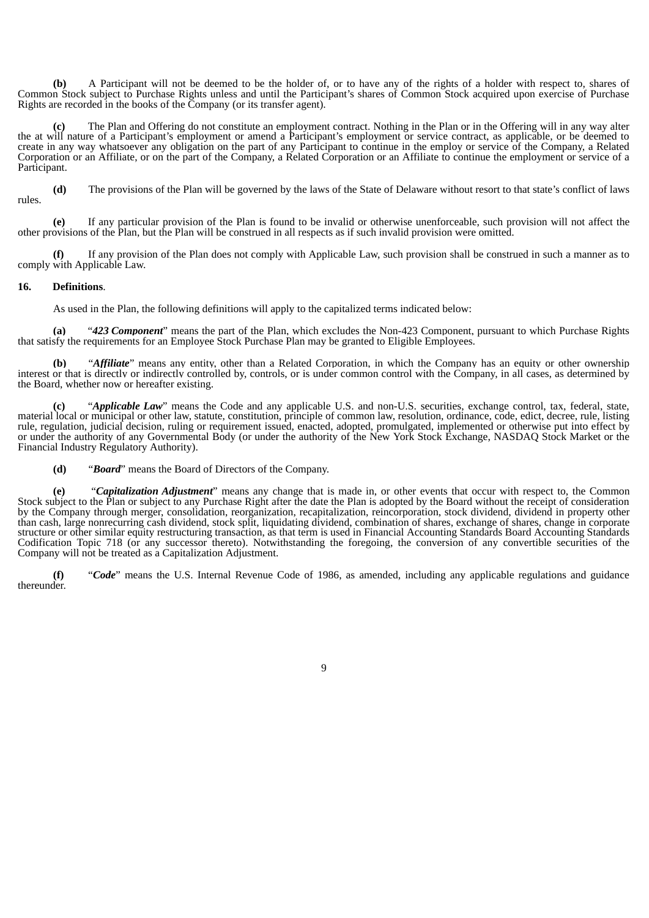**(b)** A Participant will not be deemed to be the holder of, or to have any of the rights of a holder with respect to, shares of Common Stock subject to Purchase Rights unless and until the Participant's shares of Common Stock acquired upon exercise of Purchase Rights are recorded in the books of the Company (or its transfer agent).

**(c)** The Plan and Offering do not constitute an employment contract. Nothing in the Plan or in the Offering will in any way alter the at will nature of a Participant's employment or amend a Participant's employment or service contract, as applicable, or be deemed to create in any way whatsoever any obligation on the part of any Participant to continue in the employ or service of the Company, a Related Corporation or an Affiliate, or on the part of the Company, a Related Corporation or an Affiliate to continue the employment or service of a Participant.

**(d)** The provisions of the Plan will be governed by the laws of the State of Delaware without resort to that state's conflict of laws rules.

**(e)** If any particular provision of the Plan is found to be invalid or otherwise unenforceable, such provision will not affect the other provisions of the Plan, but the Plan will be construed in all respects as if such invalid provision were omitted.

**(f)** If any provision of the Plan does not comply with Applicable Law, such provision shall be construed in such a manner as to comply with Applicable Law.

### **16. Definitions**.

As used in the Plan, the following definitions will apply to the capitalized terms indicated below:

**(a)** "*423 Component*" means the part of the Plan, which excludes the Non-423 Component, pursuant to which Purchase Rights that satisfy the requirements for an Employee Stock Purchase Plan may be granted to Eligible Employees.

**(b)** "*Affiliate*" means any entity, other than a Related Corporation, in which the Company has an equity or other ownership interest or that is directly or indirectly controlled by, controls, or is under common control with the Company, in all cases, as determined by the Board, whether now or hereafter existing.

**(c)** "*Applicable Law*" means the Code and any applicable U.S. and non-U.S. securities, exchange control, tax, federal, state, material local or municipal or other law, statute, constitution, principle of common law, resolution, ordinance, code, edict, decree, rule, listing rule, regulation, judicial decision, ruling or requirement issued, enacted, adopted, promulgated, implemented or otherwise put into effect by or under the authority of any Governmental Body (or under the authority of the New York Stock Exchange, NASDAQ Stock Market or the Financial Industry Regulatory Authority).

**(d)** "*Board*" means the Board of Directors of the Company.

**(e)** "*Capitalization Adjustment*" means any change that is made in, or other events that occur with respect to, the Common Stock subject to the Plan or subject to any Purchase Right after the date the Plan is adopted by the Board without the receipt of consideration by the Company through merger, consolidation, reorganization, recapitalization, reincorporation, stock dividend, dividend in property other than cash, large nonrecurring cash dividend, stock split, liquidating dividend, combination of shares, exchange of shares, change in corporate structure or other similar equity restructuring transaction, as that term is used in Financial Accounting Standards Board Accounting Standards Codification Topic 718 (or any successor thereto). Notwithstanding the foregoing, the conversion of any convertible securities of the Company will not be treated as a Capitalization Adjustment.

**(f)** "*Code*" means the U.S. Internal Revenue Code of 1986, as amended, including any applicable regulations and guidance thereunder.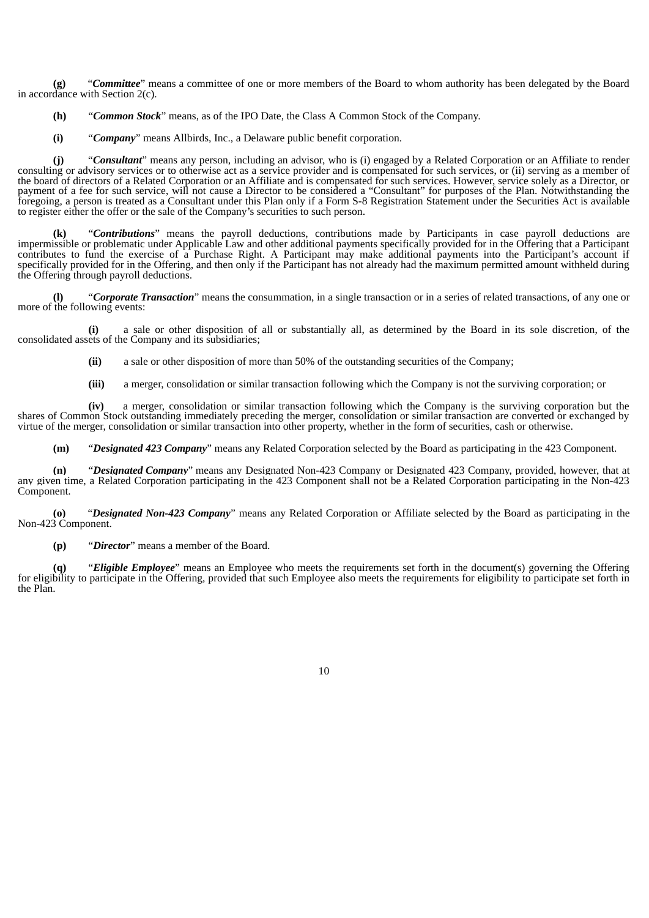**(g)** "*Committee*" means a committee of one or more members of the Board to whom authority has been delegated by the Board (g) "Committee" m<br>in accordance with Section 2(c).

- **(h)** "*Common Stock*" means, as of the IPO Date, the Class A Common Stock of the Company.
- **(i)** "*Company*" means Allbirds, Inc., a Delaware public benefit corporation.

**(j)** "*Consultant*" means any person, including an advisor, who is (i) engaged by a Related Corporation or an Affiliate to render consulting or advisory services or to otherwise act as a service provider and is compensated for such services, or (ii) serving as a member of the board of directors of a Related Corporation or an Affiliate and is compensated for such services. However, service solely as a Director, or payment of a fee for such service, will not cause a Director to be considered a "Consultant" for purposes of the Plan. Notwithstanding the foregoing, a person is treated as a Consultant under this Plan only if a Form S-8 Registration Statement under the Securities Act is available to register either the offer or the sale of the Company's securities to such person.

**(k)** "*Contributions*" means the payroll deductions, contributions made by Participants in case payroll deductions are impermissible or problematic under Applicable Law and other additional payments specifically provided for in the Offering that a Participant contributes to fund the exercise of a Purchase Right. A Participant may make additional payments into the Participant's account if specifically provided for in the Offering, and then only if the Participant has not already had the maximum permitted amount withheld during the Offering through payroll deductions.

**(l)** "*Corporate Transaction*" means the consummation, in a single transaction or in a series of related transactions, of any one or more of the following events:

**(i)** a sale or other disposition of all or substantially all, as determined by the Board in its sole discretion, of the consolidated assets of the Company and its subsidiaries;

- **(ii)** a sale or other disposition of more than 50% of the outstanding securities of the Company;
- **(iii)** a merger, consolidation or similar transaction following which the Company is not the surviving corporation; or

**(iv)** a merger, consolidation or similar transaction following which the Company is the surviving corporation but the shares of Common Stock outstanding immediately preceding the merger, consolidation or similar transaction are converted or exchanged by virtue of the merger, consolidation or similar transaction into other property, whether in the form of securities, cash or otherwise.

**(m)** "*Designated 423 Company*" means any Related Corporation selected by the Board as participating in the 423 Component.

**(n)** "*Designated Company*" means any Designated Non-423 Company or Designated 423 Company, provided, however, that at any given time, a Related Corporation participating in the 423 Component shall not be a Related Corporation participating in the Non-423 Component.

**(o)** "*Designated Non-423 Company*" means any Related Corporation or Affiliate selected by the Board as participating in the Non-423 Component.

**(p)** "*Director*" means a member of the Board.

**(q)** "*Eligible Employee*" means an Employee who meets the requirements set forth in the document(s) governing the Offering for eligibility to participate in the Offering, provided that such Employee also meets the requirements for eligibility to participate set forth in the Plan.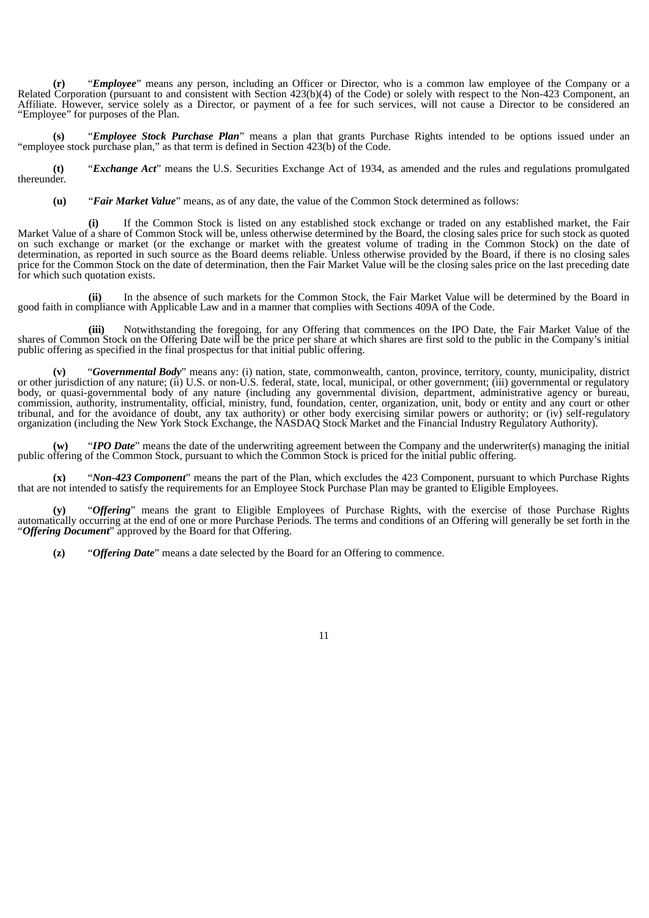**(r)** "*Employee*" means any person, including an Officer or Director, who is a common law employee of the Company or a Related Corporation (pursuant to and consistent with Section 423(b)(4) of the Code) or solely with respect to the Non-423 Component, an Affiliate. However, service solely as a Director, or payment of a fee for such services, will not cause a Director to be considered an "Employee" for purposes of the Plan.

**(s)** "*Employee Stock Purchase Plan*" means a plan that grants Purchase Rights intended to be options issued under an "employee stock purchase plan," as that term is defined in Section 423(b) of the Code.

**(t)** "*Exchange Act*" means the U.S. Securities Exchange Act of 1934, as amended and the rules and regulations promulgated thereunder.

**(u)** "*Fair Market Value*" means, as of any date, the value of the Common Stock determined as follows:

**(i)** If the Common Stock is listed on any established stock exchange or traded on any established market, the Fair Market Value of a share of Common Stock will be, unless otherwise determined by the Board, the closing sales price for such stock as quoted on such exchange or market (or the exchange or market with the greatest volume of trading in the Common Stock) on the date of determination, as reported in such source as the Board deems reliable. Unless otherwise provided by the Board, if there is no closing sales price for the Common Stock on the date of determination, then the Fair Market Value will be the closing sales price on the last preceding date for which such quotation exists.

**(ii)** In the absence of such markets for the Common Stock, the Fair Market Value will be determined by the Board in good faith in compliance with Applicable Law and in a manner that complies with Sections 409A of the Code.

**(iii)** Notwithstanding the foregoing, for any Offering that commences on the IPO Date, the Fair Market Value of the shares of Common Stock on the Offering Date will be the price per share at which shares are first sold to the public in the Company's initial public offering as specified in the final prospectus for that initial public offering.

**(v)** "*Governmental Body*" means any: (i) nation, state, commonwealth, canton, province, territory, county, municipality, district or other jurisdiction of any nature; (ii) U.S. or non-U.S. federal, state, local, municipal, or other government; (iii) governmental or regulatory body, or quasi-governmental body of any nature (including any governmental division, department, administrative agency or bureau, commission, authority, instrumentality, official, ministry, fund, foundation, center, organization, unit, body or entity and any court or other tribunal, and for the avoidance of doubt, any tax authority) or other body exercising similar powers or authority; or (iv) self-regulatory organization (including the New York Stock Exchange, the NASDAQ Stock Market and the Financial Industry Regulatory Authority).

**(w)** "*IPO Date*" means the date of the underwriting agreement between the Company and the underwriter(s) managing the initial (w) "*IPO Date*" means the date of the underwriting agreement between the Company and the underwriting public offering.<br>
public offering of the Common Stock, pursuant to which the Common Stock is priced for the initial pub

**(x)** "*Non-423 Component*" means the part of the Plan, which excludes the 423 Component, pursuant to which Purchase Rights that are not intended to satisfy the requirements for an Employee Stock Purchase Plan may be granted to Eligible Employees.

**(y)** "*Offering*" means the grant to Eligible Employees of Purchase Rights, with the exercise of those Purchase Rights automatically occurring at the end of one or more Purchase Periods. The terms and conditions of an Offering will generally be set forth in the "*Offering Document*" approved by the Board for that Offering.

**(z)** "*Offering Date*" means a date selected by the Board for an Offering to commence.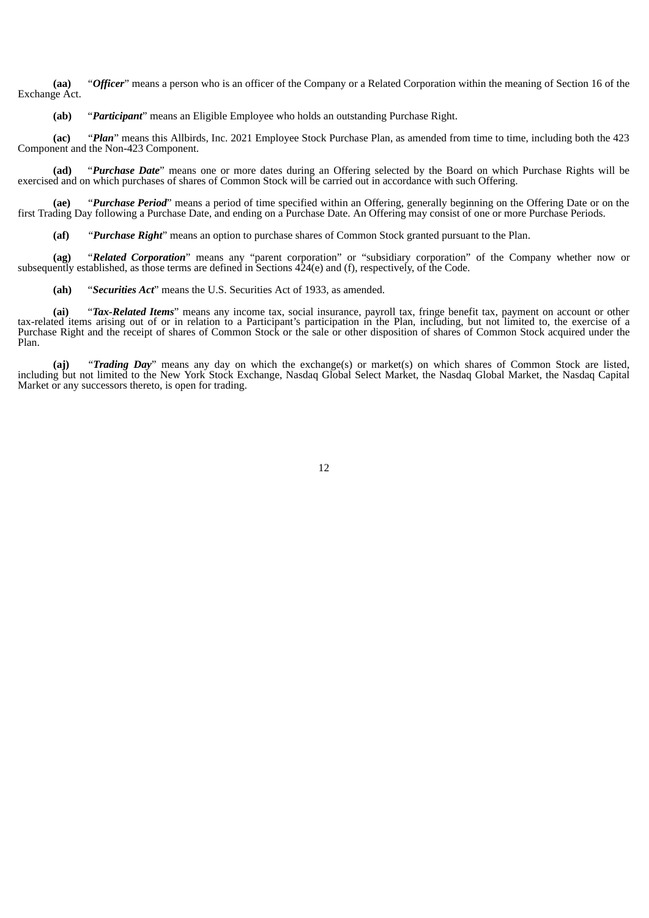**(aa)** "*Officer*" means a person who is an officer of the Company or a Related Corporation within the meaning of Section 16 of the Exchange Act.

**(ab)** "*Participant*" means an Eligible Employee who holds an outstanding Purchase Right.

**(ac)** "*Plan*" means this Allbirds, Inc. 2021 Employee Stock Purchase Plan, as amended from time to time, including both the 423 Component and the Non-423 Component.

**(ad)** "*Purchase Date*" means one or more dates during an Offering selected by the Board on which Purchase Rights will be exercised and on which purchases of shares of Common Stock will be carried out in accordance with such Offering.

**(ae)** "*Purchase Period*" means a period of time specified within an Offering, generally beginning on the Offering Date or on the first Trading Day following a Purchase Date, and ending on a Purchase Date. An Offering may consist of one or more Purchase Periods.

**(af)** "*Purchase Right*" means an option to purchase shares of Common Stock granted pursuant to the Plan.

**(ag)** "*Related Corporation*" means any "parent corporation" or "subsidiary corporation" of the Company whether now or subsequently established, as those terms are defined in Sections 424(e) and (f), respectively, of the Code.

**(ah)** "*Securities Act*" means the U.S. Securities Act of 1933, as amended.

**(ai)** "*Tax-Related Items*" means any income tax, social insurance, payroll tax, fringe benefit tax, payment on account or other tax-related items arising out of or in relation to a Participant's participation in the Plan, including, but not limited to, the exercise of a Purchase Right and the receipt of shares of Common Stock or the sale or other disposition of shares of Common Stock acquired under the Plan.

**(aj)** "*Trading Day*" means any day on which the exchange(s) or market(s) on which shares of Common Stock are listed, including but not limited to the New York Stock Exchange, Nasdaq Global Select Market, the Nasdaq Global Market, the Nasdaq Capital Market or any successors thereto, is open for trading.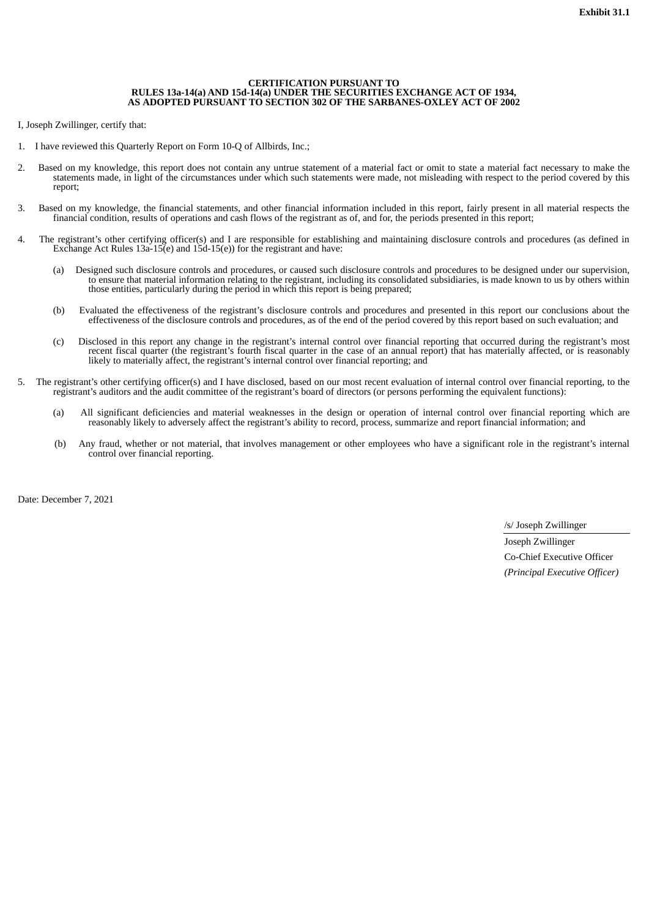#### **CERTIFICATION PURSUANT TO RULES 13a-14(a) AND 15d-14(a) UNDER THE SECURITIES EXCHANGE ACT OF 1934, AS ADOPTED PURSUANT TO SECTION 302 OF THE SARBANES-OXLEY ACT OF 2002**

<span id="page-102-0"></span>I, Joseph Zwillinger, certify that:

- 1. I have reviewed this Quarterly Report on Form 10-Q of Allbirds, Inc.;
- 2. Based on my knowledge, this report does not contain any untrue statement of a material fact or omit to state a material fact necessary to make the statements made, in light of the circumstances under which such statements were made, not misleading with respect to the period covered by this report;
- 3. Based on my knowledge, the financial statements, and other financial information included in this report, fairly present in all material respects the financial condition, results of operations and cash flows of the registrant as of, and for, the periods presented in this report;
- 4. The registrant's other certifying officer(s) and I are responsible for establishing and maintaining disclosure controls and procedures (as defined in Exchange Act Rules 13a-15(e) and 15d-15(e)) for the registrant and have:
	- (a) Designed such disclosure controls and procedures, or caused such disclosure controls and procedures to be designed under our supervision, to ensure that material information relating to the registrant, including its consolidated subsidiaries, is made known to us by others within those entities, particularly during the period in which this report is being prepared;
	- (b) Evaluated the effectiveness of the registrant's disclosure controls and procedures and presented in this report our conclusions about the effectiveness of the disclosure controls and procedures, as of the end of the period covered by this report based on such evaluation; and
	- (c) Disclosed in this report any change in the registrant's internal control over financial reporting that occurred during the registrant's most recent fiscal quarter (the registrant's fourth fiscal quarter in the case of an annual report) that has materially affected, or is reasonably likely to materially affect, the registrant's internal control over financial reporting; and
- 5. The registrant's other certifying officer(s) and I have disclosed, based on our most recent evaluation of internal control over financial reporting, to the registrant's auditors and the audit committee of the registrant's board of directors (or persons performing the equivalent functions):
	- (a) All significant deficiencies and material weaknesses in the design or operation of internal control over financial reporting which are reasonably likely to adversely affect the registrant's ability to record, process, summarize and report financial information; and
	- (b) Any fraud, whether or not material, that involves management or other employees who have a significant role in the registrant's internal control over financial reporting.

Date: December 7, 2021

/s/ Joseph Zwillinger

Joseph Zwillinger Co-Chief Executive Officer *(Principal Executive Officer)*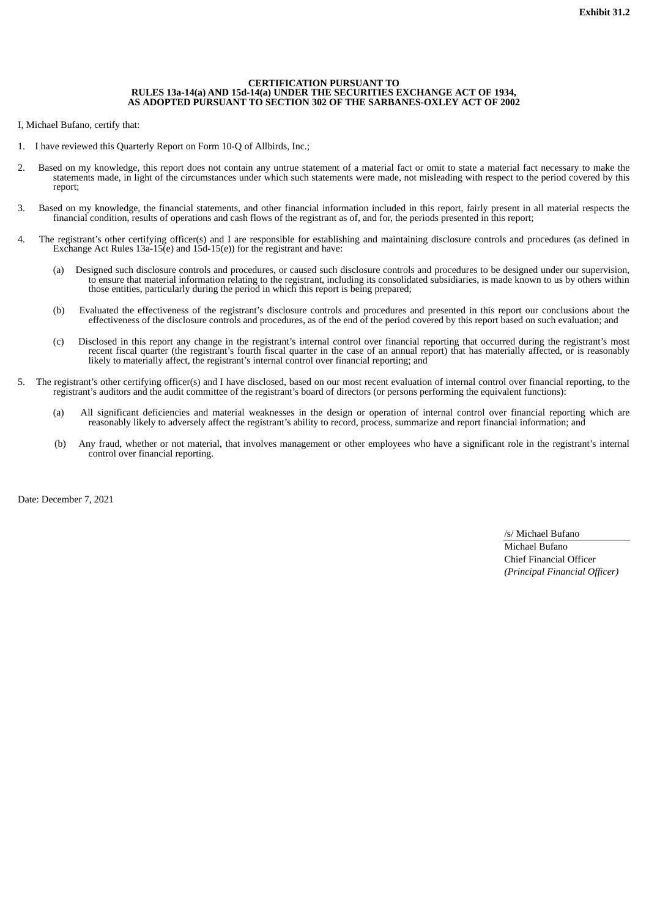#### **CERTIFICATION PURSUANT TO RULES 13a-14(a) AND 15d-14(a) UNDER THE SECURITIES EXCHANGE ACT OF 1934, AS ADOPTED PURSUANT TO SECTION 302 OF THE SARBANES-OXLEY ACT OF 2002**

<span id="page-103-0"></span>I, Michael Bufano, certify that:

- 1. I have reviewed this Quarterly Report on Form 10-Q of Allbirds, Inc.;
- 2. Based on my knowledge, this report does not contain any untrue statement of a material fact or omit to state a material fact necessary to make the statements made, in light of the circumstances under which such statements were made, not misleading with respect to the period covered by this report;
- 3. Based on my knowledge, the financial statements, and other financial information included in this report, fairly present in all material respects the financial condition, results of operations and cash flows of the registrant as of, and for, the periods presented in this report;
- 4. The registrant's other certifying officer(s) and I are responsible for establishing and maintaining disclosure controls and procedures (as defined in Exchange Act Rules 13a-15(e) and 15d-15(e)) for the registrant and have:
	- (a) Designed such disclosure controls and procedures, or caused such disclosure controls and procedures to be designed under our supervision, to ensure that material information relating to the registrant, including its consolidated subsidiaries, is made known to us by others within those entities, particularly during the period in which this report is being prepared;
	- (b) Evaluated the effectiveness of the registrant's disclosure controls and procedures and presented in this report our conclusions about the effectiveness of the disclosure controls and procedures, as of the end of the period covered by this report based on such evaluation; and
	- (c) Disclosed in this report any change in the registrant's internal control over financial reporting that occurred during the registrant's most recent fiscal quarter (the registrant's fourth fiscal quarter in the case of an annual report) that has materially affected, or is reasonably likely to materially affect, the registrant's internal control over financial reporting; and
- 5. The registrant's other certifying officer(s) and I have disclosed, based on our most recent evaluation of internal control over financial reporting, to the registrant's auditors and the audit committee of the registrant's board of directors (or persons performing the equivalent functions):
	- (a) All significant deficiencies and material weaknesses in the design or operation of internal control over financial reporting which are reasonably likely to adversely affect the registrant's ability to record, process, summarize and report financial information; and
	- (b) Any fraud, whether or not material, that involves management or other employees who have a significant role in the registrant's internal control over financial reporting.

Date: December 7, 2021

/s/ Michael Bufano

Michael Bufano Chief Financial Officer *(Principal Financial Officer)*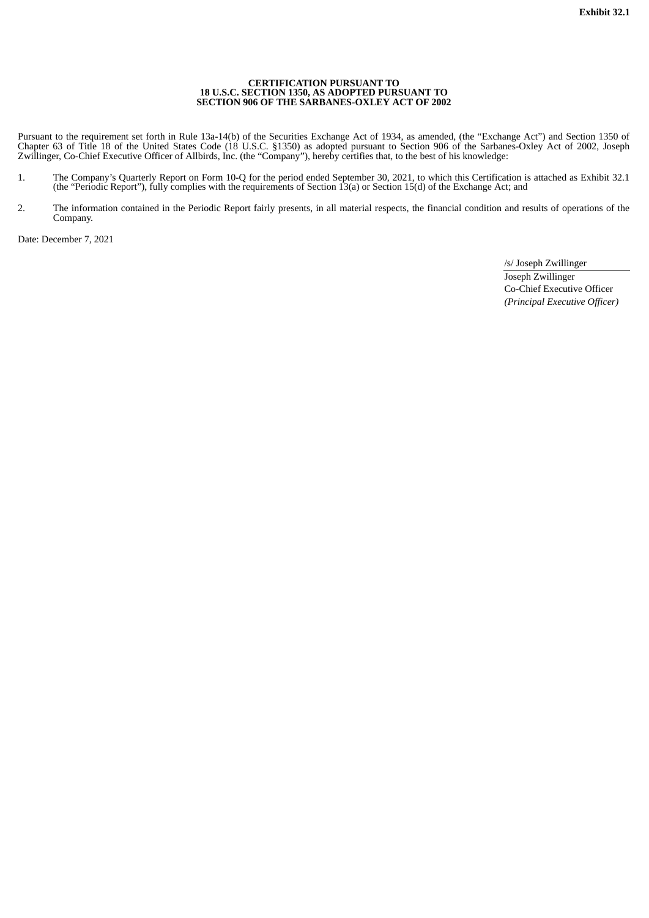#### **CERTIFICATION PURSUANT TO 18 U.S.C. SECTION 1350, AS ADOPTED PURSUANT TO SECTION 906 OF THE SARBANES-OXLEY ACT OF 2002**

<span id="page-104-0"></span>Pursuant to the requirement set forth in Rule 13a-14(b) of the Securities Exchange Act of 1934, as amended, (the "Exchange Act") and Section 1350 of Chapter 63 of Title 18 of the United States Code (18 U.S.C. §1350) as adopted pursuant to Section 906 of the Sarbanes-Oxley Act of 2002, Joseph Zwillinger, Co-Chief Executive Officer of Allbirds, Inc. (the "Company"), hereby certifies that, to the best of his knowledge:

- 1. The Company's Quarterly Report on Form 10-Q for the period ended September 30, 2021, to which this Certification is attached as Exhibit 32.1 (the "Periodic Report"), fully complies with the requirements of Section 13(a) or Section 15(d) of the Exchange Act; and
- 2. The information contained in the Periodic Report fairly presents, in all material respects, the financial condition and results of operations of the Company.

Date: December 7, 2021

/s/ Joseph Zwillinger Joseph Zwillinger Co-Chief Executive Officer *(Principal Executive Officer)*